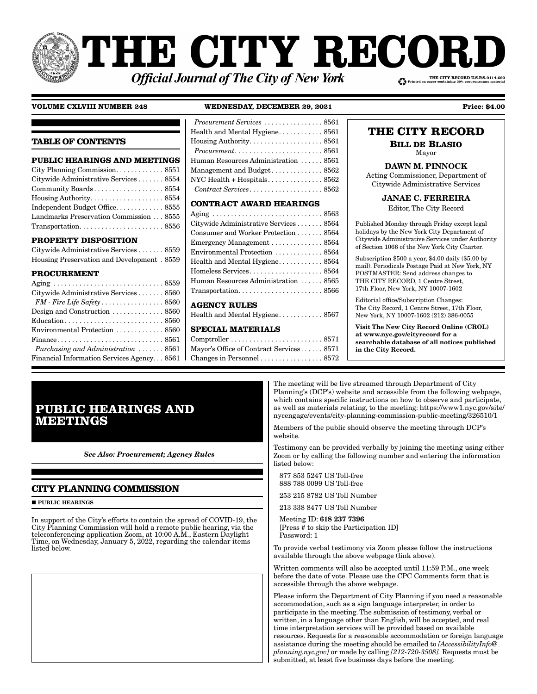# **THE CITY RECORI** THE CITY RECORD U.S.P.S.0114-660 **Official Journal of The City of New York**

## **VOLUME CXLVIII NUMBER 248 WEDNESDAY, DECEMBER 29, 2021 Price: \$4.00**

## **TABLE OF CONTENTS**

| <b>PUBLIC HEARINGS AND MEETINGS</b>                                     |
|-------------------------------------------------------------------------|
|                                                                         |
| Citywide Administrative Services 8554                                   |
| Community Boards 8554                                                   |
|                                                                         |
| Independent Budget Office8555                                           |
| Landmarks Preservation Commission 8555                                  |
| $Transportation. \ldots \ldots \ldots \ldots \ldots \ldots \ldots 8556$ |

## **PROPERTY DISPOSITION**

| Citywide Administrative Services 8559      |  |
|--------------------------------------------|--|
| Housing Preservation and Development. 8559 |  |

## **PROCUREMENT**

| Citywide Administrative Services 8560              |
|----------------------------------------------------|
| FM - Fire Life Safety 8560                         |
|                                                    |
|                                                    |
| Environmental Protection  8560                     |
|                                                    |
| Purchasing and Administration $\ldots \ldots$ 8561 |
| Financial Information Services Agency 8561         |
|                                                    |

## *Procurement Services* . . . . . . . . . . . . . . . . 8561 Health and Mental Hygiene........... 8561 Housing Authority . . . . . . . . . . . . . . . . . . . . 8561 *Procurement* . . . . . . . . . . . . . . . . . . . . . . . . 8561 Human Resources Administration . . . . . . 8561 Management and Budget . . . . . . . . . . . . . . 8562 NYC Health + Hospitals . . . . . . . . . . . . . . . 8562 *Contract Services* . . . . . . . . . . . . . . . . . . . . 8562

## **CONTRACT AWARD HEARINGS**

| Citywide Administrative Services 8564                                   |
|-------------------------------------------------------------------------|
| Consumer and Worker Protection 8564                                     |
| Emergency Management  8564                                              |
| Environmental Protection  8564                                          |
|                                                                         |
|                                                                         |
| Human Resources Administration  8565                                    |
| $Transportation. \ldots \ldots \ldots \ldots \ldots \ldots \ldots 8566$ |
| <b>AGENCY RULES</b>                                                     |

## Health and Mental Hygiene............ 8567

## **SPECIAL MATERIALS**

Comptroller . . . . . . . . . . . . . . . . . . . . . . . . . 8571 Mayor's Office of Contract Services . . . . . . 8571 Changes in Personnel . . . . . . . . . . . . . . . . . 8572

## **THE CITY RECORD**

**BILL DE BLASIO** Mayor

## DAWN M. PINNOCK

Acting Commissioner, Department of Citywide Administrative Services

## JANAE C. FERREIRA

Editor, The City Record

Published Monday through Friday except legal holidays by the New York City Department of Citywide Administrative Services under Authority of Section 1066 of the New York City Charter.

Subscription \$500 a year, \$4.00 daily (\$5.00 by mail). Periodicals Postage Paid at New York, NY POSTMASTER: Send address changes to THE CITY RECORD, 1 Centre Street, 17th Floor, New York, NY 10007-1602

Editorial office/Subscription Changes: The City Record, 1 Centre Street, 17th Floor, New York, NY 10007-1602 (212) 386-0055

Visit The New City Record Online (CROL) at www.nyc.gov/cityrecord for a searchable database of all notices published in the City Record.

# **PUBLIC HEARINGS AND MEETINGS**

*See Also: Procurement; Agency Rules*

## **CITY PLANNING COMMISSION**

**PUBLIC HEARINGS** 

In support of the City's efforts to contain the spread of COVID-19, the City Planning Commission will hold a remote public hearing, via the teleconferencing application Zoom, at 10:00 A.M., Eastern Daylight Time, on Wednesday, January 5, 2022, regarding the calendar items listed below.

The meeting will be live streamed through Department of City Planning's (DCP's) website and accessible from the following webpage, which contains specific instructions on how to observe and participate, as well as materials relating, to the meeting: https://www1.nyc.gov/site/ nycengage/events/city-planning-commission-public-meeting/326510/1

Members of the public should observe the meeting through DCP's website.

Testimony can be provided verbally by joining the meeting using either Zoom or by calling the following number and entering the information listed below:

- 877 853 5247 US Toll-free 888 788 0099 US Toll-free
- 253 215 8782 US Toll Number
- 213 338 8477 US Toll Number

 Meeting ID: 618 237 7396 [Press # to skip the Participation ID] Password: 1

To provide verbal testimony via Zoom please follow the instructions available through the above webpage (link above).

Written comments will also be accepted until 11:59 P.M., one week before the date of vote. Please use the CPC Comments form that is accessible through the above webpage.

Please inform the Department of City Planning if you need a reasonable accommodation, such as a sign language interpreter, in order to participate in the meeting. The submission of testimony, verbal or written, in a language other than English, will be accepted, and real time interpretation services will be provided based on available resources. Requests for a reasonable accommodation or foreign language assistance during the meeting should be emailed to *[AccessibilityInfo@ planning.nyc.gov]* or made by calling *[212-720-3508].* Requests must be submitted, at least five business days before the meeting.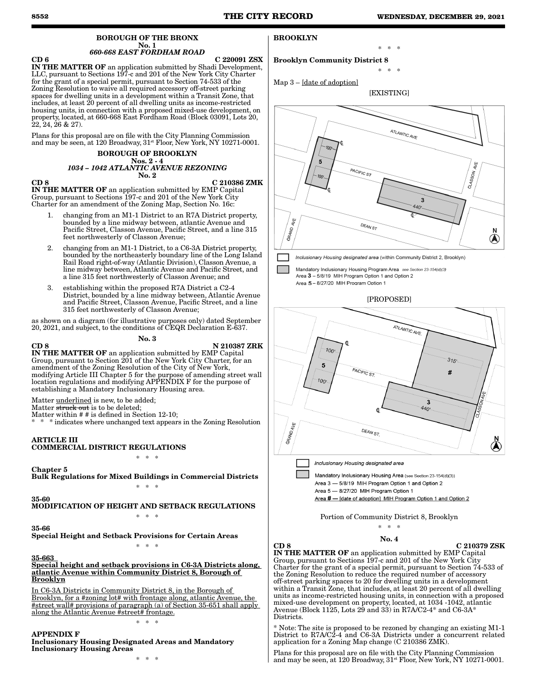#### BOROUGH OF THE BRONX No. 1 *660-668 EAST FORDHAM ROAD*

CD 6 C 220091 ZSX

Brooklyn Community District 8

BROOKLYN

IN THE MATTER OF an application submitted by Shadi Development, LLC, pursuant to Sections 197-c and 201 of the New York City Charter for the grant of a special permit, pursuant to Section 74-533 of the Zoning Resolution to waive all required accessory off-street parking spaces for dwelling units in a development within a Transit Zone, that includes, at least 20 percent of all dwelling units as income-restricted housing units, in connection with a proposed mixed-use development, on property, located, at 660-668 East Fordham Road (Block 03091, Lots 20,  $22, 24, 26 \& 27$ 

Plans for this proposal are on file with the City Planning Commission and may be seen, at 120 Broadway,  $31<sup>st</sup>$  Floor, New York, NY 10271-0001.

#### BOROUGH OF BROOKLYN Nos. 2 - 4 *1034 – 1042 ATLANTIC AVENUE REZONING* No. 2

### CD 8 C 210386 ZMK

IN THE MATTER OF an application submitted by EMP Capital Group, pursuant to Sections 197-c and 201 of the New York City Charter for an amendment of the Zoning Map, Section No. 16c:

- 1. changing from an M1-1 District to an R7A District property, bounded by a line midway between, atlantic Avenue and Pacific Street, Classon Avenue, Pacific Street, and a line 315 feet northwesterly of Classon Avenue;
- 2. changing from an M1-1 District, to a C6-3A District property, bounded by the northeasterly boundary line of the Long Island Rail Road right-of-way (Atlantic Division), Classon Avenue, a line midway between, Atlantic Avenue and Pacific Street, and a line 315 feet northwesterly of Classon Avenue; and
- 3. establishing within the proposed R7A District a C2-4 District, bounded by a line midway between, Atlantic Avenue and Pacific Street, Classon Avenue, Pacific Street, and a line 315 feet northwesterly of Classon Avenue;

as shown on a diagram (for illustrative purposes only) dated September 20, 2021, and subject, to the conditions of CEQR Declaration E-637. No. 3

CD 8 N 210387 ZRK IN THE MATTER OF an application submitted by EMP Capital Group, pursuant to Section 201 of the New York City Charter, for an amendment of the Zoning Resolution of the City of New York, modifying Article III Chapter 5 for the purpose of amending street wall location regulations and modifying APPENDIX F for the purpose of establishing a Mandatory Inclusionary Housing area.

Matter underlined is new, to be added;

Matter struck out is to be deleted: Matter within # # is defined in Section 12-10;

\* indicates where unchanged text appears in the Zoning Resolution

ARTICLE III

## COMMERCIAL DISTRICT REGULATIONS \* \* \*

## Chapter 5

Bulk Regulations for Mixed Buildings in Commercial Districts \* \* \*

35-60

MODIFICATION OF HEIGHT AND SETBACK REGULATIONS

## 35-66

Special Height and Setback Provisions for Certain Areas \* \* \*

\* \* \*

## 35-663

Special height and setback provisions in C6-3A Districts along, atlantic Avenue within Community District 8, Borough of Brooklyn

In C6-3A Districts in Community District 8, in the Borough of Brooklyn, for a #zoning lot# with frontage along, atlantic Avenue, the #street wall# provisions of paragraph (a) of Section 35-651 shall apply along the Atlantic Avenue #street# frontage.

\* \* \*

## APPENDIX F

Inclusionary Housing Designated Areas and Mandatory Inclusionary Housing Areas





\* \* \*

\* \* \*

Mandatory Inclusionary Housing Program Area see Section 23-154(d)(3) Area 3 - 5/8/19 MIH Program Option 1 and Option 2 Area 5 - 8/27/20 MIH Program Option 1

## [PROPOSED]



Area 3 - 5/8/19 MIH Program Option 1 and Option 2 Area 5 - 8/27/20 MIH Program Option 1 Area # - [date of adoption] MIH Program Option 1 and Option 2

Portion of Community District 8, Brooklyn \* \* \*

## No. 4

CD 8 C 210379 ZSK IN THE MATTER OF an application submitted by EMP Capital Group, pursuant to Sections 197-c and 201 of the New York City Charter for the grant of a special permit, pursuant to Section 74-533 of the Zoning Resolution to reduce the required number of accessory off-street parking spaces to 20 for dwelling units in a development within a Transit Zone, that includes, at least 20 percent of all dwelling units as income-restricted housing units, in connection with a proposed mixed-use development on property, located, at 1034 -1042, atlantic Avenue (Block 1125, Lots 29 and 33) in R7A/C2-4\* and C6-3A\* Districts.

\* Note: The site is proposed to be rezoned by changing an existing M1-1 District to R7A/C2-4 and C6-3A Districts under a concurrent related application for a Zoning Map change (C 210386 ZMK).

Plans for this proposal are on file with the City Planning Commission and may be seen, at 120 Broadway,  $31^{st}$  Floor, New York, NY 10271-0001.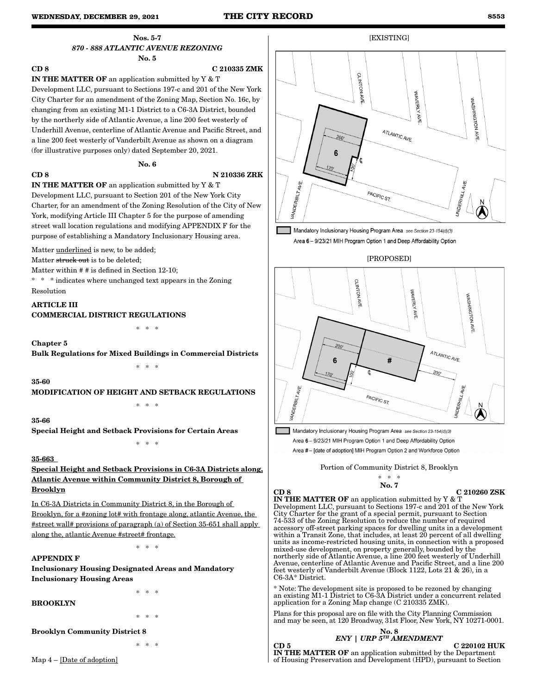## Nos. 5-7 *870 - 888 ATLANTIC AVENUE REZONING* No. 5

CD 8 C 210335 ZMK IN THE MATTER OF an application submitted by Y & T Development LLC, pursuant to Sections 197-c and 201 of the New York City Charter for an amendment of the Zoning Map, Section No. 16c, by changing from an existing M1-1 District to a C6-3A District, bounded by the northerly side of Atlantic Avenue, a line 200 feet westerly of Underhill Avenue, centerline of Atlantic Avenue and Pacific Street, and a line 200 feet westerly of Vanderbilt Avenue as shown on a diagram (for illustrative purposes only) dated September 20, 2021.

#### No. 6

## CD 8 N 210336 ZRK

IN THE MATTER OF an application submitted by Y & T Development LLC, pursuant to Section 201 of the New York City Charter, for an amendment of the Zoning Resolution of the City of New York, modifying Article III Chapter 5 for the purpose of amending street wall location regulations and modifying APPENDIX F for the purpose of establishing a Mandatory Inclusionary Housing area.

Matter underlined is new, to be added;

Matter struck out is to be deleted:

Matter within # # is defined in Section 12-10;

\* \* \* indicates where unchanged text appears in the Zoning Resolution

ARTICLE III COMMERCIAL DISTRICT REGULATIONS

\* \* \*

Chapter 5

Bulk Regulations for Mixed Buildings in Commercial Districts

\* \* \*

35-60

MODIFICATION OF HEIGHT AND SETBACK REGULATIONS

\* \* \*

35-66

Special Height and Setback Provisions for Certain Areas

## 35-663

Special Height and Setback Provisions in C6-3A Districts along, Atlantic Avenue within Community District 8, Borough of Brooklyn

\* \* \*

In C6-3A Districts in Community District 8, in the Borough of Brooklyn, for a #zoning lot# with frontage along, atlantic Avenue, the #street wall# provisions of paragraph (a) of Section 35-651 shall apply along the, atlantic Avenue #street# frontage.

\* \* \*

## APPENDIX F

Inclusionary Housing Designated Areas and Mandatory Inclusionary Housing Areas

### BROOKLYN

\* \* \*

\* \* \*

Brooklyn Community District 8

\* \* \*



[EXISTING]

Mandatory Inclusionary Housing Program Area see Section 23-154(d)(3) Area 6 - 9/23/21 MIH Program Option 1 and Deep Affordability Option

### [PROPOSED]



Mandatory Inclusionary Housing Program Area see Section 23-154(d)(3) Area 6 - 9/23/21 MIH Program Option 1 and Deep Affordability Option Area #- [date of adoption] MIH Program Option 2 and Workforce Option

Portion of Community District 8, Brooklyn

#### \* \* \* No. 7

#### CD 8 C 210260 ZSK

IN THE MATTER OF an application submitted by Y & T Development LLC, pursuant to Sections 197-c and 201 of the New York City Charter for the grant of a special permit, pursuant to Section 74-533 of the Zoning Resolution to reduce the number of required accessory off-street parking spaces for dwelling units in a development within a Transit Zone, that includes, at least 20 percent of all dwelling units as income-restricted housing units, in connection with a proposed mixed-use development, on property generally, bounded by the northerly side of Atlantic Avenue, a line 200 feet westerly of Underhill Avenue, centerline of Atlantic Avenue and Pacific Street, and a line 200 feet westerly of Vanderbilt Avenue (Block 1122, Lots 21 & 26), in a C6-3A\* District.

\* Note: The development site is proposed to be rezoned by changing an existing M1-1 District to C6-3A District under a concurrent related application for a Zoning Map change (C 210335 ZMK).

Plans for this proposal are on file with the City Planning Commission and may be seen, at 120 Broadway, 31st Floor, New York, NY 10271-0001.



Map 4 – [Date of adoption]

IN THE MATTER OF an application submitted by the Department of Housing Preservation and Development (HPD), pursuant to Section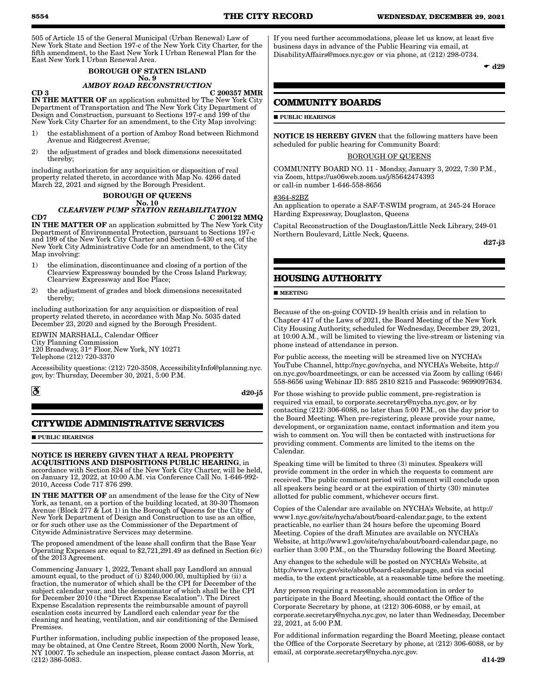505 of Article 15 of the General Municipal (Urban Renewal) Law of New York State and Section 197-c of the New York City Charter, for the fifth amendment, to the East New York I Urban Renewal Plan for the East New York I Urban Renewal Area.

## BOROUGH OF STATEN ISLAND No. 9

# *AMBOY ROAD RECONSTRUCTION*

 $CD 3$   $C 200357 MMR$ IN THE MATTER OF an application submitted by The New York City Department of Transportation and The New York City Department of Design and Construction, pursuant to Sections 197-c and 199 of the New York City Charter for an amendment, to the City Map involving:

- 1) the establishment of a portion of Amboy Road between Richmond Avenue and Ridgecrest Avenue;
- 2) the adjustment of grades and block dimensions necessitated thereby;

including authorization for any acquisition or disposition of real property related thereto, in accordance with Map No. 4266 dated March 22, 2021 and signed by the Borough President.

## BOROUGH OF QUEENS

#### No. 10 *CLEARVIEW PUMP STATION REHABILITATION*  $CD7$  C 200122 MMQ IN THE MATTER OF an application submitted by The New York City Department of Environmental Protection, pursuant to Sections 197-c

and 199 of the New York City Charter and Section 5-430 et seq. of the New York City Administrative Code for an amendment, to the City Map involving:

- 1) the elimination, discontinuance and closing of a portion of the Clearview Expressway bounded by the Cross Island Parkway, Clearview Expressway and Roe Place;
- 2) the adjustment of grades and block dimensions necessitated thereby;

including authorization for any acquisition or disposition of real property related thereto, in accordance with Map No. 5035 dated December 23, 2020 and signed by the Borough President.

EDWIN MARSHALL, Calendar Officer City Planning Commission 120 Broadway, 31st Floor, New York, NY 10271 Telephone (212) 720-3370

Accessibility questions: (212) 720-3508, AccessibilityInfo@planning.nyc. gov, by: Thursday, December 30, 2021, 5:00 P.M.

 $|\mathcal{S}|$ 

### d20-j5

## **CITYWIDE ADMINISTRATIVE SERVICES**

**PUBLIC HEARINGS** 

#### NOTICE IS HEREBY GIVEN THAT A REAL PROPERTY ACQUISITIONS AND DISPOSITIONS PUBLIC HEARING, in

accordance with Section 824 of the New York City Charter, will be held, on January 12, 2022, at 10:00 A.M. via Conference Call No. 1-646-992- 2010, Access Code 717 876 299.

IN THE MATTER OF an amendment of the lease for the City of New York, as tenant, on a portion of the building located, at 30-30 Thomson Avenue (Block 277 & Lot 1) in the Borough of Queens for the City of New York Department of Design and Construction to use as an office, or for such other use as the Commissioner of the Department of Citywide Administrative Services may determine.

The proposed amendment of the lease shall confirm that the Base Year Operating Expenses are equal to \$2,721,291.49 as defined in Section 6(c) of the 2013 Agreement.

Commencing January 1, 2022, Tenant shall pay Landlord an annual amount equal, to the product of (i) \$240,000.00, multiplied by (ii) a fraction, the numerator of which shall be the CPI for December of the subject calendar year, and the denominator of which shall be the CPI for December 2010 (the "Direct Expense Escalation"). The Direct Expense Escalation represents the reimbursable amount of payroll escalation costs incurred by Landlord each calendar year for the cleaning and heating, ventilation, and air conditioning of the Demised Premises.

Further information, including public inspection of the proposed lease, may be obtained, at One Centre Street, Room 2000 North, New York, NY 10007. To schedule an inspection, please contact Jason Morris, at (212) 386-5083.

If you need further accommodations, please let us know, at least five business days in advance of the Public Hearing via email, at DisabilityAffairs@mocs.nyc.gov or via phone, at (212) 298-0734.

 $\bullet$  d29

## **COMMUNITY BOARDS**

**PUBLIC HEARINGS** 

NOTICE IS HEREBY GIVEN that the following matters have been scheduled for public hearing for Community Board:

## BOROUGH OF QUEENS

COMMUNITY BOARD NO. 11 - Monday, January 3, 2022, 7:30 P.M., via Zoom, https://us06web.zoom.us/j/85642474393 or call-in number 1-646-558-8656

### #364-82BZ

An application to operate a SAF-T-SWIM program, at 245-24 Horace Harding Expressway, Douglaston, Queens

Capital Reconstruction of the Douglaston/Little Neck Library, 249-01 Northern Boulevard, Little Neck, Queens.

d27-j3

## **HOUSING AUTHORITY**

### **MEETING**

Because of the on-going COVID-19 health crisis and in relation to Chapter 417 of the Laws of 2021, the Board Meeting of the New York City Housing Authority, scheduled for Wednesday, December 29, 2021, at 10:00 A.M., will be limited to viewing the live-stream or listening via phone instead of attendance in person.

For public access, the meeting will be streamed live on NYCHA's YouTube Channel, http://nyc.gov/nycha, and NYCHA's Website, http:// on.nyc.gov/boardmeetings, or can be accessed via Zoom by calling (646) 558-8656 using Webinar ID: 885 2810 8215 and Passcode: 9699097634.

For those wishing to provide public comment, pre-registration is required via email, to corporate.secretary@nycha.nyc.gov, or by contacting (212) 306-6088, no later than 5:00 P.M., on the day prior to the Board Meeting. When pre-registering, please provide your name, development, or organization name, contact information and item you wish to comment on. You will then be contacted with instructions for providing comment. Comments are limited to the items on the Calendar.

Speaking time will be limited to three (3) minutes. Speakers will provide comment in the order in which the requests to comment are received. The public comment period will comment will conclude upon all speakers being heard or at the expiration of thirty (30) minutes allotted for public comment, whichever occurs first.

Copies of the Calendar are available on NYCHA's Website, at http:// www1.nyc.gov/site/nycha/about/board-calendar.page, to the extent practicable, no earlier than 24 hours before the upcoming Board Meeting. Copies of the draft Minutes are available on NYCHA's Website, at http://www1.gov/site/nycha/about/board-calendar.page, no earlier than 3:00 P.M., on the Thursday following the Board Meeting.

Any changes to the schedule will be posted on NYCHA's Website, at http://www1.nyc.gov/site/about/board-calendar.page, and via social media, to the extent practicable, at a reasonable time before the meeting.

Any person requiring a reasonable accommodation in order to participate in the Board Meeting, should contact the Office of the Corporate Secretary by phone, at (212) 306-6088, or by email, at corporate.secretary@nycha.nyc.gov, no later than Wednesday, December 22, 2021, at 5:00 P.M.

For additional information regarding the Board Meeting, please contact the Office of the Corporate Secretary by phone, at (212) 306-6088, or by email, at corporate.secretary@nycha.nyc.gov.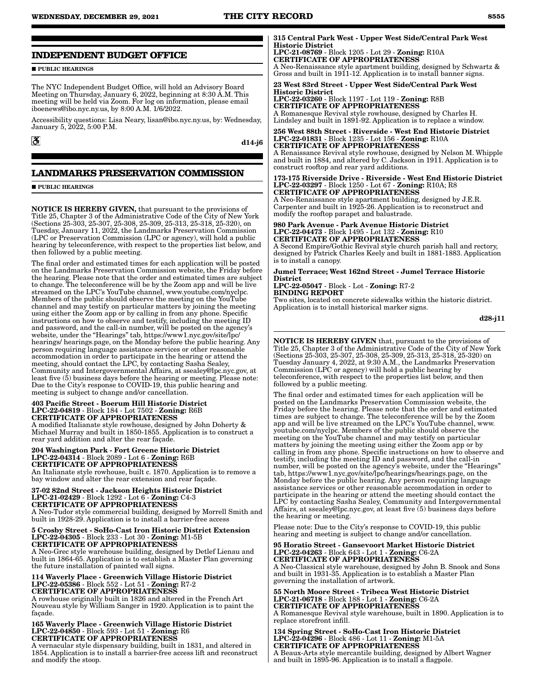## **INDEPENDENT BUDGET OFFICE**

**PUBLIC HEARINGS** 

The NYC Independent Budget Office, will hold an Advisory Board Meeting on Thursday, January 6, 2022, beginning at 8:30 Å.M. This meeting will be held via Zoom. For log on information, please email iboenews@ibo.nyc.ny.us, by 8:00 A.M. 1/6/2022.

Accessibility questions: Lisa Neary, lisan@ibo.nyc.ny.us, by: Wednesday, January 5, 2022, 5:00 P.M.

 $|\mathcal{S}|$ 

d14-j6

## **LANDMARKS PRESERVATION COMMISSION**

**PUBLIC HEARINGS** 

NOTICE IS HEREBY GIVEN, that pursuant to the provisions of Title 25, Chapter 3 of the Administrative Code of the City of New York (Sections 25-303, 25-307, 25-308, 25-309, 25-313, 25-318, 25-320), on Tuesday, January 11, 2022, the Landmarks Preservation Commission (LPC or Preservation Commission (LPC or agency), will hold a public hearing by teleconference, with respect to the properties list below, and then followed by a public meeting.

The final order and estimated times for each application will be posted on the Landmarks Preservation Commission website, the Friday before the hearing. Please note that the order and estimated times are subject to change. The teleconference will be by the Zoom app and will be live streamed on the LPC's YouTube channel, www.youtube.com/nyclpc. Members of the public should observe the meeting on the YouTube channel and may testify on particular matters by joining the meeting using either the Zoom app or by calling in from any phone. Specific instructions on how to observe and testify, including the meeting ID and password, and the call-in number, will be posted on the agency's website, under the "Hearings" tab, https://www1.nyc.gov/site/lpc/ hearings/ hearings.page, on the Monday before the public hearing. Any person requiring language assistance services or other reasonable accommodation in order to participate in the hearing or attend the meeting, should contact the LPC, by contacting Sasha Sealey, Community and Intergovernmental Affairs, at ssealey@lpc.nyc.gov, at least five (5) business days before the hearing or meeting. Please note: Due to the City's response to COVID-19, this public hearing and meeting is subject to change and/or cancellation.

#### 403 Pacific Street - Boerum Hill Historic District LPC-22-04819 - Block 184 - Lot 7502 - Zoning: R6B CERTIFICATE OF APPROPRIATENESS A modified Italianate style rowhouse, designed by John Doherty & Michael Murray and built in 1850-1855. Application is to construct a

rear yard addition and alter the rear façade. 204 Washington Park - Fort Greene Historic District LPC-22-04314 - Block 2089 - Lot 6 - Zoning: R6B

CERTIFICATE OF APPROPRIATENESS An Italianate style rowhouse, built c. 1870. Application is to remove a bay window and alter the rear extension and rear façade.

#### 37-02 82nd Street - Jackson Heights Historic District LPC-21-02429 - Block 1292 - Lot 6 - Zoning: C4-3 CERTIFICATE OF APPROPRIATENESS A Neo-Tudor style commercial building, designed by Morrell Smith and

built in 1928-29. Application is to install a barrier-free access

#### 5 Crosby Street - SoHo-Cast Iron Historic District Extension LPC-22-04305 - Block 233 - Lot 30 - Zoning: M1-5B CERTIFICATE OF APPROPRIATENESS

A Neo-Grec style warehouse building, designed by Detlef Lienau and built in 1864-65. Application is to establish a Master Plan governing the future installation of painted wall signs.

#### 114 Waverly Place - Greenwich Village Historic District LPC-22-05386 - Block 552 - Lot 51 - Zoning: R7-2 CERTIFICATE OF APPROPRIATENESS

A rowhouse originally built in 1826 and altered in the French Art Nouveau style by William Sanger in 1920. Application is to paint the façade.

#### 165 Waverly Place - Greenwich Village Historic District LPC-22-04850 - Block 593 - Lot 51 - Zoning: R6 CERTIFICATE OF APPROPRIATENESS

A vernacular style dispensary building, built in 1831, and altered in 1854. Application is to install a barrier-free access lift and reconstruct and modify the stoop.

### 315 Central Park West - Upper West Side/Central Park West Historic District

LPC-21-08769 - Block 1205 - Lot 29 - Zoning: R10A CERTIFICATE OF APPROPRIATENESS

A Neo-Renaissance style apartment building, designed by Schwartz & Gross and built in 1911-12. Application is to install banner signs.

23 West 83rd Street - Upper West Side/Central Park West Historic District

LPC-22-03260 - Block 1197 - Lot 119 - Zoning: R8B CERTIFICATE OF APPROPRIATENESS A Romanesque Revival style rowhouse, designed by Charles H. Lindsley and built in 1891-92. Application is to replace a window.

### 256 West 88th Street - Riverside - West End Historic District LPC-22-01831 - Block 1235 - Lot 156 - Zoning: R10A CERTIFICATE OF APPROPRIATENESS

A Renaissance Revival style rowhouse, designed by Nelson M. Whipple and built in 1884, and altered by C. Jackson in 1911. Application is to construct rooftop and rear yard additions.

#### 173-175 Riverside Drive - Riverside - West End Historic District LPC-22-03297 - Block 1250 - Lot 67 - Zoning: R10A; R8 CERTIFICATE OF APPROPRIATENESS

A Neo-Renaissance style apartment building, designed by J.E.R. Carpenter and built in 1925-26. Application is to reconstruct and modify the rooftop parapet and balustrade.

980 Park Avenue - Park Avenue Historic District LPC-22-04473 - Block 1495 - Lot 132 - Zoning: R10 CERTIFICATE OF APPROPRIATENESS

A Second Empire/Gothic Revival style church parish hall and rectory, designed by Patrick Charles Keely and built in 1881-1883. Application is to install a canopy.

Jumel Terrace; West 162nd Street - Jumel Terrace Historic District

LPC-22-05047 - Block - Lot - Zoning: R7-2 BINDING REPORT

Two sites, located on concrete sidewalks within the historic district. Application is to install historical marker signs.

d28-j11

NOTICE IS HEREBY GIVEN that, pursuant to the provisions of Title 25, Chapter 3 of the Administrative Code of the City of New York (Sections 25-303, 25-307, 25-308, 25-309, 25-313, 25-318, 25-320) on Tuesday January 4, 2022, at 9:30 A.M., the Landmarks Preservation Commission (LPC or agency) will hold a public hearing by teleconference, with respect to the properties list below, and then followed by a public meeting.

The final order and estimated times for each application will be posted on the Landmarks Preservation Commission website, the Friday before the hearing. Please note that the order and estimated times are subject to change. The teleconference will be by the Zoom app and will be live streamed on the LPC's YouTube channel, www. youtube.com/nyclpc. Members of the public should observe the meeting on the YouTube channel and may testify on particular matters by joining the meeting using either the Zoom app or by calling in from any phone. Specific instructions on how to observe and testify, including the meeting ID and password, and the call-in number, will be posted on the agency's website, under the "Hearings" tab, https://www1.nyc.gov/site/lpc/hearings/hearings.page, on the Monday before the public hearing. Any person requiring language assistance services or other reasonable accommodation in order to participate in the hearing or attend the meeting should contact the LPC by contacting Sasha Sealey, Community and Intergovernmental Affairs, at ssealey@lpc.nyc.gov, at least five (5) business days before the hearing or meeting.

Please note: Due to the City's response to COVID-19, this public hearing and meeting is subject to change and/or cancellation.

#### 95 Horatio Street - Gansevoort Market Historic District LPC-22-04263 - Block 643 - Lot 1 - Zoning: C6-2A CERTIFICATE OF APPROPRIATENESS

A Neo-Classical style warehouse, designed by John B. Snook and Sons and built in 1931-35. Application is to establish a Master Plan governing the installation of artwork.

55 North Moore Street - Tribeca West Historic District LPC-21-06718 - Block 188 - Lot 1 - Zoning: C6-2A CERTIFICATE OF APPROPRIATENESS A Romanesque Revival style warehouse, built in 1890. Application is to replace storefront infill.

134 Spring Street - SoHo-Cast Iron Historic District LPC-22-04296 - Block 486 - Lot 11 - Zoning: M1-5A CERTIFICATE OF APPROPRIATENESS

A Beaux-Arts style mercantile building, designed by Albert Wagner and built in 1895-96. Application is to install a flagpole.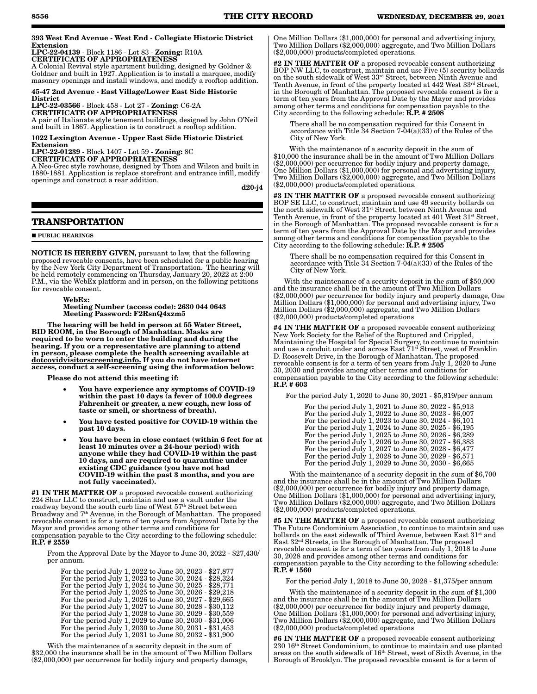#### 393 West End Avenue - West End - Collegiate Historic District Extension

LPC-22-04139 - Block 1186 - Lot 83 - Zoning: R10A CERTIFICATE OF APPROPRIATENESS

A Colonial Revival style apartment building, designed by Goldner & Goldner and built in 1927. Application is to install a marquee, modify masonry openings and install windows, and modify a rooftop addition.

#### 45-47 2nd Avenue - East Village/Lower East Side Historic **District**

LPC-22-03566 - Block 458 - Lot 27 - Zoning: C6-2A

CERTIFICATE OF APPROPRIATENESS A pair of Italianate style tenement buildings, designed by John O'Neil and built in 1867. Application is to construct a rooftop addition.

1022 Lexington Avenue - Upper East Side Historic District Extension

LPC-22-01239 - Block 1407 - Lot 59 - Zoning: 8C CERTIFICATE OF APPROPRIATENESS

A Neo-Grec style rowhouse, designed by Thom and Wilson and built in 1880-1881. Application is replace storefront and entrance infill, modify openings and construct a rear addition.

d20-j4

## **TRANSPORTATION**

#### **PUBLIC HEARINGS**

NOTICE IS HEREBY GIVEN, pursuant to law, that the following proposed revocable consents, have been scheduled for a public hearing by the New York City Department of Transportation. The hearing will be held remotely commencing on Thursday, January 20, 2022 at 2:00 P.M., via the WebEx platform and in person, on the following petitions for revocable consent.

WebEx:

#### Meeting Number (access code): 2630 044 0643 Meeting Password: F2RsnQ4xzm5

The hearing will be held in person at 55 Water Street, BID ROOM, in the Borough of Manhattan. Masks are required to be worn to enter the building and during the hearing. If you or a representative are planning to attend in person, please complete the health screening available at dotcovidvisitorscreening.info. If you do not have internet access, conduct a self-screening using the information below:

Please do not attend this meeting if:

- You have experience any symptoms of COVID-19 within the past 10 days (a fever of 100.0 degrees Fahrenheit or greater, a new cough, new loss of taste or smell, or shortness of breath).
- You have tested positive for COVID-19 within the past 10 days.
- You have been in close contact (within 6 feet for at least 10 minutes over a 24-hour period) with anyone while they had COVID-19 within the past 10 days, and are required to quarantine under existing CDC guidance (you have not had COVID-19 within the past 3 months, and you are not fully vaccinated).

#1 IN THE MATTER OF a proposed revocable consent authorizing 224 Shur LLC to construct, maintain and use a vault under the roadway beyond the south curb line of West 57<sup>th</sup> Street between Broadway and 7<sup>th</sup> Avenue, in the Borough of Manhattan. The proposed revocable consent is for a term of ten years from Approval Date by the Mayor and provides among other terms and conditions for compensation payable to the City according to the following schedule: R.P. # 2559

From the Approval Date by the Mayor to June 30, 2022 - \$27,430/ per annum.

|  | For the period July 1, 2022 to June 30, 2023 - \$27,877 |  |  |  |  |  |
|--|---------------------------------------------------------|--|--|--|--|--|
|  | For the period July 1, 2023 to June 30, 2024 - \$28,324 |  |  |  |  |  |
|  | For the period July 1, 2024 to June 30, 2025 - \$28,771 |  |  |  |  |  |
|  | For the period July 1, 2025 to June 30, 2026 - \$29,218 |  |  |  |  |  |
|  | For the period July 1, 2026 to June 30, 2027 - \$29,665 |  |  |  |  |  |
|  | For the period July 1, 2027 to June 30, 2028 - \$30,112 |  |  |  |  |  |
|  | For the period July 1, 2028 to June 30, 2029 - \$30,559 |  |  |  |  |  |
|  | For the period July 1, 2029 to June 30, 2030 - \$31,006 |  |  |  |  |  |
|  | For the period July 1, 2030 to June 30, 2031 - \$31,453 |  |  |  |  |  |
|  | For the period July 1, 2031 to June 30, 2032 - \$31,900 |  |  |  |  |  |

With the maintenance of a security deposit in the sum of \$32,000 the insurance shall be in the amount of Two Million Dollars (\$2,000,000) per occurrence for bodily injury and property damage,

One Million Dollars (\$1,000,000) for personal and advertising injury, Two Million Dollars (\$2,000,000) aggregate, and Two Million Dollars (\$2,000,000) products/completed operations.

#2 IN THE MATTER OF a proposed revocable consent authorizing BOP NW LLC, to construct, maintain and use Five (5) security bollards on the south sidewalk of West 33rd Street, between Ninth Avenue and Tenth Avenue, in front of the property located at 442 West 33rd Street, in the Borough of Manhattan. The proposed revocable consent is for a term of ten years from the Approval Date by the Mayor and provides among other terms and conditions for compensation payable to the City according to the following schedule:  $\hat{\mathbf{R}}.\mathbf{P}.\mathbf{\#2508}$ 

There shall be no compensation required for this Consent in accordance with Title 34 Section 7-04(a)(33) of the Rules of the City of New York.

With the maintenance of a security deposit in the sum of \$10,000 the insurance shall be in the amount of Two Million Dollars (\$2,000,000) per occurrence for bodily injury and property damage, One Million Dollars (\$1,000,000) for personal and advertising injury, Two Million Dollars (\$2,000,000) aggregate, and Two Million Dollars (\$2,000,000) products/completed operations.

#3 IN THE MATTER OF a proposed revocable consent authorizing BOP SE LLC, to construct, maintain and use 49 security bollards on the north sidewalk of West 31st Street, between Ninth Avenue and Tenth Avenue, in front of the property located at 401 West 31<sup>st</sup> Street, in the Borough of Manhattan. The proposed revocable consent is for a term of ten years from the Approval Date by the Mayor and provides among other terms and conditions for compensation payable to the City according to the following schedule:  $\hat{R}$ . P.  $\neq 2505$ 

There shall be no compensation required for this Consent in accordance with Title 34 Section 7-04(a)(33) of the Rules of the City of New York.

With the maintenance of a security deposit in the sum of \$50,000 and the insurance shall be in the amount of Two Million Dollars (\$2,000,000) per occurrence for bodily injury and property damage, One Million Dollars (\$1,000,000) for personal and advertising injury, Two Million Dollars (\$2,000,000) aggregate, and Two Million Dollars (\$2,000,000) products/completed operations

#4 IN THE MATTER OF a proposed revocable consent authorizing New York Society for the Relief of the Ruptured and Crippled, Maintaining the Hospital for Special Surgery, to continue to maintain and use a conduit under and across East  $71^{st}$  Street, west of Franklin D. Roosevelt Drive, in the Borough of Manhattan. The proposed revocable consent is for a term of ten years from July 1,  $2020$  to June 30, 2030 and provides among other terms and conditions for compensation payable to the City according to the following schedule: R.P. # 603

For the period July 1, 2020 to June 30, 2021 - \$5,819/per annum

| For the period July 1, 2021 to June 30, 2022 - \$5,913 |
|--------------------------------------------------------|
| For the period July 1, 2022 to June 30, 2023 - \$6,007 |
| For the period July 1, 2023 to June 30, 2024 - \$6,101 |
| For the period July 1, 2024 to June 30, 2025 - \$6,195 |
| For the period July 1, 2025 to June 30, 2026 - \$6,289 |
| For the period July 1, 2026 to June 30, 2027 - \$6,383 |
| For the period July 1, 2027 to June 30, 2028 - \$6,477 |
| For the period July 1, 2028 to June 30, 2029 - \$6,571 |
| For the period July 1, 2029 to June 30, 2030 - \$6,665 |

With the maintenance of a security deposit in the sum of \$6,700 and the insurance shall be in the amount of Two Million Dollars (\$2,000,000) per occurrence for bodily injury and property damage, One Million Dollars (\$1,000,000) for personal and advertising injury, Two Million Dollars (\$2,000,000) aggregate, and Two Million Dollars (\$2,000,000) products/completed operations.

#5 IN THE MATTER OF a proposed revocable consent authorizing The Future Condominium Association, to continue to maintain and use bollards on the east sidewalk of Third Avenue, between East 31<sup>st</sup> and East 32nd Streets, in the Borough of Manhattan. The proposed revocable consent is for a term of ten years from July 1, 2018 to June 30, 2028 and provides among other terms and conditions for compensation payable to the City according to the following schedule: R.P. # 1560

For the period July 1, 2018 to June 30, 2028 - \$1,375/per annum

With the maintenance of a security deposit in the sum of \$1,300 and the insurance shall be in the amount of Two Million Dollars (\$2,000,000) per occurrence for bodily injury and property damage, One Million Dollars (\$1,000,000) for personal and advertising injury, Two Million Dollars (\$2,000,000) aggregate, and Two Million Dollars (\$2,000,000) products/completed operations

**#6 IN THE MATTER OF** a proposed revocable consent authorizing 230 16th Street Condominium, to continue to maintain and use planted areas on the south sidewalk of 16<sup>th</sup> Street, west of Sixth Avenue, in the Borough of Brooklyn. The proposed revocable consent is for a term of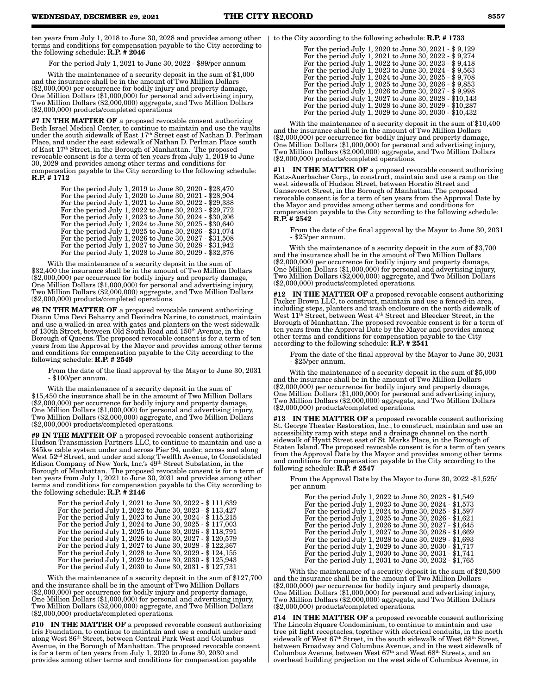ten years from July 1, 2018 to June 30, 2028 and provides among other terms and conditions for compensation payable to the City according to the following schedule:  $R.P. \neq 2046$ 

For the period July 1, 2021 to June 30, 2022 - \$89/per annum

With the maintenance of a security deposit in the sum of \$1,000 and the insurance shall be in the amount of Two Million Dollars (\$2,000,000) per occurrence for bodily injury and property damage, One Million Dollars (\$1,000,000) for personal and advertising injury, Two Million Dollars (\$2,000,000) aggregate, and Two Million Dollars (\$2,000,000) products/completed operations

#7 IN THE MATTER OF a proposed revocable consent authorizing Beth Israel Medical Center, to continue to maintain and use the vaults under the south sidewalk of East 17th Street east of Nathan D. Perlman Place, and under the east sidewalk of Nathan D. Perlman Place south of East 17th Street, in the Borough of Manhattan. The proposed revocable consent is for a term of ten years from July 1, 2019 to June 30, 2029 and provides among other terms and conditions for compensation payable to the City according to the following schedule:  $R.P.$  # 1712

| For the period July 1, 2019 to June 30, 2020 - \$28,470 |
|---------------------------------------------------------|
| For the period July 1, 2020 to June 30, 2021 - \$28,904 |
| For the period July 1, 2021 to June 30, 2022 - \$29,338 |
| For the period July 1, 2022 to June 30, 2023 - \$29,772 |
| For the period July 1, 2023 to June 30, 2024 - \$30,206 |
| For the period July 1, 2024 to June 30, 2025 - \$30,640 |
| For the period July 1, 2025 to June 30, 2026 - \$31,074 |
| For the period July 1, 2026 to June 30, 2027 - \$31,508 |
| For the period July 1, 2027 to June 30, 2028 - \$31,942 |
| For the period July 1, 2028 to June 30, 2029 - \$32,376 |
|                                                         |

With the maintenance of a security deposit in the sum of \$32,400 the insurance shall be in the amount of Two Million Dollars (\$2,000,000) per occurrence for bodily injury and property damage, One Million Dollars (\$1,000,000) for personal and advertising injury, Two Million Dollars (\$2,000,000) aggregate, and Two Million Dollars (\$2,000,000) products/completed operations.

#8 IN THE MATTER OF a proposed revocable consent authorizing Diann Uma Devi Beharry and Devindra Narine, to construct, maintain and use a walled-in area with gates and planters on the west sidewalk of 130th Street, between Old South Road and 150th Avenue, in the Borough of Queens. The proposed revocable consent is for a term of ten years from the Approval by the Mayor and provides among other terms and conditions for compensation payable to the City according to the following schedule: R.P. # 2549

From the date of the final approval by the Mayor to June 30, 2031 - \$100/per annum.

With the maintenance of a security deposit in the sum of \$15,450 the insurance shall be in the amount of Two Million Dollars (\$2,000,000) per occurrence for bodily injury and property damage, One Million Dollars (\$1,000,000) for personal and advertising injury, Two Million Dollars (\$2,000,000) aggregate, and Two Million Dollars (\$2,000,000) products/completed operations.

#9 IN THE MATTER OF a proposed revocable consent authorizing Hudson Transmission Partners LLC, to continue to maintain and use a 345kw cable system under and across Pier 94, under, across and along West 52nd Street, and under and along Twelfth Avenue, to Consolidated Edison Company of New York, Inc.'s 49th Street Substation, in the Borough of Manhattan. The proposed revocable consent is for a term of ten years from July 1, 2021 to June 30, 2031 and provides among other terms and conditions for compensation payable to the City according to the following schedule:  $R.P. \# 2146$ 

| For the period July 1, 2021 to June 30, 2022 - \$111,639 |
|----------------------------------------------------------|
| For the period July 1, 2022 to June 30, 2023 - \$113,427 |
| For the period July 1, 2023 to June 30, 2024 - \$115,215 |
| For the period July 1, 2024 to June 30, 2025 - \$117,003 |
| For the period July 1, 2025 to June 30, 2026 - \$118,791 |
| For the period July 1, 2026 to June 30, 2027 - \$120,579 |
| For the period July 1, 2027 to June 30, 2028 - \$122,367 |
| For the period July 1, 2028 to June 30, 2029 - \$124,155 |
| For the period July 1, 2029 to June 30, 2030 - \$125,943 |
| For the period July 1, 2030 to June 30, 2031 - \$127,731 |
|                                                          |

With the maintenance of a security deposit in the sum of \$127,700 and the insurance shall be in the amount of Two Million Dollars (\$2,000,000) per occurrence for bodily injury and property damage, One Million Dollars (\$1,000,000) for personal and advertising injury, Two Million Dollars (\$2,000,000) aggregate, and Two Million Dollars (\$2,000,000) products/completed operations.

#10 IN THE MATTER OF a proposed revocable consent authorizing Iris Foundation, to continue to maintain and use a conduit under and along West 86th Street, between Central Park West and Columbus Avenue, in the Borough of Manhattan. The proposed revocable consent is for a term of ten years from July 1, 2020 to June 30, 2030 and provides among other terms and conditions for compensation payable

### to the City according to the following schedule: R.P. # 1733

| For the period July 1, 2020 to June 30, 2021 - \$9,129  |
|---------------------------------------------------------|
| For the period July 1, 2021 to June 30, 2022 - \$9,274  |
| For the period July 1, 2022 to June 30, 2023 - \$9,418  |
| For the period July 1, 2023 to June 30, 2024 - \$9,563  |
| For the period July 1, 2024 to June 30, 2025 - \$9,708  |
| For the period July 1, 2025 to June 30, 2026 - \$9,853  |
| For the period July 1, 2026 to June 30, 2027 - \$9,998  |
| For the period July 1, 2027 to June 30, 2028 - \$10,143 |
| For the period July 1, 2028 to June 30, 2029 - \$10,287 |
| For the period July 1, 2029 to June 30, 2030 - \$10,432 |

With the maintenance of a security deposit in the sum of \$10,400 and the insurance shall be in the amount of Two Million Dollars (\$2,000,000) per occurrence for bodily injury and property damage, One Million Dollars (\$1,000,000) for personal and advertising injury, Two Million Dollars (\$2,000,000) aggregate, and Two Million Dollars (\$2,000,000) products/completed operations.

#11 IN THE MATTER OF a proposed revocable consent authorizing Katz-Auerbacher Corp., to construct, maintain and use a ramp on the west sidewalk of Hudson Street, between Horatio Street and Gansevoort Street, in the Borough of Manhattan. The proposed revocable consent is for a term of ten years from the Approval Date by the Mayor and provides among other terms and conditions for compensation payable to the City according to the following schedule: R.P. # 2542

From the date of the final approval by the Mayor to June 30, 2031 - \$25/per annum.

With the maintenance of a security deposit in the sum of \$3,700 and the insurance shall be in the amount of Two Million Dollars (\$2,000,000) per occurrence for bodily injury and property damage, One Million Dollars (\$1,000,000) for personal and advertising injury, Two Million Dollars (\$2,000,000) aggregate, and Two Million Dollars (\$2,000,000) products/completed operations.

#12 IN THE MATTER OF a proposed revocable consent authorizing Packer Brown LLC, to construct, maintain and use a fenced-in area, including steps, planters and trash enclosure on the north sidewalk of West 11th Street, between West 4th Street and Bleecker Street, in the Borough of Manhattan. The proposed revocable consent is for a term of ten years from the Approval Date by the Mayor and provides among other terms and conditions for compensation payable to the City according to the following schedule: R.P. # 2541

From the date of the final approval by the Mayor to June 30, 2031 - \$25/per annum.

With the maintenance of a security deposit in the sum of \$5,000 and the insurance shall be in the amount of Two Million Dollars (\$2,000,000) per occurrence for bodily injury and property damage, One Million Dollars (\$1,000,000) for personal and advertising injury, Two Million Dollars (\$2,000,000) aggregate, and Two Million Dollars (\$2,000,000) products/completed operations.

#13 IN THE MATTER OF a proposed revocable consent authorizing St. George Theater Restoration, Inc., to construct, maintain and use an accessibility ramp with steps and a drainage channel on the north sidewalk of Hyatt Street east of St. Marks Place, in the Borough of Staten Island. The proposed revocable consent is for a term of ten years from the Approval Date by the Mayor and provides among other terms and conditions for compensation payable to the City according to the following schedule: R.P. # 2547

From the Approval Date by the Mayor to June 30, 2022 -\$1,525/ per annum

| For the period July 1, 2022 to June 30, 2023 - \$1,549 |
|--------------------------------------------------------|
| For the period July 1, 2023 to June 30, 2024 - \$1,573 |
| For the period July 1, 2024 to June 30, 2025 - \$1,597 |
| For the period July 1, 2025 to June 30, 2026 - \$1,621 |
| For the period July 1, 2026 to June 30, 2027 - \$1,645 |
| For the period July 1, 2027 to June 30, 2028 - \$1,669 |
| For the period July 1, 2028 to June 30, 2029 - \$1,693 |
| For the period July 1, 2029 to June 30, 2030 - \$1,717 |
| For the period July 1, 2030 to June 30, 2031 - \$1,741 |
| For the period July 1, 2031 to June 30, 2032 - \$1,765 |

With the maintenance of a security deposit in the sum of \$20,500 and the insurance shall be in the amount of Two Million Dollars (\$2,000,000) per occurrence for bodily injury and property damage, One Million Dollars (\$1,000,000) for personal and advertising injury, Two Million Dollars (\$2,000,000) aggregate, and Two Million Dollars (\$2,000,000) products/completed operations.

#14 IN THE MATTER OF a proposed revocable consent authorizing The Lincoln Square Condominium, to continue to maintain and use tree pit light receptacles, together with electrical conduits, in the north sidewalk of West 67<sup>th</sup> Street, in the south sidewalk of West 68<sup>th</sup> Street, between Broadway and Columbus Avenue, and in the west sidewalk of Columbus Avenue, between West 67th and West 68th Streets, and an overhead building projection on the west side of Columbus Avenue, in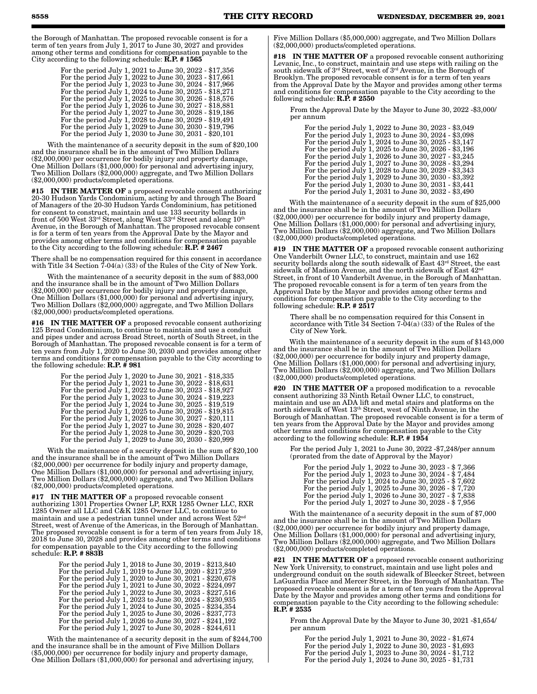the Borough of Manhattan. The proposed revocable consent is for a term of ten years from July 1, 2017 to June 30, 2027 and provides among other terms and conditions for compensation payable to the City according to the following schedule: R.P. # 1565

| For the period July 1, 2021 to June 30, 2022 - \$17,356 |
|---------------------------------------------------------|
| For the period July 1, 2022 to June 30, 2023 - \$17,661 |
| For the period July 1, 2023 to June 30, 2024 - \$17,966 |
| For the period July 1, 2024 to June 30, 2025 - \$18,271 |
| For the period July 1, 2025 to June 30, 2026 - \$18,576 |
| For the period July 1, 2026 to June 30, 2027 - \$18,881 |
| For the period July 1, 2027 to June 30, 2028 - \$19,186 |
| For the period July 1, 2028 to June 30, 2029 - \$19,491 |
| For the period July 1, 2029 to June 30, 2030 - \$19,796 |
| For the period July 1, 2030 to June 30, 2031 - \$20,101 |

With the maintenance of a security deposit in the sum of \$20,100 and the insurance shall be in the amount of Two Million Dollars (\$2,000,000) per occurrence for bodily injury and property damage, One Million Dollars (\$1,000,000) for personal and advertising injury, Two Million Dollars (\$2,000,000) aggregate, and Two Million Dollars (\$2,000,000) products/completed operations.

#15 IN THE MATTER OF a proposed revocable consent authorizing 20-30 Hudson Yards Condominium, acting by and through The Board of Managers of the 20-30 Hudson Yards Condominium, has petitioned for consent to construct, maintain and use 133 security bollards in front of 500 West 33rd Street, along West 33rd Street and along 10th Avenue, in the Borough of Manhattan. The proposed revocable consent is for a term of ten years from the Approval Date by the Mayor and provides among other terms and conditions for compensation payable to the City according to the following schedule:  $\mathbf{R} \cdot \mathbf{P} \cdot \mathbf{F}$  # 2467

There shall be no compensation required for this consent in accordance with Title 34 Section  $7-04(a)$  (33) of the Rules of the City of New York.

With the maintenance of a security deposit in the sum of \$83,000 and the insurance shall be in the amount of Two Million Dollars (\$2,000,000) per occurrence for bodily injury and property damage, One Million Dollars (\$1,000,000) for personal and advertising injury, Two Million Dollars (\$2,000,000) aggregate, and Two Million Dollars (\$2,000,000) products/completed operations.

#16 IN THE MATTER OF a proposed revocable consent authorizing 125 Broad Condominium, to continue to maintain and use a conduit and pipes under and across Broad Street, north of South Street, in the Borough of Manhattan. The proposed revocable consent is for a term of ten years from July 1, 2020 to June 30, 2030 and provides among other terms and conditions for compensation payable to the City according to the following schedule:  $R.P. \neq 981$ 

| For the period July 1, 2020 to June 30, 2021 - \$18,335 |
|---------------------------------------------------------|
| For the period July 1, 2021 to June 30, 2022 - \$18,631 |
| For the period July 1, 2022 to June 30, 2023 - \$18,927 |
| For the period July 1, 2023 to June 30, 2024 - \$19,223 |
| For the period July 1, 2024 to June 30, 2025 - \$19,519 |
| For the period July 1, 2025 to June 30, 2026 - \$19,815 |
| For the period July 1, 2026 to June 30, 2027 - \$20,111 |
| For the period July 1, 2027 to June 30, 2028 - \$20,407 |
| For the period July 1, 2028 to June 30, 2029 - \$20,703 |
| For the period July 1, 2029 to June 30, 2030 - \$20,999 |

With the maintenance of a security deposit in the sum of \$20,100 and the insurance shall be in the amount of Two Million Dollars (\$2,000,000) per occurrence for bodily injury and property damage, One Million Dollars (\$1,000,000) for personal and advertising injury, Two Million Dollars (\$2,000,000) aggregate, and Two Million Dollars (\$2,000,000) products/completed operations.

#17 IN THE MATTER OF a proposed revocable consent authorizing 1301 Properties Owner LP, RXR 1285 Owner LLC, RXR 1285 Owner all LLC and C&K 1285 Owner LLC, to continue to maintain and use a pedestrian tunnel under and across West 52nd Street, west of Avenue of the Americas, in the Borough of Manhattan. The proposed revocable consent is for a term of ten years from July 18, 2018 to June 30, 2028 and provides among other terms and conditions for compensation payable to the City according to the following schedule: R.P. # 883B

| For the period July 1, 2018 to June 30, 2019 - \$213,840 |
|----------------------------------------------------------|
| For the period July 1, 2019 to June 30, 2020 - \$217,259 |
| For the period July 1, 2020 to June 30, 2021 - \$220,678 |
| For the period July 1, 2021 to June 30, 2022 - \$224,097 |
| For the period July 1, 2022 to June 30, 2023 - \$227,516 |
| For the period July 1, 2023 to June 30, 2024 - \$230,935 |
| For the period July 1, 2024 to June 30, 2025 - \$234,354 |
| For the period July 1, 2025 to June 30, 2026 - \$237,773 |
| For the period July 1, 2026 to June 30, 2027 - \$241,192 |
| For the period July 1, 2027 to June 30, 2028 - \$244,611 |

With the maintenance of a security deposit in the sum of \$244,700 and the insurance shall be in the amount of Five Million Dollars (\$5,000,000) per occurrence for bodily injury and property damage, One Million Dollars (\$1,000,000) for personal and advertising injury,

Five Million Dollars (\$5,000,000) aggregate, and Two Million Dollars (\$2,000,000) products/completed operations.

#18 IN THE MATTER OF a proposed revocable consent authorizing Levanic, Inc., to construct, maintain and use steps with railing on the south sidewalk of 3rd Street, west of 3rd Avenue, in the Borough of Brooklyn. The proposed revocable consent is for a term of ten years from the Approval Date by the Mayor and provides among other terms and conditions for compensation payable to the City according to the following schedule:  $R.P.$  # 2550

From the Approval Date by the Mayor to June 30, 2022 -\$3,000/ per annum

For the period July 1, 2022 to June 30, 2023 - \$3,049 For the period July 1, 2023 to June 30, 2024 - \$3,098 For the period July 1, 2024 to June 30, 2025 - \$3,147 For the period July 1, 2025 to June 30, 2026 - \$3,196 For the period July 1, 2026 to June 30, 2027 - \$3,245 For the period July 1, 2027 to June 30, 2028 - \$3,294 For the period July 1, 2028 to June 30, 2029 - \$3,343 For the period July 1, 2029 to June 30, 2030 - \$3,392 For the period July 1, 2030 to June 30, 2031 - \$3,441 For the period July 1, 2031 to June 30, 2032 - \$3,490

With the maintenance of a security deposit in the sum of \$25,000 and the insurance shall be in the amount of Two Million Dollars (\$2,000,000) per occurrence for bodily injury and property damage, One Million Dollars (\$1,000,000) for personal and advertising injury, Two Million Dollars (\$2,000,000) aggregate, and Two Million Dollars (\$2,000,000) products/completed operations.

#19 IN THE MATTER OF a proposed revocable consent authorizing One Vanderbilt Owner LLC, to construct, maintain and use 162 security bollards along the south sidewalk of East 43rd Street, the east sidewalk of Madison Avenue, and the north sidewalk of East  $42<sup>nd</sup>$ Street, in front of 10 Vanderbilt Avenue, in the Borough of Manhattan. The proposed revocable consent is for a term of ten years from the Approval Date by the Mayor and provides among other terms and conditions for compensation payable to the City according to the following schedule: R.P. # 2517

There shall be no compensation required for this Consent in accordance with Title 34 Section 7-04(a) (33) of the Rules of the City of New York.

With the maintenance of a security deposit in the sum of \$143,000 and the insurance shall be in the amount of Two Million Dollars (\$2,000,000) per occurrence for bodily injury and property damage, One Million Dollars (\$1,000,000) for personal and advertising injury, Two Million Dollars (\$2,000,000) aggregate, and Two Million Dollars (\$2,000,000) products/completed operations.

#20 IN THE MATTER OF a proposed modification to a revocable consent authorizing 33 Ninth Retail Owner LLC, to construct, maintain and use an ADA lift and metal stairs and platforms on the north sidewalk of West  $13<sup>th</sup> Street$ , west of Ninth Avenue, in the Borough of Manhattan. The proposed revocable consent is for a term of ten years from the Approval Date by the Mayor and provides among other terms and conditions for compensation payable to the City according to the following schedule: **R.P.** # 1954

For the period July 1, 2021 to June 30, 2022 -\$7,248/per annum (prorated from the date of Approval by the Mayor)

For the period July 1, 2022 to June 30, 2023 - \$ 7,366 For the period July 1, 2023 to June 30, 2024 - \$ 7,484 For the period July 1, 2024 to June 30, 2025 - \$ 7,602 For the period July 1, 2025 to June 30, 2026 - \$ 7,720 For the period July 1, 2026 to June 30, 2027 - \$ 7,838 For the period July 1, 2027 to June 30, 2028 - \$ 7,956

With the maintenance of a security deposit in the sum of \$7,000 and the insurance shall be in the amount of Two Million Dollars (\$2,000,000) per occurrence for bodily injury and property damage, One Million Dollars (\$1,000,000) for personal and advertising injury, Two Million Dollars (\$2,000,000) aggregate, and Two Million Dollars (\$2,000,000) products/completed operations.

#21 IN THE MATTER OF a proposed revocable consent authorizing New York University, to construct, maintain and use light poles and underground conduit on the south sidewalk of Bleecker Street, between LaGuardia Place and Mercer Street, in the Borough of Manhattan. The proposed revocable consent is for a term of ten years from the Approval Date by the Mayor and provides among other terms and conditions for compensation payable to the City according to the following schedule: R.P. # 2535

From the Approval Date by the Mayor to June 30, 2021 -\$1,654/ per annum

For the period July 1, 2021 to June 30, 2022 - \$1,674 For the period July 1, 2022 to June 30, 2023 - \$1,693 For the period July 1, 2023 to June 30, 2024 - \$1,712 For the period July 1, 2024 to June 30, 2025 - \$1,731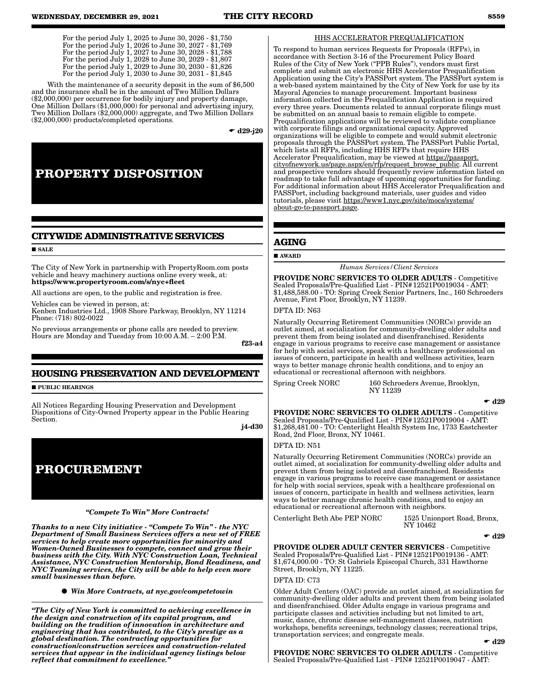| For the period July 1, 2025 to June 30, 2026 - \$1,750 |  |
|--------------------------------------------------------|--|
| For the period July 1, 2026 to June 30, 2027 - \$1,769 |  |
| For the period July 1, 2027 to June 30, 2028 - \$1,788 |  |
| For the period July 1, 2028 to June 30, 2029 - \$1,807 |  |
| For the period July 1, 2029 to June 30, 2030 - \$1,826 |  |
| For the period July 1, 2030 to June 30, 2031 - \$1,845 |  |

With the maintenance of a security deposit in the sum of \$6,500 and the insurance shall be in the amount of Two Million Dollars (\$2,000,000) per occurrence for bodily injury and property damage, One Million Dollars (\$1,000,000) for personal and advertising injury, Two Million Dollars (\$2,000,000) aggregate, and Two Million Dollars (\$2,000,000) products/completed operations.

 $\bullet$  d29-j20

# **PROPERTY DISPOSITION**

## **CITYWIDE ADMINISTRATIVE SERVICES**

#### **SALE**

The City of New York in partnership with PropertyRoom.com posts vehicle and heavy machinery auctions online every week, at: https://www.propertyroom.com/s/nyc+fleet

All auctions are open, to the public and registration is free.

Vehicles can be viewed in person, at: Kenben Industries Ltd., 1908 Shore Parkway, Brooklyn, NY 11214 Phone: (718) 802-0022

No previous arrangements or phone calls are needed to preview. Hours are Monday and Tuesday from 10:00 A.M. – 2:00 P.M.

f23-a4

## **HOUSING PRESERVATION AND DEVELOPMENT**

**PUBLIC HEARINGS** 

All Notices Regarding Housing Preservation and Development Dispositions of City-Owned Property appear in the Public Hearing Section.

j4-d30

## **PROCUREMENT**

### *"Compete To Win" More Contracts!*

*Thanks to a new City initiative - "Compete To Win" - the NYC Department of Small Business Services offers a new set of FREE services to help create more opportunities for minority and Women-Owned Businesses to compete, connect and grow their business with the City. With NYC Construction Loan, Technical Assistance, NYC Construction Mentorship, Bond Readiness, and NYC Teaming services, the City will be able to help even more small businesses than before.*

*Win More Contracts, at nyc.gov/competetowin*

*"The City of New York is committed to achieving excellence in the design and construction of its capital program, and building on the tradition of innovation in architecture and engineering that has contributed, to the City's prestige as a global destination. The contracting opportunities for construction/construction services and construction-related services that appear in the individual agency listings below reflect that commitment to excellence."*

#### HHS ACCELERATOR PREQUALIFICATION

To respond to human services Requests for Proposals (RFPs), in accordance with Section 3-16 of the Procurement Policy Board Rules of the City of New York ("PPB Rules"), vendors must first complete and submit an electronic HHS Accelerator Prequalification Application using the City's PASSPort system. The PASSPort system is a web-based system maintained by the City of New York for use by its Mayoral Agencies to manage procurement. Important business information collected in the Prequalification Application is required every three years. Documents related to annual corporate filings must be submitted on an annual basis to remain eligible to compete. Prequalification applications will be reviewed to validate compliance with corporate filings and organizational capacity. Approved organizations will be eligible to compete and would submit electronic proposals through the PASSPort system. The PASSPort Public Portal, which lists all RFPs, including HHS RFPs that require HHS Accelerator Prequalification, may be viewed at https://passport. cityofnewyork.us/page.aspx/en/rfp/request\_browse\_public. All current and prospective vendors should frequently review information listed on roadmap to take full advantage of upcoming opportunities for funding. For additional information about HHS Accelerator Prequalification and PASSPort, including background materials, user guides and video tutorials, please visit https://www1.nyc.gov/site/mocs/systems/ about-go-to-passport.page.

## **AGING**

AWARD

*Human Services/Client Services*

PROVIDE NORC SERVICES TO OLDER ADULTS - Competitive Sealed Proposals/Pre-Qualified List - PIN#12521P0019034 - AMT: \$1,488,588.00 - TO: Spring Creek Senior Partners, Inc., 160 Schroeders Avenue, First Floor, Brooklyn, NY 11239.

#### DFTA ID: N63

Naturally Occurring Retirement Communities (NORCs) provide an outlet aimed, at socialization for community-dwelling older adults and prevent them from being isolated and disenfranchised. Residents engage in various programs to receive case management or assistance for help with social services, speak with a healthcare professional on issues of concern, participate in health and wellness activities, learn ways to better manage chronic health conditions, and to enjoy an educational or recreational afternoon with neighbors.

Spring Creek NORC 160 Schroeders Avenue, Brooklyn, NY 11239

 $\bullet$  d29

PROVIDE NORC SERVICES TO OLDER ADULTS - Competitive Sealed Proposals/Pre-Qualified List - PIN#12521P0019004 - AMT: \$1,268,481.00 - TO: Centerlight Health System Inc, 1733 Eastchester Road, 2nd Floor, Bronx, NY 10461.

#### DFTA ID: N51

Naturally Occurring Retirement Communities (NORCs) provide an outlet aimed, at socialization for community-dwelling older adults and prevent them from being isolated and disenfranchised. Residents engage in various programs to receive case management or assistance for help with social services, speak with a healthcare professional on issues of concern, participate in health and wellness activities, learn ways to better manage chronic health conditions, and to enjoy an educational or recreational afternoon with neighbors.

Centerlight Beth Abe PEP NORC 1525 Unionport Road, Bronx,

NY 10462

 $\bullet$  d29

PROVIDE OLDER ADULT CENTER SERVICES - Competitive Sealed Proposals/Pre-Qualified List - PIN#12521P0019136 - AMT: \$1,674,000.00 - TO: St Gabriels Episcopal Church, 331 Hawthorne Street, Brooklyn, NY 11225.

#### DFTA ID: C73

Older Adult Centers (OAC) provide an outlet aimed, at socialization for community-dwelling older adults and prevent them from being isolated and disenfranchised. Older Adults engage in various programs and participate classes and activities including but not limited to art, music, dance, chronic disease self-management classes, nutrition workshops, benefits screenings, technology classes; recreational trips, transportation services; and congregate meals.

 $\div$  d<sub>29</sub>

PROVIDE NORC SERVICES TO OLDER ADULTS - Competitive Sealed Proposals/Pre-Qualified List - PIN# 12521P0019047 - AMT: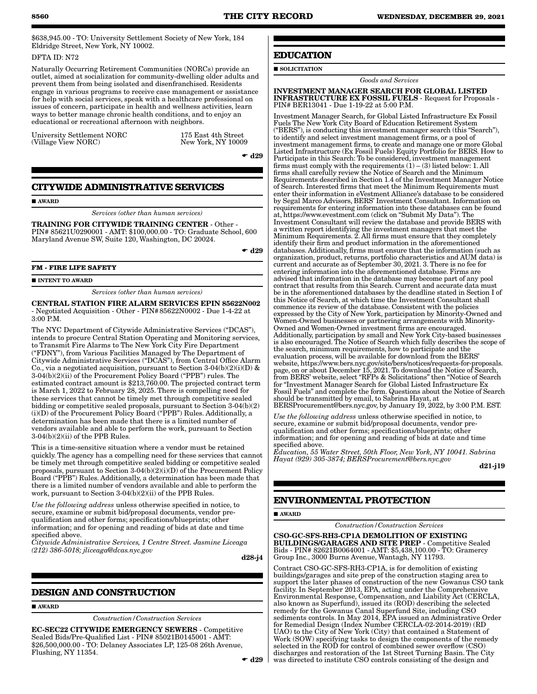\$638,945.00 - TO: University Settlement Society of New York, 184 Eldridge Street, New York, NY 10002.

#### DFTA ID: N72

Naturally Occurring Retirement Communities (NORCs) provide an outlet, aimed at socialization for community-dwelling older adults and prevent them from being isolated and disenfranchised. Residents engage in various programs to receive case management or assistance for help with social services, speak with a healthcare professional on issues of concern, participate in health and wellness activities, learn ways to better manage chronic health conditions, and to enjoy an educational or recreational afternoon with neighbors.

University Settlement NORC (Village View NORC)

175 East 4th Street New York, NY 10009

 $\bullet$  d29

## **CITYWIDE ADMINISTRATIVE SERVICES**

### ■ AWARD

*Services (other than human services)*

TRAINING FOR CITYWIDE TRAINING CENTER - Other - PIN# 85621U0290001 - AMT: \$100,000.00 - TO: Graduate School, 600 Maryland Avenue SW, Suite 120, Washington, DC 20024.

 $\bullet$  d29

#### **FM - FIRE LIFE SAFETY**

**INTENT TO AWARD** 

*Services (other than human services)*

CENTRAL STATION FIRE ALARM SERVICES EPIN 85622N002 - Negotiated Acquisition - Other - PIN#85622N0002 - Due 1-4-22 at 3:00 P.M.

The NYC Department of Citywide Administrative Services ("DCAS"), intends to procure Central Station Operating and Monitoring services, to Transmit Fire Alarms to The New York City Fire Department ("FDNY"), from Various Facilities Managed by The Department of Citywide Administrative Services ("DCAS"), from Central Office Alarm Co., via a negotiated acquisition, pursuant to Section 3-04(b)(2)(i)(D)  $\&$ 3-04(b)(2)(ii) of the Procurement Policy Board ("PPB") rules. The estimated contract amount is \$213,760.00. The projected contract term is March 1, 2022 to February 28, 2025. There is compelling need for these services that cannot be timely met through competitive sealed bidding or competitive sealed proposals, pursuant to Section 3-04(b)(2) (i)(D) of the Procurement Policy Board ("PPB") Rules. Additionally, a determination has been made that there is a limited number of vendors available and able to perform the work, pursuant to Section 3-04(b)(2)(ii) of the PPB Rules.

This is a time-sensitive situation where a vendor must be retained quickly. The agency has a compelling need for these services that cannot be timely met through competitive sealed bidding or competitive sealed proposals, pursuant to Section 3-04(b)(2)(i)(D) of the Procurement Policy Board ("PPB") Rules. Additionally, a determination has been made that there is a limited number of vendors available and able to perform the work, pursuant to Section 3-04(b)(2)(ii) of the PPB Rules.

*Use the following address* unless otherwise specified in notice, to secure, examine or submit bid/proposal documents, vendor prequalification and other forms; specifications/blueprints; other information; and for opening and reading of bids at date and time specified above.

*Citywide Administrative Services, 1 Centre Street. Jasmine Liceaga (212) 386-5018; jliceaga@dcas.nyc.gov*

d28-j4

## **DESIGN AND CONSTRUCTION**

## ■ AWARD

*Construction/Construction Services*

EC-SEC22 CITYWIDE EMERGENCY SEWERS - Competitive Sealed Bids/Pre-Qualified List - PIN# 85021B0145001 - AMT: \$26,500,000.00 - TO: Delaney Associates LP, 125-08 26th Avenue, Flushing, NY 11354.

## **EDUCATION**

## SOLICITATION

*Goods and Services*

INVESTMENT MANAGER SEARCH FOR GLOBAL LISTED INFRASTRUCTURE EX FOSSIL FUELS - Request for Proposals - PIN# BER13041 - Due 1-19-22 at 5:00 P.M.

Investment Manager Search, for Global Listed Infrastructure Ex Fossil Fuels The New York City Board of Education Retirement System ("BERS"), is conducting this investment manager search (this "Search"), to identify and select investment management firms, or a pool of investment management firms, to create and manage one or more Global Listed Infrastructure (Ex Fossil Fuels) Equity Portfolio for BERS. How to Participate in this Search: To be considered, investment management firms must comply with the requirements  $(1) - (3)$  listed below: 1. All firms shall carefully review the Notice of Search and the Minimum Requirements described in Section 1.4 of the Investment Manager Notice of Search. Interested firms that meet the Minimum Requirements must enter their information in eVestment Alliance's database to be considered by Segal Marco Advisors, BERS' Investment Consultant. Information on requirements for entering information into these databases can be found at, https://www.evestment.com (click on "Submit My Data"). The Investment Consultant will review the database and provide BERS with a written report identifying the investment managers that meet the Minimum Requirements. 2. All firms must ensure that they completely identify their firm and product information in the aforementioned databases. Additionally, firms must ensure that the information (such as organization, product, returns, portfolio characteristics and AUM data) is current and accurate as of September 30, 2021. 3. There is no fee for entering information into the aforementioned database. Firms are advised that information in the database may become part of any pool contract that results from this Search. Current and accurate data must be in the aforementioned databases by the deadline stated in Section I of this Notice of Search, at which time the Investment Consultant shall commence its review of the database. Consistent with the policies expressed by the City of New York, participation by Minority-Owned and Women-Owned businesses or partnering arrangements with Minority-Owned and Women-Owned investment firms are encouraged. Additionally, participation by small and New York City-based businesses is also encouraged. The Notice of Search which fully describes the scope of the search, minimum requirements, how to participate and the evaluation process, will be available for download from the BERS' website, https://www.bers.nyc.gov/site/bers/notices/requests-for-proposals. page, on or about December 15, 2021. To download the Notice of Search, from BERS' website, select "RFPs & Solicitations" then "Notice of Search for "Investment Manager Search for Global Listed Infrastructure Ex Fossil Fuels" and complete the form. Questions about the Notice of Search should be transmitted by email, to Sabrina Hayat, at BERSProcurement@bers.nyc.gov, by January 19, 2022, by 3:00 P.M. EST.

*Use the following address* unless otherwise specified in notice, to secure, examine or submit bid/proposal documents, vendor prequalification and other forms; specifications/blueprints; other information; and for opening and reading of bids at date and time specified above.

*Education, 55 Water Street, 50th Floor, New York, NY 10041. Sabrina Hayat (929) 305-3874; BERSProcurement@bers.nyc.gov*

d21-j19

## **ENVIRONMENTAL PROTECTION**

#### **AWARD**

*Construction/Construction Services*

CSO-GC-SFS-RH3-CP1A DEMOLITION OF EXISTING BUILDINGS/GARAGES AND SITE PREP - Competitive Sealed Bids - PIN# 82621B0064001 - AMT: \$5,438,100.00 - TO: Gramercy Group Inc., 3000 Burns Avenue, Wantagh, NY 11793.

Contract CSO-GC-SFS-RH3-CP1A, is for demolition of existing buildings/garages and site prep of the construction staging area to support the later phases of construction of the new Gowanus CSO tank facility. In September 2013, EPA, acting under the Comprehensive Environmental Response, Compensation, and Liability Act (CERCLA, also known as Superfund), issued its (ROD) describing the selected remedy for the Gowanus Canal Superfund Site, including CSO sediments controls. In May 2014, EPA issued an Administrative Order for Remedial Design (Index Number CERCLA-02-2014-2019) (RD UAO) to the City of New York (City) that contained a Statement of Work (SOW) specifying tasks to design the components of the remedy selected in the ROD for control of combined sewer overflow (CSO) discharges and restoration of the 1st Street Turning Basin. The City was directed to institute CSO controls consisting of the design and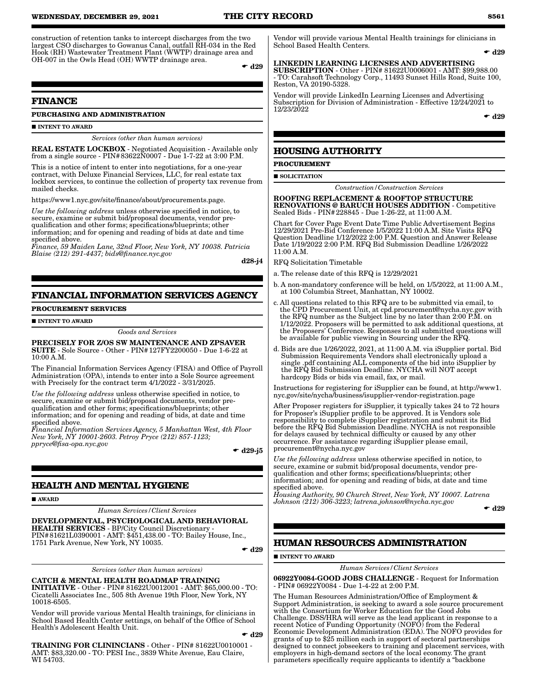construction of retention tanks to intercept discharges from the two largest CSO discharges to Gowanus Canal, outfall RH-034 in the Red Hook (RH) Wastewater Treatment Plant (WWTP) drainage area and OH-007 in the Owls Head (OH) WWTP drainage area.

 $\bullet$  d29

## **FINANCE**

#### **PURCHASING AND ADMINISTRATION**

 $\blacksquare$ INTENT TO AWARD

## *Services (other than human services)*

REAL ESTATE LOCKBOX - Negotiated Acquisition - Available only from a single source - PIN#83622N0007 - Due 1-7-22 at 3:00 P.M.

This is a notice of intent to enter into negotiations, for a one-year contract, with Deluxe Financial Services, LLC, for real estate tax lockbox services, to continue the collection of property tax revenue from mailed checks.

https://www1.nyc.gov/site/finance/about/procurements.page.

*Use the following address* unless otherwise specified in notice, to secure, examine or submit bid/proposal documents, vendor prequalification and other forms; specifications/blueprints; other information; and for opening and reading of bids at date and time specified above.

*Finance, 59 Maiden Lane, 32nd Floor, New York, NY 10038. Patricia Blaise (212) 291-4437; bids@finance.nyc.gov*

d28-j4

## **FINANCIAL INFORMATION SERVICES AGENCY**

#### **PROCUREMENT SERVICES**

#### INTENT TO AWARD

#### *Goods and Services*

#### PRECISELY FOR Z/OS SW MAINTENANCE AND ZPSAVER SUITE - Sole Source - Other - PIN#127FY2200050 - Due 1-6-22 at 10:00 A.M.

The Financial Information Services Agency (FISA) and Office of Payroll Administration (OPA), intends to enter into a Sole Source agreement with Precisely for the contract term 4/1/2022 - 3/31/2025.

*Use the following address* unless otherwise specified in notice, to secure, examine or submit bid/proposal documents, vendor prequalification and other forms; specifications/blueprints; other information; and for opening and reading of bids, at date and time specified above.

*Financial Information Services Agency, 5 Manhattan West, 4th Floor New York, NY 10001-2603. Petroy Pryce (212) 857-1123; ppryce@fisa-opa.nyc.gov*

 $\bullet$  d29-j5

## **HEALTH AND MENTAL HYGIENE**

#### AWARD

*Human Services/Client Services*

DEVELOPMENTAL, PSYCHOLOGICAL AND BEHAVIORAL HEALTH SERVICES - BP/City Council Discretionary - PIN#81621L0390001 - AMT: \$451,438.00 - TO: Bailey House, Inc., 1751 Park Avenue, New York, NY 10035.

 $\bullet$  d29

*Services (other than human services)*

#### CATCH & MENTAL HEALTH ROADMAP TRAINING

INITIATIVE - Other - PIN# 81622U0012001 - AMT: \$65,000.00 - TO: Cicatelli Associates Inc., 505 8th Avenue 19th Floor, New York, NY 10018-6505.

Vendor will provide various Mental Health trainings, for clinicians in School Based Health Center settings, on behalf of the Office of School Health's Adolescent Health Unit.

 $\bullet$  d29

TRAINING FOR CLININCIANS - Other - PIN# 81622U0010001 AMT: \$83,320.00 - TO: PESI Inc., 3839 White Avenue, Eau Claire, WI 54703.

Vendor will provide various Mental Health trainings for clinicians in School Based Health Centers.

#### $\bullet$  d29

LINKEDIN LEARNING LICENSES AND ADVERTISING SUBSCRIPTION - Other - PIN# 81622U0006001 - AMT: \$99,988.00 - TO: Carahsoft Technology Corp., 11493 Sunset Hills Road, Suite 100, Reston, VA 20190-5328.

Vendor will provide LinkedIn Learning Licenses and Advertising Subscription for Division of Administration - Effective 12/24/2021 to 12/23/2022

 $\bullet$  d29

#### **HOUSING AUTHORITY**

#### **PROCUREMENT**

**SOLICITATION** 

*Construction/Construction Services*

ROOFING REPLACEMENT & ROOFTOP STRUCTURE RENOVATIONS @ BARUCH HOUSES ADDITION - Competitive Sealed Bids - PIN#228845 - Due 1-26-22, at 11:00 A.M.

Chart for Cover Page Event Date Time Public Advertisement Begins 12/29/2021 Pre-Bid Conference 1/5/2022 11:00 A.M. Site Visits RFQ Question Deadline 1/12/2022 2:00 P.M. Question and Answer Release Date 1/19/2022 2:00 P.M. RFQ Bid Submission Deadline 1/26/2022 11:00 A.M.

RFQ Solicitation Timetable

- a. The release date of this RFQ is 12/29/2021
- b. A non-mandatory conference will be held, on 1/5/2022, at 11:00 A.M., at 100 Columbia Street, Manhattan, NY 10002.
- c. All questions related to this RFQ are to be submitted via email, to the CPD Procurement Unit, at cpd.procurement@nycha.nyc.gov with the RFQ number as the Subject line by no later than 2:00 P.M. on 1/12/2022. Proposers will be permitted to ask additional questions, at the Proposers' Conference. Responses to all submitted questions will be available for public viewing in Sourcing under the RFQ.
- d. Bids are due 1/26/2022, 2021, at 11:00 A.M. via iSupplier portal. Bid Submission Requirements Vendors shall electronically upload a single .pdf containing ALL components of the bid into iSupplier by the RFQ Bid Submission Deadline. NYCHA will NOT accept hardcopy Bids or bids via email, fax, or mail.

Instructions for registering for iSupplier can be found, at http://www1. nyc.gov/site/nycha/business/isupplier-vendor-registration.page

After Proposer registers for iSupplier, it typically takes 24 to 72 hours for Proposer's iSupplier profile to be approved. It is Vendors sole responsibility to complete iSupplier registration and submit its Bid before the RFQ Bid Submission Deadline. NYCHA is not responsible for delays caused by technical difficulty or caused by any other occurrence. For assistance regarding iSupplier please email, procurement@nycha.nyc.gov

*Use the following address* unless otherwise specified in notice, to secure, examine or submit bid/proposal documents, vendor prequalification and other forms; specifications/blueprints; other information; and for opening and reading of bids, at date and time specified above.

*Housing Authority, 90 Church Street, New York, NY 10007. Latrena Johnson (212) 306-3223; latrena.johnson@nycha.nyc.gov*

 $\bullet$  d29

## **HUMAN RESOURCES ADMINISTRATION**

**INTENT TO AWARD** 

*Human Services/Client Services*

06922Y0084-GOOD JOBS CHALLENGE - Request for Information - PIN# 06922Y0084 - Due 1-4-22 at 2:00 P.M.

The Human Resources Administration/Office of Employment & Support Administration, is seeking to award a sole source procurement with the Consortium for Worker Education for the Good Jobs Challenge. DSS/HRA will serve as the lead applicant in response to a recent Notice of Funding Opportunity (NOFO) from the Federal Economic Development Administration (EDA). The NOFO provides for grants of up to \$25 million each in support of sectoral partnerships designed to connect jobseekers to training and placement services, with employers in high-demand sectors of the local economy. The grant parameters specifically require applicants to identify a "backbone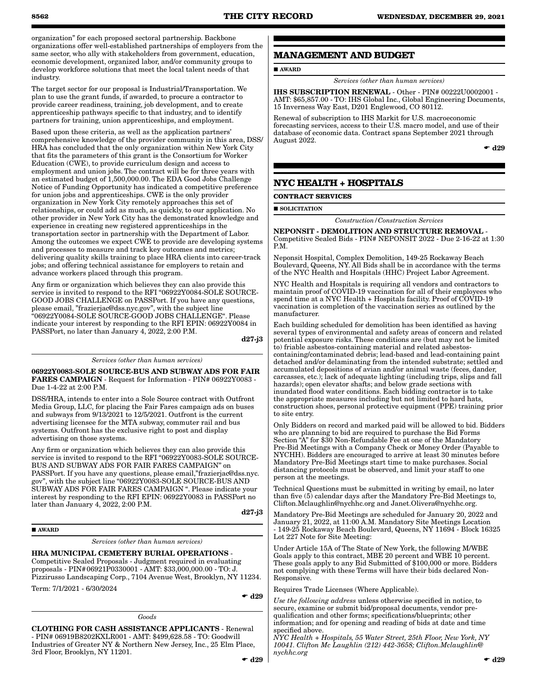AWARD

August 2022.

**SOLICITATION** 

P.M.

**CONTRACT SERVICES**

**MANAGEMENT AND BUDGET**

**NYC HEALTH + HOSPITALS**

15 Inverness Way East, D201 Englewood, CO 80112.

Renewal of subscription to IHS Markit for U.S. macroeconomic forecasting services, access to their U.S. macro model, and use of their database of economic data. Contract spans September 2021 through

*Services (other than human services)* IHS SUBSCRIPTION RENEWAL - Other - PIN# 00222U0002001 - AMT: \$65,857.00 - TO: IHS Global Inc., Global Engineering Documents,

*Construction/Construction Services* NEPONSIT - DEMOLITION AND STRUCTURE REMOVAL - Competitive Sealed Bids - PIN# NEPONSIT 2022 - Due 2-16-22 at 1:30

Neponsit Hospital, Complex Demolition, 149-25 Rockaway Beach Boulevard, Queens, NY. All Bids shall be in accordance with the terms of the NYC Health and Hospitals (HHC) Project Labor Agreement. NYC Health and Hospitals is requiring all vendors and contractors to maintain proof of COVID-19 vaccination for all of their employees who spend time at a NYC Health + Hospitals facility. Proof of COVID-19

 $\bullet$  d29

organization" for each proposed sectoral partnership. Backbone organizations offer well-established partnerships of employers from the same sector, who ally with stakeholders from government, education, economic development, organized labor, and/or community groups to develop workforce solutions that meet the local talent needs of that industry.

The target sector for our proposal is Industrial/Transportation. We plan to use the grant funds, if awarded, to procure a contractor to provide career readiness, training, job development, and to create apprenticeship pathways specific to that industry, and to identify partners for training, union apprenticeships, and employment.

Based upon these criteria, as well as the application partners' comprehensive knowledge of the provider community in this area, DSS/ HRA has concluded that the only organization within New York City that fits the parameters of this grant is the Consortium for Worker Education (CWE), to provide curriculum design and access to employment and union jobs. The contract will be for three years with an estimated budget of 1,500,000.00. The EDA Good Jobs Challenge Notice of Funding Opportunity has indicated a competitive preference for union jobs and apprenticeships. CWE is the only provider organization in New York City remotely approaches this set of relationships, or could add as much, as quickly, to our application. No other provider in New York City has the demonstrated knowledge and experience in creating new registered apprenticeships in the transportation sector in partnership with the Department of Labor. Among the outcomes we expect CWE to provide are developing systems and processes to measure and track key outcomes and metrics; delivering quality skills training to place HRA clients into career-track jobs; and offering technical assistance for employers to retain and advance workers placed through this program.

Any firm or organization which believes they can also provide this service is invited to respond to the RFI "06922Y0084-SOLE SOURCE-GOOD JOBS CHALLENGE on PASSPort. If you have any questions, please email, "frazierjac@dss.nyc.gov", with the subject line "06922Y0084-SOLE SOURCE-GOOD JOBS CHALLENGE". Please indicate your interest by responding to the RFI EPIN: 06922Y0084 in PASSPort, no later than January 4, 2022, 2:00 P.M.

d27-j3

#### *Services (other than human services)*

06922Y0083-SOLE SOURCE-BUS AND SUBWAY ADS FOR FAIR FARES CAMPAIGN - Request for Information - PIN# 06922Y0083 - Due 1-4-22 at 2:00 P.M.

DSS/HRA, intends to enter into a Sole Source contract with Outfront Media Group, LLC, for placing the Fair Fares campaign ads on buses and subways from 9/13/2021 to 12/5/2021. Outfront is the current advertising licensee for the MTA subway, commuter rail and bus systems. Outfront has the exclusive right to post and display advertising on those systems.

Any firm or organization which believes they can also provide this service is invited to respond to the RFI "06922Y0083-SOLE SOURCE-BUS AND SUBWAY ADS FOR FAIR FARES CAMPAIGN" on PASSPort. If you have any questions, please email,"frazierjac@dss.nyc. gov", with the subject line "06922Y0083-SOLE SOURCE-BUS AND SUBWAY ADS FOR FAIR FARES CAMPAIGN ". Please indicate your interest by responding to the RFI EPIN: 06922Y0083 in PASSPort no later than January 4, 2022, 2:00 P.M.

d27-j3

#### **AWARD**

*Services (other than human services)*

#### HRA MUNICIPAL CEMETERY BURIAL OPERATIONS -

Competitive Sealed Proposals - Judgment required in evaluating proposals - PIN#06921P0330001 - AMT: \$33,000,000.00 - TO: J. Pizzirusso Landscaping Corp., 7104 Avenue West, Brooklyn, NY 11234.

Term: 7/1/2021 - 6/30/2024

 $\bullet$  d29

*Goods*

CLOTHING FOR CASH ASSISTANCE APPLICANTS - Renewal - PIN# 06919B8202KXLR001 - AMT: \$499,628.58 - TO: Goodwill Industries of Greater NY & Northern New Jersey, Inc., 25 Elm Place, 3rd Floor, Brooklyn, NY 11201.

#### vaccination is completion of the vaccination series as outlined by the manufacturer.

Each building scheduled for demolition has been identified as having several types of environmental and safety areas of concern and related potential exposure risks. These conditions are (but may not be limited to) friable asbestos-containing material and related asbestoscontaining/contaminated debris; lead-based and lead-containing paint detached and/or delaminating from the intended substrate; settled and accumulated depositions of avian and/or animal waste (feces, dander, carcasses, etc.); lack of adequate lighting (including trips, slips and fall hazards); open elevator shafts; and below grade sections with inundated flood water conditions. Each bidding contractor is to take the appropriate measures including but not limited to hard hats, construction shoes, personal protective equipment (PPE) training prior to site entry.

Only Bidders on record and marked paid will be allowed to bid. Bidders who are planning to bid are required to purchase the Bid Forms Section "A" for \$30 Non-Refundable Fee at one of the Mandatory Pre-Bid Meetings with a Company Check or Money Order (Payable to NYCHH). Bidders are encouraged to arrive at least 30 minutes before Mandatory Pre-Bid Meetings start time to make purchases. Social distancing protocols must be observed, and limit your staff to one person at the meetings.

Technical Questions must be submitted in writing by email, no later than five (5) calendar days after the Mandatory Pre-Bid Meetings to, Clifton.Mclaughlin@nychhc.org and Janet.Olivera@nychhc.org.

Mandatory Pre-Bid Meetings are scheduled for January 20, 2022 and January 21, 2022, at 11:00 A.M. Mandatory Site Meetings Location - 149-25 Rockaway Beach Boulevard, Queens, NY 11694 - Block 16325 Lot 227 Note for Site Meeting:

Under Article 15A of The State of New York, the following M/WBE Goals apply to this contract, MBE 20 percent and WBE 10 percent. These goals apply to any Bid Submitted of \$100,000 or more. Bidders not complying with these Terms will have their bids declared Non-Responsive.

Requires Trade Licenses (Where Applicable).

*Use the following address* unless otherwise specified in notice, to secure, examine or submit bid/proposal documents, vendor prequalification and other forms; specifications/blueprints; other information; and for opening and reading of bids at date and time specified above.

*NYC Health + Hospitals, 55 Water Street, 25th Floor, New York, NY 10041. Clifton Mc Laughlin (212) 442-3658; Clifton.Mclaughlin@ nychhc.org*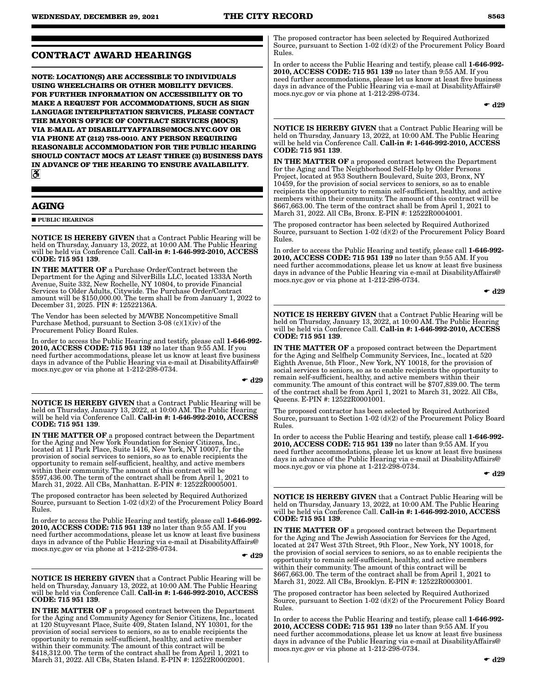## **CONTRACT AWARD HEARINGS**

**NOTE: LOCATION(S) ARE ACCESSIBLE TO INDIVIDUALS USING WHEELCHAIRS OR OTHER MOBILITY DEVICES. FOR FURTHER INFORMATION ON ACCESSIBILITY OR TO MAKE A REQUEST FOR ACCOMMODATIONS, SUCH AS SIGN LANGUAGE INTERPRETATION SERVICES, PLEASE CONTACT THE MAYOR'S OFFICE OF CONTRACT SERVICES (MOCS) VIA E-MAIL AT DISABILITYAFFAIRS@MOCS.NYC.GOV OR VIA PHONE AT (212) 788-0010. ANY PERSON REQUIRING REASONABLE ACCOMMODATION FOR THE PUBLIC HEARING SHOULD CONTACT MOCS AT LEAST THREE (3) BUSINESS DAYS IN ADVANCE OF THE HEARING TO ENSURE AVAILABILITY.**  $\mathbf{a}$ 

## **AGING**

 $\blacksquare$ PUBLIC HEARINGS

NOTICE IS HEREBY GIVEN that a Contract Public Hearing will be held on Thursday, January 13, 2022, at 10:00 AM. The Public Hearing will be held via Conference Call. Call-in #: 1-646-992-2010, ACCESS CODE: 715 951 139.

IN THE MATTER OF a Purchase Order/Contract between the Department for the Aging and SilverBills LLC, located 1333A North Avenue, Suite 332, New Rochelle, NY 10804, to provide Financial Services to Older Adults, Citywide. The Purchase Order/Contract amount will be \$150,000.00. The term shall be from January 1, 2022 to December 31, 2025. PIN #: 12522136A.

The Vendor has been selected by M/WBE Noncompetitive Small Purchase Method, pursuant to Section 3-08 (c)(1)(iv) of the Procurement Policy Board Rules.

In order to access the Public Hearing and testify, please call 1-646-992- 2010, ACCESS CODE: 715 951 139 no later than 9:55 AM. If you need further accommodations, please let us know at least five business days in advance of the Public Hearing via e-mail at DisabilityAffairs@ mocs.nyc.gov or via phone at 1-212-298-0734.

 $\div$  d29

NOTICE IS HEREBY GIVEN that a Contract Public Hearing will be held on Thursday, January 13, 2022, at 10:00 AM. The Public Hearing will be held via Conference Call. Call-in #: 1-646-992-2010, ACCESS CODE: 715 951 139.

IN THE MATTER OF a proposed contract between the Department for the Aging and New York Foundation for Senior Citizens, Inc., located at 11 Park Place, Suite 1416, New York, NY 10007, for the provision of social services to seniors, so as to enable recipients the opportunity to remain self-sufficient, healthy, and active members within their community. The amount of this contract will be \$597,436.00. The term of the contract shall be from April 1, 2021 to March 31, 2022. All CBs, Manhattan. E-PIN #: 12522R0005001.

The proposed contractor has been selected by Required Authorized Source, pursuant to Section 1-02 (d)(2) of the Procurement Policy Board Rules.

In order to access the Public Hearing and testify, please call 1-646-992- 2010, ACCESS CODE: 715 951 139 no later than 9:55 AM. If you need further accommodations, please let us know at least five business days in advance of the Public Hearing via e-mail at DisabilityAffairs@ mocs.nyc.gov or via phone at 1-212-298-0734.

 $\bullet$  d29

NOTICE IS HEREBY GIVEN that a Contract Public Hearing will be held on Thursday, January 13, 2022, at 10:00 AM. The Public Hearing will be held via Conference Call. Call-in #: 1-646-992-2010, ACCESS CODE: 715 951 139.

IN THE MATTER OF a proposed contract between the Department for the Aging and Community Agency for Senior Citizens, Inc., located at 120 Stuyvesant Place, Suite 409, Staten Island, NY 10301, for the provision of social services to seniors, so as to enable recipients the opportunity to remain self-sufficient, healthy, and active member within their community. The amount of this contract will be \$418,312.00. The term of the contract shall be from April 1, 2021 to March 31, 2022. All CBs, Staten Island. E-PIN #: 12522R0002001.

The proposed contractor has been selected by Required Authorized Source, pursuant to Section 1-02 (d)(2) of the Procurement Policy Board Rules.

In order to access the Public Hearing and testify, please call 1-646-992- 2010, ACCESS CODE: 715 951 139 no later than 9:55 AM. If you need further accommodations, please let us know at least five business days in advance of the Public Hearing via e-mail at DisabilityAffairs@ mocs.nyc.gov or via phone at 1-212-298-0734.

 $\bullet$  d29

NOTICE IS HEREBY GIVEN that a Contract Public Hearing will be held on Thursday, January 13, 2022, at 10:00 AM. The Public Hearing will be held via Conference Call. Call-in #: 1-646-992-2010, ACCESS CODE: 715 951 139.

IN THE MATTER OF a proposed contract between the Department for the Aging and The Neighborhood Self-Help by Older Persons Project, located at 953 Southern Boulevard, Suite 203, Bronx, NY 10459, for the provision of social services to seniors, so as to enable recipients the opportunity to remain self-sufficient, healthy, and active members within their community. The amount of this contract will be \$667,663.00. The term of the contract shall be from April 1, 2021 to March 31, 2022. All CBs, Bronx. E-PIN #: 12522R0004001.

The proposed contractor has been selected by Required Authorized Source, pursuant to Section 1-02 (d)(2) of the Procurement Policy Board Rules.

In order to access the Public Hearing and testify, please call 1-646-992- 2010, ACCESS CODE: 715 951 139 no later than 9:55 AM. If you need further accommodations, please let us know at least five business days in advance of the Public Hearing via e-mail at DisabilityAffairs@ mocs.nyc.gov or via phone at 1-212-298-0734.

 $\bullet$  d29

NOTICE IS HEREBY GIVEN that a Contract Public Hearing will be held on Thursday, January 13, 2022, at 10:00 AM. The Public Hearing will be held via Conference Call. Call-in #: 1-646-992-2010, ACCESS CODE: 715 951 139.

IN THE MATTER OF a proposed contract between the Department for the Aging and Selfhelp Community Services, Inc., located at 520 Eighth Avenue, 5th Floor., New York, NY 10018, for the provision of social services to seniors, so as to enable recipients the opportunity to remain self-sufficient, healthy, and active members within their community. The amount of this contract will be \$707,839.00. The term of the contract shall be from April 1, 2021 to March 31, 2022. All CBs, Queens. E-PIN #: 12522R0001001.

The proposed contractor has been selected by Required Authorized Source, pursuant to Section 1-02 (d)(2) of the Procurement Policy Board Rules.

In order to access the Public Hearing and testify, please call 1-646-992- 2010, ACCESS CODE: 715 951 139 no later than 9:55 AM. If you need further accommodations, please let us know at least five business days in advance of the Public Hearing via e-mail at DisabilityAffairs@ mocs.nyc.gov or via phone at 1-212-298-0734.

 $\bullet$  d29

NOTICE IS HEREBY GIVEN that a Contract Public Hearing will be held on Thursday, January 13, 2022, at 10:00 AM. The Public Hearing will be held via Conference Call. Call-in #: 1-646-992-2010, ACCESS CODE: 715 951 139.

IN THE MATTER OF a proposed contract between the Department for the Aging and The Jewish Association for Services for the Aged, located at 247 West 37th Street, 9th Floor., New York, NY 10018, for the provision of social services to seniors, so as to enable recipients the opportunity to remain self-sufficient, healthy, and active members within their community. The amount of this contract will be \$667,663.00. The term of the contract shall be from April 1, 2021 to March 31, 2022. All CBs, Brooklyn. E-PIN #: 12522R0003001.

The proposed contractor has been selected by Required Authorized Source, pursuant to Section 1-02 (d)(2) of the Procurement Policy Board Rules.

In order to access the Public Hearing and testify, please call 1-646-992- 2010, ACCESS CODE: 715 951 139 no later than 9:55 AM. If you need further accommodations, please let us know at least five business days in advance of the Public Hearing via e-mail at DisabilityAffairs@ mocs.nyc.gov or via phone at 1-212-298-0734.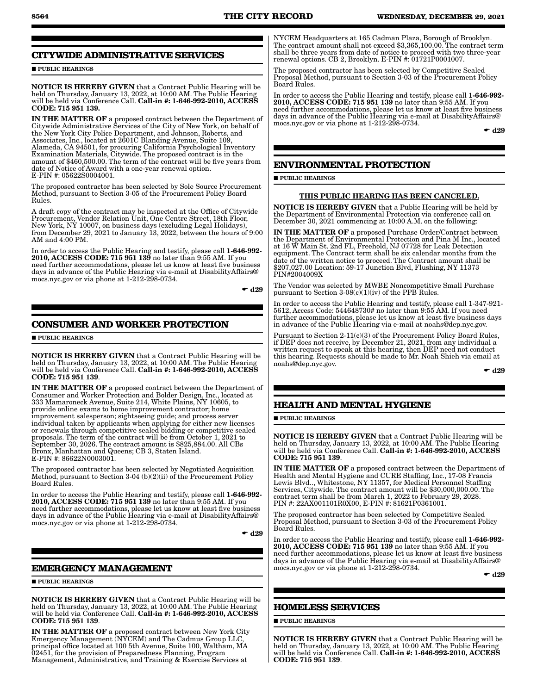## **CITYWIDE ADMINISTRATIVE SERVICES**

**PUBLIC HEARINGS** 

NOTICE IS HEREBY GIVEN that a Contract Public Hearing will be held on Thursday, January 13, 2022, at 10:00 AM. The Public Hearing will be held via Conference Call. Call-in #: 1-646-992-2010, ACCESS CODE: 715 951 139.

IN THE MATTER OF a proposed contract between the Department of Citywide Administrative Services of the City of New York, on behalf of the New York City Police Department, and Johnson, Roberts, and Associates, Inc., located at 2601C Blanding Avenue, Suite 109, Alameda, CA 94501, for procuring California Psychological Inventory Examination Materials, Citywide. The proposed contract is in the amount of \$460,500.00. The term of the contract will be five years from date of Notice of Award with a one-year renewal option. E-PIN #: 05622S0004001.

The proposed contractor has been selected by Sole Source Procurement Method, pursuant to Section 3-05 of the Procurement Policy Board Rules.

A draft copy of the contract may be inspected at the Office of Citywide Procurement, Vendor Relation Unit, One Centre Street, 18th Floor, New York, NY 10007, on business days (excluding Legal Holidays), from December 29, 2021 to January 13, 2022, between the hours of 9:00 AM and 4:00 PM.

In order to access the Public Hearing and testify, please call 1-646-992- 2010, ACCESS CODE: 715 951 139 no later than 9:55 AM. If you need further accommodations, please let us know at least five business days in advance of the Public Hearing via e-mail at DisabilityAffairs@ mocs.nyc.gov or via phone at 1-212-298-0734.

 $\bullet$  d29

## **CONSUMER AND WORKER PROTECTION**

**PUBLIC HEARINGS** 

NOTICE IS HEREBY GIVEN that a Contract Public Hearing will be held on Thursday, January 13, 2022, at 10:00 AM. The Public Hearing will be held via Conference Call. Call-in #: 1-646-992-2010, ACCESS CODE: 715 951 139.

IN THE MATTER OF a proposed contract between the Department of Consumer and Worker Protection and Bolder Design, Inc., located at 333 Mamaroneck Avenue, Suite 214, White Plains, NY 10605, to provide online exams to home improvement contractor; home improvement salesperson; sightseeing guide; and process server individual taken by applicants when applying for either new licenses or renewals through competitive sealed bidding or competitive sealed proposals. The term of the contract will be from October 1, 2021 to September 30, 2026. The contract amount is \$825,884.00. All CBs Bronx, Manhattan and Queens; CB 3, Staten Island. E-PIN #: 86622N0003001.

The proposed contractor has been selected by Negotiated Acquisition Method, pursuant to Section 3-04 (b)(2)(ii) of the Procurement Policy Board Rules.

In order to access the Public Hearing and testify, please call 1-646-992- 2010, ACCESS CODE: 715 951 139 no later than 9:55 AM. If you need further accommodations, please let us know at least five business days in advance of the Public Hearing via e-mail at DisabilityAffairs@ mocs.nyc.gov or via phone at 1-212-298-0734.

 $\bullet$  d29

## **EMERGENCY MANAGEMENT**

**PUBLIC HEARINGS** 

NOTICE IS HEREBY GIVEN that a Contract Public Hearing will be held on Thursday, January 13, 2022, at 10:00 AM. The Public Hearing will be held via Conference Call. Call-in #: 1-646-992-2010, ACCESS CODE: 715 951 139.

IN THE MATTER OF a proposed contract between New York City Emergency Management (NYCEM) and The Cadmus Group LLC, principal office located at 100 5th Avenue, Suite 100, Waltham, MA 02451, for the provision of Preparedness Planning, Program Management, Administrative, and Training & Exercise Services at

NYCEM Headquarters at 165 Cadman Plaza, Borough of Brooklyn. The contract amount shall not exceed \$3,365,100.00. The contract term shall be three years from date of notice to proceed with two three-year renewal options. CB 2, Brooklyn. E-PIN #: 01721P0001007.

The proposed contractor has been selected by Competitive Sealed Proposal Method, pursuant to Section 3-03 of the Procurement Policy Board Rules.

In order to access the Public Hearing and testify, please call 1-646-992- 2010, ACCESS CODE: 715 951 139 no later than 9:55 AM. If you need further accommodations, please let us know at least five business days in advance of the Public Hearing via e-mail at DisabilityAffairs@ mocs.nyc.gov or via phone at 1-212-298-0734.

 $\bullet$  d29

## **ENVIRONMENTAL PROTECTION**

**PUBLIC HEARINGS** 

### THIS PUBLIC HEARING HAS BEEN CANCELED.

NOTICE IS HEREBY GIVEN that a Public Hearing will be held by the Department of Environmental Protection via conference call on December 30, 2021 commencing at 10:00 A.M. on the following:

IN THE MATTER OF a proposed Purchase Order/Contract between the Department of Environmental Protection and Pina M Inc., located at 16 W Main St. 2nd FL, Freehold, NJ 07728 for Leak Detection equipment. The Contract term shall be six calendar months from the date of the written notice to proceed. The Contract amount shall be \$207,027.00 Location: 59-17 Junction Blvd, Flushing, NY 11373 PIN#2004009X

The Vendor was selected by MWBE Noncompetitive Small Purchase pursuant to Section  $3-08(c)(1)(iv)$  of the PPB Rules.

In order to access the Public Hearing and testify, please call 1-347-921- 5612, Access Code: 544648730# no later than 9:55 AM. If you need further accommodations, please let us know at least five business days in advance of the Public Hearing via e-mail at noahs@dep.nyc.gov.

Pursuant to Section 2-11(c)(3) of the Procurement Policy Board Rules, if DEP does not receive, by December 21, 2021, from any individual a written request to speak at this hearing, then DEP need not conduct this hearing. Requests should be made to Mr. Noah Shieh via email at noahs@dep.nyc.gov.

 $\bullet$  d29

## **HEALTH AND MENTAL HYGIENE**

**PUBLIC HEARINGS** 

NOTICE IS HEREBY GIVEN that a Contract Public Hearing will be held on Thursday, January 13, 2022, at 10:00 AM. The Public Hearing<br>will be held via Conference Call. **Call-in #: 1-646-992-2010, ACCESS** CODE: 715 951 139.

IN THE MATTER OF a proposed contract between the Department of Health and Mental Hygiene and CURE Staffing, Inc., 17-08 Francis Lewis Blvd.., Whitestone, NY 11357, for Medical Personnel Staffing Services, Citywide. The contract amount will be \$30,000,000.00. The contract term shall be from March 1, 2022 to February 29, 2028. PIN #: 22AX001101R0X00, E-PIN #: 81621P0361001.

The proposed contractor has been selected by Competitive Sealed Proposal Method, pursuant to Section 3-03 of the Procurement Policy Board Rules.

In order to access the Public Hearing and testify, please call 1-646-992- 2010, ACCESS CODE: 715 951 139 no later than 9:55 AM. If you need further accommodations, please let us know at least five business days in advance of the Public Hearing via e-mail at DisabilityAffairs@ mocs.nyc.gov or via phone at 1-212-298-0734.

 $\bullet$  d29

### **HOMELESS SERVICES**

**PUBLIC HEARINGS** 

NOTICE IS HEREBY GIVEN that a Contract Public Hearing will be held on Thursday, January 13, 2022, at 10:00 AM. The Public Hearing<br>will be held via Conference Call. **Call-in #: 1-646-992-2010, ACCESS** CODE: 715 951 139.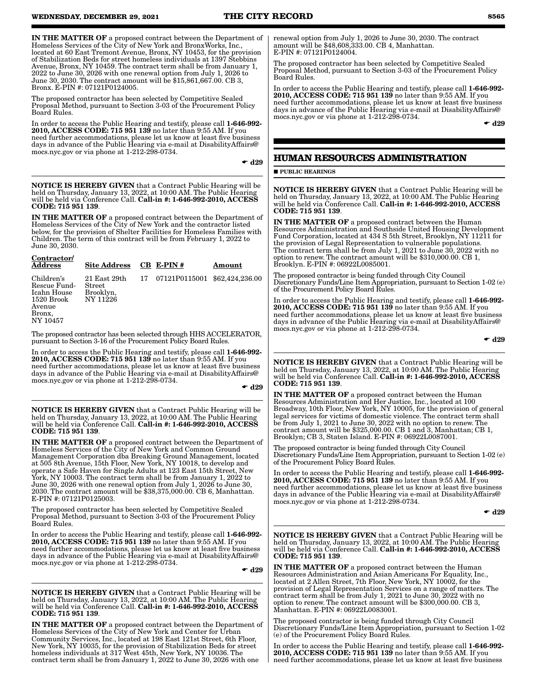IN THE MATTER OF a proposed contract between the Department of Homeless Services of the City of New York and BronxWorks, Inc., located at 60 East Tremont Avenue, Bronx, NY 10453, for the provision of Stabilization Beds for street homeless individuals at 1397 Stebbins Avenue, Bronx, NY 10459. The contract term shall be from January 1, 2022 to June 30, 2026 with one renewal option from July 1, 2026 to June 30, 2030. The contract amount will be \$15,861,667.00. CB 3, Bronx. E-PIN #: 07121P0124005.

The proposed contractor has been selected by Competitive Sealed Proposal Method, pursuant to Section 3-03 of the Procurement Policy Board Rules.

In order to access the Public Hearing and testify, please call 1-646-992- 2010, ACCESS CODE: 715 951 139 no later than 9:55 AM. If you need further accommodations, please let us know at least five business days in advance of the Public Hearing via e-mail at DisabilityAffairs@ mocs.nyc.gov or via phone at 1-212-298-0734.

 $\bullet$  d29

NOTICE IS HEREBY GIVEN that a Contract Public Hearing will be held on Thursday, January 13, 2022, at 10:00 AM. The Public Hearing will be held via Conference Call. Call-in #: 1-646-992-2010, ACCESS CODE: 715 951 139.

IN THE MATTER OF a proposed contract between the Department of Homeless Services of the City of New York and the contractor listed below, for the provision of Shelter Facilities for Homeless Families with Children. The term of this contract will be from February 1, 2022 to June 30, 2030.

| Contractor/<br><b>Address</b>                                                           | <b>Site Address</b>                                        | $CB$ E-PIN#      | Amount          |
|-----------------------------------------------------------------------------------------|------------------------------------------------------------|------------------|-----------------|
| Children's<br>Rescue Fund-<br>Icahn House<br>1520 Brook<br>Avenue<br>Bronx,<br>NY 10457 | $21$ East $29th$<br><b>Street</b><br>Brooklyn,<br>NY 11226 | 17 07121P0115001 | \$62,424,236.00 |

The proposed contractor has been selected through HHS ACCELERATOR, pursuant to Section 3-16 of the Procurement Policy Board Rules.

In order to access the Public Hearing and testify, please call 1-646-992- 2010, ACCESS CODE: 715 951 139 no later than 9:55 AM. If you need further accommodations, please let us know at least five business days in advance of the Public Hearing via e-mail at DisabilityAffairs@ mocs.nyc.gov or via phone at 1-212-298-0734.

 $\bullet$  d29

NOTICE IS HEREBY GIVEN that a Contract Public Hearing will be held on Thursday, January 13, 2022, at 10:00 AM. The Public Hearing will be held via Conference Call. Call-in #: 1-646-992-2010, ACCESS CODE: 715 951 139.

IN THE MATTER OF a proposed contract between the Department of Homeless Services of the City of New York and Common Ground Management Corporation dba Breaking Ground Management, located at 505 8th Avenue, 15th Floor, New York, NY 10018, to develop and operate a Safe Haven for Single Adults at 123 East 15th Street, New York, NY 10003. The contract term shall be from January 1, 2022 to June 30, 2026 with one renewal option from July 1, 2026 to June 30, 2030. The contract amount will be \$38,375,000.00. CB 6, Manhattan. E-PIN #: 07121P0125003.

The proposed contractor has been selected by Competitive Sealed Proposal Method, pursuant to Section 3-03 of the Procurement Policy Board Rules.

In order to access the Public Hearing and testify, please call 1-646-992- 2010, ACCESS CODE: 715 951 139 no later than 9:55 AM. If you need further accommodations, please let us know at least five business days in advance of the Public Hearing via e-mail at DisabilityAffairs@ mocs.nyc.gov or via phone at 1-212-298-0734.

 $\bullet$  d29

NOTICE IS HEREBY GIVEN that a Contract Public Hearing will be held on Thursday, January 13, 2022, at 10:00 AM. The Public Hearing will be held via Conference Call. Call-in #: 1-646-992-2010, ACCESS CODE: 715 951 139.

IN THE MATTER OF a proposed contract between the Department of Homeless Services of the City of New York and Center for Urban Community Services, Inc., located at 198 East 121st Street, 6th Floor, New York, NY 10035, for the provision of Stabilization Beds for street homeless individuals at 317 West 45th, New York, NY 10036. The contract term shall be from January 1, 2022 to June 30, 2026 with one

renewal option from July 1, 2026 to June 30, 2030. The contract amount will be \$48,608,333.00. CB 4, Manhattan. E-PIN #: 07121P0124004.

The proposed contractor has been selected by Competitive Sealed Proposal Method, pursuant to Section 3-03 of the Procurement Policy Board Rules.

In order to access the Public Hearing and testify, please call 1-646-992-2010, ACCESS CODE: 715 951 139 no later than 9:55 AM. If you need further accommodations, please let us know at least five business days in advance of the Public Hearing via e-mail at DisabilityAffairs@ mocs.nyc.gov or via phone at 1-212-298-0734.

 $\bullet$  d29

## **HUMAN RESOURCES ADMINISTRATION**

## **PUBLIC HEARINGS**

NOTICE IS HEREBY GIVEN that a Contract Public Hearing will be held on Thursday, January 13, 2022, at 10:00 AM. The Public Hearing will be held via Conference Call. Call-in #: 1-646-992-2010, ACCESS CODE: 715 951 139.

IN THE MATTER OF a proposed contract between the Human Resources Administration and Southside United Housing Development Fund Corporation, located at 434 S 5th Street, Brooklyn, NY 11211 for the provision of Legal Representation to vulnerable populations. The contract term shall be from July 1, 2021 to June 30, 2022 with no option to renew. The contract amount will be \$310,000.00. CB 1, Brooklyn. E-PIN #: 06922L0085001.

The proposed contractor is being funded through City Council Discretionary Funds/Line Item Appropriation, pursuant to Section 1-02 (e) of the Procurement Policy Board Rules.

In order to access the Public Hearing and testify, please call 1-646-992- 2010, ACCESS CODE: 715 951 139 no later than 9:55 AM. If you need further accommodations, please let us know at least five business days in advance of the Public Hearing via e-mail at DisabilityAffairs@ mocs.nyc.gov or via phone at 1-212-298-0734.

 $\bullet$  d29

NOTICE IS HEREBY GIVEN that a Contract Public Hearing will be held on Thursday, January 13, 2022, at 10:00 AM. The Public Hearing will be held via Conference Call. Call-in #: 1-646-992-2010, ACCESS CODE: 715 951 139.

IN THE MATTER OF a proposed contract between the Human Resources Administration and Her Justice, Inc., located at 100 Broadway, 10th Floor, New York, NY 10005, for the provision of general legal services for victims of domestic violence. The contract term shall be from July 1, 2021 to June 30, 2022 with no option to renew. The contract amount will be \$325,000.00. CB 1 and 3, Manhattan; CB 1, Brooklyn; CB 3, Staten Island. E-PIN #: 06922L0087001.

The proposed contractor is being funded through City Council Discretionary Funds/Line Item Appropriation, pursuant to Section 1-02 (e) of the Procurement Policy Board Rules.

In order to access the Public Hearing and testify, please call 1-646-992- 2010, ACCESS CODE: 715 951 139 no later than 9:55 AM. If you need further accommodations, please let us know at least five business days in advance of the Public Hearing via e-mail at DisabilityAffairs@ mocs.nyc.gov or via phone at 1-212-298-0734.

 $\bullet$  d29

NOTICE IS HEREBY GIVEN that a Contract Public Hearing will be held on Thursday, January 13, 2022, at 10:00 AM. The Public Hearing will be held via Conference Call. Call-in #: 1-646-992-2010, ACCESS CODE: 715 951 139.

IN THE MATTER OF a proposed contract between the Human Resources Administration and Asian Americans For Equality, Inc., located at 2 Allen Street, 7th Floor, New York, NY 10002, for the provision of Legal Representation Services on a range of matters. The contract term shall be from July 1, 2021 to June 30, 2022 with no option to renew. The contract amount will be \$300,000.00. CB 3, Manhattan. E-PIN #: 06922L0083001.

The proposed contractor is being funded through City Council Discretionary Funds/Line Item Appropriation, pursuant to Section 1-02 (e) of the Procurement Policy Board Rules.

In order to access the Public Hearing and testify, please call 1-646-992- 2010, ACCESS CODE: 715 951 139 no later than 9:55 AM. If you need further accommodations, please let us know at least five business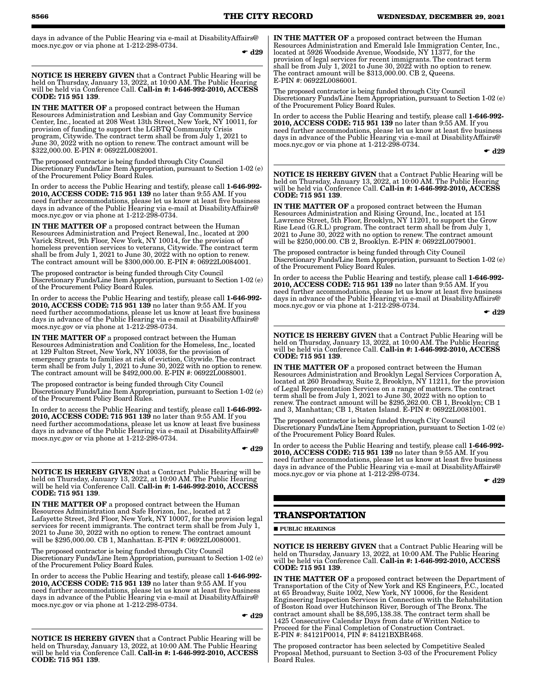days in advance of the Public Hearing via e-mail at DisabilityAffairs@ mocs.nyc.gov or via phone at 1-212-298-0734.

 $\bullet$  d29

NOTICE IS HEREBY GIVEN that a Contract Public Hearing will be held on Thursday, January 13, 2022, at 10:00 AM. The Public Hearing will be held via Conference Call. Call-in #: 1-646-992-2010, ACCESS CODE: 715 951 139.

IN THE MATTER OF a proposed contract between the Human Resources Administration and Lesbian and Gay Community Service Center, Inc., located at 208 West 13th Street, New York, NY 10011, for provision of funding to support the LGBTQ Community Crisis program, Citywide. The contract term shall be from July 1, 2021 to June 30, 2022 with no option to renew. The contract amount will be \$322,000.00. E-PIN #: 06922L0082001.

The proposed contractor is being funded through City Council Discretionary Funds/Line Item Appropriation, pursuant to Section 1-02 (e) of the Procurement Policy Board Rules.

In order to access the Public Hearing and testify, please call 1-646-992- 2010, ACCESS CODE: 715 951 139 no later than 9:55 AM. If you need further accommodations, please let us know at least five business days in advance of the Public Hearing via e-mail at DisabilityAffairs@ mocs.nyc.gov or via phone at 1-212-298-0734.

IN THE MATTER OF a proposed contract between the Human Resources Administration and Project Renewal, Inc., located at 200 Varick Street, 9th Floor, New York, NY 10014, for the provision of homeless prevention services to veterans, Citywide. The contract term shall be from July 1, 2021 to June 30, 2022 with no option to renew. The contract amount will be \$300,000.00. E-PIN #: 06922L0084001.

The proposed contractor is being funded through City Council Discretionary Funds/Line Item Appropriation, pursuant to Section 1-02 (e) of the Procurement Policy Board Rules.

In order to access the Public Hearing and testify, please call 1-646-992- 2010, ACCESS CODE: 715 951 139 no later than 9:55 AM. If you need further accommodations, please let us know at least five business days in advance of the Public Hearing via e-mail at DisabilityAffairs@ mocs.nyc.gov or via phone at 1-212-298-0734.

IN THE MATTER OF a proposed contract between the Human Resources Administration and Coalition for the Homeless, Inc., located at 129 Fulton Street, New York, NY 10038, for the provision of emergency grants to families at risk of eviction, Citywide. The contract term shall be from July 1, 2021 to June 30, 2022 with no option to renew. The contract amount will be \$492,000.00. E-PIN #: 06922L0088001.

The proposed contractor is being funded through City Council Discretionary Funds/Line Item Appropriation, pursuant to Section 1-02 (e) of the Procurement Policy Board Rules.

In order to access the Public Hearing and testify, please call 1-646-992- 2010, ACCESS CODE: 715 951 139 no later than 9:55 AM. If you need further accommodations, please let us know at least five business days in advance of the Public Hearing via e-mail at DisabilityAffairs@ mocs.nyc.gov or via phone at 1-212-298-0734.

 $\bullet$  d29

NOTICE IS HEREBY GIVEN that a Contract Public Hearing will be held on Thursday, January 13, 2022, at 10:00 AM. The Public Hearing will be held via Conference Call. Call-in #: 1-646-992-2010, ACCESS CODE: 715 951 139.

IN THE MATTER OF a proposed contract between the Human Resources Administration and Safe Horizon, Inc., located at 2 Lafayette Street, 3rd Floor, New York, NY 10007, for the provision legal services for recent immigrants. The contract term shall be from July 1, 2021 to June 30, 2022 with no option to renew. The contract amount will be \$295,000.00. CB 1, Manhattan. E-PIN #: 06922L0080001.

The proposed contractor is being funded through City Council Discretionary Funds/Line Item Appropriation, pursuant to Section 1-02 (e) of the Procurement Policy Board Rules.

In order to access the Public Hearing and testify, please call 1-646-992- 2010, ACCESS CODE: 715 951 139 no later than 9:55 AM. If you need further accommodations, please let us know at least five business days in advance of the Public Hearing via e-mail at DisabilityAffairs@ mocs.nyc.gov or via phone at 1-212-298-0734.

 $\bullet$  d29

NOTICE IS HEREBY GIVEN that a Contract Public Hearing will be held on Thursday, January 13, 2022, at 10:00 AM. The Public Hearing will be held via Conference Call. Call-in #: 1-646-992-2010, ACCESS CODE: 715 951 139.

IN THE MATTER OF a proposed contract between the Human Resources Administration and Emerald Isle Immigration Center, Inc., located at 5926 Woodside Avenue, Woodside, NY 11377, for the provision of legal services for recent immigrants. The contract term shall be from July 1, 2021 to June 30, 2022 with no option to renew. The contract amount will be \$313,000.00. CB 2, Queens. E-PIN #: 06922L0086001.

The proposed contractor is being funded through City Council Discretionary Funds/Line Item Appropriation, pursuant to Section 1-02 (e) of the Procurement Policy Board Rules.

In order to access the Public Hearing and testify, please call 1-646-992- 2010, ACCESS CODE: 715 951 139 no later than 9:55 AM. If you need further accommodations, please let us know at least five business days in advance of the Public Hearing via e-mail at DisabilityAffairs@ mocs.nyc.gov or via phone at 1-212-298-0734.

 $\div$  d<sub>29</sub>

NOTICE IS HEREBY GIVEN that a Contract Public Hearing will be held on Thursday, January 13, 2022, at 10:00 AM. The Public Hearing<br>will be held via Conference Call. **Call-in #: 1-646-992-2010, ACCESS** CODE: 715 951 139.

IN THE MATTER OF a proposed contract between the Human Resources Administration and Rising Ground, Inc., located at 151 Lawrence Street, 5th Floor, Brooklyn, NY 11201, to support the Grow Rise Lead (G.R.L) program. The contract term shall be from July 1, 2021 to June 30, 2022 with no option to renew. The contract amount will be \$250,000.00. CB 2, Brooklyn. E-PIN #: 06922L0079001.

The proposed contractor is being funded through City Council Discretionary Funds/Line Item Appropriation, pursuant to Section 1-02 (e) of the Procurement Policy Board Rules.

In order to access the Public Hearing and testify, please call 1-646-992- 2010, ACCESS CODE: 715 951 139 no later than 9:55 AM. If you need further accommodations, please let us know at least five business days in advance of the Public Hearing via e-mail at DisabilityAffairs@ mocs.nyc.gov or via phone at 1-212-298-0734.

 $\bullet$  d29

NOTICE IS HEREBY GIVEN that a Contract Public Hearing will be held on Thursday, January 13, 2022, at 10:00 AM. The Public Hearing<br>will be held via Conference Call. **Call-in #: 1-646-992-2010, ACCESS** CODE: 715 951 139.

IN THE MATTER OF a proposed contract between the Human Resources Administration and Brooklyn Legal Services Corporation A, located at 260 Broadway, Suite 2, Brooklyn, NY 11211, for the provision of Legal Representation Services on a range of matters. The contract term shall be from July 1, 2021 to June 30, 2022 with no option to renew. The contract amount will be \$295,262.00. CB 1, Brooklyn; CB 1 and 3, Manhattan; CB 1, Staten Island. E-PIN #: 06922L0081001.

The proposed contractor is being funded through City Council Discretionary Funds/Line Item Appropriation, pursuant to Section 1-02 (e) of the Procurement Policy Board Rules.

In order to access the Public Hearing and testify, please call 1-646-992- 2010, ACCESS CODE: 715 951 139 no later than 9:55 AM. If you need further accommodations, please let us know at least five business days in advance of the Public Hearing via e-mail at DisabilityAffairs@ mocs.nyc.gov or via phone at 1-212-298-0734.

 $\bullet$  d29

## **TRANSPORTATION**

**PUBLIC HEARINGS** 

NOTICE IS HEREBY GIVEN that a Contract Public Hearing will be held on Thursday, January 13, 2022, at 10:00 AM. The Public Hearing will be held via Conference Call. Call-in #: 1-646-992-2010, ACCESS CODE: 715 951 139.

IN THE MATTER OF a proposed contract between the Department of Transportation of the City of New York and KS Engineers, P.C., located at 65 Broadway, Suite 1002, New York, NY 10006, for the Resident Engineering Inspection Services in Connection with the Rehabilitation of Boston Road over Hutchinson River, Borough of The Bronx. The contract amount shall be \$8,595,138.38. The contract term shall be 1425 Consecutive Calendar Days from date of Written Notice to Proceed for the Final Completion of Construction Contract. E-PIN #: 84121P0014, PIN #: 84121BXBR468.

The proposed contractor has been selected by Competitive Sealed Proposal Method, pursuant to Section 3-03 of the Procurement Policy Board Rules.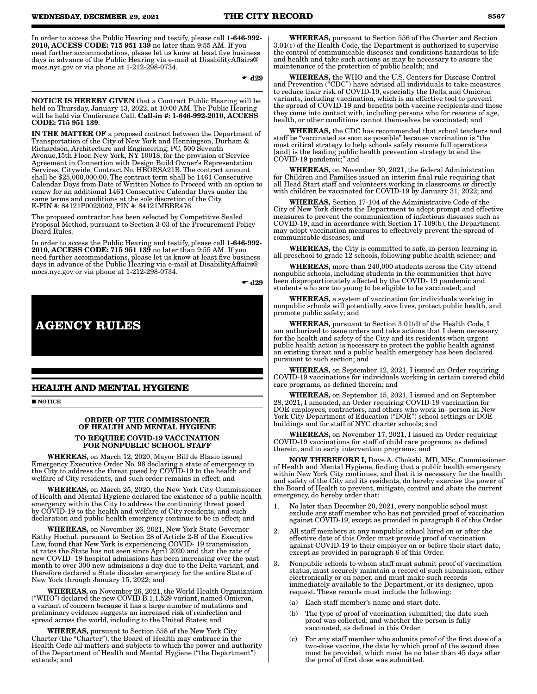In order to access the Public Hearing and testify, please call 1-646-992- 2010, ACCESS CODE: 715 951 139 no later than 9:55 AM. If you need further accommodations, please let us know at least five business days in advance of the Public Hearing via e-mail at DisabilityAffairs@ mocs.nyc.gov or via phone at 1-212-298-0734.

 $\bullet$  d29

NOTICE IS HEREBY GIVEN that a Contract Public Hearing will be held on Thursday, January 13, 2022, at 10:00 AM. The Public Hearing will be held via Conference Call. Call-in #: 1-646-992-2010, ACCESS CODE: 715 951 139.

IN THE MATTER OF a proposed contract between the Department of Transportation of the City of New York and Henningson, Durham & Richardson, Architecture and Engineering, PC, 500 Seventh Avenue,15th Floor, New York, NY 10018, for the provision of Service Agreement in Connection with Design Build Owner's Representation Services, Citywide. Contract No. HBORSA21B. The contract amount shall be \$25,000,000.00. The contract term shall be 1461 Consecutive Calendar Days from Date of Written Notice to Proceed with an option to renew for an additional 1461 Consecutive Calendar Days under the same terms and conditions at the sole discretion of the City. E-PIN #: 84121P0023002, PIN #: 84121MBBR476.

The proposed contractor has been selected by Competitive Sealed Proposal Method, pursuant to Section 3-03 of the Procurement Policy Board Rules.

In order to access the Public Hearing and testify, please call 1-646-992- 2010, ACCESS CODE: 715 951 139 no later than 9:55 AM. If you need further accommodations, please let us know at least five business days in advance of the Public Hearing via e-mail at DisabilityAffairs@ mocs.nyc.gov or via phone at 1-212-298-0734.

 $\div$  d29

**AGENCY RULES**

## **HEALTH AND MENTAL HYGIENE**

**NOTICE** 

## ORDER OF THE COMMISSIONER OF HEALTH AND MENTAL HYGIENE TO REQUIRE COVID-19 VACCINATION FOR NONPUBLIC SCHOOL STAFF

WHEREAS, on March 12, 2020, Mayor Bill de Blasio issued Emergency Executive Order No. 98 declaring a state of emergency in the City to address the threat posed by COVID-19 to the health and welfare of City residents, and such order remains in effect; and

WHEREAS, on March 25, 2020, the New York City Commissioner of Health and Mental Hygiene declared the existence of a public health emergency within the City to address the continuing threat posed by COVID-19 to the health and welfare of City residents, and such declaration and public health emergency continue to be in effect; and

WHEREAS, on November 26, 2021, New York State Governor Kathy Hochul, pursuant to Section 28 of Article 2-B of the Executive Law, found that New York is experiencing COVID- 19 transmission at rates the State has not seen since April 2020 and that the rate of new COVID- 19 hospital admissions has been increasing over the past month to over 300 new admissions a day due to the Delta variant, and therefore declared a State disaster emergency for the entire State of New York through January 15, 2022; and

WHEREAS, on November 26, 2021, the World Health Organization ("WHO") declared the new COVID B.1.1.529 variant, named Omicron, a variant of concern because it has a large number of mutations and preliminary evidence suggests an increased risk of reinfection and spread across the world, including to the United States; and

WHEREAS, pursuant to Section 558 of the New York City Charter (the "Charter"), the Board of Health may embrace in the Health Code all matters and subjects to which the power and authority of the Department of Health and Mental Hygiene ("the Department") extends; and

WHEREAS, pursuant to Section 556 of the Charter and Section 3.01(c) of the Health Code, the Department is authorized to supervise the control of communicable diseases and conditions hazardous to life and health and take such actions as may be necessary to assure the maintenance of the protection of public health; and

WHEREAS, the WHO and the U.S. Centers for Disease Control and Prevention ("CDC") have advised all individuals to take measures to reduce their risk of COVID-19, especially the Delta and Omicron variants, including vaccination, which is an effective tool to prevent the spread of COVID-19 and benefits both vaccine recipients and those they come into contact with, including persons who for reasons of age, health, or other conditions cannot themselves be vaccinated; and

WHEREAS, the CDC has recommended that school teachers and staff be "vaccinated as soon as possible" because vaccination is "the most critical strategy to help schools safely resume full operations [and] is the leading public health prevention strategy to end the COVID-19 pandemic;" and

WHEREAS, on November 30, 2021, the federal Administration for Children and Families issued an interim final rule requiring that all Head Start staff and volunteers working in classrooms or directly with children be vaccinated for COVID-19 by January 31, 2022; and

WHEREAS, Section 17-104 of the Administrative Code of the City of New York directs the Department to adopt prompt and effective measures to prevent the communication of infectious diseases such as COVID-19, and in accordance with Section 17-109(b), the Department may adopt vaccination measures to effectively prevent the spread of communicable diseases; and

WHEREAS, the City is committed to safe, in-person learning in all preschool to grade 12 schools, following public health science; and

WHEREAS, more than 240,000 students across the City attend nonpublic schools, including students in the communities that have been disproportionately affected by the COVID- 19 pandemic and students who are too young to be eligible to be vaccinated; and

WHEREAS, a system of vaccination for individuals working in nonpublic schools will potentially save lives, protect public health, and promote public safety; and

WHEREAS, pursuant to Section 3.01(d) of the Health Code, I am authorized to issue orders and take actions that I deem necessary for the health and safety of the City and its residents when urgent public health action is necessary to protect the public health against an existing threat and a public health emergency has been declared pursuant to such section; and

WHEREAS, on September 12, 2021, I issued an Order requiring COVID-19 vaccinations for individuals working in certain covered child care programs, as defined therein; and

WHEREAS, on September 15, 2021, I issued and on September 28, 2021, I amended, an Order requiring COVID-19 vaccination for DOE employees, contractors, and others who work in- person in New York City Department of Education ("DOE") school settings or DOE buildings and for staff of NYC charter schools; and

WHEREAS, on November 17, 2021, I issued an Order requiring COVID-19 vaccinations for staff of child care programs, as defined therein, and in early intervention programs; and

NOW THEREFORE I, Dave A. Chokshi, MD, MSc, Commissioner of Health and Mental Hygiene, finding that a public health emergency within New York City continues, and that it is necessary for the health and safety of the City and its residents, do hereby exercise the power of the Board of Health to prevent, mitigate, control and abate the current emergency, do hereby order that:

- 1. No later than December 20, 2021, every nonpublic school must exclude any staff member who has not provided proof of vaccination against COVID-19, except as provided in paragraph 6 of this Order.
- 2. All staff members at any nonpublic school hired on or after the effective date of this Order must provide proof of vaccination against COVID-19 to their employer on or before their start date, except as provided in paragraph 6 of this Order.
- 3. Nonpublic schools to whom staff must submit proof of vaccination status, must securely maintain a record of such submission, either electronically or on paper, and must make such records immediately available to the Department, or its designee, upon request. These records must include the following:
	- (a) Each staff member's name and start date.
	- (b) The type of proof of vaccination submitted; the date such proof was collected; and whether the person is fully vaccinated, as defined in this Order.
	- (c) For any staff member who submits proof of the first dose of a two-dose vaccine, the date by which proof of the second dose must be provided, which must be no later than 45 days after the proof of first dose was submitted.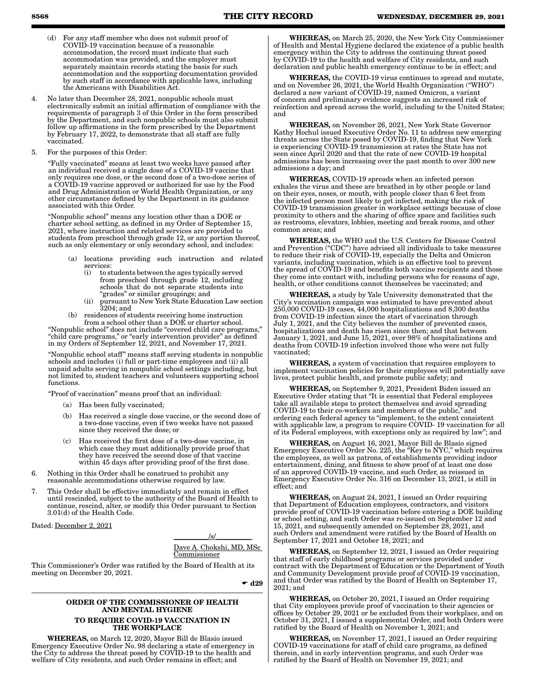- (d) For any staff member who does not submit proof of COVID-19 vaccination because of a reasonable accommodation, the record must indicate that such accommodation was provided, and the employer must separately maintain records stating the basis for such accommodation and the supporting documentation provided by such staff in accordance with applicable laws, including the Americans with Disabilities Act.
- No later than December 28, 2021, nonpublic schools must electronically submit an initial affirmation of compliance with the requirements of paragraph 3 of this Order in the form prescribed by the Department, and such nonpublic schools must also submit follow up affirmations in the form prescribed by the Department by February 17, 2022, to demonstrate that all staff are fully vaccinated.
- 5. For the purposes of this Order:

"Fully vaccinated" means at least two weeks have passed after an individual received a single dose of a COVID-19 vaccine that only requires one dose, or the second dose of a two-dose series of a COVID-19 vaccine approved or authorized for use by the Food and Drug Administration or World Health Organization, or any other circumstance defined by the Department in its guidance associated with this Order.

"Nonpublic school" means any location other than a DOE or charter school setting, as defined in my Order of September 15, 2021, where instruction and related services are provided to students from preschool through grade 12, or any portion thereof, such as only elementary or only secondary school, and includes:

- (a) locations providing such instruction and related services:<br>(i) to st
	- to students between the ages typically served from preschool through grade 12, including schools that do not separate students into "grades" or similar groupings; and
	- (ii) pursuant to New York State Education Law section 3204; and
- (b) residences of students receiving home instruction from a school other than a DOE or charter school.

"Nonpublic school" does not include "covered child care programs," "child care programs," or "early intervention provider" as defined in my Orders of September 12, 2021, and November 17, 2021.

"Nonpublic school staff" means staff serving students in nonpublic schools and includes (i) full or part-time employees and (ii) all unpaid adults serving in nonpublic school settings including, but not limited to, student teachers and volunteers supporting school functions.

"Proof of vaccination" means proof that an individual:

- (a) Has been fully vaccinated;
- (b) Has received a single dose vaccine, or the second dose of a two-dose vaccine, even if two weeks have not passed since they received the dose; or
- Has received the first dose of a two-dose vaccine, in which case they must additionally provide proof that they have received the second dose of that vaccine within 45 days after providing proof of the first dose.
- 6. Nothing in this Order shall be construed to prohibit any reasonable accommodations otherwise required by law.
- 7. This Order shall be effective immediately and remain in effect until rescinded, subject to the authority of the Board of Health to continue, rescind, alter, or modify this Order pursuant to Section 3.01(d) of the Health Code.

Dated: December 2, 2021

 $\sqrt{s}$ / Dave A. Chokshi, MD, MSc Commissioner

This Commissioner's Order was ratified by the Board of Health at its meeting on December 20, 2021.

 $\bullet$  d29

## ORDER OF THE COMMISSIONER OF HEALTH AND MENTAL HYGIENE

## TO REQUIRE COVID-19 VACCINATION IN THE WORKPLACE

WHEREAS, on March 12, 2020, Mayor Bill de Blasio issued Emergency Executive Order No. 98 declaring a state of emergency in the City to address the threat posed by COVID-19 to the health and welfare of City residents, and such Order remains in effect; and

WHEREAS, on March 25, 2020, the New York City Commissioner of Health and Mental Hygiene declared the existence of a public health emergency within the City to address the continuing threat posed by COVID-19 to the health and welfare of City residents, and such declaration and public health emergency continue to be in effect; and

WHEREAS, the COVID-19 virus continues to spread and mutate, and on November 26, 2021, the World Health Organization ("WHO") declared a new variant of COVID-19, named Omicron, a variant of concern and preliminary evidence suggests an increased risk of reinfection and spread across the world, including to the United States; and

WHEREAS, on November 26, 2021, New York State Governor Kathy Hochul issued Executive Order No. 11 to address new emerging threats across the State posed by COVID-19, finding that New York is experiencing COVID-19 transmission at rates the State has not seen since April 2020 and that the rate of new COVID-19 hospital admissions has been increasing over the past month to over 300 new admissions a day; and

WHEREAS, COVID-19 spreads when an infected person exhales the virus and these are breathed in by other people or land on their eyes, noses, or mouth, with people closer than 6 feet from the infected person most likely to get infected, making the risk of COVID-19 transmission greater in workplace settings because of close proximity to others and the sharing of office space and facilities such as restrooms, elevators, lobbies, meeting and break rooms, and other common areas; and

WHEREAS, the WHO and the U.S. Centers for Disease Control and Prevention ("CDC") have advised all individuals to take measures to reduce their risk of COVID-19, especially the Delta and Omicron variants, including vaccination, which is an effective tool to prevent the spread of COVID-19 and benefits both vaccine recipients and those they come into contact with, including persons who for reasons of age, health, or other conditions cannot themselves be vaccinated; and

WHEREAS, a study by Yale University demonstrated that the City's vaccination campaign was estimated to have prevented about 250,000 COVID-19 cases, 44,000 hospitalizations and 8,300 deaths from COVID-19 infection since the start of vaccination through July 1, 2021, and the City believes the number of prevented cases, hospitalizations and death has risen since then; and that between January 1, 2021, and June 15, 2021, over 98% of hospitalizations and deaths from COVID-19 infection involved those who were not fully vaccinated;

WHEREAS, a system of vaccination that requires employers to implement vaccination policies for their employees will potentially save lives, protect public health, and promote public safety; and

WHEREAS, on September 9, 2021, President Biden issued an Executive Order stating that "It is essential that Federal employees take all available steps to protect themselves and avoid spreading COVID-19 to their co-workers and members of the public," and ordering each federal agency to "implement, to the extent consistent with applicable law, a program to require COVID- 19 vaccination for all of its Federal employees, with exceptions only as required by law"; and

WHEREAS, on August 16, 2021, Mayor Bill de Blasio signed Emergency Executive Order No. 225, the "Key to NYC," which requires the employees, as well as patrons, of establishments providing indoor entertainment, dining, and fitness to show proof of at least one dose of an approved COVID-19 vaccine, and such Order, as reissued in Emergency Executive Order No. 316 on December 13, 2021, is still in effect; and

WHEREAS, on August 24, 2021, I issued an Order requiring that Department of Education employees, contractors, and visitors provide proof of COVID-19 vaccination before entering a DOE building or school setting, and such Order was re-issued on September 12 and 15, 2021, and subsequently amended on September 28, 2021, and such Orders and amendment were ratified by the Board of Health on September 17, 2021 and October 18, 2021; and

WHEREAS, on September 12, 2021, I issued an Order requiring that staff of early childhood programs or services provided under contract with the Department of Education or the Department of Youth and Community Development provide proof of COVID-19 vaccination, and that Order was ratified by the Board of Health on September 17, 2021; and

WHEREAS, on October 20, 2021, I issued an Order requiring that City employees provide proof of vaccination to their agencies or offices by October 29, 2021 or be excluded from their workplace, and on October 31, 2021, I issued a supplemental Order, and both Orders were ratified by the Board of Health on November 1, 2021; and

WHEREAS, on November 17, 2021, I issued an Order requiring COVID-19 vaccinations for staff of child care programs, as defined therein, and in early intervention programs, and such Order was ratified by the Board of Health on November 19, 2021; and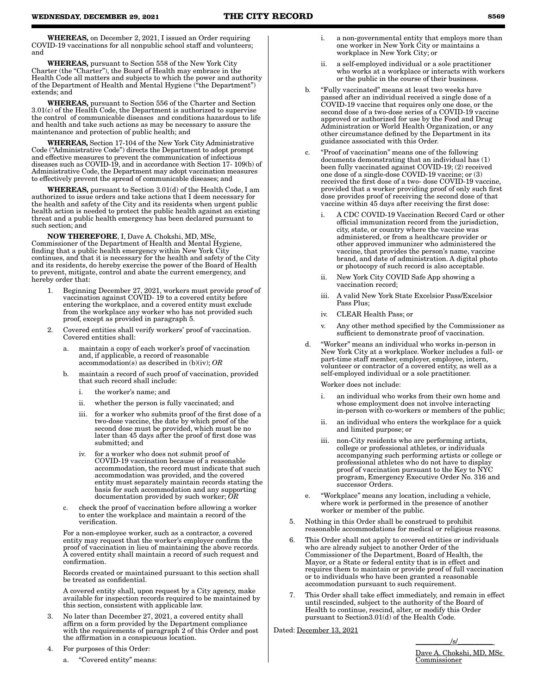WHEREAS, on December 2, 2021, I issued an Order requiring COVID-19 vaccinations for all nonpublic school staff and volunteers; and

WHEREAS, pursuant to Section 558 of the New York City Charter (the "Charter"), the Board of Health may embrace in the Health Code all matters and subjects to which the power and authority of the Department of Health and Mental Hygiene ("the Department") extends; and

WHEREAS, pursuant to Section 556 of the Charter and Section 3.01(c) of the Health Code, the Department is authorized to supervise the control of communicable diseases and conditions hazardous to life and health and take such actions as may be necessary to assure the maintenance and protection of public health; and

WHEREAS, Section 17-104 of the New York City Administrative Code ("Administrative Code") directs the Department to adopt prompt and effective measures to prevent the communication of infectious diseases such as COVID-19, and in accordance with Section 17- 109(b) of Administrative Code, the Department may adopt vaccination measures to effectively prevent the spread of communicable diseases; and

WHEREAS, pursuant to Section 3.01(d) of the Health Code, I am authorized to issue orders and take actions that I deem necessary for the health and safety of the City and its residents when urgent public health action is needed to protect the public health against an existing threat and a public health emergency has been declared pursuant to such section; and

NOW THEREFORE, I, Dave A. Chokshi, MD, MSc, Commissioner of the Department of Health and Mental Hygiene, finding that a public health emergency within New York City continues, and that it is necessary for the health and safety of the City and its residents, do hereby exercise the power of the Board of Health to prevent, mitigate, control and abate the current emergency, and hereby order that:

- 1. Beginning December 27, 2021, workers must provide proof of vaccination against COVID- 19 to a covered entity before entering the workplace, and a covered entity must exclude from the workplace any worker who has not provided such proof, except as provided in paragraph 5.
- 2. Covered entities shall verify workers' proof of vaccination. Covered entities shall:
	- maintain a copy of each worker's proof of vaccination and, if applicable, a record of reasonable accommodation(s) as described in (b)(iv); *OR*
	- b. maintain a record of such proof of vaccination, provided that such record shall include:
		- i. the worker's name; and
		- ii. whether the person is fully vaccinated; and
		- iii. for a worker who submits proof of the first dose of a two-dose vaccine, the date by which proof of the second dose must be provided, which must be no later than 45 days after the proof of first dose was submitted; and
		- iv. for a worker who does not submit proof of COVID-19 vaccination because of a reasonable accommodation, the record must indicate that such accommodation was provided, and the covered entity must separately maintain records stating the basis for such accommodation and any supporting documentation provided by such worker; *OR*
	- c. check the proof of vaccination before allowing a worker to enter the workplace and maintain a record of the verification.

For a non-employee worker, such as a contractor, a covered entity may request that the worker's employer confirm the proof of vaccination in lieu of maintaining the above records. A covered entity shall maintain a record of such request and confirmation.

Records created or maintained pursuant to this section shall be treated as confidential.

A covered entity shall, upon request by a City agency, make available for inspection records required to be maintained by this section, consistent with applicable law.

- 3. No later than December 27, 2021, a covered entity shall affirm on a form provided by the Department compliance with the requirements of paragraph 2 of this Order and post the affirmation in a conspicuous location.
- 4. For purposes of this Order:
	- a. "Covered entity" means:
- i. a non-governmental entity that employs more than one worker in New York City or maintains a workplace in New York City; or
- ii. a self-employed individual or a sole practitioner who works at a workplace or interacts with workers or the public in the course of their business.
- b. "Fully vaccinated" means at least two weeks have passed after an individual received a single dose of a COVID-19 vaccine that requires only one dose, or the second dose of a two-dose series of a COVID-19 vaccine approved or authorized for use by the Food and Drug Administration or World Health Organization, or any other circumstance defined by the Department in its guidance associated with this Order.
- c. "Proof of vaccination" means one of the following documents demonstrating that an individual has (1) been fully vaccinated against COVID-19; (2) received one dose of a single-dose COVID-19 vaccine; or (3) received the first dose of a two- dose COVID-19 vaccine, provided that a worker providing proof of only such first dose provides proof of receiving the second dose of that vaccine within 45 days after receiving the first dose:
	- i. A CDC COVID-19 Vaccination Record Card or other official immunization record from the jurisdiction, city, state, or country where the vaccine was administered, or from a healthcare provider or other approved immunizer who administered the vaccine, that provides the person's name, vaccine brand, and date of administration. A digital photo or photocopy of such record is also acceptable.
	- ii. New York City COVID Safe App showing a vaccination record;
	- iii. A valid New York State Excelsior Pass/Excelsior Pass Plus;
	- iv. CLEAR Health Pass; or
	- v. Any other method specified by the Commissioner as sufficient to demonstrate proof of vaccination.
- d. "Worker" means an individual who works in-person in New York City at a workplace. Worker includes a full- or part-time staff member, employer, employee, intern, volunteer or contractor of a covered entity, as well as a self-employed individual or a sole practitioner.

Worker does not include:

- i. an individual who works from their own home and whose employment does not involve interacting in-person with co-workers or members of the public;
- ii. an individual who enters the workplace for a quick and limited purpose; or
- iii. non-City residents who are performing artists, college or professional athletes, or individuals accompanying such performing artists or college or professional athletes who do not have to display proof of vaccination pursuant to the Key to NYC program, Emergency Executive Order No. 316 and successor Orders.
- e. "Workplace" means any location, including a vehicle, where work is performed in the presence of another worker or member of the public.
- 5. Nothing in this Order shall be construed to prohibit reasonable accommodations for medical or religious reasons.
- 6. This Order shall not apply to covered entities or individuals who are already subject to another Order of the Commissioner of the Department, Board of Health, the Mayor, or a State or federal entity that is in effect and requires them to maintain or provide proof of full vaccination or to individuals who have been granted a reasonable accommodation pursuant to such requirement.
- 7. This Order shall take effect immediately, and remain in effect until rescinded, subject to the authority of the Board of Health to continue, rescind, alter, or modify this Order pursuant to Section3.01(d) of the Health Code.

Dated: December 13, 2021

 $\sqrt{s/2}$ Dave A. Chokshi, MD, MSc Commissioner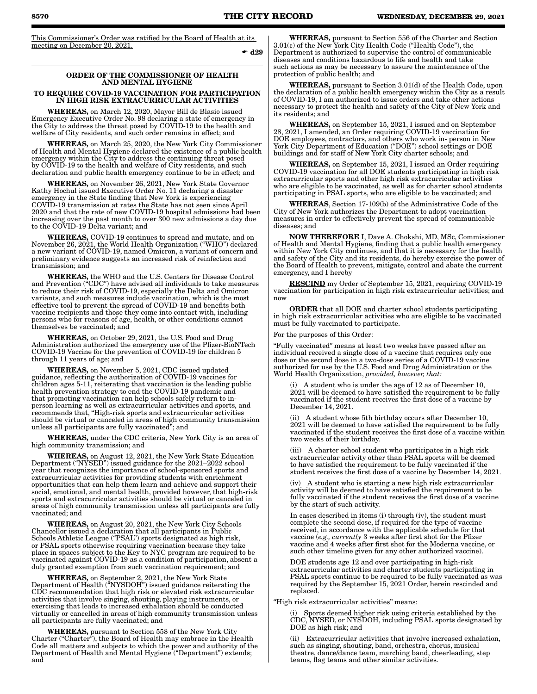This Commissioner's Order was ratified by the Board of Health at its meeting on December 20, 2021.

 $\bullet$  d29

## ORDER OF THE COMMISSIONER OF HEALTH AND MENTAL HYGIENE

### TO REQUIRE COVID-19 VACCINATION FOR PARTICIPATION IN HIGH RISK EXTRACURRICULAR ACTIVITIES

WHEREAS, on March 12, 2020, Mayor Bill de Blasio issued Emergency Executive Order No. 98 declaring a state of emergency in the City to address the threat posed by COVID-19 to the health and welfare of City residents, and such order remains in effect; and

WHEREAS, on March 25, 2020, the New York City Commissioner of Health and Mental Hygiene declared the existence of a public health emergency within the City to address the continuing threat posed by COVID-19 to the health and welfare of City residents, and such declaration and public health emergency continue to be in effect; and

WHEREAS, on November 26, 2021, New York State Governor Kathy Hochul issued Executive Order No. 11 declaring a disaster emergency in the State finding that New York is experiencing COVID-19 transmission at rates the State has not seen since April 2020 and that the rate of new COVID-19 hospital admissions had been increasing over the past month to over 300 new admissions a day due to the COVID-19 Delta variant; and

WHEREAS, COVID-19 continues to spread and mutate, and on November 26, 2021, the World Health Organization ("WHO") declared a new variant of COVID-19, named Omicron, a variant of concern and preliminary evidence suggests an increased risk of reinfection and transmission; and

WHEREAS, the WHO and the U.S. Centers for Disease Control and Prevention ("CDC") have advised all individuals to take measures to reduce their risk of COVID-19, especially the Delta and Omicron variants, and such measures include vaccination, which is the most effective tool to prevent the spread of COVID-19 and benefits both vaccine recipients and those they come into contact with, including persons who for reasons of age, health, or other conditions cannot themselves be vaccinated; and

EREAS, on October 29, 2021, the U.S. Food and Drug Administration authorized the emergency use of the Pfizer-BioNTech COVID-19 Vaccine for the prevention of COVID-19 for children 5 through 11 years of age; and

WHEREAS, on November 5, 2021, CDC issued updated guidance, reflecting the authorization of COVID-19 vaccines for children ages 5-11, reiterating that vaccination is the leading public health prevention strategy to end the COVID-19 pandemic and that promoting vaccination can help schools safely return to inperson learning as well as extracurricular activities and sports, and recommends that, "High-risk sports and extracurricular activities should be virtual or canceled in areas of high community transmission unless all participants are fully vaccinated"; and

WHEREAS, under the CDC criteria, New York City is an area of high community transmission; and

WHEREAS, on August 12, 2021, the New York State Education Department ("NYSED") issued guidance for the 2021–2022 school year that recognizes the importance of school-sponsored sports and extracurricular activities for providing students with enrichment opportunities that can help them learn and achieve and support their social, emotional, and mental health, provided however, that high-risk sports and extracurricular activities should be virtual or canceled in areas of high community transmission unless all participants are fully vaccinated; and

WHEREAS, on August 20, 2021, the New York City Schools Chancellor issued a declaration that all participants in Public Schools Athletic League ("PSAL") sports designated as high risk, or PSAL sports otherwise requiring vaccination because they take place in spaces subject to the Key to NYC program are required to be vaccinated against COVID-19 as a condition of participation, absent a duly granted exemption from such vaccination requirement; and

EREAS, on September 2, 2021, the New York State Department of Health ("NYSDOH") issued guidance reiterating the CDC recommendation that high risk or elevated risk extracurricular activities that involve singing, shouting, playing instruments, or exercising that leads to increased exhalation should be conducted virtually or cancelled in areas of high community transmission unless all participants are fully vaccinated; and

WHEREAS, pursuant to Section 558 of the New York City Charter ("Charter"), the Board of Health may embrace in the Health Code all matters and subjects to which the power and authority of the Department of Health and Mental Hygiene ("Department") extends; and

WHEREAS, pursuant to Section 556 of the Charter and Section 3.01(c) of the New York City Health Code ("Health Code"), the Department is authorized to supervise the control of communicable diseases and conditions hazardous to life and health and take such actions as may be necessary to assure the maintenance of the protection of public health; and

WHEREAS, pursuant to Section 3.01(d) of the Health Code, upon the declaration of a public health emergency within the City as a result of COVID-19, I am authorized to issue orders and take other actions necessary to protect the health and safety of the City of New York and its residents; and

WHEREAS, on September 15, 2021, I issued and on September 28, 2021, I amended, an Order requiring COVID-19 vaccination for DOE employees, contractors, and others who work in- person in New York City Department of Education ("DOE") school settings or DOE buildings and for staff of New York City charter schools; and

WHEREAS, on September 15, 2021, I issued an Order requiring COVID-19 vaccination for all DOE students participating in high risk extracurricular sports and other high risk extracurricular activities who are eligible to be vaccinated, as well as for charter school students participating in PSAL sports, who are eligible to be vaccinated; and

WHEREAS, Section 17-109(b) of the Administrative Code of the City of New York authorizes the Department to adopt vaccination measures in order to effectively prevent the spread of communicable diseases; and

NOW THEREFORE I, Dave A. Chokshi, MD, MSc, Commissioner of Health and Mental Hygiene, finding that a public health emergency within New York City continues, and that it is necessary for the health and safety of the City and its residents, do hereby exercise the power of the Board of Health to prevent, mitigate, control and abate the current emergency, and I hereby

RESCIND my Order of September 15, 2021, requiring COVID-19 vaccination for participation in high risk extracurricular activities; and now

ORDER that all DOE and charter school students participating in high risk extracurricular activities who are eligible to be vaccinated must be fully vaccinated to participate.

For the purposes of this Order:

"Fully vaccinated" means at least two weeks have passed after an individual received a single dose of a vaccine that requires only one dose or the second dose in a two-dose series of a COVID-19 vaccine authorized for use by the U.S. Food and Drug Administration or the World Health Organization, *provided, however, that:*

A student who is under the age of 12 as of December 10, 2021 will be deemed to have satisfied the requirement to be fully vaccinated if the student receives the first dose of a vaccine by December 14, 2021.

(ii) A student whose 5th birthday occurs after December 10, 2021 will be deemed to have satisfied the requirement to be fully vaccinated if the student receives the first dose of a vaccine within two weeks of their birthday.

(iii) A charter school student who participates in a high risk extracurricular activity other than PSAL sports will be deemed to have satisfied the requirement to be fully vaccinated if the student receives the first dose of a vaccine by December 14, 2021.

(iv) A student who is starting a new high risk extracurricular activity will be deemed to have satisfied the requirement to be fully vaccinated if the student receives the first dose of a vaccine by the start of such activity.

In cases described in items (i) through (iv), the student must complete the second dose, if required for the type of vaccine received, in accordance with the applicable schedule for that vaccine (*e.g., currently* 3 weeks after first shot for the Pfizer vaccine and 4 weeks after first shot for the Moderna vaccine, or such other timeline given for any other authorized vaccine).

DOE students age 12 and over participating in high-risk extracurricular activities and charter students participating in PSAL sports continue to be required to be fully vaccinated as was required by the September 15, 2021 Order, herein rescinded and replaced.

"High risk extracurricular activities" means:

(i) Sports deemed higher risk using criteria established by the CDC, NYSED, or NYSDOH, including PSAL sports designated by DOE as high risk; and

(ii) Extracurricular activities that involve increased exhalation, such as singing, shouting, band, orchestra, chorus, musical theatre, dance/dance team, marching band, cheerleading, step teams, flag teams and other similar activities.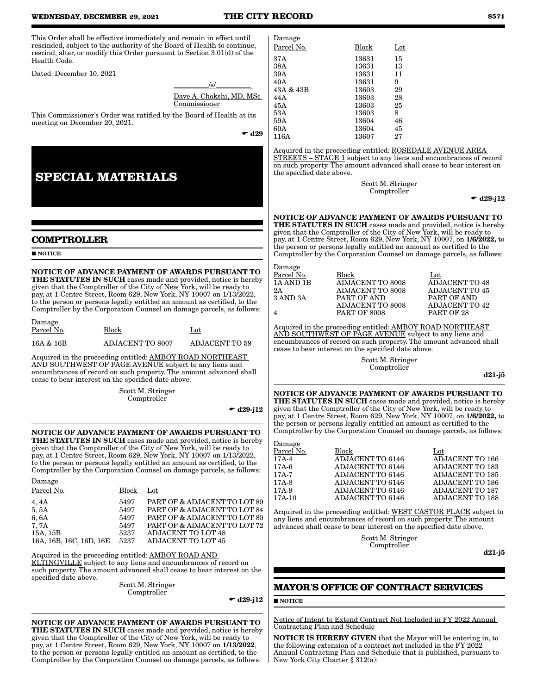#### **WEDNESDAY, DECEMBER 29, 2021 THE CITY RECORD 8571**

This Order shall be effective immediately and remain in effect until rescinded, subject to the authority of the Board of Health to continue, rescind, alter, or modify this Order pursuant to Section 3.01(d) of the Health Code.

Dated: December 10, 2021

| /s/                             |
|---------------------------------|
| <u>Dave A. Chokshi, MD, MSc</u> |
| Commissioner                    |
|                                 |

This Commissioner's Order was ratified by the Board of Health at its meeting on December 20, 2021.

 $\bullet$  d29

# **SPECIAL MATERIALS**

## **COMPTROLLER**

**NOTICE** 

Damage

Damage

NOTICE OF ADVANCE PAYMENT OF AWARDS PURSUANT TO THE STATUTES IN SUCH cases made and provided, notice is hereby given that the Comptroller of the City of New York, will be ready to pay, at 1 Centre Street, Room 629, New York, NY 10007 on 1/13/2022, to the person or persons legally entitled an amount as certified, to the Comptroller by the Corporation Counsel on damage parcels, as follows:

| рашаде<br>Parcel No. | Block                   | $_{\rm Lot}$          |
|----------------------|-------------------------|-----------------------|
| 16A & 16B            | <b>ADJACENT TO 8007</b> | <b>ADJACENT TO 59</b> |

Acquired in the proceeding entitled: AMBOY ROAD NORTHEAST AND SOUTHWEST OF PAGE AVENUE subject to any liens and encumbrances of record on such property. The amount advanced shall cease to bear interest on the specified date above.

> Scott M. Stringer Comptroller

> > $\bullet$  d29-j12

NOTICE OF ADVANCE PAYMENT OF AWARDS PURSUANT TO THE STATUTES IN SUCH cases made and provided, notice is hereby given that the Comptroller of the City of New York, will be ready to pay, at 1 Centre Street, Room 629, New York, NY 10007 on 1/13/2022, to the person or persons legally entitled an amount as certified, to the Comptroller by the Corporation Counsel on damage parcels, as follows:

| рашаgе                  |       |                              |
|-------------------------|-------|------------------------------|
| Parcel No.              | Block | $_{\rm Lot}$                 |
| 4, 4A                   | 5497  | PART OF & ADJACENT TO LOT 89 |
| 5,5A                    | 5497  | PART OF & ADJACENT TO LOT 84 |
| 6, 6A                   | 5497  | PART OF & ADJACENT TO LOT 80 |
| 7. 7A                   | 5497  | PART OF & ADJACENT TO LOT 72 |
| 15A, 15B                | 5237  | <b>ADJACENT TO LOT 48</b>    |
| 16A, 16B, 16C, 16D, 16E | 5237  | <b>ADJACENT TO LOT 45</b>    |

Acquired in the proceeding entitled: AMBOY ROAD AND ELTINGVILLE subject to any liens and encumbrances of record on such property. The amount advanced shall cease to bear interest on the specified date above.

Scott M. Stringer Comptroller

 $\bullet$  d<sub>29</sub>-i12

NOTICE OF ADVANCE PAYMENT OF AWARDS PURSUANT TO THE STATUTES IN SUCH cases made and provided, notice is hereby given that the Comptroller of the City of New York, will be ready to pay, at 1 Centre Street, Room 629, New York, NY 10007 on 1/13/2022, to the person or persons legally entitled an amount as certified, to the Comptroller by the Corporation Counsel on damage parcels, as follows:

| Damage     |              |     |
|------------|--------------|-----|
| Parcel No. | <b>Block</b> | Lot |
| 37 A       | 13631        | 15  |
| 38A        | 13631        | 13  |
| 39A        | 13631        | 11  |
| 40A        | 13631        | 9   |
| 43A & 43B  | 13603        | 29  |
| 44 A       | 13603        | 28  |
| 45A        | 13603        | 25  |
| 53A        | 13603        | 8   |
| 59A        | 13604        | 46  |
| 60A        | 13604        | 45  |
| 116A       | 13607        | 27  |
|            |              |     |

Acquired in the proceeding entitled: ROSEDALE AVENUE AREA STREETS – STAGE 1 subject to any liens and encumbrances of record on such property. The amount advanced shall cease to bear interest on the specified date above.

> Scott M. Stringer Comptroller

 $\bullet$  d29-j12

NOTICE OF ADVANCE PAYMENT OF AWARDS PURSUANT TO THE STATUTES IN SUCH cases made and provided, notice is hereby given that the Comptroller of the City of New York, will be ready to pay, at 1 Centre Street, Room 629, New York, NY 10007, on 1/6/2022, to the person or persons legally entitled an amount as certified to the Comptroller by the Corporation Counsel on damage parcels, as follows:

| Damage     |                         |                       |
|------------|-------------------------|-----------------------|
| Parcel No. | Block                   | $_{\rm Lot}$          |
| 1A AND 1B  | ADJACENT TO 8008        | <b>ADJACENT TO 48</b> |
| 2Α         | <b>ADJACENT TO 8008</b> | <b>ADJACENT TO 45</b> |
| 3 AND 3A   | PART OF AND             | PART OF AND           |
|            | ADJACENT TO 8008        | ADJACENT TO 42        |
| 4          | <b>PART OF 8008</b>     | PART OF 28            |
|            |                         |                       |

Acquired in the proceeding entitled: AMBOY ROAD NORTHEAST AND SOUTHWEST OF PAGE AVENUE subject to any liens and encumbrances of record on such property. The amount advanced shall cease to bear interest on the specified date above.

> Scott M. Stringer Comptroller

d21-j5

NOTICE OF ADVANCE PAYMENT OF AWARDS PURSUANT TO THE STATUTES IN SUCH cases made and provided, notice is hereby given that the Comptroller of the City of New York, will be ready to pay, at 1 Centre Street, Room 629, New York, NY 10007, on 1/6/2022, to the person or persons legally entitled an amount as certified to the Comptroller by the Corporation Counsel on damage parcels, as follows:

| Damage     |                         |                        |
|------------|-------------------------|------------------------|
| Parcel No. | Block                   | $_{\rm Lot}$           |
| 17A-4      | <b>ADJACENT TO 6146</b> | <b>ADJACENT TO 166</b> |
| $17A-6$    | ADJACENT TO 6146        | <b>ADJACENT TO 183</b> |
| $17A-7$    | <b>ADJACENT TO 6146</b> | <b>ADJACENT TO 185</b> |
| $17A-8$    | ADJACENT TO 6146        | ADJACENT TO 186        |
| $17A-9$    | <b>ADJACENT TO 6146</b> | <b>ADJACENT TO 187</b> |
| $17A-10$   | ADJACENT TO 6146        | <b>ADJACENT TO 188</b> |
|            |                         |                        |

Acquired in the proceeding entitled: WEST CASTOR PLACE subject to any liens and encumbrances of record on such property. The amount advanced shall cease to bear interest on the specified date above.

> Scott M. Stringer Comptroller

d21-j5

## **MAYOR'S OFFICE OF CONTRACT SERVICES**

## **NOTICE**

Notice of Intent to Extend Contract Not Included in FY 2022 Annual Contracting Plan and Schedule

NOTICE IS HEREBY GIVEN that the Mayor will be entering in, to the following extension of a contract not included in the FY 2022 Annual Contracting Plan and Schedule that is published, pursuant to New York City Charter § 312(a):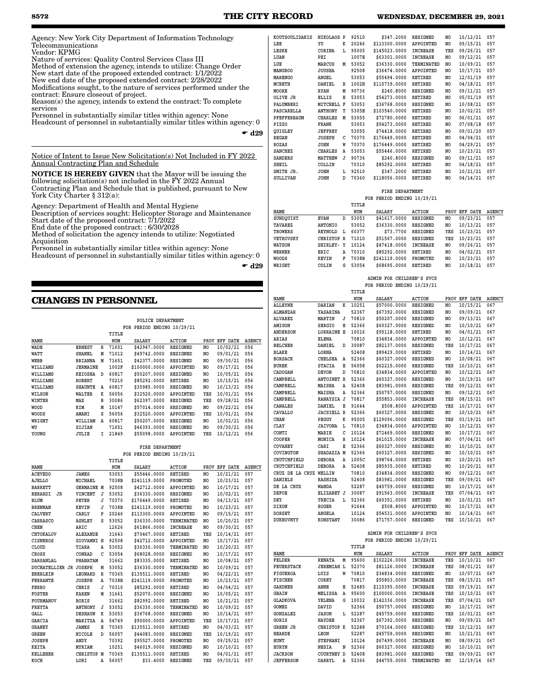## **8572 THE CITY RECORD WEDNESDAY, DECEMBER 29, 2021**

Agency: New York City Department of Information Technology Telecommunications Vendor: KPMG

Nature of services: Quality Control Services Class III Method of extension the agency, intends to utilize: Change Order New start date of the proposed extended contract: 1/1/2022 New end date of the proposed extended contract: 2/28/2022 Modifications sought, to the nature of services performed under the contract: Ensure closeout of project. Reason(s) the agency, intends to extend the contract: To complete

services Personnel in substantially similar titles within agency: None

Headcount of personnel in substantially similar titles within agency: 0

 $\bullet$  d29

Notice of Intent to Issue New Solicitation(s) Not Included in FY 2022 Annual Contracting Plan and Schedule

NOTICE IS HEREBY GIVEN that the Mayor will be issuing the following solicitation(s) not included in the FY 2022 Annual Contracting Plan and Schedule that is published, pursuant to New York City Charter § 312(a):

Agency: Department of Health and Mental Hygiene Description of services sought: Helicopter Storage and Maintenance Start date of the proposed contract: 7/1/2022

End date of the proposed contract: : 6/30/2028 Method of solicitation the agency intends to utilize: Negotiated Acquisition

Personnel in substantially similar titles within agency: None Headcount of personnel in substantially similar titles within agency: 0

 $\bullet$  d29

## **CHANGES IN PERSONNEL**

|  | POLICE DEPARTMENT |                            |
|--|-------------------|----------------------------|
|  |                   | FOR PERIOD ENDING 10/29/21 |

|              |                |    | TITLE |               |                 |      |          |               |
|--------------|----------------|----|-------|---------------|-----------------|------|----------|---------------|
| NAME         |                |    | NUM   | <b>SALARY</b> | <b>ACTION</b>   | PROV | EFF DATE | <b>AGENCY</b> |
| WADE         | <b>ERNEST</b>  | R  | 71651 | \$42947.0000  | <b>RESIGNED</b> | NO.  | 10/02/21 | 056           |
| WATT         | SHANEL         | М  | 71012 | \$49742.0000  | <b>RESIGNED</b> | NO.  | 09/01/21 | 056           |
| WEBB         | <b>BRIANNA</b> | М  | 71651 | \$42377.0000  | <b>RESIGNED</b> | NO   | 09/30/21 | 056           |
| WILLIAMS     | JERMAINE       |    | 1002F | \$100000.0000 | APPOINTED       | NO   | 09/17/21 | 056           |
| WILLIAMS     | <b>KEIOSHA</b> | D  | 60817 | \$50207.0000  | <b>RESIGNED</b> | NO   | 10/05/21 | 056           |
| WILLIAMS     | ROBERT         |    | 70210 | \$85292.0000  | RETIRED         | NO   | 10/15/21 | 056           |
| WILLIAMS     | SHAUNTE        | Α  | 60817 | \$35985.0000  | <b>RESIGNED</b> | NO   | 10/13/21 | 056           |
| WILSON       | WALTER         | к  | 56056 | \$32520.0000  | APPOINTED       | YES  | 10/01/21 | 056           |
| WINTER       | MAX            | в  | 30086 | \$62397.0000  | RESIGNED        | YES  | 09/28/21 | 056           |
| <b>WOOD</b>  | KIM            | М  | 10147 | \$57014.0000  | <b>RESIGNED</b> | NO   | 09/22/21 | 056           |
| <b>WOODS</b> | AMANI          | s  | 56056 | \$32520.0000  | APPOINTED       | YES  | 10/01/21 | 056           |
| WRIGHT       | WILLIAM        | Α  | 60817 | \$50207.0000  | <b>RESIGNED</b> | NO   | 10/02/21 | 056           |
| WU           | SIJIAN         |    | 71651 | \$46393.0000  | <b>RESIGNED</b> | NO   | 09/30/21 | 056           |
| YOUNG        | JULIE          | Ι. | 21849 | \$55098.0000  | APPOINTED       | YES  | 10/12/21 | 056           |

#### **FIRE DEPARTMENT FOR PERIOD ENDING 10/29/21**

|                        |                   |   | TITLE |               |                 |     |               |               |
|------------------------|-------------------|---|-------|---------------|-----------------|-----|---------------|---------------|
| NAME                   |                   |   | NUM   | <b>SALARY</b> | <b>ACTION</b>   |     | PROV EFF DATE | <b>AGENCY</b> |
| <b>ACEVEDO</b>         | <b>JAMES</b>      |   | 53053 | \$55446.0000  | <b>RETIRED</b>  | NO. | 10/21/21      | 057           |
| AJELLO                 | MICHAEL           |   | 7038B | \$241119.0000 | PROMOTED        | NO. | 10/23/21      | 057           |
| <b>BARRETT</b>         | <b>GERMAINE M</b> |   | 92508 | \$42712.0000  | APPOINTED       | NO. | 10/17/21      | 057           |
| <b>BERARDI</b><br>JR   | VINCENT           | J | 53052 | \$36330.0000  | <b>RESIGNED</b> | NO. | 10/02/21      | 057           |
| <b>BLUM</b>            | PETER             | J | 70370 | \$176449.0000 | <b>RETIRED</b>  | NO. | 04/13/21      | 057           |
| <b>BRENNAN</b>         | KEVIN             | J | 7038B | \$241119.0000 | PROMOTED        | NO  | 10/23/21      | 057           |
| CALVERT                | CARLY             | P | 20246 | \$113300.0000 | APPOINTED       | NO. | 09/15/21      | 057           |
| CARRASCO               | <b>ASHLEY</b>     | s | 53052 | \$36330.0000  | TERMINATED      | NO  | 10/20/21      | 057           |
| <b>CHEN</b>            | ARIC              |   | 12626 | \$61866.0000  | <b>INCREASE</b> | NO. | 09/30/21      | 057           |
| CHTOKALOV              | <b>ALEXANDE</b>   |   | 31643 | \$70467.0000  | <b>RETIRED</b>  | YES | 10/14/21      | 057           |
| <b>CISNEROS</b>        | GIOVANNI H        |   | 92508 | \$42712.0000  | APPOINTED       | NO. | 10/17/21      | 057           |
| CLOUD                  | TIARA             | Α | 53052 | \$36330.0000  | TERMINATED      | NO. | 10/20/21      | 057           |
| CROSS                  | CONRAD            | C | 53054 | \$68028.0000  | <b>RESIGNED</b> | NO  | 10/17/21      | 057           |
| <b>DARSANLAL</b>       | PHANATAM          |   | 31662 | \$83335.0000  | <b>RETIRED</b>  | NO. | 10/08/21      | 057           |
| DUCHATELLIER JR JOSEPH |                   | М | 53052 | \$36330.0000  | TERMINATED      | NO  | 10/09/21      | 057           |
| <b>EBERLEIN</b>        | LEONARD           | R | 70365 | \$135511.0000 | <b>RETIRED</b>  | NO. | 04/22/21      | 057           |
| <b>FERRANTE</b>        | <b>JOSEPH</b>     | Α | 7038B | \$241119.0000 | PROMOTED        | NO. | 10/23/21      | 057           |
| <b>FERRO</b>           | CHRIS             | J | 70310 | \$85292.0000  | <b>RETIRED</b>  | NO. | 04/04/21      | 057           |
| <b>FOSTER</b>          | <b>KAREN</b>      | М | 31661 | \$52070.0000  | <b>RESIGNED</b> | NO. | 10/05/21      | 057           |
| <b>FOURMANOV</b>       | <b>BORIS</b>      |   | 31662 | \$82992.0000  | <b>RETIRED</b>  | NO  | 10/21/21      | 057           |
| <b>FREYTA</b>          | <b>ANTHONY</b>    | J | 53052 | \$36330.0000  | TERMINATED      | NO. | 10/09/21      | 057           |
| <b>GALL</b>            | <b>DESHAUN</b>    | K | 53053 | \$36768.0000  | <b>RESIGNED</b> | NO. | 10/14/21      | 057           |
| <b>GARCIA</b>          | MARITZA           | Α | 54749 | \$90000.0000  | APPOINTED       | YES | 10/17/21      | 057           |
| <b>GRANEY</b>          | <b>JAMES</b>      | Е | 70365 | \$135511.0000 | <b>RETIRED</b>  | NO. | 04/03/21      | 057           |
| <b>GREEN</b>           | <b>NICOLE</b>     | D | 56057 | \$44083.0000  | RESIGNED        | YES | 10/19/21      | 057           |
| <b>JOSEPH</b>          | ANDY              |   | 70392 | \$95527.0000  | PROMOTED        | NO. | 09/25/21      | 057           |
| KEITA                  | MYRIAM            |   | 10251 | \$46019.0000  | <b>RESIGNED</b> | NO  | 10/10/21      | 057           |
| <b>KELLEHER</b>        | CHRISTOP M        |   | 70365 | \$135511.0000 | <b>RETIRED</b>  | NO. | 04/01/21      | 057           |
| KOCH                   | LORI              | A | 56057 | \$33,4000     | <b>RESIGNED</b> | YES | 09/30/21      | 057           |

| KOUTSOULIDAKIS     | NIKOLAOS P     |   | 92510 | \$347.2000    | <b>RESIGNED</b>  | NO.            | 10/12/21 | 057 |
|--------------------|----------------|---|-------|---------------|------------------|----------------|----------|-----|
| LEE                | YU             | K | 20246 | \$113300.0000 | APPOINTED        | NO             | 09/15/21 | 057 |
| LESKE              | CORINA         | L | 95005 | \$145023.0000 | <b>INCREASE</b>  | YES            | 09/26/21 | 057 |
| LUAN               | PEI            |   | 1007E | \$63301.0000  | <b>INCREASE</b>  | NO             | 09/12/21 | 057 |
| LUE                | <b>MARCUS</b>  | M | 53052 | \$36330.0000  | TERMINATED       | N <sub>O</sub> | 10/09/21 | 057 |
| <b>MANGROO</b>     | <b>JOUSHA</b>  |   | 92508 | \$36474.0000  | <b>APPOINTED</b> | NO.            | 10/17/21 | 057 |
| <b>MARENGO</b>     | ANGEL          |   | 53053 | \$55494.0000  | <b>RETIRED</b>   | NO             | 12/01/19 | 057 |
| <b>MCBETH</b>      | DANIEL         | R | 1002H | \$115739.0000 | <b>RETIRED</b>   | NO             | 04/18/21 | 057 |
| MOORE              | <b>RYAN</b>    | M | 90736 | \$240.8000    | <b>RESIGNED</b>  | NO             | 09/11/21 | 057 |
| OLIVE JR           | ELLIS          | Е | 53053 | \$54273.0000  | <b>RETIRED</b>   | NO.            | 05/01/19 | 057 |
| PALUMBERI          | MITCHELL       | F | 53053 | \$36768.0000  | <b>RESIGNED</b>  | NO.            | 10/08/21 | 057 |
| PASCARELLA         | <b>ANTHONY</b> | т | 5305E | \$103540.0000 | <b>RETIRED</b>   | NO             | 10/02/21 | 057 |
| <b>PFEFFERBAUM</b> | <b>CHARLES</b> | M | 53055 | \$72780.0000  | <b>RETIRED</b>   | NO.            | 06/01/21 | 057 |
| PIZZO              | <b>FRANK</b>   |   | 53053 | \$54273.0000  | <b>RETIRED</b>   | NO.            | 07/08/18 | 057 |
| QUIGLEY            | <b>JEFFREY</b> |   | 53055 | \$74418.0000  | <b>RETIRED</b>   | NO.            | 09/01/20 | 057 |
| <b>REGAN</b>       | <b>JOSEPH</b>  | C | 70370 | \$176449.0000 | <b>RETIRED</b>   | NO.            | 04/04/21 | 057 |
| ROZAS              | <b>JOHN</b>    | W | 70370 | \$176449.0000 | <b>RETIRED</b>   | NO.            | 04/29/21 | 057 |
| <b>SANCHEZ</b>     | <b>CHARLES</b> | Α | 53053 | \$55446.0000  | <b>RETIRED</b>   | NO             | 10/23/21 | 057 |
| <b>SANDERS</b>     | <b>MATTHEW</b> | J | 90736 | \$240.8000    | <b>RESIGNED</b>  | NO             | 09/11/21 | 057 |
| <b>SHEIL</b>       | COLLIN         |   | 70310 | \$85292.0000  | <b>RETIRED</b>   | NO.            | 04/18/21 | 057 |
| SMITH JR.          | <b>JOHN</b>    | L | 92510 | \$347.2000    | <b>RETIRED</b>   | NO             | 10/21/21 | 057 |
| <b>SULLIVAN</b>    | <b>JOHN</b>    | D | 70360 | \$118056.0000 | <b>RETIRED</b>   | NO.            | 04/14/21 | 057 |
|                    |                |   |       |               |                  |                |          |     |

#### **FIRE DEPARTMENT FOR PERIOD ENDING 10/29/21**

|   | TITLE                                                                                   |                                           |                 |                                               |          |                            |
|---|-----------------------------------------------------------------------------------------|-------------------------------------------|-----------------|-----------------------------------------------|----------|----------------------------|
|   | NUM                                                                                     | <b>SALARY</b>                             | ACTION          | PROV                                          | EFF DATE | <b>AGENCY</b>              |
| D | 53053                                                                                   | \$41617.0000                              | <b>RESIGNED</b> | NO                                            | 09/23/21 | 057                        |
|   | 53052                                                                                   | \$36330.0000                              |                 | NO                                            | 10/13/21 | 057                        |
| L | 60377                                                                                   | \$73,7700                                 |                 | YES                                           | 10/23/21 | 057                        |
|   |                                                                                         | \$51567.0000                              | <b>RESIGNED</b> | YES                                           |          | 057                        |
|   |                                                                                         | \$47418.0000                              | <b>INCREASE</b> | NO                                            | 09/26/21 | 057                        |
| A |                                                                                         | \$85292,0000                              |                 | NO                                            | 04/02/21 | 057                        |
| R |                                                                                         |                                           | PROMOTED        | NO                                            | 10/23/21 | 057                        |
| G |                                                                                         | \$68695.0000                              | <b>RETIRED</b>  |                                               |          | 057                        |
|   | EVAN<br><b>ANTONIO</b><br>REYNOLD<br>CHRISTOP R<br>SHIRLEY- Y<br>ERIC<br>KEVIN<br>COLIN | 71010<br>10124<br>70310<br>7038B<br>53054 | \$241119.0000   | RESIGNED<br><b>RESIGNED</b><br><b>RETIRED</b> |          | 10/23/21<br>10/18/21<br>NO |

| ADMIN FOR CHILDREN'S SVCS  |
|----------------------------|
| FOR PERIOD ENDING 10/29/21 |
| 주도주도 한                     |

|                        |                   |   | TITLE |               |                 |     |               |               |
|------------------------|-------------------|---|-------|---------------|-----------------|-----|---------------|---------------|
| NAME                   |                   |   | NUM   | SALARY        | <b>ACTION</b>   |     | PROV EFF DATE | <b>AGENCY</b> |
| <b>ALLEYNE</b>         | <b>DARIAN</b>     | к | 10251 | \$57000.0000  | <b>RESIGNED</b> | NO. | 10/15/21      | 067           |
| <b>ALMANZAR</b>        | YASARINA          |   | 52367 | \$67392.0000  | <b>RESIGNED</b> | NO. | 09/09/21      | 067           |
| <b>ALVAREZ</b>         | <b>MARTIN</b>     | J | 70810 | \$50207.0000  | <b>RESIGNED</b> | NO. | 09/13/21      | 067           |
| <b>AMIGON</b>          | <b>SERGIO</b>     | E | 52366 | \$60327.0000  | <b>RESIGNED</b> | NO. | 10/10/21      | 067           |
| <b>ANDERSON</b>        | <b>LORRAINE E</b> |   | 10016 | \$95118.0000  | <b>RETIRED</b>  | NO. | 04/01/21      | 067           |
| ARIAS                  | <b>ELENA</b>      |   | 70810 | \$34834.0000  | APPOINTED       | NO. | 10/12/21      | 067           |
| <b>BELCHER</b>         | DANIEL            | D | 30087 | \$82137.0000  | RESIGNED        | YES | 10/17/21      | 067           |
| <b>BLAKE</b>           | LORNA             |   | 52408 | \$89429.0000  | <b>RETIRED</b>  | NO. | 10/14/21      | 067           |
| <b>BORSACK</b>         | <b>CHELSEA</b>    | Α | 52366 | \$60327.0000  | <b>RESIGNED</b> | NO. | 10/08/21      | 067           |
| <b>BUREK</b>           | <b>STACIA</b>     | Е | 56058 | \$62215.0000  | <b>RESIGNED</b> | YES | 10/10/21      | 067           |
| CADOGAN                | <b>DEVON</b>      | D | 70810 | \$34834.0000  | APPOINTED       | NO. | 10/12/21      | 067           |
| CAMPBELL               | <b>ANTOINET R</b> |   | 52366 | \$60327.0000  | <b>RESIGNED</b> | NO. | 10/19/21      | 067           |
| CAMPBELL               | MAISHA            | Α | 52408 | \$83981.0000  | <b>RESIGNED</b> | YES | 09/12/21      | 067           |
| CAMPBELL               | MAISHA            | Α | 52366 | \$50757.0000  | <b>RESIGNED</b> | NO. | 09/12/21      | 067           |
| CAMPBELL               | RANAYSIA J        |   | 70817 | \$55853.0000  | <b>INCREASE</b> | YES | 08/15/21      | 067           |
| <b>CANALES</b>         | <b>DANIEL</b>     | E | 91644 | \$508,8000    | APPOINTED       | YES | 10/17/21      | 067           |
| CAVALLO                | <b>JACSIELL R</b> |   | 52366 | \$60327.0000  | RESIGNED        | NO. | 10/10/21      | 067           |
| <b>CHAN</b>            | PEGGY             | K | 95005 | \$129096.0000 | RESIGNED        | YES | 03/19/21      | 067           |
| CLAY                   | <b>JAIVONA</b>    | L | 70810 | \$34834.0000  | APPOINTED       | NO. | 10/12/21      | 067           |
| CONTI                  | MARIE             | C | 10124 | \$72469.0000  | <b>RESIGNED</b> | NO. | 10/17/21      | 067           |
| COOPER                 | MONICA            | R | 10124 | \$61015.0000  | <b>INCREASE</b> | NO. | 07/04/21      | 067           |
| <b>COVAHEY</b>         | CARI              | E | 52366 | \$60327.0000  | <b>RESIGNED</b> | NO  | 10/10/21      | 067           |
| COVINGTON              | SHADAZIA M        |   | 52366 | \$60327.0000  | <b>RESIGNED</b> | NO. | 10/10/21      | 067           |
| CRUTCHFIELD            | <b>DEBORA</b>     | Α | 1005C | \$98764.0000  | RETIRED         | NO. | 10/20/21      | 067           |
| CRUTCHFIELD            | <b>DEBORA</b>     | Α | 52408 | \$85935.0000  | <b>RETIRED</b>  | NO. | 10/20/21      | 067           |
| CRUZ DE LA CRUZ WELLIN |                   |   | 70810 | \$34834.0000  | <b>RESIGNED</b> | NO. | 09/12/21      | 067           |
| <b>DANIELS</b>         | <b>RASHIDA</b>    |   | 52408 | \$83981.0000  | <b>RESIGNED</b> | YES | 09/09/21      | 067           |
| DE LA CRUZ             | <b>WANDA</b>      |   | 52287 | \$45759.0000  | <b>RESIGNED</b> | NO. | 10/17/21      | 067           |
| DEFOE                  | ELIZABET J        |   | 30087 | \$91563.0000  | <b>INCREASE</b> | YES | 07/04/21      | 067           |
| DEY                    | TRECIA            | L | 52366 | \$60351.0000  | <b>RETIRED</b>  | NO. | 10/01/21      | 067           |
| DIXON                  | <b>ROGER</b>      |   | 91644 | \$508,8000    | APPOINTED       | NO. | 10/17/21      | 067           |
| <b>DORSET</b>          | <b>ANGELA</b>     |   | 10124 | \$54531.0000  | APPOINTED       | NO. | 10/14/21      | 067           |
| <b>DUKHOVNYY</b>       | <b>KONSTANT</b>   |   | 30086 | \$71757.0000  | <b>RESIGNED</b> | YES | 10/10/21      | 067           |
|                        |                   |   |       |               |                 |     |               |               |

 **ADMIN FOR CHILDREN'S SVCS FOR PERIOD ENDING 10/29/21**

|                   |                   |   | TITLE |               |                 |      |          |               |
|-------------------|-------------------|---|-------|---------------|-----------------|------|----------|---------------|
| NAME              |                   |   | NUM   | <b>SALARY</b> | <b>ACTION</b>   | PROV | EFF DATE | <b>AGENCY</b> |
| FELDER            | <b>RENATA</b>     | M | 95600 | \$102226.0000 | <b>INCREASE</b> | YES  | 10/10/21 | 067           |
| <b>FEUERSTACK</b> | <b>JEREMIAH L</b> |   | 52370 | \$81126,0000  | <b>INCREASE</b> | YES  | 08/01/21 | 067           |
| <b>FIGUEROA</b>   | LUIS              | W | 70810 | \$34834.0000  | RESIGNED        | NO   | 10/07/21 | 067           |
| <b>FISCHER</b>    | COREY             |   | 70817 | \$55853.0000  | <b>INCREASE</b> | YES  | 08/15/21 | 067           |
| <b>GARDNER</b>    | ANNE              | E | 52485 | \$115395.0000 | <b>INCREASE</b> | YES  | 09/19/21 | 067           |
| <b>GBAIN</b>      | MELISSA           | Α | 95600 | \$100000.0000 | <b>INCREASE</b> | YES  | 10/10/21 | 067           |
| <b>GLADKOVA</b>   | YELENA            | G | 10032 | \$142336.0000 | INCREASE        | YES  | 07/04/21 | 067           |
| GOMEZ             | DAVID             |   | 52366 | \$50757.0000  | RESIGNED        | NO   | 10/17/21 | 067           |
| <b>GONZALEZ</b>   | <b>JASON</b>      | L | 52287 | \$45759.0000  | RESIGNED        | YES  | 10/01/21 | 067           |
| GORIS             | <b>HAYDEE</b>     |   | 52367 | \$67392.0000  | <b>RESIGNED</b> | NO   | 09/09/21 | 067           |
| <b>GREEN JR</b>   | CHRISTOP K        |   | 52288 | \$70164.0000  | <b>RESIGNED</b> | YES  | 10/12/21 | 067           |
| HEARDE            | LEON              |   | 52287 | \$45759.0000  | RESIGNED        | NO   | 10/21/21 | 067           |
| HUNT              | <b>STEPHANI</b>   |   | 10124 | \$67499.0000  | <b>INCREASE</b> | NO   | 08/09/21 | 067           |
| HURYN             | NESIA             | N | 52366 | \$60327.0000  | RESIGNED        | NO   | 10/10/21 | 067           |
| <b>JACKSON</b>    | COURTNEY D        |   | 52408 | \$83981.0000  | <b>RESIGNED</b> | YES  | 09/09/21 | 067           |
| <b>JEFFERSON</b>  | <b>DARRYL</b>     | Α | 52366 | \$44755.0000  | TERMINATED      | NO   | 12/19/14 | 067           |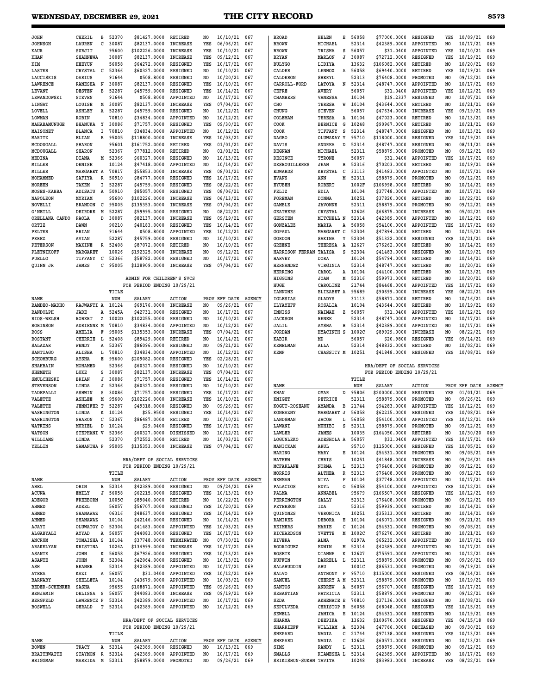| <b>JOHN</b>             | CHERIL                             | в                       | 52370 | \$81427.0000               | RETIRED                             | NO.            | 10/10/21      | 067           |
|-------------------------|------------------------------------|-------------------------|-------|----------------------------|-------------------------------------|----------------|---------------|---------------|
| <b>JOHNSON</b>          | LAUREN                             | C                       | 30087 | \$82137.0000               | <b>INCREASE</b>                     | YES            | 06/06/21      | 067           |
| KAUR                    | SURJIT                             |                         | 95600 | \$102226.0000              | <b>INCREASE</b>                     | YES            | 10/10/21      | 067           |
| KHAN                    | <b>SHAHNEWA</b>                    |                         | 30087 | \$82137.0000               | INCREASE                            | YES            | 09/12/21      | 067           |
| KIM                     | <b>HEEYUN</b>                      |                         | 56058 | \$64272.0000               | RESIGNED                            | YES            | 10/17/21      | 067           |
| <b>LASTER</b>           | <b>CRYSTAL</b>                     | C                       | 52366 | \$60327.0000               | <b>RESIGNED</b>                     | NO             | 10/10/21      | 067           |
| LAUCISKIS               | DARIUS                             |                         | 91644 | \$508.8000                 | <b>RESIGNED</b>                     | NO             | 10/20/21      | 067           |
| LAWRENCE                | <b>RANESHA</b>                     | N                       | 30087 | \$82137.0000               | RESIGNED                            | YES            | 10/10/21      | 067           |
| <b>LEVANT</b>           | <b>DESTEN</b>                      | R                       | 52287 | \$45759.0000               | <b>RESIGNED</b>                     | YES            | 10/14/21      | 067           |
| LEWANDOWSKI             | <b>STEVEN</b>                      |                         | 91644 | \$508.8000                 | APPOINTED                           | NO             | 10/17/21      | 067           |
| LINGAT                  | LOUISE                             | M                       | 30087 | \$82137.0000               | <b>INCREASE</b>                     | YES            | 07/04/21      | 067           |
| LOVELL                  | <b>ASHLEY</b>                      | A                       | 52287 | \$45759.0000               | <b>RESIGNED</b>                     | NO             | 10/12/21      | 067           |
| <b>T.OWMAN</b>          | <b>ROBIN</b>                       |                         | 70810 | \$34834.0000               | APPOINTED                           | N <sub>O</sub> | 10/12/21      | 067           |
| MAHABAMUNUGE            | <b>BHANUKA</b>                     | Υ                       | 30086 | \$71757.0000               | <b>RESIGNED</b>                     | YES            | 09/30/21      | 067           |
| MAISONET                | <b>BLANCA</b>                      | I                       | 70810 | \$34834.0000               | APPOINTED                           | NO             | 10/12/21      | 067           |
| <b>MARITZ</b>           | ELIAN                              | B                       | 95005 | \$118800.0000              | <b>INCREASE</b>                     | YES            | 10/03/21      | 067           |
| MCDOUGALL               | <b>SHARON</b>                      |                         | 95601 | \$161752.0000              | RETIRED                             | YES            |               | 067           |
|                         |                                    |                         |       |                            |                                     |                | 01/01/21      |               |
| MCDOUGALL               | <b>SHARON</b>                      |                         | 52367 | \$77812.0000               | RETIRED                             | N <sub>O</sub> | 01/01/21      | 067           |
| MEDINA                  | <b>DIANA</b>                       | M                       | 52366 | \$60327.0000               | <b>RESIGNED</b>                     | NO             | 10/13/21      | 067           |
| MILLER                  | DENISE                             |                         | 10124 | \$47418.0000               | APPOINTED                           | NO             | 10/14/21      | 067           |
| MILLER                  | MARGARET A                         |                         | 70817 | \$55853.0000               | INCREASE                            | YES            | 08/01/21      | 067           |
| MOHAMMED                | <b>SAFIYA</b>                      | $\overline{\mathbb{R}}$ | 50910 | \$84777.0000               | <b>RESIGNED</b>                     | YES            | 10/17/21      | 067           |
| <b>MOREEN</b>           | TAKEM                              | I                       | 52287 | \$45759.0000               | <b>RESIGNED</b>                     | YES            | 08/22/21      | 067           |
| MOSES-KABBA             | ADISATU                            | A                       | 50910 | \$85057.0000               | <b>RESIGNED</b>                     | YES            | 08/06/21      | 067           |
| <b>NAPOLEON</b>         | <b>MYRIAM</b>                      |                         | 95600 | \$102226.0000              | <b>INCREASE</b>                     | YES            | 06/13/21      | 067           |
| NOVELLI                 | <b>BRANDON</b>                     | С                       | 95005 | \$135353.0000              | <b>INCREASE</b>                     | YES            | 07/04/21      | 067           |
| O'NEILL                 | DEIRDRE                            | M                       | 52287 | \$59995.0000               | <b>RESIGNED</b>                     | N <sub>O</sub> | 08/22/21      | 067           |
| ORELLANA CANDO          | PAOLA                              | <sub>D</sub>            | 30087 | \$82137.0000               | INCREASE                            | YES            | 09/19/21      | 067           |
| ORTT <sub>7</sub>       | <b>DAWN</b>                        |                         | 90210 | \$40183.0000               | <b>RESIGNED</b>                     | YES            | 10/14/21      | 067           |
| PELTER                  | <b>BRIAN</b>                       |                         | 91644 | \$508.8000                 | APPOINTED                           | YES            | 10/12/21      | 067           |
| PEREZ                   | AVIAN                              |                         | 52287 | \$45759.0000               | RESIGNED                            | N <sub>O</sub> | 10/10/21      | 067           |
| <b>PETERSON</b>         | MAXINE                             | $\overline{\mathbb{R}}$ | 52408 | \$87072.0000               | <b>RETIRED</b>                      | NO             | 10/10/21      | 067           |
| PLETNIKOFF              | MARGARET                           |                         | 10026 | \$192325.0000              | INCREASE                            | N <sub>O</sub> | 09/12/21      | 067           |
| PUELLO                  | TIFFANY                            | c                       | 52366 | \$58782.0000               | RESIGNED                            | N <sub>O</sub> | 10/17/21      | 067           |
| QUINN JR                | <b>JAMES</b>                       | C                       | 95005 | \$128909.0000              | <b>INCREASE</b>                     | YES            | 07/04/21      | 067           |
|                         |                                    |                         |       |                            |                                     |                |               |               |
|                         |                                    |                         |       | ADMIN FOR CHILDREN'S SVCS  |                                     |                |               |               |
|                         |                                    |                         |       | FOR PERIOD ENDING 10/29/21 |                                     |                |               |               |
|                         |                                    |                         | TITLE |                            |                                     |                |               |               |
| NAME                    |                                    |                         | NUM   | <b>SALARY</b>              | <b>ACTION</b>                       |                | PROV EFF DATE | <b>AGENCY</b> |
| <b>RAMDEO-MADHO</b>     | <b>RAJWANTI A</b>                  |                         | 10124 | \$69176.0000               | INCREASE                            | N <sub>O</sub> | 09/26/21      | 067           |
| RANDOLPH                | <b>JADE</b>                        | A                       | 5245A | \$42731.0000               | <b>RESIGNED</b>                     | NO             | 10/17/21      | 067           |
| RIOS-WELSH              | <b>ROBERT</b>                      | z                       | 1002D | \$102255.0000              |                                     | NO             | 10/10/21      | 067           |
|                         |                                    |                         | 70810 |                            | <b>RESIGNED</b>                     |                |               |               |
| <b>ROBINSON</b><br>ROSS | <b>ADRIENNE M</b><br><b>AMELIA</b> | F                       | 95005 | \$34834.0000               | <b>APPOINTED</b><br><b>INCREASE</b> | NO.<br>YES     | 10/12/21      | 067<br>067    |
|                         |                                    |                         |       | \$135353.0000              |                                     |                | 07/04/21      |               |
| <b>ROSTANT</b>          | <b>CHERRIE</b>                     | L                       | 52408 | \$89429.0000               | RETIRED                             | N <sub>O</sub> | 10/14/21      | 067           |
| SALAZAR                 | WENDY                              | Α                       | 52367 | \$86096.0000               | RESIGNED                            | NO.            | 09/21/21      | 067           |
| <b>SANTIAGO</b>         | <b>ALISHA</b>                      | L                       | 70810 | \$34834.0000               | APPOINTED                           | N <sub>O</sub> | 10/12/21      | 067           |
| SCHOMBURG               | AYSHA                              | R                       | 95600 | \$209082.0000              | <b>RESIGNED</b>                     | YES            | 02/28/21      | 067           |
| SHAHBAIN                | MOHAMED                            |                         | 52366 | \$60327.0000               | <b>RESIGNED</b>                     | N <sub>O</sub> | 10/10/21      | 067           |
| <b>SHEMETH</b>          | LUKE                               | S                       | 30087 | \$82137.0000               | <b>INCREASE</b>                     | YES            | 07/04/21      | 067           |
| SMULCHESKI              | <b>BRIAN</b>                       | J                       | 30086 | \$71757.0000               | <b>RESIGNED</b>                     | YES            | 10/14/21      | 067           |
| <b>STEVENSON</b>        | LINDA                              | J                       | 52366 | \$60327.0000               | <b>RESIGNED</b>                     | NO             | 10/10/21      | 067           |
| TADEPALLI               | <b>ASHWIN</b>                      | S                       | 30086 | \$71757.0000               | RESIGNED                            | YES            | 10/17/21      | 067           |
| <b>VALETTE</b>          | <b>ASHLEE</b>                      | M                       | 95600 | \$102226.0000              | <b>INCREASE</b>                     | YES            | 10/10/21      | 067           |
| VALETTE                 | <b>JENNIFER T</b>                  |                         | 52287 | \$49318.0000               | <b>RESIGNED</b>                     | N <sub>O</sub> | 09/26/21      | 067           |
| WASHINGTON              | LINDA                              | K                       | 10124 | \$25.9500                  | RESIGNED                            | YES            | 10/14/21      | 067           |
| WASHINGTON              | <b>SHARON</b>                      | C                       | 52367 | \$86487.0000               | <b>RETIRED</b>                      | N <sub>O</sub> | 10/10/21      | 067           |
| WATKINS                 | MURIEL                             | D                       | 10124 | \$29.0400                  | <b>RESIGNED</b>                     | YES            | 10/17/21      | 067           |
| <b>WATSON</b>           | STEPHANI V                         |                         | 52366 | \$60327.0000               | DISMISSED                           | N <sub>O</sub> | 10/12/21      | 067           |
| WILLIAMS                | LINDA                              |                         | 52370 | \$72552.0000               | <b>RETIRED</b>                      | N <sub>O</sub> | 10/03/21      | 067           |
| YELLIN                  | SAMANTHA P                         |                         | 95005 | \$135353.0000              | <b>INCREASE</b>                     | YES            | 07/04/21      | 067           |
|                         |                                    |                         |       |                            |                                     |                |               |               |
|                         |                                    |                         |       |                            |                                     |                |               |               |

#### **HRA/DEPT OF SOCIAL SERVICES FOR PERIOD ENDING 10/29/21**

|                       |                 |   | TITLE |               |                 |      |                 |               |
|-----------------------|-----------------|---|-------|---------------|-----------------|------|-----------------|---------------|
| <b>NAME</b>           |                 |   | NUM   | <b>SALARY</b> | <b>ACTION</b>   | PROV | <b>EFF DATE</b> | <b>AGENCY</b> |
| ABEL                  | ORIN            | R | 52314 | \$42389.0000  | <b>RESIGNED</b> | NO   | 09/24/21        | 069           |
| ACUNA                 | EMILY           | J | 56058 | \$62215.0000  | <b>RESIGNED</b> | YES  | 10/13/21        | 069           |
| <b>ADEGOR</b>         | <b>FREEBORN</b> |   | 1005C | \$89040.0000  | RETIRED         | NO   | 10/22/21        | 069           |
| AHMED                 | ADEEL           |   | 56057 | \$56707.0000  | <b>RESIGNED</b> | YES  | 10/20/21        | 069           |
| AHMED                 | <b>SHANAWAZ</b> |   | 06316 | \$48637.0000  | <b>RESIGNED</b> | YES  | 10/14/21        | 069           |
| AHMED                 | <b>SHANAWAZ</b> |   | 10104 | \$42146.0000  | RESIGNED        | NO   | 10/14/21        | 069           |
| AJAYI                 | OLUWATOY O      |   | 52304 | \$41483.0000  | APPOINTED       | YES  | 10/03/21        | 069           |
| <b>ALGABYALI</b>      | AYYAD           | Α | 56057 | \$44083.0000  | <b>RESIGNED</b> | YES  | 10/17/21        | 069           |
| <b>ANCRUM</b>         | TOMAISHA S      |   | 10104 | \$37748.0000  | TERMINATED      | NO   | 07/30/21        | 069           |
| <b>ARAKELYAN</b>      | <b>KRISTINA</b> |   | 1024A | \$134999.0000 | <b>INCREASE</b> | YES  | 10/17/21        | 069           |
| <b>ASANTE</b>         | <b>JOHN</b>     | к | 56058 | \$67926.0000  | RESIGNED        | YES  | 10/13/21        | 069           |
| <b>ASANTE</b>         | <b>JOHN</b>     | к | 52304 | \$42064.0000  | <b>RESIGNED</b> | NO   | 10/13/21        | 069           |
| ASH                   | <b>REANER</b>   |   | 52314 | \$42389.0000  | APPOINTED       | NO   | 10/17/21        | 069           |
| <b>ATEEA</b>          | KAZI            | A | 56057 | \$31.0400     | APPOINTED       | YES  | 10/12/21        | 069           |
| <b>BARNABY</b>        | <b>SHELLETA</b> |   | 10104 | \$43679.0000  | APPOINTED       | NO   | 10/03/21        | 069           |
| <b>BEDER-SCHENKER</b> | SASHA           |   | 95655 | \$108871.0000 | APPOINTED       | YES  | 09/26/21        | 069           |
| <b>BENJAMIN</b>       | <b>DELISSA</b>  | s | 56057 | \$44083.0000  | <b>INCREASE</b> | YES  | 09/19/21        | 069           |
| <b>BERGFELD</b>       | LAWRENCE P      |   | 52314 | \$42389.0000  | APPOINTED       | NO   | 10/17/21        | 069           |
| <b>BOSWELL</b>        | <b>GERALD</b>   | т | 52314 | \$42389.0000  | APPOINTED       | NO   | 10/12/21        | 069           |
|                       |                 |   |       |               |                 |      |                 |               |

#### **HRA/DEPT OF SOCIAL SERVICES FOR PERIOD ENDING 10/29/21**

|                    |                 | TITLE      |                        |        |     |                      |  |
|--------------------|-----------------|------------|------------------------|--------|-----|----------------------|--|
| NAME               |                 | <b>NUM</b> | SALARY                 | ACTION |     | PROV EFF DATE AGENCY |  |
| <b>BOWEN</b>       | TRACY           | A 52314    | \$42389.0000 RESIGNED  |        | NO. | 10/13/21 069         |  |
| <b>BRAITHWAITE</b> | STAYMON         | R 52314    | \$42389.0000 APPOINTED |        | NO. | 10/17/21 069         |  |
| <b>BRIGGMAN</b>    | MAREIDA M 52311 |            | \$58879.0000 PROMOTED  |        | NO. | 09/26/21 069         |  |

| <b>BROAD</b>           | HELEN                  | Е | 56058 | \$77000.0000                | <b>RESIGNED</b>  | YES            | 10/09/21      | 069           |
|------------------------|------------------------|---|-------|-----------------------------|------------------|----------------|---------------|---------------|
| <b>BROWN</b>           | MICHAEL                |   | 52314 | \$42389.0000                | <b>APPOINTED</b> | NO             | 10/17/21      | 069           |
| <b>BROWN</b>           | TRISHA                 | s | 56057 | \$31.0400                   | <b>APPOINTED</b> | YES            | 10/10/21      | 069           |
| BRYAN                  | MARLON                 | J | 30087 | \$72712.0000                | <b>RESIGNED</b>  | YES            | 10/19/21      | 069           |
| <b>BULYGO</b>          | LIDIYA                 |   | 13632 | \$106082.0000               | RETIRED          | NO             | 10/20/21      | 069           |
| CALDER                 | <b>LENNOX</b>          | Α | 56058 | \$69440.0000                | RETIRED          | YES            | 10/19/21      | 069           |
| CALDERON               | SHERYL                 |   | 52313 | \$76408.0000                | PROMOTED         | NO             | 09/12/21      | 069           |
| CARROLL-FORD           | LATOYA                 | N | 52314 | \$48747.0000                | APPOINTED        | NO             | 10/17/21      | 069           |
| <b>CEFRE</b>           | <b>AVERY</b>           |   | 56057 | \$31.0400                   | APPOINTED        | YES            | 10/12/21      | 069           |
| CHAMBERS               | VANESSA                |   | 10104 | \$19.2337                   | RESIGNED         | NO             | 10/07/21      | 069           |
| CHO                    | TERESA                 | W | 10104 | \$43644.0000                | RETIRED          | NO             | 10/21/21      | 069           |
| CHUNG                  | <b>STEVEN</b>          |   | 56057 | \$47634.0000                | <b>INCREASE</b>  | YES            | 09/19/21      | 069           |
| COLEMAN                | TERESA                 | Α | 10104 | \$47023.0000                | RETIRED          | NO             | 10/13/21      | 069           |
| COOK                   | <b>BERNICE</b>         | G | 10248 | \$90967.0000                | RETIRED          | NO             | 10/21/21      | 069           |
| COOK                   | TIFFANY                | s | 52314 | \$48747.0000                | <b>RESIGNED</b>  | NO             | 10/13/21      | 069           |
| <b>DAGBO</b>           | OLUWAKAY Y             |   | 95710 | \$118000.0000               | <b>RESIGNED</b>  | YES            | 10/19/21      | 069           |
| DAVIS                  | <b>ANDREA</b>          | D | 52314 | \$48747.0000                | <b>RESIGNED</b>  | NO             | 08/11/21      | 069           |
|                        |                        |   | 52311 | \$58879.0000                | PROMOTED         |                |               | 069           |
| <b>DEGNAN</b>          | MICHAEL                |   |       |                             |                  | NO.            | 09/12/21      |               |
| <b>DESINCE</b>         | TYRONE                 |   | 56057 | \$31.0400                   | APPOINTED        | YES            | 10/17/21      | 069           |
| DESROUILLERES          | <b>JEAN</b>            | в | 52316 | \$70203.0000                | RETIRED          | N <sub>O</sub> | 10/19/21      | 069           |
| <b>EDWARDS</b>         | <b>KRYSTAL</b>         | С | 31113 | \$41483.0000                | APPOINTED        | NO             | 10/17/21      | 069           |
| <b>EVANS</b>           | ANN                    | М | 52311 | \$58879.0000                | PROMOTED         | NO             | 09/12/21      | 069           |
| <b>EYUBEH</b>          | <b>ROBERT</b>          |   | 1002F | \$106998.0000               | RETIRED          | NO             | 10/14/21      | 069           |
| FELIZ                  | EDIA                   |   | 10104 | \$37748.0000                | <b>APPOINTED</b> | NO             | 10/17/21      | 069           |
| FOREMAN                | DONNA                  |   | 10251 | \$37820.0000                | RETIRED          | NO             | 10/22/21      | 069           |
| <b>GAMBLE</b>          | <b>JAVONNE</b>         |   | 52311 | \$58879.0000                | PROMOTED         | NO             | 09/12/21      | 069           |
| <b>GEATHERS</b>        | <b>CRYSTAL</b>         |   | 12626 | \$66875.0000                | <b>INCREASE</b>  | NO             | 05/02/21      | 069           |
| <b>GERSTEN</b>         | MITCHELL N             |   | 52314 | \$42389.0000                | APPOINTED        | N <sub>O</sub> | 10/12/21      | 069           |
| GONZALEZ               | MARTA                  | A | 56058 | \$54100.0000                | APPOINTED        | YES            | 10/17/21      | 069           |
| GOPAUL                 | MARGARET C             |   | 52304 | \$47894.0000                | <b>RETIRED</b>   | NO             | 10/15/21      | 069           |
| GORDON                 | SAKINA                 | Υ | 52304 | \$51322.0000                | RESIGNED         | YES            | 10/21/21      | 069           |
| <b>GREENE</b>          | THERESA                | Α | 12627 | \$76262.0000                | RETIRED          | NO             | 10/14/21      | 069           |
| HARRISON FERRAN TALISA |                        | S | 52304 | \$41483.0000                | <b>RESIGNED</b>  | NO             | 10/19/21      | 069           |
| <b>HARVEY</b>          | DORA                   |   | 10124 | \$54794.0000                | RETIRED          | NO             | 10/14/21      | 069           |
| <b>HERNANDEZ</b>       | VIRGINIA               |   | 52314 | \$48747.0000                | RETIRED          | NO             | 10/20/21      | 069           |
| <b>HERRING</b>         | CAROL                  | Α | 10104 | \$44100.0000                | RETIRED          | NO             | 10/13/21      | 069           |
| HIGGINS                | <b>JOAN</b>            | M | 52316 | \$59973.0000                | <b>RETIRED</b>   | NO             | 10/20/21      | 069           |
| HUGH                   |                        |   | 21744 | \$84468.0000                | APPOINTED        | YES            |               | 069           |
|                        | CAROLINE<br>ELIZABET A |   | 95689 |                             |                  | YES            | 10/17/21      | 069           |
| <b>IANNONE</b>         |                        |   |       | \$90699.0000                | <b>INCREASE</b>  |                | 08/22/21      |               |
| IGLESIAS               | GLADYS                 |   | 31113 | \$58871.0000                | RETIRED          | NO             | 10/16/21      | 069           |
| ILYAYEFF               | ROSALIA                |   | 10104 | \$43644.0000                | RETIRED          | NO             | 10/19/21      | 069           |
| INNISS                 | <b>NAIMAH</b>          | z | 56057 | \$31.0400                   | APPOINTED        | YES            | 10/12/21      | 069           |
| <b>JACKSON</b>         | RENEE                  |   | 52314 | \$48747.0000                | APPOINTED        | NO             | 10/17/21      | 069           |
| JALIL                  | AYSHA                  | в | 52314 | \$42389.0000                | APPOINTED        | NO             | 10/17/21      | 069           |
| <b>JORDAN</b>          | HYACINTH S             |   | 1002C | \$89929.0000                | <b>INCREASE</b>  | NO             | 08/22/21      | 069           |
| KABIR                  | MD                     |   | 56057 | \$20.9800                   | RESIGNED         | YES            | 09/14/21      | 069           |
| KEMELMAN               | ALLA                   |   | 52314 | \$48832.0000                | RETIRED          | NO             | 10/02/21      | 069           |
| KEMP                   | <b>CHASSITY M</b>      |   | 10251 | \$41848.0000                | RESIGNED         | YES            | 10/08/21      | 069           |
|                        |                        |   |       |                             |                  |                |               |               |
|                        |                        |   |       | HRA/DEPT OF SOCIAL SERVICES |                  |                |               |               |
|                        |                        |   |       | FOR PERIOD ENDING 10/29/21  |                  |                |               |               |
|                        |                        |   | TITLE |                             |                  |                |               |               |
| <b>NAME</b>            |                        |   | NUM   | <b>SALARY</b>               | <b>ACTION</b>    |                | PROV EFF DATE | <b>AGENCY</b> |
| <b>KHAN</b>            | OMAR                   | D | 95806 | \$200000.0000               | <b>RESIGNED</b>  | YES            | 01/01/21      | 069           |
| KNIGHT                 | PETRICE                |   | 52311 | \$58879.0000                | PROMOTED         | NO             | 09/26/21      | 069           |
| KOGUT-ROSEANU          | <b>AMANDA</b>          | в | 21744 | \$94283.0000                | APPOINTED        | YES            | 10/12/21      | 069           |
| KONEAZNY               | MARGARET J             |   | 56058 | \$62215.0000                | RESIGNED         | YES            | 10/08/21      | 069           |
| LANDSMAN               | JACOB                  | L | 56058 | \$54100.0000                | APPOINTED        | YES            | 10/12/21      | 069           |
| LAWANI                 | MUHIBI                 | s | 52311 | \$58879.0000                | PROMOTED         | NO             | 09/12/21      | 069           |
| LAWLER                 | JAMES                  |   | 10035 | \$164050.0000               | RETIRED          | NO             | 10/30/20      | 069           |
| LOGUNLEKO              | ADESHOLA A             |   | 56057 | \$31.0400                   | APPOINTED        | YES            | 10/17/21      | 069           |
| MANICKAM               | ARUL                   |   | 95710 | \$115000.0000               | RESIGNED         | YES            | 10/05/21      | 069           |
| MARINO                 | MARY                   | Е | 10124 | \$54531.0000                | PROMOTED         | NO             | 09/05/21      | 069           |
| MATHEW                 | CHRIS                  |   | 10251 | \$41848.0000                | <b>INCREASE</b>  | NO             | 09/26/21      | 069           |
| MCFARLANE              | NORMA                  | L | 52313 | \$76408.0000                | PROMOTED         | NO             | 09/12/21      | 069           |
| MORRIS                 | <b>ALTHEA</b>          | R | 52313 | \$76408.0000                | PROMOTED         | NO             | 09/12/21      | 069           |
| <b>NEWMAN</b>          |                        | F |       | \$37748.0000                |                  | NO             |               | 069           |
|                        | NIYA                   |   | 10104 |                             | APPOINTED        |                | 10/17/21      |               |
| PALACIOS               | EDYL                   | o | 56058 | \$54100.0000                | APPOINTED        | YES            | 10/12/21      | 069           |
| PALMA                  | ANNABEL                |   | 95679 | \$166507.0000               | RESIGNED         | YES            | 10/12/21      | 069           |
| PERRINGTON             | SALLY                  |   | 52313 | \$76408.0000                | PROMOTED         | NO             | 09/12/21      | 069           |
| PETERSON               | IDA                    |   | 52316 | \$59939.0000                | RETIRED          | NO             | 10/14/21      | 069           |
| QUINONES               | VERONICA               |   | 10251 | \$35313.0000                | RETIRED          | NO             | 10/14/21      | 069           |
| RAMIREZ                | <b>DEBORA</b>          | Е | 10104 | \$46071.0000                | RESIGNED         | NO             | 09/21/21      | 069           |
| REIMERS                | MARIE                  | с | 10124 | \$54531.0000                | PROMOTED         | NO             | 09/05/21      | 069           |
| RICHARDSON             | YVETTE                 | М | 1002C | \$76270.0000                | RETIRED          | NO             | 10/21/21      | 069           |
| RIVERA                 | ALMA                   |   | 8297A | \$65232.0000                | APPOINTED        | NO             | 10/17/21      | 069           |
| RODRIGUEZ              | EDWIN                  | Μ | 52314 | \$42389.0000                | <b>APPOINTED</b> | NO             | 10/17/21      | 069           |
| <b>ROSETE</b>          | DIANNE                 | к | 12627 | \$75591.0000                | APPOINTED        | NO             | 10/12/21      | 069           |

**ROSETE DIANNE K 12627 \$75591.0000 APPOINTED NO 10/12/21 069 RUFFIN DARRELL L 52311 \$58879.0000 PROMOTED NO 09/26/21 069 SALAHUDDIN ABU 1001C \$86531.0000 PROMOTED NO 09/19/21 069**

**SAMUEL CHERRY A M 52311 \$58879.0000 PROMOTED NO 10/19/21 069 ANDREW A 56057 \$56707.0000 RESIGNED YES<br>PATRICIA 52311 \$58879.0000 PROMOTED NO<br>AKHENATE E 70810 \$37136.0000 RESIGNED NO SEBASTIAN PATRICIA 52311 \$58879.0000 PROMOTED NO 09/12/21 069 SEDA AKHENATE E 70810 \$37136.0000 RESIGNED NO 10/08/21 069 CHRISTOP R 56058 \$68048.0000 RESIGNED**<br>JAMICA E 10124 \$54531.0000 RESIGNED **SEWELL JAMICA E 10124 \$54531.0000 RESIGNED NO 10/19/21 069 SHARMA DEEPIKA 13632 \$100670.0000 RESIGNED YES 04/15/18 069 SHARRIEFF WILLIAM A 52304 \$47766.0000 DECEASED NO 09/30/21 069 SHEPARD NADIA C 21744 \$97138.0000 RESIGNED YES 10/13/21 069**

**SIMS RANDY L 52311 \$58879.0000 PROMOTED NO 09/12/21 069 SMALLS KIAMESHA L 52314 \$42389.0000 APPOINTED NO 10/17/21 069**

 $$115000.0000$  RESIGNED

 $$60571.0000$  RESIGNED

**SRIKISHUN-SUKHN TAVITA 10248 \$83983.0000 INCREASE YES 08/22/21 069**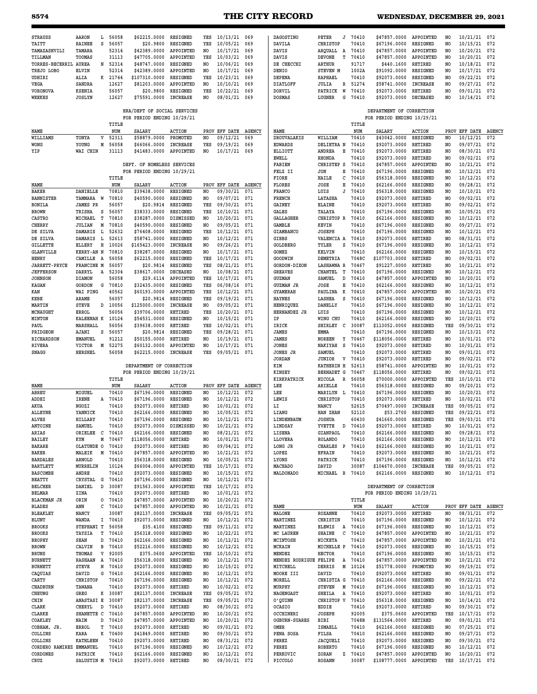## **8574 THE CITY RECORD WEDNESDAY, DECEMBER 29, 2021**

| <b>STRAUSS</b>                      | AARON                 | L            | 56058          | \$62215.0000                  | <b>RESIGNED</b>            | YES       | 10/13/21                 | 069           | DAGOSTINO                 | PETER<br>J                   | 70410          | \$47857.0000                                           | APPOINTED                          | NO             | 10/21/21                 | 072        |
|-------------------------------------|-----------------------|--------------|----------------|-------------------------------|----------------------------|-----------|--------------------------|---------------|---------------------------|------------------------------|----------------|--------------------------------------------------------|------------------------------------|----------------|--------------------------|------------|
| TAITT                               | <b>RAINEE</b>         | s            | 56057          | \$20.9800                     | RESIGNED                   | YES       | 10/05/21                 | 069           | DAVILA                    | <b>CHRISTOP</b>              | 70410          | \$67196.0000                                           | <b>RESIGNED</b>                    | NO             | 10/15/21                 | 072        |
| TAMAZASHVILI                        | TAMARA                |              | 52314          | \$42389.0000                  | APPOINTED                  | NO.       | 10/17/21                 | 069           | DAVIS                     | ARQUALL A                    | 70410          | \$47857.0000                                           | APPOINTED                          | NO.            | 10/20/21                 | 072        |
| TILLMAN                             | TOOMAS                |              | 31113          | \$47705.0000                  | APPOINTED                  | YES       | 10/03/21                 | 069           | DAVIS                     | <b>DEVONE</b><br>т           | 70410          | \$47857.0000                                           | APPOINTED                          | NO.            | 10/20/21                 | 072        |
| TORRES-BECERRIL AUREA               |                       | N            | 52314          | \$48747.0000                  | RESIGNED                   | NO        | 10/06/21                 | 069           | DE CHECCHI                | <b>ARTHUR</b>                | 91717          | \$440.1600                                             | RETIRED                            | NO.            | 10/18/21                 | 072        |
| TREJO LOBO                          | <b>ELVIN</b>          |              | 52314          | \$42389.0000                  | APPOINTED                  | NO.       | 10/17/21                 | 069           | DENIO                     | STEVEN M                     | 1002A          | \$91092.0000                                           | RESIGNED                           | NO             | 10/17/21                 | 072        |
| UDHIRI                              | ALIA                  | к            | 21744          | \$107310.0000                 | RESIGNED                   | YES       | 10/23/21                 | 069           | DEPENA                    | RAPHAEL                      | 70410          | \$92073.0000                                           | RESIGNED                           | NO             | 09/22/21                 | 072        |
| VEGA                                | SANDRA                |              | 12627          | \$81203.0000                  | APPOINTED                  | NO        | 10/10/21                 | 069           | <b>DIATLOFF</b>           | R<br>JULIA                   | 51274          | \$58741.0000                                           | <b>INCREASE</b>                    | NO             | 09/27/21                 | 072        |
| <b>VORONOVA</b>                     | <b>KSENIA</b>         |              | 56057          | \$20.9800                     | RESIGNED                   | YES       | 10/22/21                 | 069           | <b>DORVIL</b>             | W<br>PATRICK                 | 70410          | \$92073.0000                                           | <b>RETIRED</b>                     | NO             | 09/01/21                 | 072        |
| WEEKES                              | JOSLYN                |              | 12627          | \$75591.0000                  | <b>INCREASE</b>            | NO        | 08/01/21                 | 069           | <b>DOSMAS</b>             | G<br>LUGNER                  | 70410          | \$92073.0000                                           | <b>DECEASED</b>                    | NO             | 10/14/21                 | 072        |
|                                     |                       |              |                | HRA/DEPT OF SOCIAL SERVICES   |                            |           |                          |               |                           |                              |                | DEPARTMENT OF CORRECTION                               |                                    |                |                          |            |
|                                     |                       |              | TITLE          | FOR PERIOD ENDING 10/29/21    |                            |           |                          |               |                           |                              | TITLE          | FOR PERIOD ENDING 10/29/21                             |                                    |                |                          |            |
| NAME                                |                       |              | NUM            | <b>SALARY</b>                 | <b>ACTION</b>              |           | PROV EFF DATE AGENCY     |               | NAME                      |                              | NUM            | <b>SALARY</b>                                          | <b>ACTION</b>                      |                | PROV EFF DATE AGENCY     |            |
| WILLIAMS                            | TONYA                 | v            | 52311          | \$58879.0000                  | PROMOTED                   | NO        | 09/12/21                 | 069           | <b>DROUVALAKIS</b>        | WILLIAM                      | 70410          | \$43042.0000                                           | RESIGNED                           | NO.            | 10/12/21                 | 072        |
| WONG                                | YOUNG                 | М            | 56058          | \$66066.0000                  | <b>INCREASE</b>            | YES       | 09/19/21                 | 069           | <b>EDWARDS</b>            | DELIETRA N                   | 70410          | \$92073.0000                                           | RETIRED                            | NO.            | 09/07/21                 | 072        |
| YIP                                 | WAI CHIN              |              | 31113          | \$41483.0000                  | APPOINTED                  | NO.       | 10/17/21                 | 069           | <b>ELLIOTT</b>            | ANDREA<br>Е                  | 70410          | \$92073.0000                                           | <b>RETIRED</b>                     | NO             | 08/30/21                 | 072        |
|                                     |                       |              |                |                               |                            |           |                          |               | EWELL                     | RHONDA                       | 70410          | \$92073.0000                                           | RETIRED                            | NO             | 09/02/21                 | 072        |
|                                     |                       |              |                | DEPT. OF HOMELESS SERVICES    |                            |           |                          |               | <b>FABIEN</b>             | CHRISTEP S                   | 70410          | \$47857.0000                                           | APPOINTED                          | NO             | 10/21/21                 | 072        |
|                                     |                       |              |                | FOR PERIOD ENDING 10/29/21    |                            |           |                          |               | FELZ II                   | JON<br>Е                     | 70410          | \$67196.0000                                           | <b>RESIGNED</b>                    | NO             | 10/12/21                 | 072        |
|                                     |                       |              | TITLE          |                               |                            |           |                          |               | FIORE                     | HAILE<br>с                   | 70410          | \$56318.0000                                           | <b>RESIGNED</b>                    | NO             | 10/12/21                 | 072        |
| NAME                                |                       |              | NUM            | <b>SALARY</b>                 | ACTION                     |           | PROV EFF DATE AGENCY     |               | FLORES                    | JOSE<br>E                    | 70410          | \$62166.0000                                           | <b>RESIGNED</b>                    | N <sub>O</sub> | 09/28/21                 | 072        |
| BAKER                               | DANIELLE              |              | 70810          | \$39438.0000                  | RESIGNED                   | NO        | 09/30/21                 | 071           | <b>FRANCO</b>             | LUIS<br>J                    | 70410          | \$56318.0000                                           | <b>RESIGNED</b>                    | NO.            | 10/10/21                 | 072        |
| <b>BANNISTER</b>                    | TAMMARA W             |              | 70810          | \$40590.0000                  | <b>RESIGNED</b>            | NO.       | 09/07/21                 | 071           | FRENCH                    | LATASHA                      | 70410          | \$92073.0000                                           | RETIRED                            | NO             | 09/02/21                 | 072        |
| BONILA                              | <b>JAMES PR</b>       |              | 56057          | \$20.9814                     | RESIGNED                   | YES       | 09/30/21                 | 071           | GAINEY                    | <b>ELAINE</b>                | 70410          | \$92073.0000                                           | RETIRED                            | N <sub>O</sub> | 09/02/21                 | 072        |
| BROWN                               | TRISHA                | s            | 56057          | \$38333.0000                  | RESIGNED                   | YES       | 10/10/21                 | 071           | GALES                     | TALAYA                       | 70410          | \$67196.0000                                           | RESIGNED                           | NO             | 10/05/21                 | 072        |
| <b>CASTRO</b>                       | MICHAEL               | т            | 70810          | \$38287.0000                  | DISMISSED                  | NO        | 10/20/21                 | 071           | <b>GALLAGHER</b>          | CHRISTOP R                   | 70410          | \$62166.0000                                           | <b>RESIGNED</b>                    | NO             | 10/12/21                 | 072        |
| <b>CHERRY</b>                       | <b>JULIAN</b>         | Μ            | 70810          | \$40590.0000                  | <b>RESIGNED</b>            | NO        | 09/05/21                 | 071           | <b>GAMBLE</b>             | KEVIN                        | 70410          | \$67196.0000                                           | RESIGNED                           | NO             | 09/27/21                 | 072        |
| DE SILVA                            | DAMARIS               | L            | 52632          | \$76408.0000                  | <b>RESIGNED</b>            | YES       | 10/12/21                 | 071           | GIAMBANCO                 | <b>JOSEPH</b>                | 70410          | \$67196.0000                                           | <b>RESIGNED</b>                    | NO             | 10/12/21                 | 072        |
| DE SILVA                            | DAMARIS               | L            | 52613          | \$58741.0000                  | <b>RESIGNED</b>            | NO        | 10/12/21                 | 071           | GIBBS                     | VALENCIA A                   | 70410          | \$92073.0000                                           | RETIRED                            | NO             | 08/31/21                 | 072        |
| GILLETTE                            | ELLERY                | Н            | 10026          | \$165423.0000                 | <b>INCREASE</b>            | NO        | 09/26/21                 | 071           | GOLDBERG                  | TYLER<br>s                   | 70410          | \$67196.0000                                           | RESIGNED                           | NO             | 10/12/21                 | 072        |
| <b>GLANVILLE</b>                    | KERRY-AN N            |              | 70810          | \$38287.0000                  | <b>RESIGNED</b>            | NO.       | 10/17/21                 | 071           | GOMEZ                     | <b>KELVIN</b>                | 70410          | \$62166.0000                                           | <b>RESIGNED</b>                    | NO.            | 10/15/21                 | 072        |
| HENRY                               | CAMILLE               | A            | 56058          | \$62215.0000                  | <b>RESIGNED</b>            | YES       | 10/17/21                 | 071           | GOODWIN                   | <b>DEMETRIA</b>              | 7048C          | \$107703.0000                                          | RETIRED                            | N <sub>O</sub> | 09/02/21                 | 072        |
| <b>JARRETT-PRYCE</b>                | FRANCINE M            |              | 56057          | \$20.9814                     | RESIGNED                   | YES       | 08/21/21                 | 071           | GORDON-DIXON              | <b>LASHAWNA R</b>            | 70467          | \$91227.0000                                           | RETIRED                            | NO.            | 10/21/21                 | 072        |
| <b>JEFFERSON</b>                    | DARRYL                | A            | 52304          | \$38617.0000                  | DECEASED                   | NO        | 10/08/21                 | 071           | <b>GREAVES</b>            | <b>CHANTEL</b><br>т          | 70410          | \$67196.0000                                           | RESIGNED                           | NO.            | 10/12/21                 | 072        |
| <b>JOHNSON</b>                      | DIAMON                |              | 56058          | \$29.6114                     | APPOINTED                  | YES       | 10/17/21                 | 071           | GUZMAN                    | D<br>SAMUEL                  | 70410          | \$47857.0000                                           | APPOINTED                          | N <sub>O</sub> | 10/20/21                 | 072        |
| KAGAN                               | GORDON                | G            | 70810          | \$32435.0000                  | RESIGNED                   | YES       | 06/08/16                 | 071           | <b>GUZMAN JR</b>          | Е<br>JOSE                    | 70410          | \$62166.0000                                           | RESIGNED                           | NO             | 10/12/21                 | 072        |
| KAN                                 | WAI PING              |              | 40562<br>56057 | \$60193.0000                  | APPOINTED                  | YES       | 10/12/21                 | 071           | <b>GYAMERAH</b>           | к<br>PAULINA<br>S            | 70410          | \$47857.0000                                           | APPOINTED                          | NO             | 10/20/21                 | 072        |
| KEBE                                | ARAME                 |              |                | \$20.9814                     | <b>RESIGNED</b>            | YES       | 09/19/21                 | 071           | <b>HAYNES</b>             | LASHEA                       | 70410          | \$67196.0000                                           | <b>RESIGNED</b>                    | NO             | 10/12/21                 | 072        |
| MARTIN<br>MCNAUGHT                  | STEVE<br>ERROL        | D            | 10056<br>56056 | \$125000.0000<br>\$39706.0000 | <b>INCREASE</b><br>RETIRED | NO<br>YES | 09/05/21<br>10/20/21     | 071<br>071    | HENRIQUEZ<br>HERNANDEZ JR | <b>DANELLY</b><br>LUIS       | 70410<br>70410 | \$67196.0000<br>\$67196.0000                           | <b>RESIGNED</b><br><b>RESIGNED</b> | NO<br>NO       | 10/12/21<br>10/12/21     | 072<br>072 |
| <b>MINTON</b>                       | KALEENAH K            |              | 10124          | \$54531.0000                  | <b>RESIGNED</b>            | NO.       | 10/15/21                 | 071           | IP                        | WING CHU                     | 70410          | \$62166.0000                                           | RESIGNED                           | NO.            | 10/20/21                 | 072        |
| PAUL                                | MARSHALL              |              | 56056          | \$39638.0000                  | RETIRED                    | YES       | 10/02/21                 | 071           | IRICK                     | SHIRLEY C                    | 30087          | \$113052.0000                                          | <b>RESIGNED</b>                    | YES            | 09/30/21                 | 072        |
| PRIDGEON                            | AJANI                 | s            | 56057          | \$20.9814                     | RESIGNED                   | YES       | 09/28/21                 | 071           | JAMES                     | EMMA                         | 70410          | \$67196.0000                                           | <b>RESIGNED</b>                    | NO.            | 10/13/21                 | 072        |
| RICHARDSON                          | <b>EMANUEL</b>        |              | 91212          | \$50155.0000                  | RETIRED                    | NO        | 10/19/21                 | 071           | <b>JAMES</b>              | Υ<br><b>NOREEN</b>           | 70467          | \$118056.0000                                          | RETIRED                            | NO             | 10/01/21                 | 072        |
|                                     |                       |              |                |                               |                            |           |                          |               |                           |                              |                |                                                        |                                    |                |                          |            |
|                                     |                       |              |                |                               |                            |           |                          |               |                           | s                            |                |                                                        |                                    |                |                          |            |
| RIVERA                              | VICTOR                | M            | 52275          | \$60132.0000                  | APPOINTED                  | NO        | 10/17/21                 | 071           | <b>JONES</b>              | NAKIYAH                      | 70410          | \$92073.0000                                           | RETIRED                            | NO             | 10/01/21                 | 072        |
| SNAGG                               | <b>HERSHEL</b>        |              | 56058          | \$62215.0000                  | <b>INCREASE</b>            | YES       | 09/05/21 071             |               | JONES JR<br><b>JORDAN</b> | SAMUEL<br>$\rm{v}$<br>JUNIOR | 70410<br>70410 | \$92073.0000                                           | RETIRED<br>RETIRED                 | NO<br>NO       | 09/01/21                 | 072<br>072 |
|                                     |                       |              |                | DEPARTMENT OF CORRECTION      |                            |           |                          |               | KIM                       | KATHERIN H                   | 52613          | \$92073.0000<br>\$58741.0000                           | APPOINTED                          | NO             | 09/02/21<br>10/01/21     | 072        |
|                                     |                       |              |                | FOR PERIOD ENDING 10/29/21    |                            |           |                          |               | <b>KINSEY</b>             | <b>BERNADET G</b>            | 70467          | \$118056.0000                                          | RETIRED                            | NO             | 09/02/21                 | 072        |
|                                     |                       |              | TITLE          |                               |                            |           |                          |               | KIRKPATRICK               | NICOLA<br>R                  | 56058          | \$70000.0000                                           | APPOINTED                          | YES            | 10/10/21                 | 072        |
| NAME                                |                       |              | NUM            | <b>SALARY</b>                 | <b>ACTION</b>              |           | PROV EFF DATE            | <b>AGENCY</b> | LEE                       | ARIELLE                      | 70410          | \$56318.0000                                           | RESIGNED                           | NO.            | 09/20/21                 | 072        |
| ABREU                               | MIGUEL                |              | 70410          | \$67196.0000                  | <b>RESIGNED</b>            | NO        | 10/12/21                 | 072           | LEE                       | MARILYN<br>L                 | 70410          | \$67196.0000                                           | RESIGNED                           | NO.            | 10/20/21                 | 072        |
| ADDEI                               | <b>IRENE</b>          |              | A 70410        | \$67196.0000                  | <b>RESIGNED</b>            | NO.       | 10/12/21                 | 072           | LEWIS                     | CHRISTOP                     | 70410          | \$92073.0000                                           | <b>RETIRED</b>                     | NO.            | 10/02/21                 | 072        |
| AKUA                                | NGOZI                 |              | 70410          | \$92073.0000                  | RETIRED                    | NO        | 10/01/21                 | 072           | LI                        | NANCY                        | 52615          | \$70497.0000                                           | <b>INCREASE</b>                    | YES            | 09/05/21                 | 072        |
| <b>ALLEYNE</b>                      | YANNICK               |              | 70410          | \$62166.0000                  | <b>RESIGNED</b>            | NO        | 10/05/21                 | 072           | LIANG                     | HAN ZHAN                     | 52110          | \$53.2700                                              | RESIGNED                           | YES            | 09/22/21                 | 072        |
| <b>ALVES</b>                        | HILLARY               |              | 70410          | \$67196.0000                  | RESIGNED                   | NO        | 10/12/21                 | 072           | LINDENBAUM                | <b>JOSHUA</b>                | 60430          | \$41660.0000                                           | RESIGNED                           | YES            | 09/03/21                 | 072        |
| ANTOINE                             | SAMUEL                |              | 70410          | \$92073.0000                  | DISMISSED                  | NO        | 10/21/21                 | 072           | LINDSAY                   | YVETTE<br>$\Box$             | 70410          | \$92073.0000                                           | RETIRED                            | NO             | 10/01/21                 | 072        |
| ARIAS                               | ORIELEE               | $\mathbf{C}$ | 70410          | \$62166.0000                  | RESIGNED                   | NO        | 08/21/21                 | 072           | LISENA                    | GIANPAOL                     | 70410          | \$62166.0000                                           | RESIGNED                           | NO             | 09/28/21                 | 072        |
| <b>BAILEY</b>                       | KYM                   | M            | 70467          | \$118056.0000                 | RETIRED                    | NO        | 10/01/21                 | 072           | LLOVERA                   | <b>ROLANDO</b>               | 70410          | \$62166.0000                                           | RESIGNED                           | NO.            | 10/12/21                 | 072        |
| <b>BAKARE</b>                       | OLATUNDE O            |              | 70410          | \$92073.0000                  | RETIRED                    | NO        | 09/04/21                 | 072           | LONG JR                   | CHARLES P                    | 70410          | \$62166.0000                                           | <b>RESIGNED</b>                    | NO             | 10/21/21                 | 072        |
| <b>BAKER</b>                        | MALEIK                | M            | 70410          | \$47857.0000                  | APPOINTED                  | NO        | 10/21/21                 | 072           | LOPEZ                     | EFRAIN                       | 70410          | \$92073.0000                                           | RESIGNED                           | NO.            | 10/21/21                 | 072        |
| <b>BARDALES</b>                     | ARNOLD                |              | 70410          | \$56318.0000                  | RESIGNED                   | NO.       | 10/05/21                 | 072           | LYONS                     | PATRICK                      | 70410          | \$67196.0000                                           | RESIGNED                           | NO.            | 10/12/21                 | 072        |
| <b>BARTLETT</b>                     | MURRELIN              |              | 10124          | \$66004.0000                  | APPOINTED                  | YES       | 10/17/21                 | 072           | MACHADO                   | DAVID                        | 30087          | \$104670.0000                                          | INCREASE                           | YES            | 09/05/21                 | 072        |
| <b>BASCOMBE</b>                     | ANDRE                 |              | 70410          | \$92073.0000                  | RESIGNED                   | NO        | 10/15/21                 | 072           | MALDONADO                 | MICHAEL R                    | 70410          | \$62166.0000                                           | RESIGNED                           | NO             | 10/12/21 072             |            |
| BEATTY                              | CRYSTAL               | G            | 70410          | \$67196.0000                  | RESIGNED                   | NO        | 10/12/21                 | 072           |                           |                              |                |                                                        |                                    |                |                          |            |
| <b>BELCHER</b><br>BELMAR            | DANIEL<br>ZINA        | $\mathbb D$  | 30087<br>70410 | \$91563.0000<br>\$92073.0000  | APPOINTED<br>RETIRED       | YES<br>NO | 10/17/21<br>10/01/21     | 072<br>072    |                           |                              |                | DEPARTMENT OF CORRECTION<br>FOR PERIOD ENDING 10/29/21 |                                    |                |                          |            |
|                                     | ORIN                  | 0            |                |                               |                            | NO        | 10/20/21                 | 072           |                           |                              |                |                                                        |                                    |                |                          |            |
| <b>BLACKMAN JR</b><br><b>BLADES</b> | ANN                   | с            | 70410<br>70410 | \$47857.0000<br>\$47857.0000  | APPOINTED<br>APPOINTED     | NO        | 10/21/21                 | 072           | NAME                      |                              | TITLE          | <b>SALARY</b>                                          | <b>ACTION</b>                      | PROV           | EFF DATE AGENCY          |            |
| <b>BLEAKLEY</b>                     | NANCY                 |              | 30087          | \$82137.0000                  | <b>INCREASE</b>            | YES       | 09/05/21                 | 072           | MALONE                    | <b>ROXANNE</b>               | NUM<br>70410   | \$92073.0000                                           | RETIRED                            | NO             | 08/31/21                 | 072        |
| BLUNT                               | WANDA                 |              | I 70410        | \$92073.0000                  | RESIGNED                   | NO        | 10/12/21                 | 072           | MARTINEZ                  | CHRISTIN                     | 70410          | \$67196.0000                                           | RESIGNED                           | NO             | 10/12/21                 | 072        |
| <b>BROOKS</b>                       | STEPHANI T            |              | 56058          | \$35.4100                     | RESIGNED                   | YES       | 09/11/21                 | 072           | MARTINEZ                  | ELEWIS<br>Α                  | 70410          | \$67196.0000                                           | RESIGNED                           | NO.            | 10/12/21                 | 072        |
| <b>BROOKS</b>                       | TAYSIA                | т            | 70410          | \$56318.0000                  | RESIGNED                   | NO.       | 10/22/21                 | 072           | MC LAUREN                 | SHAINE<br>с                  | 70410          | \$47857.0000                                           | APPOINTED                          | NO.            | 10/21/21                 | 072        |
| <b>BROPHY</b>                       | SEAN                  | D            | 70410          | \$62166.0000                  | RESIGNED                   | NO        | 10/12/21                 | 072           | MCINTOSH                  | NICKETA                      | 70410          | \$47857.0000                                           | APPOINTED                          | NO             | 10/21/21                 | 072        |
| BROWN                               | CALVIN                | в            | 70410          | \$52216.0000                  | RESIGNED                   | NO        | 10/12/21                 | 072           | MCKAIN                    | MICHELLE P                   | 70410          | \$92073.0000                                           | RESIGNED                           | NO.            | 10/15/21                 | 072        |
| BRUNS                               | THOMAS                | V            | 92005          | \$375.0600                    | APPOINTED                  | YES       | 10/10/21                 | 072           | MENDEZ                    | <b>HECTOR</b>                | 70410          | \$67196.0000                                           | RESIGNED                           | NO             | 10/15/21                 | 072        |
| <b>BURNETT</b>                      | RASHAAN               | A            | 70410          | \$56318.0000                  | <b>RESIGNED</b>            | NO        | 10/12/21                 | 072           | MENDEZ RODRIGUE FELIPE    | A                            | 70410          | \$47857.0000                                           | APPOINTED                          | NO             | 10/21/21                 | 072        |
| <b>BURNETT</b>                      | <b>STEVE</b>          | N            | 70410          | \$92073.0000                  | RESIGNED                   | NO        | 10/15/21                 | 072           | MITCHELL                  | M<br>DERRIS                  | 10124          | \$51778.0000                                           | PROMOTED                           | NO.            | 09/19/21                 | 072        |
| CAQUIAS                             | DAVID                 | G            | 70410          | \$62166.0000                  | <b>RESIGNED</b>            | NO        | 10/12/21                 | 072           | MOORE III                 | DAVID                        | 70410          | \$92073.0000                                           | RETIRED                            | NO             | 09/01/21                 | 072        |
| CARTY                               | <b>CHRISTOP</b>       |              | 70410          | \$67196.0000                  | <b>RESIGNED</b>            | NO        | 10/12/21                 | 072           | MORELL                    | CHRISTIA G                   | 70410          | \$62166.0000                                           | <b>RESIGNED</b>                    | NO             | 09/22/21                 | 072        |
| CHADBURN                            | TAWANA                |              | 70410          | \$92073.0000                  | RETIRED                    | NO.       | 10/02/21                 | 072           | MURPHY                    | M<br><b>STEVEN</b>           | 70410          | \$67196.0000                                           | RESIGNED                           | NO             | 10/12/21                 | 072        |
| CHEUNG                              | GREG                  |              | K 30087        | \$82137.0000                  | <b>INCREASE</b>            | YES       | 09/05/21                 | 072           | NAGENGAST                 | Α<br>SHEILA                  | 70410          | \$92073.0000                                           | RETIRED                            | NO.            | 10/01/21                 | 072        |
| CHIN                                | ANASTASI E            |              | 30087          | \$82137.0000                  | INCREASE                   | YES       | 09/05/21                 | 072           | O'QUINN                   | CHRISTOP V                   | 70410          | \$56318.0000                                           | RESIGNED                           | NO.            | 10/14/21                 | 072        |
| CLARK                               | CHERYL                | D            | 70410          | \$92073.0000                  | RETIRED                    | NO        | 08/30/21                 | 072           | OCASIO                    | EDDIE                        | 70410          | \$92073.0000                                           | RETIRED                            | NO.            | 09/30/21                 | 072        |
| CLARKE                              | SHANETTE C            |              | 70410          | \$47857.0000                  | APPOINTED                  | NO        | 10/20/21                 | 072           | OCCHINERI                 | <b>JOSEPH</b>                | 92005          | \$375.0600                                             | APPOINTED                          | YES            | 10/17/21                 | 072        |
| COAKLEY                             | <b>NAIM</b>           | D            | 70410          | \$47857.0000                  | APPOINTED                  | NO        | 10/20/21                 | 072           | <b>OGBURN-SUARES</b>      | BIBI                         | 7048B          | \$131564.0000                                          | RETIRED                            | NO             | 09/01/21                 | 072        |
| COBHAM, JR.                         | ERROL                 | Т            | 70410          | \$92073.0000                  | RETIRED                    | NO        | 09/01/21                 | 072           | OMER                      | ISMAELL                      | 70410          | \$62166.0000                                           | RESIGNED                           | NO             | 07/25/21                 | 072        |
| COLLINS                             | KARA                  | к            | 70400          | \$41849.0000                  | RETIRED                    | NO        | 09/30/21                 | 072           | PENA SOSA                 | <b>FILSA</b>                 | 70410          | \$62166.0000                                           | RESIGNED                           | NO             | 09/27/21                 | 072        |
| COLLINS                             | <b>KATHLEEN</b>       |              | 70410          | \$92073.0000                  | RETIRED                    | NO        | 08/31/21                 | 072           | PEREZ                     | JACQUELI                     | 70410          | \$92073.0000                                           | <b>RESIGNED</b>                    | NO             | 09/30/21                 | 072        |
| CORDERO RAMIREZ                     | EMMANUEL              |              | 70410          | \$67196.0000                  | <b>RESIGNED</b>            | NO        | 10/12/21                 | 072           | PEREZ                     | <b>ROBERTO</b>               | 70410          | \$67196.0000                                           | RESIGNED                           | NO             | 10/12/21                 | 072        |
| CORDONES<br>CRUZ                    | PATRICK<br>SALUSTIN M |              | 70410<br>70410 | \$62166.0000<br>\$92073.0000  | <b>RESIGNED</b><br>RETIRED | NO<br>NO  | 10/12/21<br>08/30/21 072 | 072           | PERKOVIC<br>PICCOLO       | ZORAN<br>z<br><b>ROSANN</b>  | 70410<br>30087 | \$47857.0000<br>\$108777.0000                          | APPOINTED<br>APPOINTED             | NO.<br>YES     | 10/20/21<br>10/17/21 072 | 072        |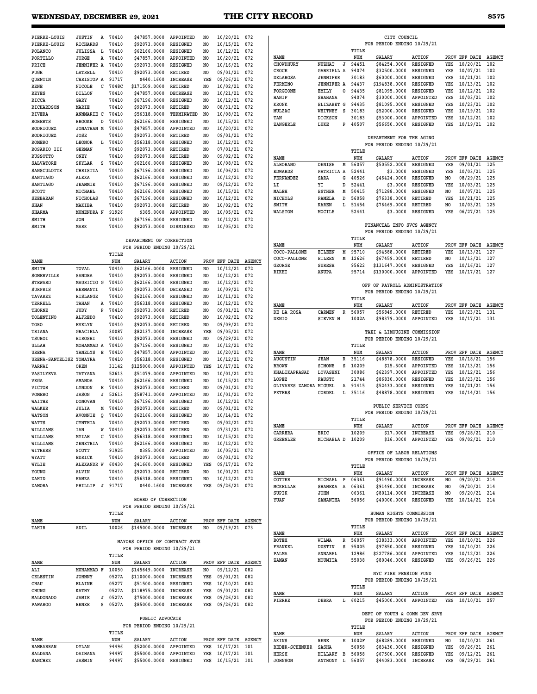## **WEDNESDAY, DECEMBER 29, 2021 THE CITY RECORD 8575**

| PIERRE-LOUIS       | <b>JUSTIN</b>     | Α | 70410 | \$47857.0000  | APPOINTED        | NO. | 10/20/21 | 072 |
|--------------------|-------------------|---|-------|---------------|------------------|-----|----------|-----|
| PIERRE-LOUIS       | <b>RICHARDS</b>   |   | 70410 | \$92073.0000  | <b>RESIGNED</b>  | NO. | 10/15/21 | 072 |
| POLANCO            | <b>JULISSA</b>    | L | 70410 | \$62166.0000  | <b>RESIGNED</b>  | NO  | 10/12/21 | 072 |
| PORTILLO           | JORGE             | Α | 70410 | \$47857.0000  | APPOINTED        | NO. | 10/20/21 | 072 |
| PRICE              | <b>JENNIFER A</b> |   | 70410 | \$92073.0000  | <b>RESIGNED</b>  | NO. | 10/16/21 | 072 |
| PUGH               | LATRELL           |   | 70410 | \$92073.0000  | <b>RETIRED</b>   | NO. | 09/01/21 | 072 |
| QUENTIN            | CHRISTOP A        |   | 91717 | \$440.1600    | <b>INCREASE</b>  | YES | 09/26/21 | 072 |
| <b>RENE</b>        | NICOLE            | с | 7048C | \$171509.0000 | <b>RETIRED</b>   | NO. | 10/02/21 | 072 |
| <b>REYES</b>       | <b>DILLON</b>     |   | 70410 | \$47857.0000  | <b>DECREASE</b>  | NO. | 10/21/21 | 072 |
| RICCA              | GARY              |   | 70410 | \$67196.0000  | <b>RESIGNED</b>  | NO. | 10/12/21 | 072 |
| <b>RICHARDSON</b>  | MARIE             |   | 70410 | \$92073.0000  | <b>RETIRED</b>   | NO. | 08/31/21 | 072 |
| <b>RIVERA</b>      | ANNMARIE C        |   | 70410 | \$56318.0000  | TERMINATED       | NO. | 10/08/21 | 072 |
| <b>ROBERTS</b>     | <b>BROOKE</b>     | D | 70410 | \$62166.0000  | <b>RESIGNED</b>  | NO. | 10/15/21 | 072 |
| RODRIGUEZ          | <b>JONATHAN M</b> |   | 70410 | \$47857.0000  | APPOINTED        | NO. | 10/20/21 | 072 |
| <b>RODRIGUEZ</b>   | JOSE              |   | 70410 | \$92073.0000  | <b>RETIRED</b>   | NO. | 09/01/21 | 072 |
| <b>ROMERO</b>      | <b>LEONOR</b>     | L | 70410 | \$56318.0000  | RESIGNED         | NO. | 10/12/21 | 072 |
| <b>ROSARIO III</b> | <b>GERMAN</b>     |   | 70410 | \$92073.0000  | <b>RETIRED</b>   | NO. | 07/01/21 | 072 |
| <b>RUSSOTTO</b>    | ONEY              |   | 70410 | \$92073.0000  | <b>RETIRED</b>   | NO. | 09/02/21 | 072 |
| <b>SALVATORE</b>   | <b>SKYLAR</b>     | s | 70410 | \$62166.0000  | <b>RESIGNED</b>  | NO. | 10/08/21 | 072 |
| <b>SANSCULOTTE</b> | CHRISTIA          |   | 70410 | \$67196.0000  | <b>RESIGNED</b>  | NO. | 10/06/21 | 072 |
| <b>SANTIAGO</b>    | ALEXA             |   | 70410 | \$62166.0000  | <b>RESIGNED</b>  | NO. | 10/12/21 | 072 |
| <b>SANTIAGO</b>    | <b>JEAMMIE</b>    |   | 70410 | \$67196.0000  | <b>RESIGNED</b>  | NO. | 09/12/21 | 072 |
| SCOTT              | MICHAEL           |   | 70410 | \$62166.0000  | <b>RESIGNED</b>  | NO. | 10/15/21 | 072 |
| <b>SEEBARAN</b>    | <b>NICHOLAS</b>   |   | 70410 | \$67196.0000  | <b>RESIGNED</b>  | NO. | 10/12/21 | 072 |
| <b>SHAN</b>        | MAKIBA            |   | 70410 | \$92073.0000  | <b>RETIRED</b>   | NO. | 10/02/21 | 072 |
| <b>SHARMA</b>      | MUNENDRA N        |   | 91926 | \$385,0000    | APPOINTED        | NO. | 10/05/21 | 072 |
| SMITH              | <b>JON</b>        |   | 70410 | \$67196.0000  | <b>RESIGNED</b>  | NO. | 10/12/21 | 072 |
| SMITH              | MARK              |   | 70410 | \$92073.0000  | <b>DISMISSED</b> | NO. | 10/05/21 | 072 |
|                    |                   |   |       |               |                  |     |          |     |

#### **DEPARTMENT OF CORRECTION FOR PERIOD ENDING 10/29/21**

|                         |                   |   | TITLE |               |                  |                |               |        |
|-------------------------|-------------------|---|-------|---------------|------------------|----------------|---------------|--------|
| <b>NAME</b>             |                   |   | NUM   | <b>SALARY</b> | <b>ACTION</b>    |                | PROV EFF DATE | AGENCY |
| SMITH                   | TOVAL             |   | 70410 | \$62166.0000  | <b>RESIGNED</b>  | N <sub>O</sub> | 10/12/21      | 072    |
| SOMERVILLE              | <b>SANDRA</b>     |   | 70410 | \$92073.0000  | <b>RESIGNED</b>  | N <sub>O</sub> | 10/12/21      | 072    |
| <b>STEWARD</b>          | MAURICIO G        |   | 70410 | \$62166.0000  | RESIGNED         | N <sub>O</sub> | 10/12/21      | 072    |
| <b>SURPRIS</b>          | <b>HERMANTI</b>   |   | 70410 | \$92073.0000  | <b>DECEASED</b>  | N <sub>O</sub> | 10/09/21      | 072    |
| <b>TAVAREZ</b>          | <b>RISLANGE</b>   |   | 70410 | \$62166.0000  | <b>RESIGNED</b>  | N <sub>O</sub> | 10/11/21      | 072    |
| TERRELL                 | TAHAN             | Α | 70410 | \$56318.0000  | RESIGNED         | N <sub>O</sub> | 10/12/21      | 072    |
| <b>THORNE</b>           | JUDY              | P | 70410 | \$92073.0000  | RETIRED          | N <sub>O</sub> | 09/01/21      | 072    |
| TOLENTINO               | <b>ALFREDO</b>    |   | 70410 | \$92073.0000  | <b>RETIRED</b>   | N <sub>O</sub> | 10/02/21      | 072    |
| TORO                    | <b>EVELYN</b>     |   | 70410 | \$92073.0000  | <b>RETIRED</b>   | N <sub>O</sub> | 09/09/21      | 072    |
| TRIANA                  | <b>GRACIELA</b>   |   | 30087 | \$82137.0000  | <b>INCREASE</b>  | YES            | 09/05/21      | 072    |
| TSUBOI                  | <b>HIROSHI</b>    |   | 70410 | \$92073.0000  | <b>RESIGNED</b>  | N <sub>O</sub> | 09/29/21      | 072    |
| ULLAH                   | MOHAMMAD A        |   | 70410 | \$67196.0000  | RESIGNED         | N <sub>O</sub> | 10/12/21      | 072    |
| <b>URENA</b>            | <b>YANELYS</b>    | Е | 70410 | \$47857.0000  | <b>APPOINTED</b> | N <sub>O</sub> | 10/20/21      | 072    |
| URENA-SANTELISE YOMAYRA |                   |   | 70410 | \$56318.0000  | <b>RESIGNED</b>  | N <sub>O</sub> | 10/12/21      | 072    |
| <b>VARNAI</b>           | OREN              |   | 31142 | \$125000.0000 | APPOINTED        | YES            | 10/17/21      | 072    |
| VASILYEVA               | <b>TATYANA</b>    |   | 52613 | \$51079.0000  | APPOINTED        | N <sub>O</sub> | 10/01/21      | 072    |
| <b>VEGA</b>             | <b>AMANDA</b>     |   | 70410 | \$62166.0000  | <b>RESIGNED</b>  | NO.            | 10/15/21      | 072    |
| <b>VICTOR</b>           | <b>LYNDON</b>     | E | 70410 | \$92073.0000  | <b>RETIRED</b>   | N <sub>O</sub> | 09/01/21      | 072    |
| <b>VOMERO</b>           | <b>JASON</b>      | J | 52613 | \$58741.0000  | <b>APPOINTED</b> | N <sub>O</sub> | 10/01/21      | 072    |
| WAITHE                  | <b>DONOVAN</b>    |   | 70410 | \$67196.0000  | <b>RESIGNED</b>  | N <sub>O</sub> | 10/12/21      | 072    |
| WALKER                  | JULIA             | M | 70410 | \$92073.0000  | <b>RETIRED</b>   | N <sub>O</sub> | 09/01/21      | 072    |
| <b>WATSON</b>           | <b>AVONNIE</b>    | ٥ | 70410 | \$62166.0000  | <b>RESIGNED</b>  | N <sub>O</sub> | 10/14/21      | 072    |
| WATTS                   | CYNTHIA           |   | 70410 | \$92073.0000  | <b>RETIRED</b>   | NO.            | 09/02/21      | 072    |
| WILLIAMS                | <b>TAN</b>        | W | 70410 | \$92073.0000  | <b>RETIRED</b>   | N <sub>O</sub> | 07/31/21      | 072    |
| WILLIAMS                | <b>MYIAH</b>      | C | 70410 | \$56318.0000  | <b>RESIGNED</b>  | N <sub>O</sub> | 10/15/21      | 072    |
| WILLIAMS                | ZENETRIA          |   | 70410 | \$62166.0000  | <b>RESIGNED</b>  | N <sub>O</sub> | 10/12/21      | 072    |
| WITHERS                 | <b>SCOTT</b>      |   | 91925 | \$385.0000    | <b>APPOINTED</b> | N <sub>O</sub> | 10/05/21      | 072    |
| WYATT                   | <b>EDRICK</b>     |   | 70410 | \$92073.0000  | <b>RETIRED</b>   | N <sub>O</sub> | 09/01/21      | 072    |
| WYLIE                   | <b>ALEXANDR W</b> |   | 60430 | \$41660.0000  | <b>RESIGNED</b>  | YES            | 09/17/21      | 072    |
| YOUNG                   | ALVIN             |   | 70410 | \$92073.0000  | RETIRED          | NO.            | 10/01/21      | 072    |
| ZAHID                   | <b>HAMZA</b>      |   | 70410 | \$56318.0000  | <b>RESIGNED</b>  | NO.            | 10/12/21      | 072    |
| ZAMORA                  | PHILLIP           | J | 91717 | \$440.1600    | <b>INCREASE</b>  | YES            | 09/26/21      | 072    |
|                         |                   |   |       |               |                  |                |               |        |

|                  |               |   |       | BOARD OF CORRECTION            |                 |      |                               |               |
|------------------|---------------|---|-------|--------------------------------|-----------------|------|-------------------------------|---------------|
|                  |               |   |       | FOR PERIOD ENDING 10/29/21     |                 |      |                               |               |
|                  |               |   | TITLE |                                |                 |      |                               |               |
| NAME             |               |   | NUM   | <b>SALARY</b>                  | <b>ACTION</b>   |      | PROV EFF DATE                 | <b>AGENCY</b> |
| TAHIR            | ADIL          |   | 10026 | \$145000.0000                  | <b>INCREASE</b> | NO   | 09/19/21                      | 073           |
|                  |               |   |       | MAYORS OFFICE OF CONTRACT SVCS |                 |      |                               |               |
|                  |               |   |       | FOR PERIOD ENDING 10/29/21     |                 |      |                               |               |
|                  |               |   | TITLE |                                |                 |      |                               |               |
| NAME             |               |   | NUM   | <b>SALARY</b>                  | <b>ACTION</b>   | PROV | EFF DATE                      | AGENCY        |
| ALI              | MUHAMMAD F    |   | 10050 | \$145649.0000                  | <b>INCREASE</b> | NO   | 09/12/21                      | 082           |
| <b>CELESTIN</b>  | <b>JOHNNY</b> |   | 0527A | \$110000.0000                  | <b>INCREASE</b> | YES  | 09/01/21                      | 082           |
| CHAU             | <b>ELAINE</b> |   | 05277 | \$51500,0000                   | RESIGNED        | YES  | 10/10/21                      | 082           |
| CHUNG            | <b>KATHY</b>  |   | 0527A | \$118975.0000                  | <b>INCREASE</b> | YES  | 09/01/21                      | 082           |
| <b>MALDONADO</b> | JAMIE         | J | 0527A | \$75000.0000                   | <b>INCREASE</b> | YES  | 09/26/21                      | 082           |
| <b>PAWAROO</b>   | RENEE         | s | 0527A | \$85000.0000                   | <b>INCREASE</b> | YES  | 09/26/21                      | 082           |
|                  |               |   |       | PUBLIC ADVOCATE                |                 |      |                               |               |
|                  |               |   |       | FOR PERIOD ENDING 10/29/21     |                 |      |                               |               |
|                  |               |   | TITLE |                                |                 |      |                               |               |
| -----            |               |   |       | -------                        | $$ $$ $$        |      | <b>55611 555 5155 1251201</b> |               |

| PUBLIC ADVOCATE<br>FOR PERIOD ENDING 10/29/21 |               |       |               |               |     |               |               |  |  |  |
|-----------------------------------------------|---------------|-------|---------------|---------------|-----|---------------|---------------|--|--|--|
|                                               |               | TITLE |               |               |     |               |               |  |  |  |
| NAME                                          |               | NUM   | <b>SALARY</b> | <b>ACTION</b> |     | PROV EFF DATE | <b>AGENCY</b> |  |  |  |
| RAMBARRAN                                     | <b>DYLAN</b>  | 94496 | \$52000.0000  | APPOINTED     | YES | 10/17/21 101  |               |  |  |  |
| <b>SALDANA</b>                                | DAIHANA       | 94497 | \$55000.0000  | APPOINTED     | YES | 10/17/21 101  |               |  |  |  |
| <b>SANCHEZ</b>                                | <b>JASMIN</b> | 94497 | \$55000.0000  | RESIGNED      | YES | 10/15/21      | 101           |  |  |  |

|                                   |                            |   |                | CITY COUNCIL                                                                             |                                                                             |            |                                  |                      |
|-----------------------------------|----------------------------|---|----------------|------------------------------------------------------------------------------------------|-----------------------------------------------------------------------------|------------|----------------------------------|----------------------|
|                                   |                            |   |                | FOR PERIOD ENDING 10/29/21                                                               |                                                                             |            |                                  |                      |
|                                   |                            |   | TITLE          |                                                                                          |                                                                             |            |                                  |                      |
| NAME                              |                            |   | NUM            | SALARY                                                                                   | <b>ACTION</b>                                                               |            | PROV EFF DATE                    | <b>AGENCY</b>        |
| CHOWDHURY                         | <b>NUZHAT</b>              | J | 94451          | \$84254.0000                                                                             | RESIGNED                                                                    | YES        | 10/20/21                         | 102                  |
| CROCE                             | GABRIELL A                 |   | 94074          | \$32500.0000                                                                             | RESIGNED                                                                    | YES        | 10/07/21                         | 102                  |
| <b>DELAROSA</b>                   | <b>JENNIFER</b>            |   | 30183<br>94437 | \$60000.0000                                                                             | <b>RESIGNED</b><br><b>RESIGNED</b>                                          | YES<br>YES | 10/21/21                         | 102<br>102           |
| <b>FERMINO</b><br><b>FORGIONE</b> | <b>JENNIFER A</b><br>EMILY | ٥ | 94435          | \$194838.0000<br>\$81095.0000                                                            | RESIGNED                                                                    | YES        | 10/13/21<br>10/12/21             | 102                  |
| <b>HANIF</b>                      | <b>SHAHANA</b>             |   | 94074          | \$30000.0000                                                                             | APPOINTED                                                                   | YES        | 10/03/21                         | 102                  |
| KRONK                             | ELIZABET G                 |   | 94435          | \$81095.0000                                                                             | RESIGNED                                                                    | YES        | 10/23/21                         | 102                  |
| MULZAC                            | WHITNEY                    | s | 30183          | \$52000.0000                                                                             | RESIGNED                                                                    | YES        | 10/19/21                         | 102                  |
| TAN                               | <b>DICKSON</b>             |   | 30183          | \$53000.0000                                                                             | APPOINTED                                                                   | YES        | 10/12/21                         | 102                  |
| ZANGERLE                          | LUKE                       | P | 40507          | \$56650.0000                                                                             | RESIGNED                                                                    | YES        | 10/19/21                         | 102                  |
|                                   |                            |   |                |                                                                                          |                                                                             |            |                                  |                      |
|                                   |                            |   |                | DEPARTMENT FOR THE AGING                                                                 |                                                                             |            |                                  |                      |
|                                   |                            |   |                | FOR PERIOD ENDING 10/29/21                                                               |                                                                             |            |                                  |                      |
| NAME                              |                            |   | TITLE<br>NUM   |                                                                                          |                                                                             |            | PROV EFF DATE                    |                      |
| <b>ALBORANO</b>                   | DENISE                     | М | 56057          | <b>SALARY</b><br>\$50552.0000                                                            | <b>ACTION</b><br>RESIGNED                                                   | YES        | 09/01/21                         | <b>AGENCY</b><br>125 |
| <b>EDWARDS</b>                    | PATRICIA A                 |   | 52441          | \$3.0000                                                                                 | RESIGNED                                                                    | YES        | 10/03/21                         | 125                  |
| FERNANDEZ                         | SARA                       | G | 40526          | \$46424.0000                                                                             | RESIGNED                                                                    | NO         | 08/29/21                         | 125                  |
| LI                                | YΙ                         | D | 52441          | \$3.0000                                                                                 | RESIGNED                                                                    | YES        | 10/03/21                         | 125                  |
| MALEH                             | <b>ESTHER</b>              | М | 50415          | \$71288.0000                                                                             | RESIGNED                                                                    | NO         | 10/07/21                         | 125                  |
| NICHOLS                           | PAMELA                     | D | 56058          | \$76338.0000                                                                             | RETIRED                                                                     | YES        | 10/21/21                         | 125                  |
| SMITH                             | KAREN                      | L | 51454          | \$76469.0000                                                                             | RETIRED                                                                     | NO         | 10/03/21                         | 125                  |
| <b>WALSTON</b>                    | MOCILE                     |   | 52441          | \$3,0000                                                                                 | <b>RESIGNED</b>                                                             | YES        | 06/27/21                         | 125                  |
|                                   |                            |   |                |                                                                                          |                                                                             |            |                                  |                      |
|                                   |                            |   |                | FINANCIAL INFO SVCS AGENCY<br>FOR PERIOD ENDING 10/29/21                                 |                                                                             |            |                                  |                      |
|                                   |                            |   | TITLE          |                                                                                          |                                                                             |            |                                  |                      |
| NAME                              |                            |   | NUM            | SALARY                                                                                   | <b>ACTION</b>                                                               |            | PROV EFF DATE                    | <b>AGENCY</b>        |
| <b>COCO-PALLONE</b>               | EILEEN                     | М | 95710          | \$94588.0000                                                                             | <b>RETIRED</b>                                                              | YES        | 10/13/21                         | 127                  |
| <b>COCO-PALLONE</b>               | EILEEN                     | М | 12626          | \$67459.0000                                                                             | RETIRED                                                                     | NO         | 10/13/21                         | 127                  |
| GEORGE                            | <b>SURESH</b>              |   | 95622          | \$131647.0000                                                                            | RESIGNED                                                                    | YES        | 10/16/21                         | 127                  |
| RIKHI                             | ANUPA                      |   | 95714          | \$130000.0000                                                                            | APPOINTED                                                                   | YES        | 10/17/21                         | 127                  |
|                                   |                            |   |                |                                                                                          |                                                                             |            |                                  |                      |
|                                   |                            |   |                | OFF OF PAYROLL ADMINISTRATION                                                            |                                                                             |            |                                  |                      |
|                                   |                            |   |                | FOR PERIOD ENDING 10/29/21                                                               |                                                                             |            |                                  |                      |
|                                   |                            |   | TITLE          |                                                                                          |                                                                             |            | PROV EFF DATE                    |                      |
| <b>NAME</b><br>DE LA ROSA         | CARMEN                     | R | NUM<br>56057   | <b>SALARY</b><br>\$56849.0000                                                            | <b>ACTION</b><br>RETIRED                                                    | YES        | 10/23/21                         | <b>AGENCY</b><br>131 |
| DENIO                             | STEVEN M                   |   | 1002A          | \$98379.0000                                                                             | APPOINTED                                                                   | YES        | 10/17/21                         | 131                  |
|                                   |                            |   |                |                                                                                          |                                                                             |            |                                  |                      |
|                                   |                            |   |                | TAXI & LIMOUSINE COMMISSION                                                              |                                                                             |            |                                  |                      |
|                                   |                            |   |                | FOR PERIOD ENDING 10/29/21                                                               |                                                                             |            |                                  |                      |
|                                   |                            |   | TITLE          |                                                                                          |                                                                             |            |                                  |                      |
| NAME                              |                            |   | NUM            | SALARY                                                                                   | <b>ACTION</b>                                                               |            | PROV EFF DATE                    | <b>AGENCY</b>        |
| <b>AUGUSTIN</b>                   | JEAN                       | R | 35116          | \$48878.0000                                                                             | RESIGNED                                                                    | YES        | 10/18/21                         | 156                  |
| <b>BROWN</b>                      | SIMONE                     | S | 10209          | \$15.5000                                                                                | <b>APPOINTED</b>                                                            | YES        | 10/13/21                         | 156                  |
| <b>KHALIKAPRASAD</b><br>LOPEZ     | LOVASHNI                   |   | 30086<br>21744 | \$62397.0000<br>\$86830.0000                                                             | APPOINTED                                                                   | YES<br>YES | 10/12/21<br>10/23/21             | 156<br>156           |
| OLIVARES ZAMORA MIGUEL            | <b>FAUSTO</b>              | Α | 91415          | \$52433.0000                                                                             | RESIGNED<br><b>RESIGNED</b>                                                 | YES        | 10/21/21                         | 156                  |
| PETERS                            | CORDEL                     | L | 35116          | \$48878.0000                                                                             | RESIGNED                                                                    | YES        | 10/14/21                         | 156                  |
|                                   |                            |   |                |                                                                                          |                                                                             |            |                                  |                      |
|                                   |                            |   |                | PUBLIC SERVICE CORPS                                                                     |                                                                             |            |                                  |                      |
|                                   |                            |   |                | FOR PERIOD ENDING 10/29/21                                                               |                                                                             |            |                                  |                      |
|                                   |                            |   | TITLE          |                                                                                          |                                                                             |            |                                  |                      |
| NAME                              |                            |   | NUM            | SALARY                                                                                   | ACTION                                                                      |            | PROV EFF DATE                    | <b>AGENCY</b>        |
| CARRERA<br>GREENLEE               | ERIC<br>MICHAELA D 10209   |   | 10209          |                                                                                          | \$17.0000 INCREASE YES 09/28/21 210<br>\$16.0000 APPOINTED YES 09/02/21 210 |            |                                  |                      |
|                                   |                            |   |                |                                                                                          |                                                                             |            |                                  |                      |
|                                   |                            |   |                | OFFICE OF LABOR RELATIONS                                                                |                                                                             |            |                                  |                      |
|                                   |                            |   |                | FOR PERIOD ENDING 10/29/21                                                               |                                                                             |            |                                  |                      |
|                                   |                            |   | TITLE          |                                                                                          |                                                                             |            |                                  |                      |
| NAME                              |                            |   | NUM            | SALARY                                                                                   | <b>ACTION</b>                                                               |            | PROV EFF DATE AGENCY             |                      |
| COTTER                            |                            |   |                | MICHAEL P 06361 \$91490.0000 INCREASE NO 09/20/21 214                                    |                                                                             |            |                                  |                      |
| MCKELLAR                          | SHANEKA A 06361            |   |                | \$91490.0000 INCREASE NO 09/20/21 214                                                    |                                                                             |            |                                  |                      |
| SUPIK<br>YUAN                     | JOHN<br>SAMANTHA           |   | 56056          | 06361 \$80114.0000 INCREASE NO 09/20/21 214<br>\$40000.0000 RESIGNED YES 10/14/21 214    |                                                                             |            |                                  |                      |
|                                   |                            |   |                |                                                                                          |                                                                             |            |                                  |                      |
|                                   |                            |   |                | HUMAN RIGHTS COMMISSION                                                                  |                                                                             |            |                                  |                      |
|                                   |                            |   |                | FOR PERIOD ENDING 10/29/21                                                               |                                                                             |            |                                  |                      |
|                                   |                            |   | TITLE          |                                                                                          |                                                                             |            |                                  |                      |
| NAME                              |                            |   | NUM            | SALARY                                                                                   | <b>ACTION</b>                                                               |            | PROV EFF DATE AGENCY             |                      |
| BOTEX                             | <b>WILMA</b>               |   | R 56057        | \$38333.0000 APPOINTED                                                                   |                                                                             |            | YES 10/10/21                     | 226                  |
| FRANKEL                           | DUSTIN                     |   | S 95005        | \$97850.0000 RESIGNED YES 10/10/21 226                                                   |                                                                             |            |                                  |                      |
| PALMA                             | ANNABEL<br>MOUMITA         |   | 55038          | 12986 \$227786.0000 APPOINTED YES 10/12/21 226<br>\$80046.0000 RESIGNED YES 09/26/21 226 |                                                                             |            |                                  |                      |
| ZAMAN                             |                            |   |                |                                                                                          |                                                                             |            |                                  |                      |
|                                   |                            |   |                | NYC FIRE PENSION FUND                                                                    |                                                                             |            |                                  |                      |
|                                   |                            |   |                | FOR PERIOD ENDING 10/29/21                                                               |                                                                             |            |                                  |                      |
|                                   |                            |   | TITLE          |                                                                                          |                                                                             |            |                                  |                      |
| NAME                              |                            |   | NUM            | SALARY                                                                                   | ACTION                                                                      |            | PROV EFF DATE AGENCY             |                      |
| PIERRE                            | DEBRA                      | L | 60215          | \$45000.0000 APPOINTED                                                                   |                                                                             |            | YES 10/10/21                     | 257                  |
|                                   |                            |   |                |                                                                                          |                                                                             |            |                                  |                      |
|                                   |                            |   |                | DEPT OF YOUTH & COMM DEV SRVS                                                            |                                                                             |            |                                  |                      |
|                                   |                            |   |                | FOR PERIOD ENDING 10/29/21                                                               |                                                                             |            |                                  |                      |
| NAME                              |                            |   | TITLE          |                                                                                          | <b>ACTION</b>                                                               |            |                                  |                      |
| AKINS                             | RENE                       |   | NUM<br>E 1002F | SALARY<br>\$68289.0000 RESIGNED                                                          |                                                                             | <b>NO</b>  | PROV EFF DATE AGENCY<br>10/10/21 | 261                  |
| BEDER-SCHENKER SASHA              |                            |   | 56058          | \$83430.0000 RESIGNED                                                                    |                                                                             |            | YES 09/26/21 261                 |                      |
| HERSH                             | HILLARY B 56058            |   |                | \$67500.0000 RESIGNED                                                                    |                                                                             |            | YES 09/12/21 261                 |                      |
| <b>JOHNSON</b>                    |                            |   |                | ANTHONY L 56057 \$44083.0000 INCREASE YES 08/29/21 261                                   |                                                                             |            |                                  |                      |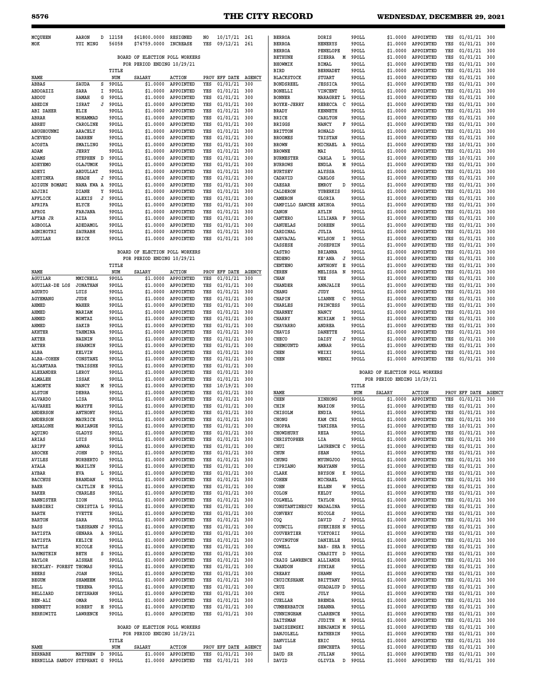| MCOUEEN                | AARON            | D | 12158   | \$61800.0000                   | RESIGNED           | NO  | 10/17/21      | 261           | <b>BERI</b>      |
|------------------------|------------------|---|---------|--------------------------------|--------------------|-----|---------------|---------------|------------------|
| MOK                    | YUI MING         |   | 56058   | \$74759.0000                   | <b>INCREASE</b>    | YES | 09/12/21      | 261           | <b>BERI</b>      |
|                        |                  |   |         |                                |                    |     |               |               | <b>BERI</b>      |
|                        |                  |   |         | BOARD OF ELECTION POLL WORKERS |                    |     |               |               | <b>BETH</b>      |
|                        |                  |   |         | FOR PERIOD ENDING 10/29/21     |                    |     |               |               | <b>BHOV</b>      |
|                        |                  |   | TITLE   |                                |                    |     |               |               | <b>BIRI</b>      |
| NAME                   |                  |   | NUM     | <b>SALARY</b>                  | <b>ACTION</b>      |     | PROV EFF DATE | <b>AGENCY</b> | <b>BLA</b>       |
| ABBAS                  | SAUDA            | s | 9POLL   | \$1.0000                       | APPOINTED          | YES | 01/01/21      | 300           | <b>BONI</b>      |
| ABDOAZIZ               | SARA             | I | 9POLL   | \$1.0000                       | APPOINTED          | YES | 01/01/21      | 300           | <b>BONI</b>      |
| ABDOU                  | SAMAH            | G | 9POLL   | \$1.0000                       | APPOINTED          | YES | 01/01/21      | 300           | <b>BON</b>       |
| ABEDIN                 | <b>ISRAT</b>     | J | 9POLL   | \$1.0000                       | APPOINTED          | YES | 01/01/21      | 300           | BOYI             |
| <b>ABI DAHER</b>       | ELIE             |   | 9POLL   | \$1.0000                       | APPOINTED          | YES | 01/01/21      | 300           | <b>BRAI</b>      |
| ABRAR                  | MOHAMMAD         |   | 9POLL   | \$1.0000                       | APPOINTED          | YES | 01/01/21      | 300           | <b>BRI</b>       |
| ABREU                  | CAROLINE         |   | 9POLL   | \$1.0000                       | APPOINTED          | YES | 01/01/21      | 300           | <b>BRIC</b>      |
| ABUGHOUNMI             | <b>ARACELY</b>   |   | 9POLL   | \$1.0000                       | APPOINTED          | YES | 01/01/21      | 300           | BRI <sub>1</sub> |
| <b>ACEVEDO</b>         | <b>DARREN</b>    |   | 9POLL   | \$1.0000                       | APPOINTED          | YES | 01/01/21      | 300           | <b>BRO</b>       |
| <b>ACOSTA</b>          | SMAILING         |   | 9POLL   | \$1.0000                       | APPOINTED          | YES | 01/01/21      | 300           | <b>BROV</b>      |
| ADAM                   | JERRY            |   | 9POLL   | \$1.0000                       | APPOINTED          | YES | 01/01/21      | 300           | <b>BROV</b>      |
| ADAMS                  | <b>STEPHEN</b>   | D | 9POLL   | \$1,0000                       | APPOINTED          | YES | 01/01/21      | 300           | <b>BURI</b>      |
| ADEYEMO                | OLAJUMOK         |   | 9POLL   | \$1.0000                       | APPOINTED          | YES | 01/01/21      | 300           | BURI             |
| ADEYI                  | ABDULLAT         |   | 9POLL   | \$1.0000                       | APPOINTED          | YES | 01/01/21      | 300           | BUR <sub>1</sub> |
| ADEYINKA               | SHADE            | J | 9POLL   | \$1.0000                       | APPOINTED          | YES | 01/01/21      | 300           | CAD <sub>2</sub> |
| <b>ADIGUN BOMANI</b>   | NANA KWA A       |   | 9POLL   | \$1,0000                       | APPOINTED          | YES | 01/01/21      | 300           | CAES             |
| ADJIBI                 | DIANE            | Υ | 9POLL   | \$1.0000                       | APPOINTED          | YES | 01/01/21      | 300           | CALI             |
| AFFLICK                | <b>ALEXIS</b>    | J | 9POLL   | \$1.0000                       | APPOINTED          | YES | 01/01/21      | 300           | CAMI             |
| AFRIFA                 | ELYCE            |   | 9POLL   | \$1.0000                       | APPOINTED          | YES | 01/01/21      | 300           | CAMI             |
| AFROZ                  | FARJANA          |   | 9POLL   | \$1.0000                       | APPOINTED          | YES | 01/01/21      | 300           | CANO             |
| AFTAB JR               | AIZA             |   | 9POLL   | \$1.0000                       | APPOINTED          | YES | 01/01/21      | 300           | CANT             |
| <b>AGBOOLA</b>         | ADEDAMOL         |   | 9POLL   | \$1.0000                       | APPOINTED          | YES | 01/01/21      | 300           | CANT             |
| AGNIHOTRI              | SAURABH          |   | 9POLL   | \$1,0000                       | <b>APPOINTED</b>   | YES | 01/01/21      | 300           | CARI             |
| AGUILAR                | ERICK            |   | 9POLL   | \$1.0000                       | APPOINTED          | YES | 01/01/21      | 300           | <b>CART</b>      |
|                        |                  |   |         |                                |                    |     |               |               | CASS             |
|                        |                  |   |         | BOARD OF ELECTION POLL WORKERS |                    |     |               |               | CAS <sub>1</sub> |
|                        |                  |   |         | FOR PERIOD ENDING 10/29/21     |                    |     |               |               | CEDI             |
|                        |                  |   | TITLE   |                                |                    |     |               |               | CENT             |
| NAME                   |                  |   | NUM     | SALARY                         | <b>ACTION</b>      |     | PROV EFF DATE | AGENCY        | CERI             |
| AGUILAR                | MMICHELL         |   | 9POLL   | \$1.0000                       | APPOINTED          | YES | 01/01/21      | 300           | CHAI             |
| AGUILAR-DE LOS         | <b>JONATHAN</b>  |   | 9POLL   | \$1.0000                       | APPOINTED          | YES | 01/01/21      | 300           | CHAI             |
| <b>AGURTO</b>          | LUIS             |   | 9POLL   | \$1,0000                       | APPOINTED          | YES | 01/01/21      | 300           | CHAI             |
| AGYEMANG               | JUDE             |   | 9POLL   | \$1.0000                       | APPOINTED          | YES | 01/01/21      | 300           | CHAI             |
| AHMED                  | MAHER            |   | 9POLL   | \$1.0000                       | APPOINTED          | YES | 01/01/21      | 300           | CHAI             |
| AHMED                  | MARIAM           |   | 9POLL   | \$1.0000                       | APPOINTED          | YES | 01/01/21      | 300           | CHAI             |
| AHMED                  | MOMTAZ           |   | 9POLL   | \$1,0000                       | APPOINTED          | YES | 01/01/21      | 300           | CHAI             |
| AHMED                  | SAKIB            |   | 9POLL   | \$1.0000                       | APPOINTED          | YES | 01/01/21      | 300           | <b>CHAT</b>      |
| AKHTER                 | TAHMINA          |   | 9POLL   | \$1.0000                       | APPOINTED          | YES | 01/01/21      | 300           | <b>CHAT</b>      |
| AKTER                  | <b>NAZNIN</b>    |   | 9POLL   | \$1.0000                       | APPOINTED          | YES | 01/01/21      | 300           | <b>CHE</b>       |
| AKTER                  | <b>SHARMIN</b>   |   | 9POLL   | \$1.0000                       | APPOINTED          | YES | 01/01/21      | 300           | CHE!             |
| ALBA                   | <b>KELVIN</b>    |   | 9POLL   | \$1.0000                       | APPOINTED          | YES | 01/01/21      | 300           | CHE!             |
| <b>ALBA-COHEN</b>      | CONSTANZ         |   | 9POLL   | \$1.0000                       | APPOINTED          | YES | 01/01/21      | 300           | <b>CHEI</b>      |
| ALCANTARA              | TNAISSHE         |   | 9POLL   | \$1.0000                       | APPOINTED          | YES | 01/01/21      | 300           |                  |
| ALEXANDER              | LEROY            |   | 9POLL   | \$1.0000                       | APPOINTED          | YES | 01/01/21      | 300           |                  |
| <b>ALMALEH</b>         | ISSAK            |   | 9POLL   | \$1.0000                       | APPOINTED          | YES | 01/01/21      | 300           |                  |
| <b>ALMONTE</b>         | NANCY            | м | 9POLL   | \$1.0000                       | APPOINTED          | YES | 10/19/21      | 300           |                  |
| <b>ALSTON</b>          | DEBRA            |   | 9POLL   | \$1.0000                       | APPOINTED          | YES | 01/01/21      | 300           | NAMI             |
| ALVARDO                | LISA             |   | 9POLL   | \$1.0000                       | APPOINTED          | YES | 01/01/21      | 300           | CHE!             |
| <b>ALVAREZ</b>         | MARYFE           |   | 9POLL   | \$1,0000                       | <b>APPOINTED</b>   | YES | 01/01/21      | 300           | CHIM             |
| <b>ANDERSON</b>        | ANTHONY          |   | 9POLL   | \$1.0000                       | APPOINTED          | YES | 01/01/21      | 300           | <b>CHIS</b>      |
| <b>ANDERSON</b>        | MAURICE          |   | 9POLL   | \$1.0000                       | APPOINTED          | YES | 01/01/21      | 300           | CHOI             |
| ANZALONE               | MARIANGE         |   | 9POLL   |                                | \$1.0000 APPOINTED | YES | 01/01/21      | 300           | CHOI             |
| AQUINO                 | GLADYS           |   | 9POLL   |                                | \$1.0000 APPOINTED | YES | 01/01/21      | 300           | <b>CHOV</b>      |
| ARIAS                  | LUIS             |   | 9POLL   |                                | \$1.0000 APPOINTED | YES | 01/01/21      | 300           | CHR <sub>1</sub> |
| ARIFF                  | ANWAR            |   | 9POLL   |                                | \$1.0000 APPOINTED | YES | 01/01/21      | 300           | CHU <sub>1</sub> |
| AROCHE                 | JOHN             | D | 9 POLL  |                                | \$1.0000 APPOINTED | YES | 01/01/21      | 300           | CHUI             |
| AVILES                 | <b>NORBERTO</b>  |   | 9POLL   |                                | \$1.0000 APPOINTED | YES | 01/01/21      | 300           | CHUI             |
| AYALA                  | MARILYN          |   | 9POLL   |                                | \$1.0000 APPOINTED | YES | 01/01/21      | 300           | CIPI             |
| AYBAR                  | EVA              |   | L 9POLL |                                | \$1.0000 APPOINTED | YES | 01/01/21      | 300           | CLAI             |
| <b>BACCHUS</b>         | BRANDAN          |   | 9POLL   |                                | \$1.0000 APPOINTED | YES | 01/01/21      | 300           | COHI             |
| BAER                   | CAITLIN E 9POLL  |   |         |                                | \$1.0000 APPOINTED | YES | 01/01/21      | 300           | COHN             |
| BAKER                  | <b>CHARLES</b>   |   | 9POLL   |                                | \$1.0000 APPOINTED | YES | 01/01/21      | 300           | <b>COLO</b>      |
| BANNISTER              | ZION             |   | 9POLL   |                                | \$1.0000 APPOINTED | YES | 01/01/21      | 300           | <b>COLM</b>      |
| BARBIERI               | CHRISTIA L       |   | 9 POLL  |                                | \$1.0000 APPOINTED | YES | 01/01/21      | 300           | CONS             |
| BARTH                  | YVETTE           |   | 9POLL   |                                | \$1.0000 APPOINTED | YES | 01/01/21      | 300           | <b>CONT</b>      |
| <b>BARTON</b>          | SARA             |   | 9POLL   |                                | \$1.0000 APPOINTED | YES | 01/01/21      | 300           | COQ              |
| <b>BASS</b>            | TAESHANN J 9POLL |   |         |                                | \$1.0000 APPOINTED | YES | 01/01/21      | 300           | COU              |
| <b>BATISTA</b>         | GENARA           |   | A 9POLL |                                | \$1.0000 APPOINTED | YES | 01/01/21      | 300           | COU              |
| <b>BATISTA</b>         | KELICE           |   | 9POLL   |                                | \$1.0000 APPOINTED | YES | 01/01/21      | 300           | COV <sub>1</sub> |
| <b>BATTLE</b>          | NICOLE           |   | 9POLL   |                                | \$1.0000 APPOINTED | YES | 01/01/21      | 300           | COMI             |
| BAUMSTEIN              | BETH             |   | S 9POLL |                                | \$1.0000 APPOINTED | YES | 01/01/21      | 300           | COX              |
| BAYLOR                 | <b>AISHAH</b>    |   | 9POLL   |                                | \$1.0000 APPOINTED | YES | 01/01/21      | 300           | CRA <sub>1</sub> |
| BECKLEY- FOREST THOMAS |                  |   | 9POLL   |                                | \$1.0000 APPOINTED | YES | 01/01/21      | 300           | CRAI             |
| <b>BEERS</b>           | <b>JOAN</b>      |   | 9POLL   |                                | \$1.0000 APPOINTED | YES | 01/01/21      | 300           | CRE <sub>2</sub> |
| <b>BEGUM</b>           | SHAMEEM          |   | 9POLL   |                                | \$1.0000 APPOINTED | YES | 01/01/21      | 300           | CRU <sub>1</sub> |
| BELL                   | TERENA           |   | 9POLL   |                                | \$1.0000 APPOINTED | YES | 01/01/21      | 300           | CRU <sub>2</sub> |
| BELLIARD               | DEYZHARN         |   | 9POLL   |                                | \$1.0000 APPOINTED | YES | 01/01/21      | 300           | CRU <sub>2</sub> |
| <b>BEN-ALI</b>         | OMAR             |   | 9POLL   |                                | \$1.0000 APPOINTED | YES | 01/01/21      | 300           | CUEI             |
| <b>BENNETT</b>         | ROBERT           |   | H 9POLL |                                | \$1.0000 APPOINTED | YES | 01/01/21      | 300           | CUME             |
| <b>BERKOWITZ</b>       | LAWRENCE         |   | 9POLL   |                                | \$1.0000 APPOINTED | YES | 01/01/21      | 300           | CUNI             |
|                        |                  |   |         |                                |                    |     |               |               | DAI'             |
|                        |                  |   |         | BOARD OF ELECTION POLL WORKERS |                    |     |               |               | DAN1             |
|                        |                  |   |         | FOR PERIOD ENDING 10/29/21     |                    |     |               |               | DAN.             |
|                        |                  |   |         |                                |                    |     |               |               |                  |

|                                  |                 | TITLE |        |                    |                      |  |
|----------------------------------|-----------------|-------|--------|--------------------|----------------------|--|
| NAME                             |                 | NUM   | SALARY | ACTION             | PROV EFF DATE AGENCY |  |
| <b>BERNABE</b>                   | MATTHEW D 9POLL |       |        | \$1.0000 APPOINTED | YES 01/01/21 300     |  |
| BERNILLA SANDOV STEPHANI G 9POLL |                 |       |        | \$1.0000 APPOINTED | YES 01/01/21 300     |  |

| <b>BERROA</b>          | DORIS           |   | 9POLL | \$1.0000                       | APPOINTED        | YES | 01/01/21      | 300           |
|------------------------|-----------------|---|-------|--------------------------------|------------------|-----|---------------|---------------|
| <b>BERROA</b>          | <b>HENERYS</b>  |   | 9POLL | \$1.0000                       | APPOINTED        | YES | 01/01/21      | 300           |
| <b>BERROA</b>          | PENELOPE        |   | 9POLL | \$1.0000                       | APPOINTED        | YES | 01/01/21      | 300           |
| <b>BETHUNE</b>         | SIERRA          | M | 9POLL | \$1,0000                       | APPOINTED        | YES | 01/01/21      | 300           |
| <b>BHOWMIK</b>         | BIMAL           |   | 9POLL | \$1.0000                       | <b>APPOINTED</b> | YES | 01/01/21      | 300           |
|                        |                 |   |       |                                |                  |     |               |               |
| BIRD                   | <b>BERNADET</b> |   | 9POLL | \$1.0000                       | APPOINTED        | YES | 01/01/21      | 300           |
| <b>BLACKSTOCK</b>      | <b>STUART</b>   |   | 9POLL | \$1.0000                       | APPOINTED        | YES | 01/01/21      | 300           |
| <b>BONDSREEL</b>       | <b>JESSICA</b>  |   | 9POLL | \$1.0000                       | APPOINTED        | YES | 01/01/21      | 300           |
| <b>BONELLI</b>         | VINCENT         |   | 9POLL | \$1,0000                       | APPOINTED        | YES | 01/01/21      | 300           |
| <b>BONNER</b>          | MARAGRET L      |   | 9POLL | \$1.0000                       | APPOINTED        | YES | 01/01/21      | 300           |
| <b>BOYKE-JERRY</b>     | <b>REBECCA</b>  | C | 9POLL | \$1.0000                       | APPOINTED        | YES | 01/01/21      | 300           |
| BRADY                  | <b>KENNETH</b>  |   | 9POLL | \$1.0000                       | APPOINTED        | YES | 01/01/21      | 300           |
| <b>BRICE</b>           | CARLTON         |   | 9POLL | \$1.0000                       | APPOINTED        | YES | 01/01/21      | 300           |
| <b>BRIGGS</b>          | <b>NANCY</b>    | F | 9POLL | \$1.0000                       | <b>APPOINTED</b> | YES | 01/01/21      | 300           |
| <b>BRITTON</b>         | RONALD          |   | 9POLL | \$1.0000                       | APPOINTED        | YES | 01/01/21      | 300           |
|                        |                 |   |       |                                |                  |     |               |               |
| <b>BROOMES</b>         | <b>TRISTAN</b>  |   | 9POLL | \$1.0000                       | APPOINTED        | YES | 01/01/21      | 300           |
| <b>BROWN</b>           | MICHAEL         | Α | 9POLL | \$1.0000                       | APPOINTED        | YES | 10/01/21      | 300           |
| <b>BROWNE</b>          | MAI             |   | 9POLL | \$1.0000                       | APPOINTED        | YES | 01/01/21      | 300           |
| <b>BURMESTER</b>       | CARLA           | L | 9POLL | \$1.0000                       | APPOINTED        | YES | 10/01/21      | 300           |
| <b>BURROWS</b>         | <b>ENDLA</b>    | M | 9POLL | \$1.0000                       | APPOINTED        | YES | 01/01/21      | 300           |
| <b>BURTSEV</b>         | ALYSSA          |   | 9POLL | \$1.0000                       | APPOINTED        | YES | 01/01/21      | 300           |
| CADAVID                | CARLOS          |   | 9POLL | \$1.0000                       | APPOINTED        | YES | 01/01/21      | 300           |
| CAESAR                 | EMROY           | D | 9POLL | \$1.0000                       | APPOINTED        | YES | 01/01/21      | 300           |
| CALDERON               | YUBERKIS        |   | 9POLL | \$1.0000                       | APPOINTED        | YES | 01/01/21      | 300           |
| CAMERON                | <b>GLORIA</b>   |   | 9POLL | \$1.0000                       | <b>APPOINTED</b> | YES | 01/01/21      | 300           |
|                        |                 |   | 9POLL |                                | APPOINTED        |     |               |               |
| CAMPILLO SANCHE ANIHOA |                 |   |       | \$1.0000                       |                  | YES | 01/01/21      | 300           |
| CANON                  | AYLIN           |   | 9POLL | \$1.0000                       | APPOINTED        | YES | 01/01/21      | 300           |
| CANTERO                | LILIANA         | F | 9POLL | \$1.0000                       | APPOINTED        | YES | 01/01/21      | 300           |
| CANUELAS               | <b>DOREEN</b>   |   | 9POLL | \$1,0000                       | APPOINTED        | YES | 01/01/21      | 300           |
| CARDINAL               | <b>JULIA</b>    |   | 9POLL | \$1.0000                       | APPOINTED        | YES | 01/01/21      | 300           |
| CARVAJAL               | WILSON          | I | 9POLL | \$1.0000                       | APPOINTED        | YES | 01/01/21      | 300           |
| CASSESE                | <b>JOSEPHIN</b> |   | 9POLL | \$1.0000                       | APPOINTED        | YES | 01/01/21      | 300           |
| <b>CASTRO</b>          | BRIANNA         |   | 9POLL | \$1.0000                       | APPOINTED        | YES | 01/01/21      | 300           |
| <b>CEDENO</b>          | <b>KE' ANA</b>  | J | 9POLL | \$1.0000                       | <b>APPOINTED</b> | YES | 01/01/21      | 300           |
| <b>CENTENO</b>         | ANTHONY         | Е | 9POLL | \$1.0000                       | APPOINTED        | YES | 01/01/21      | 300           |
|                        |                 | N |       | \$1,0000                       | APPOINTED        |     |               |               |
| CEREN                  | MELISSA         |   | 9POLL |                                |                  | YES | 01/01/21      | 300           |
| CHAN                   | YEE             |   | 9POLL | \$1.0000                       | APPOINTED        | YES | 01/01/21      | 300           |
| <b>CHANDER</b>         | ANNJALIE        |   | 9POLL | \$1.0000                       | APPOINTED        | YES | 01/01/21      | 300           |
| CHANG                  | JUDY            |   | 9POLL | \$1.0000                       | APPOINTED        | YES | 01/01/21      | 300           |
| <b>CHAPIN</b>          | LIANNE          | С | 9POLL | \$1.0000                       | APPOINTED        | YES | 01/01/21      | 300           |
| <b>CHARLES</b>         | PRINCESS        |   | 9POLL | \$1.0000                       | APPOINTED        | YES | 01/01/21      | 300           |
| <b>CHARNEY</b>         | NANCY           |   | 9POLL | \$1.0000                       | APPOINTED        | YES | 01/01/21      | 300           |
| <b>CHARRY</b>          | MIRIAM          | I | 9POLL | \$1.0000                       | APPOINTED        | YES | 01/01/21      | 300           |
| <b>CHAVARRO</b>        | ANDREA          |   | 9POLL | \$1.0000                       | <b>APPOINTED</b> | YES | 01/01/21      | 300           |
| <b>CHAVIS</b>          | <b>DANETTE</b>  |   | 9POLL | \$1.0000                       | <b>APPOINTED</b> | YES | 01/01/21      | 300           |
| CHECO                  | DAISY           | J | 9POLL | \$1.0000                       | APPOINTED        | YES | 01/01/21      | 300           |
|                        |                 |   |       |                                |                  |     |               |               |
| CHEMOUNTD              | AMBAR           |   | 9POLL | \$1.0000                       | APPOINTED        | YES | 01/01/21      | 300           |
|                        |                 |   |       |                                |                  |     |               |               |
| CHEN                   | WEIXI           |   | 9POLL | \$1.0000                       | APPOINTED        | YES | 01/01/21      | 300           |
| CHEN                   | WENXI           |   | 9POLL | \$1.0000                       | APPOINTED        | YES | 01/01/21      | 300           |
|                        |                 |   |       |                                |                  |     |               |               |
|                        |                 |   |       | BOARD OF ELECTION POLL WORKERS |                  |     |               |               |
|                        |                 |   |       | FOR PERIOD ENDING 10/29/21     |                  |     |               |               |
|                        |                 |   | TITLE |                                |                  |     |               |               |
| NAME                   |                 |   | NUM   | <b>SALARY</b>                  | <b>ACTION</b>    |     | PROV EFF DATE | <b>AGENCY</b> |
| CHEN                   | XINHONG         |   | 9POLL | \$1.0000                       | APPOINTED        | YES | 01/01/21      | 300           |
| CHIN                   | MARION          |   | 9POLL | \$1.0000                       | APPOINTED        | YES | 01/01/21      | 300           |
| CHISOLM                | ENDIA           |   | 9POLL | \$1.0000                       | APPOINTED        | YES | 01/01/21      | 300           |
| CHONG                  | KAM CHI         |   | 9POLL | \$1,0000                       | APPOINTED        | YES | 01/01/21      | 300           |
| CHOPRA                 | TANISHA         |   | 9POLL | \$1.0000                       | APPOINTED        | YES | 10/01/21      | 300           |
| CHOWDHURY              | REZA            |   | 9POLL | \$1.0000                       | APPOINTED        | YES | 01/01/21      | 300           |
|                        |                 |   |       |                                |                  |     |               |               |
| CHRISTOPHER            | LIA             |   | 9POLL | \$1.0000                       | APPOINTED        | YES | 01/01/21      | 300           |
| CHUI                   | LAURENCE C      |   | 9POLL | \$1.0000                       | APPOINTED        | YES | 01/01/21      | 300           |
| CHUN                   | SEAN            |   | 9POLL | \$1.0000                       | APPOINTED        | YES | 01/01/21      | 300           |
| CHUNG                  | <b>MYUNGJOO</b> |   | 9POLL | \$1.0000                       | APPOINTED        | YES | 01/01/21      | 300           |
| CIPRIANO               | MARYANN         |   | 9POLL | \$1.0000                       | APPOINTED        | YES | 01/01/21      | 300           |
| CLARK                  | <b>BRYSON</b>   | K | 9POLL | \$1.0000                       | APPOINTED        | YES | 01/01/21      | 300           |
| COHEN                  | MICHAEL         |   | 9POLL | \$1.0000                       | APPOINTED        | YES | 01/01/21      | 300           |
| COHN                   | ELLEN           | W | 9POLL | \$1.0000                       | APPOINTED        | YES | 01/01/21      | 300           |
| COLON                  | KELDY           |   | 9POLL | \$1.0000                       | APPOINTED        | YES | 01/01/21      | 300           |
| COLWELL                | TAYLOR          |   | 9POLL | \$1.0000                       | APPOINTED        | YES |               | 300           |
|                        |                 |   |       |                                |                  | YES | 01/01/21      |               |
| CONSTANTINESCU         | MADALINA        |   | 9POLL | \$1.0000                       | APPOINTED        |     | 01/01/21      | 300           |
| CONVERY                | NICOLE          |   | 9POLL | \$1.0000                       | APPOINTED        | YES | 01/01/21      | 300           |
| COQ                    | DAVID           | J | 9POLL | \$1.0000                       | APPOINTED        | YES | 01/01/21      | 300           |
| COUNCIL                | SUEKIESH N      |   | 9POLL | \$1.0000                       | APPOINTED        | YES | 01/01/21      | 300           |
| COUVERTIER             | VIKTORII        |   | 9POLL | \$1.0000                       | APPOINTED        | YES | 01/01/21      | 300           |
| COVINGTON              | DANIELLE        |   | 9POLL | \$1.0000                       | APPOINTED        | YES | 01/01/21      | 300           |
| COWELL                 | BAR- SHA R      |   | 9POLL | \$1.0000                       | APPOINTED        | YES | 01/01/21      | 300           |
| COX                    | CHASITY         | D | 9POLL | \$1,0000                       | APPOINTED        | YES | 01/01/21      | 300           |
| CRAIG LAWRENCE         | <b>ALLIANDR</b> |   | 9POLL | \$1.0000                       | APPOINTED        | YES | 01/01/21      | 300           |
| <b>CRANDON</b>         | <b>SYNIAH</b>   |   | 9POLL | \$1.0000                       | APPOINTED        | YES | 01/01/21      | 300           |
| <b>CREARY</b>          | <b>SHAWN</b>    |   | 9POLL | \$1.0000                       | APPOINTED        | YES | 01/01/21      | 300           |
| CRUICKSHANK            | <b>BRITTANY</b> |   | 9POLL | \$1.0000                       | APPOINTED        | YES | 01/01/21      | 300           |
|                        |                 |   |       |                                |                  |     |               |               |
| CRUZ                   | GUADALUP D      |   | 9POLL | \$1.0000                       | APPOINTED        | YES | 01/01/21      | 300           |
| CRUZ                   | JULY            |   | 9POLL | \$1.0000                       | APPOINTED        | YES | 01/01/21      | 300           |
| CUELLAR                | <b>BRENDA</b>   |   | 9POLL | \$1.0000                       | APPOINTED        | YES | 01/01/21      | 300           |
| CUMBERBATCH            | <b>DEANNA</b>   |   | 9POLL | \$1.0000                       | APPOINTED        | YES | 01/01/21      | 300           |
| CUNNINGHAM             | CLARENCE        |   | 9POLL | \$1.0000                       | APPOINTED        | YES | 01/01/21      | 300           |
| <b>DAITSMAN</b>        | JUDITH          | Μ | 9POLL | \$1.0000                       | APPOINTED        | YES | 01/01/21      | 300           |
| DANISZEWSKI            | BENJAMIN M      |   | 9POLL | \$1.0000                       | APPOINTED        | YES | 01/01/21      | 300           |
| DANJOLELL              | KATHERIN        |   | 9POLL | \$1.0000                       | APPOINTED        | YES | 01/01/21      | 300           |
| DANVILLE               | ERIC            |   | 9POLL | \$1.0000                       | APPOINTED        | YES | 01/01/21      | 300           |
| DAS                    | <b>SHWCHETA</b> |   | 9POLL | \$1.0000                       | APPOINTED        | YES | 01/01/21      | 300           |
| DAUD SR                | <b>JULIAN</b>   |   | 9POLL | \$1.0000                       | APPOINTED        | YES | 01/01/21      | 300           |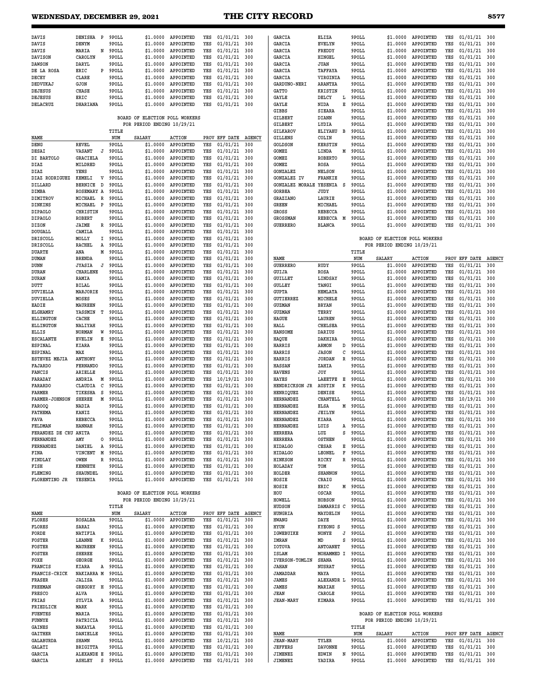## WEDNESDAY, DECEMBER 29, 2021 **THE CITY RECORD**

| <b>DAVIS</b>              | DENISHA<br>$\mathbf P$            |   | 9POLL          | \$1,0000                       | APPOINTED              | YES        | 01/01/21             | 300           | GARCIA                           | ELIZA                        | 9POLL          | \$1,0000                       | APPOINTED              | YES        | 01/01/21             | 300           |
|---------------------------|-----------------------------------|---|----------------|--------------------------------|------------------------|------------|----------------------|---------------|----------------------------------|------------------------------|----------------|--------------------------------|------------------------|------------|----------------------|---------------|
| DAVIS                     | DENYM                             |   | 9POLL          | \$1.0000                       | APPOINTED              | YES        | 01/01/21             | 300           | GARCIA                           | <b>EVELYN</b>                | 9POLL          | \$1,0000                       | APPOINTED              | YES        | 01/01/21             | 300           |
| DAVIS                     | MARIA                             | N | 9POLL          | \$1.0000                       | APPOINTED              | YES        | 01/01/21             | 300           | GARCIA                           | FREDDY                       | 9POLL          | \$1,0000                       | APPOINTED              | YES        | 01/01/21             | 300           |
| <b>DAVISON</b>            | CAROLYN                           |   | 9POLL          | \$1.0000                       | APPOINTED              | YES        | 01/01/21             | 300           | GARCIA                           | HINGEL                       | 9POLL          | \$1,0000                       | APPOINTED              | YES        | 01/01/21             | 300           |
| <b>DAWSON</b>             | DARYL                             |   | 9POLL          | \$1,0000                       | APPOINTED              | YES        | 01/01/21             | 300           | GARCIA                           | JUAN                         | 9POLL          | \$1.0000                       | APPOINTED              | YES        | 01/01/21             | 300           |
| DE LA ROSA                | ERIC                              | P | 9POLL          | \$1.0000<br>\$1,0000           | APPOINTED              | YES        | 01/01/21             | 300           | GARCIA                           | <b>TAFFAYA</b>               | 9POLL          | \$1.0000                       | APPOINTED<br>APPOINTED | YES        | 01/01/21<br>01/01/21 | 300           |
| DECEY<br>DEDVUKAJ         | CLARE<br>GJON                     |   | 9POLL<br>9POLL | \$1.0000                       | APPOINTED<br>APPOINTED | YES<br>YES | 01/01/21<br>01/01/21 | 300<br>300    | GARCIA<br><b>GARDUNO-NERI</b>    | VIRGINIA<br><b>ARANTXA</b>   | 9POLL<br>9POLL | \$1.0000<br>\$1,0000           | APPOINTED              | YES<br>YES | 01/01/21             | 300<br>300    |
| <b>DEJESUS</b>            | CHASE                             |   | 9POLL          | \$1.0000                       | APPOINTED              | YES        | 01/01/21             | 300           | <b>GATTO</b>                     | <b>KRISTIN</b>               | 9POLL          | \$1,0000                       | APPOINTED              | YES        | 01/01/21             | 300           |
| DEJESUS                   | ERIC                              |   | 9POLL          | \$1.0000                       | APPOINTED              | YES        | 01/01/21             | 300           | GAYLE                            | DELCY<br>L                   | 9POLL          | \$1,0000                       | APPOINTED              | YES        | 01/01/21             | 300           |
| DELACRUZ                  | DHARIANA                          |   | 9POLL          | \$1,0000                       | APPOINTED              | YES        | 01/01/21             | 300           | GAYLE                            | NIDA<br>Е                    | 9POLL          | \$1,0000                       | APPOINTED              | YES        | 01/01/21             | 300           |
|                           |                                   |   |                |                                |                        |            |                      |               | GIBBS                            | <b>SIEARA</b>                | 9POLL          | \$1,0000                       | APPOINTED              | YES        | 01/01/21             | 300           |
|                           |                                   |   |                | BOARD OF ELECTION POLL WORKERS |                        |            |                      |               | GILBERT                          | DIANN                        | 9POLL          | \$1,0000                       | APPOINTED              | YES        | 01/01/21             | 300           |
|                           |                                   |   |                | FOR PERIOD ENDING 10/29/21     |                        |            |                      |               | <b>GILBERT</b>                   | LYDIA                        | 9POLL          | \$1,0000                       | APPOINTED              | YES        | 01/01/21             | 300           |
|                           |                                   |   | TITLE          |                                |                        |            |                      |               | GILKAROV                         | ELIYAHU<br>в                 | 9POLL          | \$1,0000                       | APPOINTED              | YES        | 01/01/21             | 300           |
| NAME                      |                                   |   | NUM            | SALARY                         | <b>ACTION</b>          |            | PROV EFF DATE        | <b>AGENCY</b> | <b>GILLENS</b>                   | COLIN                        | 9POLL          | \$1.0000                       | APPOINTED              | YES        | 01/01/21             | 300           |
| DENG                      | REVEL                             |   | 9POLL          | \$1.0000                       | APPOINTED              | YES        | 01/01/21             | 300           | <b>GOLDSON</b>                   | <b>KERSTIN</b>               | 9POLL          | \$1.0000                       | APPOINTED              | YES        | 01/01/21             | 300           |
| DESAI                     | VASANT<br>J                       |   | 9POLL          | \$1.0000                       | APPOINTED              | YES        | 01/01/21             | 300           | GOMEZ                            | LINDA<br>м                   | 9POLL          | \$1,0000                       | APPOINTED              | YES        | 01/01/21             | 300           |
| DI BARTOLO                | <b>GRACIELA</b>                   |   | 9POLL          | \$1.0000                       | APPOINTED              | YES        | 01/01/21             | 300           | GOMEZ                            | <b>ROBERTO</b>               | 9POLL          | \$1,0000                       | APPOINTED              | YES        | 01/01/21             | 300           |
| DIAZ                      | MILDRED                           |   | 9POLL          | \$1.0000                       | APPOINTED              | YES        | 01/01/21             | 300           | GOMEZ                            | ROSA                         | 9POLL          | \$1,0000                       | APPOINTED              | YES        | 01/01/21             | 300           |
| DIAZ                      | YENS                              |   | 9POLL          | \$1.0000                       | APPOINTED              | YES        | 01/01/21             | 300           | GONZALEZ                         | <b>NELSON</b>                | 9POLL          | \$1,0000                       | APPOINTED              | YES        | 01/01/21             | 300           |
| DIAZ RODRIGUEZ            | KEMELI<br>v                       |   | 9POLL          | \$1.0000                       | APPOINTED              | YES        | 01/01/21             | 300           | GONZALEZ IV                      | FRANKIE                      | 9POLL          | \$1,0000                       | APPOINTED              | YES        | 01/01/21             | 300           |
| DILLARD                   | <b>BERNICE</b><br>D<br>ROSEMARY A |   | 9POLL<br>9POLL | \$1.0000<br>\$1.0000           | APPOINTED<br>APPOINTED | YES<br>YES | 01/01/21<br>01/01/21 | 300<br>300    | GONZALEZ MORALE YESENIA          | - S                          | 9POLL<br>9POLL | \$1,0000<br>\$1,0000           | APPOINTED<br>APPOINTED | YES<br>YES | 01/01/21<br>01/01/21 | 300<br>300    |
| DIMBA<br>DIMITROV         | MICHAEL<br>R                      |   | 9POLL          | \$1.0000                       | APPOINTED              | YES        | 01/01/21             | 300           | GORBEA<br><b>GRAZIANO</b>        | JUDY<br>LAURIE               | 9POLL          | \$1,0000                       | APPOINTED              | YES        | 01/01/21             | 300           |
| DINKINS                   | MICHAEL<br>$\mathbf P$            |   | 9POLL          | \$1.0000                       | APPOINTED              | YES        | 01/01/21             | 300           | GREEN                            | MICHAEL                      | 9POLL          | \$1.0000                       | APPOINTED              | YES        | 01/01/21             | 300           |
| <b>DIPAOLO</b>            | CHRISTIN                          |   | 9POLL          | \$1,0000                       | APPOINTED              | YES        | 01/01/21             | 300           | <b>GROSS</b>                     | REBECCA                      | 9POLL          | \$1,0000                       | APPOINTED              | YES        | 01/01/21             | 300           |
| <b>DIPAOLO</b>            | <b>ROBERT</b>                     |   | 9POLL          | \$1.0000                       | APPOINTED              | YES        | 01/01/21             | 300           | <b>GROSSMAN</b>                  | REBECCA<br>M                 | 9POLL          | \$1,0000                       | APPOINTED              | YES        | 01/01/21             | 300           |
| DIZON                     | <b>JAIME</b>                      | R | 9POLL          | \$1.0000                       | APPOINTED              | YES        | 01/01/21             | 300           | <b>GUERRERO</b>                  | <b>BLANCA</b>                | 9POLL          | \$1.0000                       | APPOINTED              | YES        | 01/01/21             | 300           |
| <b>DOUGALL</b>            | CAMILA                            |   | 9POLL          | \$1.0000                       | APPOINTED              | YES        | 01/01/21             | 300           |                                  |                              |                |                                |                        |            |                      |               |
| DRISCOLL                  | MOLLY                             | I | 9POLL          | \$1.0000                       | APPOINTED              | YES        | 01/01/21             | 300           |                                  |                              |                | BOARD OF ELECTION POLL WORKERS |                        |            |                      |               |
| DRISCOLL                  | RACHEL<br>Α                       |   | 9POLL          | \$1.0000                       | APPOINTED              | YES        | 01/01/21             | 300           |                                  |                              |                | FOR PERIOD ENDING 10/29/21     |                        |            |                      |               |
| <b>DUARTE</b>             | ANA                               | М | 9POLL          | \$1.0000                       | APPOINTED              | YES        | 01/01/21             | 300           |                                  |                              | TITLE          |                                |                        |            |                      |               |
| DUMAN                     | <b>BRENDA</b>                     |   | 9POLL          | \$1.0000                       | APPOINTED              | YES        | 01/01/21             | 300           | NAME                             |                              | NUM            | <b>SALARY</b>                  | <b>ACTION</b>          | PROV       | EFF DATE             | <b>AGENCY</b> |
| DUNN                      | JYASIA                            | J | 9POLL          | \$1.0000                       | APPOINTED              | YES        | 01/01/21             | 300           | <b>GUERRERO</b>                  | RUDY                         | 9POLL          | \$1,0000                       | APPOINTED              | YES        | 01/01/21             | 300           |
| DURAN                     | <b>CHARLENE</b>                   |   | 9POLL          | \$1.0000                       | APPOINTED              | YES        | 01/01/21             | 300           | GUIJA                            | ROSA                         | 9POLL          | \$1.0000                       | APPOINTED              | YES        | 01/01/21             | 300           |
| DURAN                     | RAMIA                             |   | 9POLL          | \$1.0000                       | APPOINTED              | YES        | 01/01/21             | 300           | <b>GUILLET</b>                   | LINDSAY                      | 9POLL          | \$1.0000                       | APPOINTED              | YES        | 01/01/21             | 300           |
| DUTT<br>DUVIELLA          | BILAL<br>MARJORIE                 |   | 9POLL<br>9POLL | \$1.0000<br>\$1.0000           | APPOINTED<br>APPOINTED | YES<br>YES | 01/01/21<br>01/01/21 | 300<br>300    | <b>GULLEY</b><br><b>GUPTA</b>    | TANGI<br>HEMLATA             | 9POLL<br>9POLL | \$1,0000<br>\$1,0000           | APPOINTED<br>APPOINTED | YES<br>YES | 01/01/21<br>01/01/21 | 300<br>300    |
| <b>DUVIELLA</b>           | MOSES                             |   | 9POLL          | \$1.0000                       | APPOINTED              | YES        | 01/01/21             | 300           | <b>GUTIERREZ</b>                 | MICHELE                      | 9POLL          | \$1,0000                       | APPOINTED              | YES        | 01/01/21             | 300           |
| EADIE                     | <b>MAUREEN</b>                    |   | 9POLL          | \$1.0000                       | APPOINTED              | YES        | 01/01/21             | 300           | <b>GUZMAN</b>                    | <b>BRYAN</b>                 | 9POLL          | \$1,0000                       | APPOINTED              | YES        | 01/01/21             | 300           |
| <b>ELGHAMRY</b>           | YASSMIN<br>т                      |   | 9POLL          | \$1.0000                       | APPOINTED              | YES        | 01/01/21             | 300           | <b>GUZMAN</b>                    | TERRY                        | 9POLL          | \$1,0000                       | APPOINTED              | YES        | 01/01/21             | 300           |
| <b>ELLINGTON</b>          | CACHE                             |   | 9POLL          | \$1.0000                       | APPOINTED              | YES        | 01/01/21             | 300           | HAGUE                            | LAUREN                       | 9POLL          | \$1,0000                       | APPOINTED              | YES        | 01/01/21             | 300           |
| <b>ELLINGTON</b>          | NALIYAH                           |   | 9POLL          | \$1.0000                       | APPOINTED              | YES        | 01/01/21             | 300           | HALL                             | <b>CHELSEA</b>               | 9POLL          | \$1,0000                       | APPOINTED              | YES        | 01/01/21             | 300           |
| ELLIS                     | <b>NORMAN</b>                     | W | 9POLL          | \$1.0000                       | APPOINTED              | YES        | 01/01/21             | 300           | <b>HANSOME</b>                   | DARIUS                       | 9POLL          | \$1.0000                       | APPOINTED              | YES        | 01/01/21             | 300           |
| <b>ESCALANTE</b>          | <b>EVELIN</b>                     | Е | 9POLL          | \$1.0000                       | APPOINTED              | YES        | 01/01/21             | 300           | HAQUE                            | DAKHIRA                      | 9POLL          | \$1.0000                       | APPOINTED              | YES        | 01/01/21             | 300           |
| <b>ESPINAL</b>            | KIARA                             |   | 9POLL          | \$1.0000                       | APPOINTED              | YES        | 01/01/21             | 300           | <b>HARRIS</b>                    | ARMON<br>D                   | 9POLL          | \$1.0000                       | APPOINTED              | YES        | 01/01/21             | 300           |
| <b>ESPINAL</b>            | MAX                               |   | 9POLL          | \$1.0000                       | APPOINTED              | YES        | 01/01/21             | 300           | <b>HARRIS</b>                    | <b>JASON</b><br>C            | 9POLL          | \$1,0000                       | APPOINTED              | YES        | 01/01/21             | 300           |
| <b>ESTEVEZ MEJIA</b>      | <b>ANTHONY</b>                    |   | 9POLL          | \$1.0000                       | APPOINTED              | YES        | 01/01/21             | 300           | <b>HARRIS</b>                    | <b>JORDAN</b><br>R           | 9POLL          | \$1,0000                       | APPOINTED              | YES        | 01/01/21             | 300           |
| <b>FAJARDO</b>            | FERNANDO                          |   | 9POLL          | \$1.0000                       | APPOINTED              | YES        | 01/01/21             | 300           | <b>HASSAN</b>                    | ZAHIA                        | 9POLL          | \$1,0000                       | APPOINTED              | YES        | 01/01/21             | 300           |
| FANCIS                    | ARIELLE                           |   | 9POLL          | \$1.0000<br>\$1,0000           | APPOINTED              | YES        | 01/01/21             | 300           | <b>HAVENS</b>                    | JOY<br><b>LAEETFE</b>        | 9POLL          | \$1,0000<br>\$1,0000           | APPOINTED<br>APPOINTED | YES        | 01/01/21             | 300           |
| FARADAY<br><b>FARARDO</b> | ANDRIA<br>C                       | Μ | 9POLL<br>9POLL | \$1,0000                       | APPOINTED<br>APPOINTED | YES<br>YES | 10/19/21<br>01/01/21 | 300<br>300    | HAYES<br>HENDRICKSON JR          | Е<br>к<br><b>AUSTIN</b>      | 9POLL<br>9POLL |                                | APPOINTED              | YES<br>YES | 01/01/21<br>01/01/21 | 300<br>300    |
| FARMER                    | CLAUDIA<br>TIKESHA<br>s           |   | 9POLL          | \$1,0000                       | APPOINTED              | YES        | 01/01/21             | 300           | HENRIQUEZ                        | DENISE                       | 9POLL          | \$1.0000<br>\$1,0000           | APPOINTED              | YES        | 01/01/21             | 300           |
| <b>FARMER-JOHNSON</b>     | <b>SHEREE</b>                     | М | 9POLL          | \$1.0000                       | APPOINTED              | YES        | 01/01/21             | 300           | HERNANDEZ                        | CHANTELL                     | 9POLL          | \$1.0000                       | APPOINTED              | YES        | 10/19/21             | 300           |
| <b>FAROOQ</b>             | NADIA                             |   | 9POLL          | \$1.0000                       | APPOINTED              | YES        | 01/01/21             | 300           | <b>HERNANDEZ</b>                 | ELSA<br>М                    | 9POLL          | \$1.0000                       | APPOINTED              | YES        | 01/01/21             | 300           |
| <b>FATHEMA</b>            | KANIZ                             |   | 9POLL          | \$1.0000                       | APPOINTED              | YES        | 01/01/21             | 300           | <b>HERNANDEZ</b>                 | JEILYN                       | 9POLL          | \$1.0000                       | APPOINTED              | YES        | 01/01/21             | 300           |
| FAVA                      | <b>REBECCA</b>                    |   | 9POLL          | \$1.0000                       | APPOINTED              | YES        | $01/01/21$ 300       |               | <b>HERNANDEZ</b>                 | KIARA                        | 9POLL          |                                | \$1.0000 APPOINTED     | YES        | $01/01/21$ 300       |               |
| <b>FRIDMAN</b>            | <b>HANNAH</b>                     |   | 9POLL          | \$1.0000                       | APPOINTED              | <b>YES</b> | 01/01/21             | 300           | <b>HERNANDEZ</b>                 | <b>LITS</b><br>A             | 9POLL          | \$1,0000                       | APPOINTED              | <b>YES</b> | 01/01/21             | 300           |
| FERANDEZ DE CRU ANITA     |                                   |   | 9POLL          | \$1,0000                       | APPOINTED              | YES        | 01/01/21             | 300           | <b>HERRERA</b>                   | LUZ<br>s                     | 9POLL          |                                | \$1.0000 APPOINTED     | YES        | 01/01/21 300         |               |
| <b>FERNANDEZ</b>          | AMY                               | о | 9POLL          | \$1.0000                       | APPOINTED              | YES        | 01/01/21             | 300           | <b>HERRERA</b>                   | <b>OSTHEN</b>                | 9POLL          | \$1.0000                       | APPOINTED              | YES        | 01/01/21             | 300           |
| <b>FERNANDEZ</b>          | DANIEL<br>Α                       |   | 9POLL          | \$1.0000                       | APPOINTED              | YES        | 01/01/21             | 300           | <b>HIDALGO</b>                   | Е<br>CESAR                   | 9POLL          | \$1.0000                       | APPOINTED              | YES        | 01/01/21             | 300           |
| <b>FINA</b>               | VINCENT<br>M                      |   | 9POLL          | \$1,0000                       | APPOINTED              | YES        | 01/01/21             | 300           | <b>HIDALGO</b>                   | <b>LEONEL</b><br>F           | 9POLL          | \$1.0000                       | APPOINTED              | YES        | 01/01/21             | 300           |
| FINDLAY                   | <b>OWEN</b>                       | R | 9POLL          | \$1,0000                       | APPOINTED              | YES        | 01/01/21             | 300           | <b>HINKSON</b>                   | R<br>RICKY                   | 9POLL          | \$1,0000                       | APPOINTED              | YES        | 01/01/21             | 300           |
| FISH<br>FLEMING           | <b>KENNETH</b>                    |   | 9POLL<br>9POLL | \$1.0000                       | APPOINTED              | YES        | 01/01/21             | 300           | HOLADAY                          |                              |                |                                |                        |            | 01/01/21             | 300<br>300    |
| FLORENTINO JR             |                                   |   |                |                                |                        |            |                      |               |                                  | TOM                          | 9POLL          | \$1.0000                       | APPOINTED              | YES        |                      |               |
|                           | <b>SHAUNDEL</b>                   |   |                | \$1,0000                       | APPOINTED              | YES        | 01/01/21             | 300           | HOLDER                           | <b>SHANNON</b>               | 9POLL          | \$1,0000                       | APPOINTED              | YES        | 01/01/21             |               |
|                           | YESENIA                           |   | 9POLL          | \$1.0000                       | APPOINTED              | YES        | $01/01/21$ 300       |               | HOSIE                            | CRAIG                        | 9POLL          | \$1.0000                       | APPOINTED              | YES        | 01/01/21             | 300           |
|                           |                                   |   |                | BOARD OF ELECTION POLL WORKERS |                        |            |                      |               | HOSIE<br>HOU                     | ERIC<br>м<br>OSCAR           | 9POLL<br>9POLL | \$1.0000<br>\$1.0000           | APPOINTED<br>APPOINTED | YES<br>YES | 01/01/21<br>01/01/21 | 300<br>300    |
|                           |                                   |   |                | FOR PERIOD ENDING 10/29/21     |                        |            |                      |               | HOWELL                           | HOBSON                       | 9POLL          | \$1.0000                       | APPOINTED              | YES        | 01/01/21             | 300           |
|                           |                                   |   | TITLE          |                                |                        |            |                      |               | HUDSON                           | DAMARRIS C                   | 9POLL          | \$1.0000                       | APPOINTED              | YES        | 01/01/21             | 300           |
| NAME                      |                                   |   | NUM            | SALARY                         | <b>ACTION</b>          |            | PROV EFF DATE AGENCY |               | HUNGRIA                          | MAYDELIN                     | 9POLL          | \$1.0000                       | APPOINTED              | YES        | 01/01/21             | 300           |
| FLORES                    | ROSALBA                           |   | 9POLL          | \$1.0000                       | APPOINTED              | YES        | 01/01/21             | 300           | HWANG                            | DAYE                         | 9POLL          | \$1.0000                       | APPOINTED              | YES        | 01/01/21             | 300           |
| <b>FLORES</b>             | SARAI                             |   | 9POLL          | \$1,0000                       | APPOINTED              | YES        | 01/01/21             | 300           | HYUN                             | <b>KYEONG S</b>              | 9POLL          | \$1.0000                       | APPOINTED              | YES        | 01/01/21             | 300           |
| FORDE                     | NATIFIA                           |   | 9POLL          | \$1.0000                       | APPOINTED              | YES        | 01/01/21             | 300           | IGWEBUIKE                        | NONYE<br>J                   | 9POLL          | \$1.0000                       | APPOINTED              | YES        | 01/01/21             | 300           |
| <b>FOSTER</b>             | LEANNE                            | к | 9POLL          | \$1,0000                       | APPOINTED              | YES        | 01/01/21             | 300           | IMRAN                            | MD<br>S                      | 9POLL          | \$1,0000                       | APPOINTED              | YES        | 01/01/21             | 300           |
| <b>FOSTER</b>             | MAUREEN                           |   | 9POLL          | \$1.0000                       | APPOINTED              | YES        | 01/01/21             | 300           | <b>IOTOVA</b>                    | ANTOANET                     | 9POLL          | \$1.0000                       | APPOINTED              | YES        | 01/01/21             | 300           |
| <b>FOSTER</b>             | SHEREE                            |   | 9POLL          | \$1,0000                       | APPOINTED              | YES        | 01/01/21             | 300           | ISLAM                            | MOHAMMED I                   | 9POLL          | \$1,0000                       | APPOINTED              | YES        | 01/01/21             | 300           |
| FOXE<br>FRANCIS           | GEORGE                            |   | 9POLL          | \$1.0000                       | APPOINTED              | YES<br>YES | 01/01/21             | 300           | IVERSON-TOMLIN<br>JAHAN          | <b>SHANA</b>                 | 9POLL          | \$1.0000                       | APPOINTED              | YES<br>YES | 01/01/21             | 300<br>300    |
| FRANCIS-CRICK             | KIARA<br>NAKIARRA M               | A | 9POLL<br>9POLL | \$1.0000<br>\$1.0000           | APPOINTED<br>APPOINTED | YES        | 01/01/21<br>01/01/21 | 300<br>300    | JAMADDAR                         | NUSRAT<br>MAYA               | 9POLL<br>9POLL | \$1.0000<br>\$1.0000           | APPOINTED<br>APPOINTED | YES        | 01/01/21<br>01/01/21 | 300           |
| FRASER                    | <b>JALISA</b>                     |   | 9POLL          | \$1.0000                       | APPOINTED              | YES        | 01/01/21             | 300           | JAMES                            | ALEXANDR L                   | 9POLL          | \$1.0000                       | APPOINTED              | YES        | 01/01/21             | 300           |
| FREEMAN                   | GREGORY H                         |   | 9POLL          | \$1.0000                       | APPOINTED              | YES        | 01/01/21             | 300           | JAMES                            | MARIAH                       | 9POLL          | \$1.0000                       | APPOINTED              | YES        | 01/01/21             | 300           |
| <b>FRESCO</b>             | ALVA                              |   | 9POLL          | \$1.0000                       | APPOINTED              | YES        | 01/01/21             | 300           | JEAN                             | CAROLE                       | 9POLL          | \$1.0000                       | APPOINTED              | YES        | 01/01/21             | 300           |
| FRIAS                     | SYLVIA                            | A | 9POLL          | \$1.0000                       | APPOINTED              | YES        | 01/01/21             | 300           | <b>JEAN-MARY</b>                 | KIMARA                       | 9POLL          | \$1.0000                       | APPOINTED              | YES        | $01/01/21$ 300       |               |
| FRIEDLICH                 | MARK                              |   | 9POLL          | \$1.0000                       | APPOINTED              | YES        | 01/01/21             | 300           |                                  |                              |                |                                |                        |            |                      |               |
| <b>FUENTES</b>            | MARIA                             |   | 9POLL          | \$1.0000                       | APPOINTED              | YES        | 01/01/21             | 300           |                                  |                              |                | BOARD OF ELECTION POLL WORKERS |                        |            |                      |               |
| FUNNYE                    | PATRICIA                          |   | 9POLL          | \$1,0000                       | APPOINTED              | YES        | 01/01/21             | 300           |                                  |                              |                | FOR PERIOD ENDING 10/29/21     |                        |            |                      |               |
| <b>GAINES</b>             | NAKAYLA                           |   | 9POLL          | \$1,0000                       | APPOINTED              | YES        | 01/01/21             | 300           |                                  |                              | TITLE          |                                |                        |            |                      |               |
| <b>GAITHER</b>            | DANIELLE                          |   | 9POLL          | \$1.0000                       | APPOINTED              | YES        | 01/01/21             | 300           | NAME                             |                              | NUM            | SALARY                         | <b>ACTION</b>          |            | PROV EFF DATE AGENCY |               |
| <b>GALABURDA</b>          | <b>SHAWN</b>                      |   | 9POLL          | \$1.0000                       | APPOINTED              | YES<br>YES | 10/21/21             | 300           | <b>JEAN-MARY</b>                 | TYLER                        | 9POLL          | \$1.0000                       | APPOINTED              | YES<br>YES | 01/01/21             | 300           |
| GALATI<br>GARCIA          | <b>BRIGITTA</b><br>ALEXANDE E     |   | 9POLL<br>9POLL | \$1.0000<br>\$1.0000           | APPOINTED<br>APPOINTED | YES        | 01/01/21<br>01/01/21 | 300<br>300    | <b>JEFFERS</b><br><b>JIMENEZ</b> | <b>DAVONNE</b><br>EDWIN<br>N | 9POLL<br>9POLL | \$1.0000<br>\$1.0000           | APPOINTED<br>APPOINTED | YES        | 01/01/21<br>01/01/21 | 300<br>300    |
| GARCIA                    | <b>ASHLEY</b><br>s                |   | 9POLL          | \$1.0000                       | APPOINTED              | YES        | $01/01/21$ 300       |               | JIMENEZ                          | YADIRA                       | 9POLL          | \$1.0000                       | APPOINTED              | YES        | 01/01/21 300         |               |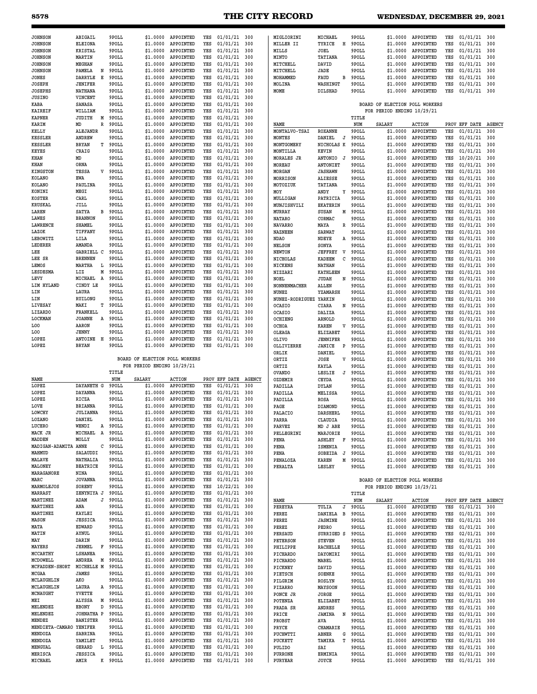## **8578 THE CITY RECORD WEDNESDAY, DECEMBER 29, 2021**

| <b>JOHNSON</b>          | ABIGAIL                       | 9POLL          | \$1,0000                       | APPOINTED                  | YES        | $01/01/21$ 300                   |               | MIGLIORINI                         | MICHAEL                       | 9POLL          | \$1,0000                       | APPOINTED                  | YES        | $01/01/21$ 300                   |               |
|-------------------------|-------------------------------|----------------|--------------------------------|----------------------------|------------|----------------------------------|---------------|------------------------------------|-------------------------------|----------------|--------------------------------|----------------------------|------------|----------------------------------|---------------|
| <b>JOHNSON</b>          | <b>ELEIONA</b>                | 9POLL          | \$1,0000                       | APPOINTED                  | YES        | 01/01/21                         | 300           | MILLER II                          | н<br>TYRICE                   | 9POLL          | \$1.0000                       | APPOINTED                  | YES        | 01/01/21                         | 300           |
| <b>JOHNSON</b>          | <b>KRISTAL</b>                | 9POLL          | \$1.0000                       | APPOINTED                  | YES        | 01/01/21                         | 300           | MILLS                              | JOEL                          | 9POLL          | \$1.0000                       | APPOINTED                  | YES        | 01/01/21                         | 300           |
| <b>JOHNSON</b>          | MARTIN                        | 9POLL          | \$1.0000                       | APPOINTED                  | YES        | 01/01/21                         | 300           | <b>MINTO</b>                       | TATIANA                       | 9POLL          | \$1,0000                       | APPOINTED                  | YES        | 01/01/21                         | 300           |
| <b>JOHNSON</b>          | MEGHAN                        | 9POLL          | \$1.0000                       | APPOINTED                  | YES        | 01/01/21                         | 300           | MITCHELL                           | DAVID                         | 9POLL          | \$1.0000                       | APPOINTED                  | YES        | 01/01/21                         | 300           |
| <b>JOHNSON</b>          | PAMELA<br>N                   | 9POLL          | \$1.0000                       | APPOINTED                  | YES        | 01/01/21                         | 300           | MITCHELL                           | JADE                          | 9POLL          | \$1,0000                       | APPOINTED                  | YES        | 01/01/21                         | 300           |
| JONES                   | DARRYLE<br>Е                  | 9POLL          | \$1.0000                       | APPOINTED                  | YES        | 01/01/21                         | 300           | MOHAMMED                           | FAUD<br>B                     | 9POLL          | \$1.0000                       | APPOINTED                  | YES        | 01/01/21                         | 300           |
| JOSEPH                  | <b>JENIFER</b>                | 9POLL          | \$1,0000                       | APPOINTED                  | YES        | 01/01/21                         | 300           | MOLINA                             | WASHINGT                      | 9POLL          | \$1,0000                       | APPOINTED                  | YES        | 01/01/21                         | 300           |
| <b>JOSEPHS</b>          | <b>NATHANA</b>                | 9POLL          | \$1,0000                       | APPOINTED                  | YES        | 01/01/21                         | 300           | MOME                               | DILSHAD                       | 9POLL          | \$1.0000                       | APPOINTED                  | YES        | 01/01/21                         | 300           |
| <b>JUSINO</b>           | VINCENT                       | 9POLL          | \$1.0000                       | APPOINTED                  | YES        | 01/01/21                         | 300           |                                    |                               |                |                                |                            |            |                                  |               |
| KABA                    | SANASA                        | 9POLL          | \$1.0000                       | APPOINTED                  | YES        | 01/01/21                         | 300           |                                    |                               |                | BOARD OF ELECTION POLL WORKERS |                            |            |                                  |               |
| <b>KAIREIF</b>          | WILLIAM                       | 9POLL          | \$1.0000                       | APPOINTED                  | YES        | 01/01/21                         | 300           |                                    |                               |                | FOR PERIOD ENDING 10/29/21     |                            |            |                                  |               |
| <b>KAPNER</b>           | JUDITH<br>М                   | 9POLL          | \$1.0000                       | APPOINTED                  | YES        | 01/01/21                         | 300           |                                    |                               | TITLE          |                                |                            |            |                                  |               |
| KARIM                   | MD<br>R                       | 9POLL          | \$1.0000                       | APPOINTED                  | YES        | 01/01/21                         | 300           | NAME                               |                               | NUM            | <b>SALARY</b>                  | <b>ACTION</b>              |            | PROV EFF DATE                    | <b>AGENCY</b> |
| KELLY                   | ALEJANDR                      | 9POLL          | \$1.0000                       | APPOINTED                  | YES        | 01/01/21                         | 300           | MONTALVO-TSAI                      | <b>ROXANNE</b>                | 9POLL          | \$1.0000                       | APPOINTED                  | YES        | 01/01/21                         | 300           |
| <b>KESSLER</b>          | ANDREW                        | 9POLL          | \$1.0000                       | APPOINTED                  | YES        | 01/01/21                         | 300           | MONTES                             | DANIEL<br>J                   | 9POLL          | \$1,0000                       | APPOINTED                  | YES        | 01/01/21                         | 300           |
| <b>KESSLER</b>          | <b>BRYAN</b><br>т             | 9POLL          | \$1.0000                       | APPOINTED                  | YES        | 01/01/21                         | 300           | MONTGOMERY                         | NICHOLAS K                    | 9POLL          | \$1.0000                       | APPOINTED                  | YES        | 01/01/21                         | 300           |
| <b>KEYES</b>            | CRAIG                         | 9POLL<br>9POLL | \$1,0000<br>\$1,0000           | APPOINTED<br>APPOINTED     | YES        | 01/01/21                         | 300<br>300    | MONTILLA                           | <b>KEVIN</b>                  | 9POLL          | \$1,0000                       | APPOINTED<br>APPOINTED     | YES        | 01/01/21                         | 300           |
| KHAN<br>KHAN            | MD<br>ORNA                    | 9POLL          | \$1.0000                       | APPOINTED                  | YES<br>YES | 01/01/21<br>01/01/21             | 300           | <b>MORALES JR</b><br><b>MOREAU</b> | ANTONIO<br>J<br>ANTONIET      | 9POLL<br>9POLL | \$1,0000<br>\$1.0000           | APPOINTED                  | YES<br>YES | 10/20/21<br>01/01/21             | 300<br>300    |
| <b>KINGSTON</b>         | TESSA<br>V                    | 9POLL          | \$1.0000                       | APPOINTED                  | YES        | 01/01/21                         | 300           | MORGAN                             | <b>JASHAWN</b>                | 9POLL          | \$1,0000                       | APPOINTED                  | YES        | 01/01/21                         | 300           |
| KOLANO                  | EWA                           | 9POLL          | \$1.0000                       | APPOINTED                  | YES        | 01/01/21                         | 300           | <b>MORRISON</b>                    | ALIESSE                       | 9POLL          | \$1.0000                       | APPOINTED                  | YES        | 01/01/21                         | 300           |
| KOLANO                  | PAULINA                       | 9POLL          | \$1.0000                       | APPOINTED                  | YES        | 01/01/21                         | 300           | MOTOZIUK                           | TATIANA                       | 9POLL          | \$1.0000                       | APPOINTED                  | YES        | 01/01/21                         | 300           |
| KONINI                  | MEGI                          | 9POLL          | \$1.0000                       | APPOINTED                  | YES        | 01/01/21                         | 300           | MOY                                | ANDY<br>Y                     | 9POLL          | \$1.0000                       | APPOINTED                  | YES        | 01/01/21                         | 300           |
| <b>KOSTER</b>           | CARL                          | 9POLL          | \$1.0000                       | APPOINTED                  | YES        | 01/01/21                         | 300           | MULLIGAN                           | PATRICIA                      | 9POLL          | \$1.0000                       | APPOINTED                  | YES        | 01/01/21                         | 300           |
| <b>KRUSKAL</b>          | JILL                          | 9POLL          | \$1.0000                       | APPOINTED                  | YES        | 01/01/21                         | 300           | MUNJISHVILI                        | <b>EKATERIN</b>               | 9POLL          | \$1,0000                       | APPOINTED                  | YES        | 01/01/21                         | 300           |
| LAREN                   | SATYA<br>в                    | 9POLL          | \$1,0000                       | APPOINTED                  | YES        | 01/01/21                         | 300           | MURRAY                             | M<br>SUSAN                    | 9POLL          | \$1.0000                       | APPOINTED                  | YES        | 01/01/21                         | 300           |
| LAWES                   | <b>BRANNON</b>                | 9POLL          | \$1,0000                       | APPOINTED                  | YES        | 01/01/21                         | 300           | <b>NATARO</b>                      | CORMAC                        | 9POLL          | \$1,0000                       | APPOINTED                  | YES        | 01/01/21                         | 300           |
| <b>LAWRENCE</b>         | SHAMEL                        | 9POLL          | \$1,0000                       | APPOINTED                  | YES        | 01/01/21                         | 300           | <b>NAVARRO</b>                     | MAYA<br>R                     | 9POLL          | \$1.0000                       | APPOINTED                  | YES        | 01/01/21                         | 300           |
| LAZOK                   | TIFFANY                       | 9POLL          | \$1,0000                       | APPOINTED                  | YES        | 01/01/21                         | 300           | <b>NAZNEEN</b>                     | SARWAT                        | 9POLL          | \$1,0000                       | APPOINTED                  | YES        | 01/01/21                         | 300           |
| LEBOWITZ                | LILA                          | 9POLL          | \$1,0000                       | APPOINTED                  | YES        | 01/01/21                         | 300           | <b>NDAO</b>                        | NDEYE<br>Α                    | 9POLL          | \$1.0000                       | APPOINTED                  | YES        | 01/01/21                         | 300           |
| LEDERER                 | AMANDA                        | 9POLL          | \$1.0000                       | APPOINTED                  | YES        | 01/01/21                         | 300           | <b>NELSON</b>                      | SONYA                         | 9POLL          | \$1,0000                       | APPOINTED                  | YES        | 01/01/21                         | 300           |
| LEE                     | GABRIELL C                    | 9POLL          | \$1.0000                       | APPOINTED                  | YES        | 01/01/21                         | 300           | <b>NEWTON</b>                      | <b>JEFFREY</b><br>v           | 9POLL          | \$1,0000                       | APPOINTED                  | YES        | 01/01/21                         | 300           |
| LEE SR                  | <b>BRENNEN</b>                | 9POLL          | \$1,0000                       | APPOINTED                  | YES        | 01/01/21                         | 300           | NICHOLAS                           | C<br><b>KADEEM</b>            | 9POLL          | \$1.0000                       | APPOINTED                  | YES        | 01/01/21                         | 300           |
| LEMOS                   | MARTHA<br>L                   | 9POLL          | \$1.0000                       | APPOINTED                  | YES        | 01/01/21                         | 300           | <b>NICKENS</b>                     | <b>NATHAN</b>                 | 9POLL          | \$1,0000                       | APPOINTED                  | YES        | 01/01/21                         | 300           |
| LESDESMA                | М<br>LIZ                      | 9POLL          | \$1,0000                       | APPOINTED                  | YES        | 01/01/21                         | 300           | NIZZARI                            | <b>KATHLEEN</b>               | 9POLL          | \$1.0000                       | APPOINTED                  | YES        | 01/01/21                         | 300           |
| LEVY                    | MICHAEL<br>A                  | 9POLL          | \$1.0000                       | APPOINTED                  | YES        | 01/01/21                         | 300           | NOEL                               | <b>JUDAH</b><br>N             | 9POLL          | \$1,0000                       | APPOINTED                  | YES        | 01/01/21                         | 300           |
| LIM HYLAND              | CINDY LE                      | 9POLL          | \$1.0000                       | APPOINTED                  | YES        | 01/01/21                         | 300           | NONNENMACHER                       | ALLEN                         | 9POLL          | \$1.0000                       | APPOINTED                  | YES        | 01/01/21                         | 300           |
| LIN                     | LAURA                         | 9POLL          | \$1.0000                       | APPOINTED                  | YES        | 01/01/21                         | 300           | NUNEZ                              | YZAMARSH                      | 9POLL          | \$1,0000                       | APPOINTED                  | YES        | 01/01/21                         | 300           |
| LIN                     | RUILONG                       | 9POLL          | \$1.0000                       | APPOINTED                  | YES        | 01/01/21                         | 300           | <b>NUNEZ-RODRIGUEZ</b>             | YARKIN                        | 9POLL          | \$1.0000                       | APPOINTED                  | YES        | 01/01/21                         | 300           |
| LIVESAY                 | т<br>MAKI                     | 9POLL          | \$1.0000                       | APPOINTED                  | YES        | 01/01/21                         | 300           | OCASIO                             | CIARA<br>N                    | 9POLL          | \$1.0000                       | APPOINTED                  | YES        | 01/01/21                         | 300           |
| LIZARDO                 | FRANKELL                      | 9POLL          | \$1.0000                       | APPOINTED                  | YES        | 01/01/21                         | 300           | OCASIO                             | DALIZA                        | 9POLL          | \$1.0000                       | APPOINTED                  | YES        | 01/01/21                         | 300           |
| LOCKMAN                 | <b>JOANNE</b><br>A<br>AARON   | 9POLL<br>9POLL | \$1.0000<br>\$1.0000           | APPOINTED<br>APPOINTED     | YES<br>YES | 01/01/21<br>01/01/21             | 300<br>300    | <b>OCHIENG</b>                     | ARNOLD                        | 9POLL          | \$1.0000                       | APPOINTED                  | YES<br>YES | 01/01/21                         | 300<br>300    |
| LOO<br>LOO              | JENNY                         | 9POLL          | \$1.0000                       | APPOINTED                  | YES        | 01/01/21                         | 300           | OCHOA<br>OLEAGA                    | KAREN<br>v<br><b>ELIZABET</b> | 9POLL<br>9POLL | \$1,0000<br>\$1.0000           | APPOINTED<br>APPOINTED     | YES        | 01/01/21<br>01/01/21             | 300           |
| LOPEZ                   | ANTOINE<br>н                  | 9POLL          | \$1.0000                       | APPOINTED                  | YES        | 01/01/21                         | 300           | OLIVO                              | <b>JENNIFER</b>               | 9POLL          | \$1.0000                       | APPOINTED                  | YES        | 01/01/21                         | 300           |
|                         |                               |                |                                |                            |            |                                  |               |                                    |                               |                |                                |                            |            |                                  |               |
|                         |                               |                |                                |                            |            |                                  |               |                                    |                               |                |                                |                            |            |                                  |               |
| LOPEZ                   | <b>BRYAN</b>                  | 9POLL          | \$1.0000                       | APPOINTED                  | YES        | 01/01/21                         | 300           | OLLIVIERRE                         | P<br>JANICE                   | 9POLL          | \$1.0000                       | APPOINTED                  | YES        | 01/01/21                         | 300           |
|                         |                               |                |                                |                            |            |                                  |               | ORLIK                              | DANIEL                        | 9POLL          | \$1,0000                       | APPOINTED                  | YES        | 01/01/21                         | 300           |
|                         |                               |                | BOARD OF ELECTION POLL WORKERS |                            |            |                                  |               | ORTIZ                              | JOSE<br>V                     | 9POLL          | \$1,0000                       | APPOINTED                  | YES        | 01/01/21                         | 300           |
|                         |                               |                | FOR PERIOD ENDING 10/29/21     |                            |            |                                  |               | ORTIZ                              | KAYLA                         | 9POLL          | \$1.0000                       | APPOINTED                  | YES        | 01/01/21                         | 300           |
|                         |                               | TITLE<br>NUM   |                                |                            | PROV       | EFF DATE                         | <b>AGENCY</b> | OVANDO                             | LESLIE<br>J                   | 9POLL          | \$1,0000                       | APPOINTED                  | YES        | 01/01/21                         | 300           |
| NAME<br>LOPEZ           | DAYANETH G                    | 9POLL          | SALARY<br>\$1,0000             | <b>ACTION</b><br>APPOINTED | YES        | 01/01/21                         | 300           | OZDEMIR<br>PADILLA                 | CEYDA<br>DYLAN                | 9POLL<br>9POLL | \$1.0000<br>\$1,0000           | APPOINTED<br>APPOINTED     | YES<br>YES | 01/01/21<br>01/01/21             | 300<br>300    |
| LOPEZ                   | <b>DAYANNA</b>                | 9POLL          | \$1.0000                       | APPOINTED                  | YES        | 01/01/21                         | 300           | PADILLA                            | MELISSA                       | 9POLL          | \$1,0000                       | APPOINTED                  | YES        | 01/01/21                         | 300           |
| LOPEZ                   | RICZA                         | 9POLL          | \$1.0000                       | APPOINTED                  | YES        | 01/01/21                         | 300           | PADILLA                            | ROSA                          | 9POLL          | \$1.0000                       | APPOINTED                  | YES        | 01/01/21                         | 300           |
| LOVE                    | <b>BRIANNA</b>                | 9POLL          | \$1,0000                       | APPOINTED                  | YES        | 01/01/21                         | 300           | PAGE                               | DIAMOND                       | 9POLL          | \$1.0000                       | APPOINTED                  | YES        | 01/01/21                         | 300           |
| LOWCHY                  | <b>JULIANNA</b>               | 9POLL          | \$1,0000                       | APPOINTED                  | YES        | 01/01/21                         | 300           | PALACIO                            | DARSHERL                      | 9POLL          | \$1.0000                       | APPOINTED                  | YES        | 01/01/21                         | 300           |
| LOZANO                  | DANIEL                        | 9POLL          | \$1,0000                       | APPOINTED                  | YES        | 01/01/21                         | 300           | PARRA                              | CLAUDIA                       | 9POLL          | \$1.0000                       | APPOINTED                  | YES        | 01/01/21                         | 300           |
| LUCERO                  | WENDI<br>Α                    | 9POLL          | \$1.0000                       | APPOINTED                  | YES        | 01/01/21                         | 300           | PARVEZ                             | MD J ABE                      | 9POLL          | \$1.0000                       | APPOINTED                  | YES        | 01/01/21                         | 300           |
| MACK JR                 | MICHAEL<br>Α                  | 9POLL          | \$1.0000                       | APPOINTED                  | YES        | 01/01/21 300                     |               | PELLEGRINI                         | MARJORIE                      | 9POLL          | \$1.0000                       | APPOINTED                  | YES        | 01/01/21                         | 300           |
| MADDEN                  | MOLLY                         | 9POLL          | \$1.0000                       | APPOINTED                  | YES        | $01/01/21$ 300                   |               | PENA                               | ASHLEY<br>F                   | 9POLL          | \$1.0000                       | APPOINTED                  | YES        | 01/01/21                         | 300           |
| MADIGAN-ADAMITA         | ANNE<br>с                     | 9POLL          | \$1.0000                       | APPOINTED                  | YES        | $01/01/21$ 300                   |               | PENA                               | <b>ISMENIA</b>                | 9POLL          | \$1.0000                       | APPOINTED                  | YES        | 01/01/21                         | 300           |
| MAHMUD                  | SALAUDDI                      | 9POLL          | \$1.0000                       | APPOINTED                  | YES        | 01/01/21                         | 300           | PENA                               | SOBEIDA<br>J                  | 9POLL          | \$1.0000                       | APPOINTED                  | YES        | 01/01/21                         | 300           |
| MALAVE                  | NATHALIA                      | 9POLL          | \$1,0000                       | APPOINTED                  | YES        | 01/01/21                         | 300           | PENALOZA                           | KAREN<br>М                    | 9POLL          | \$1.0000                       | APPOINTED                  | YES        | 01/01/21                         | 300           |
| MALONEY                 | <b>BEATRICE</b>               | 9POLL          | \$1.0000                       | APPOINTED                  | YES        | $01/01/21$ 300                   |               | PERALTA                            | LESLEY                        | 9POLL          | \$1.0000                       | APPOINTED                  | YES        | 01/01/21                         | 300           |
| MARAGANORE              | NINA                          | 9POLL          | \$1.0000                       | APPOINTED                  | YES        | $01/01/21$ 300                   |               |                                    |                               |                |                                |                            |            |                                  |               |
| MARC                    | <b>JOVANNA</b>                | 9POLL          | \$1.0000                       | APPOINTED                  | YES        | 01/01/21 300                     |               |                                    |                               |                | BOARD OF ELECTION POLL WORKERS |                            |            |                                  |               |
| MARMOLEJOS<br>MARRAST   | SORENY<br>ZENYNIYA J          | 9POLL<br>9POLL | \$1.0000<br>\$1.0000           | APPOINTED<br>APPOINTED     | YES<br>YES | $10/22/21$ 300<br>$01/01/21$ 300 |               |                                    |                               |                | FOR PERIOD ENDING 10/29/21     |                            |            |                                  |               |
| MARTINEZ                | J<br>ADAM                     | 9POLL          | \$1.0000                       | APPOINTED                  | YES        | $01/01/21$ 300                   |               |                                    |                               | TITLE          |                                |                            |            |                                  |               |
| MARTINEZ                | ANA                           | 9POLL          | \$1.0000                       | APPOINTED                  | YES        | $01/01/21$ 300                   |               | NAME<br>PEREYRA                    | J<br>TULIA                    | NUM<br>9POLL   | SALARY<br>\$1.0000             | <b>ACTION</b><br>APPOINTED | YES        | PROV EFF DATE AGENCY<br>01/01/21 | 300           |
| MARTINEZ                | KAYLEI                        | 9POLL          | \$1.0000                       | APPOINTED                  | YES        | 01/01/21                         | 300           |                                    | B                             |                |                                |                            |            |                                  |               |
| MASON                   | <b>JESSICA</b>                | 9POLL          | \$1,0000                       | APPOINTED                  | YES        | 01/01/21                         | 300           | PEREZ<br>PEREZ                     | DANIELA<br><b>JASMINE</b>     | 9POLL<br>9POLL | \$1,0000<br>\$1.0000           | APPOINTED<br>APPOINTED     | YES<br>YES | 01/01/21<br>01/01/21             | 300<br>300    |
| MATA                    | <b>EDWARD</b>                 | 9POLL          | \$1.0000                       | APPOINTED                  | YES        | 01/01/21                         | 300           | PEREZ                              | PEDRO                         | 9POLL          | \$1.0000                       | APPOINTED                  | YES        | 01/01/21                         | 300           |
| MATIN                   | AYNUL                         | 9POLL          | \$1.0000                       | APPOINTED                  | YES        | $01/01/21$ 300                   |               | PERSAUD                            | SURRIGED S                    | 9POLL          | \$1.0000                       | APPOINTED                  | YES        | 02/01/21                         | 300           |
| MAY                     | DARIN                         | 9POLL          | \$1,0000                       | APPOINTED                  | YES        | $01/01/21$ 300                   |               | PETERSON                           | <b>STEVEN</b>                 | 9POLL          | \$1.0000                       | APPOINTED                  | YES        | 01/01/21                         | 300           |
| MAYERS                  | JERMEL<br>F                   | 9POLL          | \$1.0000                       | APPOINTED                  | YES        | $01/01/21$ 300                   |               | PHILIPPE                           | RACHELLE                      | 9POLL          | \$1.0000                       | APPOINTED                  | YES        | 01/01/21                         | 300           |
| MCCARTHY                | LSHANEA                       | 9POLL          | \$1.0000                       | APPOINTED                  | YES        | $01/01/21$ 300                   |               | PICHARDO                           | DAYOMIRI                      | 9POLL          | \$1.0000                       | APPOINTED                  | YES        | 01/01/21                         | 300           |
| MCDOWELL                | ANDREA<br>Μ                   | 9POLL          | \$1.0000                       | APPOINTED                  | YES        | $01/01/21$ 300                   |               | PICHARDO                           | MABEL                         | 9POLL          | \$1.0000                       | APPOINTED                  | YES        | 01/01/21                         | 300           |
| MCFADDEN-SHORT          | MICHELLE M                    | 9POLL          | \$1.0000                       | APPOINTED                  | YES        | $01/01/21$ 300                   |               | PICKNEY                            | DAVID                         | 9POLL          | \$1.0000                       | APPOINTED                  | YES        | 01/01/21                         | 300           |
| MCGAA                   | <b>JAMES</b>                  | 9POLL          | \$1.0000                       | APPOINTED                  | YES        | $01/01/21$ 300                   |               | PIETSCH                            | SOENKE                        | 9POLL          | \$1.0000                       | APPOINTED                  | YES        | 01/01/21                         | 300           |
| MCLAUGHLIN              | AKO                           | 9POLL          | \$1.0000                       | APPOINTED                  | YES        | 01/01/21                         | 300           | PILGRIM                            | <b>ROSLYN</b>                 | 9POLL          | \$1.0000                       | APPOINTED                  | YES        | 01/01/21                         | 300           |
| MCLAUGHLIN              | LAURA<br>Α                    | 9POLL          | \$1.0000                       | APPOINTED                  | YES        | 01/01/21                         | 300           | PIZARRO                            | MAYSOON                       | 9POLL          | \$1.0000                       | APPOINTED                  | YES        | 01/01/21                         | 300           |
| MCNAUGHT                | YVETTE                        | 9POLL          | \$1.0000                       | APPOINTED                  | YES        | 01/01/21                         | 300           | PONCE JR                           | JORGE                         | 9POLL          | \$1.0000                       | APPOINTED                  | YES        | 01/01/21                         | 300           |
| MEI                     | ALYSSA<br>М                   | 9POLL          | \$1.0000                       | APPOINTED                  | YES        | $01/01/21$ 300                   |               | POTENZA                            | ELIZABET                      | 9POLL          | \$1.0000                       | APPOINTED                  | YES        | 01/01/21                         | 300           |
| MELENDEZ                | EBONY<br>D                    | 9POLL          | \$1.0000                       | APPOINTED                  | YES        | $01/01/21$ 300                   |               | PRADA SR                           | ANDRES                        | 9POLL          | \$1.0000                       | APPOINTED                  | YES        | 01/01/21                         | 300           |
| MELENDEZ                | JOHNATHA P                    | 9POLL          | \$1.0000                       | APPOINTED                  | YES        | $01/01/21$ 300                   |               | PRICE                              | N<br><b>JAMINA</b>            | 9POLL          | \$1.0000                       | APPOINTED                  | YES        | 01/01/21                         | 300           |
| MENDEZ                  | <b>BANISTER</b>               | 9POLL          | \$1.0000                       | APPOINTED                  | YES        | $01/01/21$ 300                   |               | PROBST                             | AVA                           | 9POLL          | \$1.0000                       | APPOINTED                  | YES        | 01/01/21                         | 300           |
| MENDIETA-CAMARO YENIFER |                               | 9POLL          | \$1.0000                       | APPOINTED                  | YES        | $01/01/21$ 300                   |               | PRYCE                              | CHAMARIE                      | 9POLL          | \$1.0000                       | APPOINTED                  | YES        | 01/01/21                         | 300           |
| MENDOZA                 | SABRINA                       | 9POLL          | \$1.0000                       | APPOINTED                  | YES        | $01/01/21$ 300                   |               | PUCHWTTI                           | ABNER<br>G                    | 9POLL          | \$1.0000                       | APPOINTED                  | YES        | 01/01/21                         | 300           |
| MENDOZA                 | YAMILET                       | 9POLL          | \$1.0000                       | APPOINTED                  | YES        | 01/01/21                         | 300           | <b>PUCKETT</b>                     | T<br>TAMIKA                   | 9POLL          | \$1.0000                       | APPOINTED                  | YES        | 01/01/21                         | 300           |
| MENGUAL<br>MERISCA      | GERARD<br>L<br><b>JESSICA</b> | 9POLL<br>9POLL | \$1.0000<br>\$1.0000           | APPOINTED<br>APPOINTED     | YES<br>YES | 01/01/21<br>$01/01/21$ 300       | 300           | <b>PULIDO</b><br>PURRONE           | SAI<br>ERMINIA                | 9POLL<br>9POLL | \$1.0000<br>\$1.0000           | APPOINTED<br>APPOINTED     | YES<br>YES | 01/01/21<br>01/01/21             | 300<br>300    |
| MICHAEL                 | AMIR                          | K 9POLL        | \$1.0000                       | APPOINTED                  | YES        | 01/01/21 300                     |               | PURYEAR                            | JOYCE                         | 9POLL          | \$1.0000                       | APPOINTED                  | YES        | 01/01/21                         | 300           |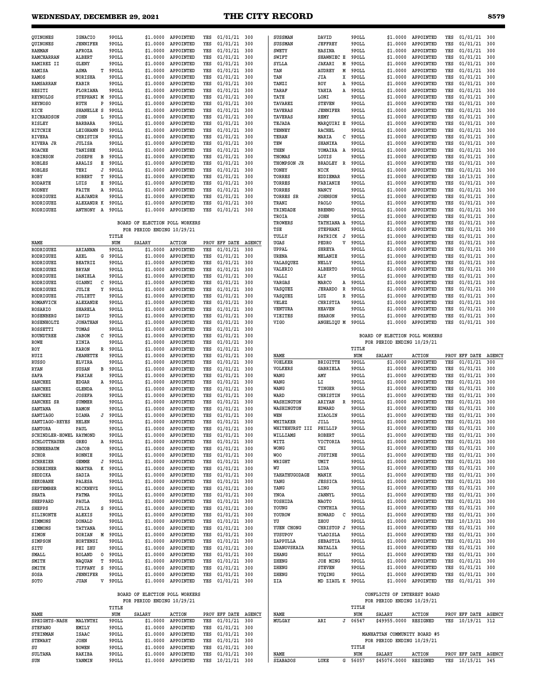| QUINONES                | IGNACIO            | 9POLL          | \$1.0000                                                     | APPOINTED              | YES | 01/01/21                         | 300           | SUSSMAN          | DAVID                   | 9POLL          | \$1.0000                                                  | APPOINTED          | YES        | 01/01/21                                 | 300           |
|-------------------------|--------------------|----------------|--------------------------------------------------------------|------------------------|-----|----------------------------------|---------------|------------------|-------------------------|----------------|-----------------------------------------------------------|--------------------|------------|------------------------------------------|---------------|
| QUINONES                | <b>JENNIFER</b>    | 9POLL          | \$1,0000                                                     | APPOINTED              | YES | 01/01/21                         | 300           | <b>SUSSMAN</b>   | <b>JEFFREY</b>          | 9POLL          | \$1,0000                                                  | APPOINTED          | YES        | 01/01/21                                 | 300           |
| RAHMAN                  | AFROZA             | 9POLL          | \$1,0000                                                     | APPOINTED              | YES | 01/01/21                         | 300           | <b>SWETY</b>     | HASINA                  | 9POLL          | \$1,0000                                                  | APPOINTED          | YES        | 01/01/21                                 | 300           |
| RAMCHARRAN              | <b>ALBERT</b>      | 9POLL          | \$1.0000                                                     | APPOINTED              | YES | 01/01/21                         | 300           | SWIFT            | SHAWNIEC E              | 9POLL          | \$1.0000                                                  | APPOINTED          | YES        | 01/01/21                                 | 300           |
| RAMIREZ II              | GLENY              | 9POLL          | \$1,0000                                                     | APPOINTED              | YES | 01/01/21                         | 300           | SYLLA            | JAKARI<br>М             | 9POLL          | \$1.0000                                                  | APPOINTED          | YES        | 01/01/21                                 | 300           |
| <b>RAMISA</b>           | ASMA<br>т          | 9POLL          | \$1,0000                                                     | APPOINTED              | YES | 01/01/21                         | 300           | TAN              | <b>AUDREY</b><br>М      | 9POLL          | \$1.0000                                                  | APPOINTED          | YES        | 01/01/21                                 | 300           |
| RAMOS                   | <b>NORISHA</b>     | 9POLL          | \$1,0000                                                     | APPOINTED              | YES | 01/01/21                         | 300           | TAN              | JIA<br>x                | 9POLL          | \$1.0000                                                  | APPOINTED          | YES        | 01/01/21                                 | 300           |
| RAMSARRAN               | KABIR              | 9POLL          | \$1,0000                                                     | APPOINTED              | YES | 01/01/21                         | 300           | TANZI            | ROY<br>Α                | 9POLL          | \$1.0000                                                  | APPOINTED          | YES        | 01/01/21                                 | 300           |
| RESITI                  | FLORIANA           | 9POLL          | \$1,0000                                                     | APPOINTED              | YES | 01/01/21                         | 300           | TARAF            | YAHIA<br>Α              | 9POLL          | \$1.0000                                                  | APPOINTED          | YES        | 01/01/21                                 | 300           |
| REYNOLDS                | STEPHANI M         | 9POLL          | \$1,0000                                                     | APPOINTED              | YES | 01/01/21                         | 300           | TATE             | LONI                    | 9POLL          | \$1,0000                                                  | APPOINTED          | YES        | 01/01/21                                 | 300           |
| <b>REYNOSO</b>          | RUTH<br>P          | 9POLL          | \$1,0000                                                     | APPOINTED              | YES | 01/01/21                         | 300           | TAVAREZ          | <b>STEVEN</b>           | 9POLL          | \$1.0000                                                  | APPOINTED          | YES        | 01/01/21                                 | 300           |
| RICE                    | SHANELLE S         | 9POLL          | \$1,0000                                                     | APPOINTED              | YES | 01/01/21                         | 300           | TAVERAS          | <b>JENNIFER</b>         | 9POLL          | \$1.0000                                                  | APPOINTED          | YES        | 01/01/21                                 | 300           |
|                         |                    |                |                                                              |                        |     |                                  |               |                  |                         |                |                                                           |                    |            |                                          |               |
| RICHARDSON              | <b>JOHN</b><br>L   | 9POLL          | \$1,0000                                                     | APPOINTED              | YES | 01/01/21                         | 300           | TAVERAS          | <b>REMY</b>             | 9POLL          | \$1.0000                                                  | APPOINTED          | YES        | 01/01/21                                 | 300           |
| RISLEY                  | <b>BARBARA</b>     | 9POLL          | \$1,0000                                                     | APPOINTED              | YES | 01/01/21                         | 300           | TEJADA           | MARQUIRI E              | 9POLL          | \$1.0000                                                  | APPOINTED          | YES        | 01/01/21                                 | 300           |
| RITCHIE                 | LEIGHANN D         | 9POLL          | \$1,0000                                                     | APPOINTED              | YES | 01/01/21                         | 300           | TENNEY           | <b>RACHEL</b>           | 9POLL          | \$1.0000                                                  | APPOINTED          | YES        | 01/01/21                                 | 300           |
| RIVERA                  | CHRISTIN           | 9POLL          | \$1,0000                                                     | APPOINTED              | YES | 01/01/21                         | 300           | TERAN            | MARIA<br>с              | 9POLL          | \$1.0000                                                  | APPOINTED          | YES        | 01/01/21                                 | 300           |
| <b>RIVERA JR</b>        | <b>JULISA</b>      | 9POLL          | \$1,0000                                                     | APPOINTED              | YES | 01/01/21                         | 300           | TEW              | SHANIKA                 | 9POLL          | \$1,0000                                                  | APPOINTED          | YES        | 01/01/21                                 | 300           |
| <b>ROACHE</b>           | TANISHE            | 9POLL          | \$1,0000                                                     | APPOINTED              | YES | 01/01/21                         | 300           | THEN             | YOMAIRA<br>A            | 9POLL          | \$1.0000                                                  | APPOINTED          | YES        | 01/01/21                                 | 300           |
| <b>ROBINSON</b>         | <b>JOSEPH</b><br>в | 9POLL          | \$1,0000                                                     | APPOINTED              | YES | 01/01/21                         | 300           | THOMAS           | LOUIS                   | 9POLL          | \$1,0000                                                  | APPOINTED          | YES        | 01/01/21                                 | 300           |
| ROBLES                  | ARALIS<br>Е        | 9POLL          | \$1,0000                                                     | APPOINTED              | YES | 01/01/21                         | 300           | THOMPSON JR      | BRADLEY<br>$\mathbb{R}$ | 9POLL          | \$1.0000                                                  | APPOINTED          | YES        | 01/01/21                                 | 300           |
| ROBLES                  | TERI<br>J          | 9POLL          | \$1.0000                                                     | APPOINTED              | YES | 01/01/21                         | 300           | TONEY            | NICK                    | 9POLL          | \$1.0000                                                  | APPOINTED          | YES        | 01/01/21                                 | 300           |
| ROBY                    | <b>ROBERT</b><br>т | 9POLL          | \$1,0000                                                     | APPOINTED              | YES | 01/01/21                         | 300           | TORRES           | <b>EDDIEMAR</b>         | 9POLL          | \$1.0000                                                  | APPOINTED          | YES        | 10/13/21                                 | 300           |
| RODARTE                 | LUIS<br>Е          | 9POLL          | \$1.0000                                                     | APPOINTED              | YES | 01/01/21                         | 300           | TORRES           | FABIANIE                | 9POLL          | \$1.0000                                                  | APPOINTED          | YES        | 01/01/21                                 | 300           |
| <b>RODNEY</b>           | FAITH<br>A         | 9POLL          | \$1,0000                                                     | APPOINTED              | YES | 01/01/21                         | 300           | TORRES           | NANCY                   | 9POLL          | \$1.0000                                                  | APPOINTED          | YES        | 01/01/21                                 | 300           |
| RODRIGUEZ               | ALEJANDR           | 9POLL          | \$1.0000                                                     | APPOINTED              | YES |                                  | 300           | TORRES<br>SR     | <b>JOHNSON</b>          | 9POLL          | \$1.0000                                                  | APPOINTED          | YES        | 01/01/21                                 | 300           |
|                         |                    |                |                                                              |                        |     | 01/01/21                         |               |                  |                         |                |                                                           |                    |            |                                          |               |
| RODRIGUEZ               | ALEXANDR K         | 9POLL          | \$1.0000                                                     | APPOINTED              | YES | 01/01/21                         | 300           | TRANI            | PAOLO                   | 9POLL          | \$1.0000                                                  | APPOINTED          | YES        | 01/01/21                                 | 300           |
| RODRIGUEZ               | ANTHONY A          | 9POLL          | \$1,0000                                                     | APPOINTED              | YES | $01/01/21$ 300                   |               | TRINDADE         | <b>BRENNO</b>           | 9POLL          | \$1.0000                                                  | APPOINTED          | YES        | 01/01/21                                 | 300           |
|                         |                    |                |                                                              |                        |     |                                  |               | TROIA            | <b>JOHN</b>             | 9POLL          | \$1.0000                                                  | APPOINTED          | YES        | 01/01/21                                 | 300           |
|                         |                    |                | BOARD OF ELECTION POLL WORKERS                               |                        |     |                                  |               | TROWERS          | TATHIANA A              | 9POLL          | \$1.0000                                                  | APPOINTED          | YES        | 01/01/21                                 | 300           |
|                         |                    |                | FOR PERIOD ENDING 10/29/21                                   |                        |     |                                  |               | TSE              | STEPHANI                | 9POLL          | \$1,0000                                                  | APPOINTED          | YES        | 01/01/21                                 | 300           |
|                         |                    | TITLE          |                                                              |                        |     |                                  |               | TULLY            | PATRICK<br>J            | 9POLL          | \$1.0000                                                  | APPOINTED          | YES        | 01/01/21                                 | 300           |
| NAME                    |                    | NUM            | SALARY                                                       | <b>ACTION</b>          |     | PROV EFF DATE                    | <b>AGENCY</b> | UGAS             | V<br>PEDRO              | 9POLL          | \$1,0000                                                  | APPOINTED          | YES        | 01/01/21                                 | 300           |
| RODRIGUEZ               | ARIANNA            | 9POLL          | \$1,0000                                                     | APPOINTED              | YES | 01/01/21                         | 300           | UPPAL            | <b>SHREYA</b>           | 9POLL          | \$1,0000                                                  | APPOINTED          | YES        | 01/01/21                                 | 300           |
| RODRIGUEZ               | AXEL<br>G          | 9POLL          | \$1,0000                                                     | APPOINTED              | YES | 01/01/21                         | 300           | URENA            | MELANIE                 | 9POLL          | \$1.0000                                                  | APPOINTED          | YES        | 01/01/21                                 | 300           |
| RODRIGUEZ               | <b>BEATRIZ</b>     | 9POLL          | \$1,0000                                                     | APPOINTED              | YES | 01/01/21                         | 300           | VALASQUEZ        | NELLY                   | 9POLL          | \$1,0000                                                  | APPOINTED          | YES        | 01/01/21                                 | 300           |
| RODRIGUEZ               | <b>BRYAN</b>       | 9POLL          | \$1,0000                                                     | APPOINTED              | YES | 01/01/21                         | 300           | VALERIC          | ALBERTO                 | 9POLL          | \$1.0000                                                  | APPOINTED          | YES        | 01/01/21                                 | 300           |
| RODRIGUEZ               | DANIELA            | 9POLL          | \$1.0000                                                     | APPOINTED              | YES | 01/01/21                         | 300           | VALLI            | ALY                     | 9POLL          | \$1,0000                                                  | APPOINTED          | YES        | 01/01/21                                 | 300           |
| RODRIGUEZ               | GIANNI<br>с        | 9POLL          | \$1,0000                                                     | APPOINTED              | YES | 01/01/21                         | 300           | VARGAS           | MARCO<br>Α              | 9POLL          | \$1,0000                                                  | APPOINTED          | YES        | 01/01/21                                 | 300           |
|                         | JULIE<br>Υ         | 9POLL          | \$1,0000                                                     | APPOINTED              | YES | 01/01/21                         | 300           |                  | <b>JERARDO</b><br>R     | 9POLL          | \$1.0000                                                  | APPOINTED          | YES        | 01/01/21                                 | 300           |
| RODRIGUEZ               |                    |                |                                                              |                        |     |                                  |               | VASQUEZ          |                         |                |                                                           |                    |            |                                          |               |
| RODRIGUEZ               | <b>JULIETT</b>     | 9POLL          | \$1,0000                                                     | APPOINTED              | YES | 01/01/21                         | 300           | VASQUEZ          | R<br>LUZ                | 9POLL          | \$1.0000                                                  | APPOINTED          | YES        | 01/01/21                                 | 300           |
| ROMANVICH               | <b>ALEXANDE</b>    | 9POLL          | \$1,0000                                                     | APPOINTED              | YES | 01/01/21                         | 300           | VELEZ            | CHRISTIA                | 9POLL          | \$1.0000                                                  | APPOINTED          | YES        | 01/01/21                                 | 300           |
| <b>ROSARIO</b>          | <b>SHARELA</b>     | 9POLL          | \$1,0000                                                     | APPOINTED              | YES | 01/01/21                         | 300           | VENTURA          | <b>HEAVEN</b>           | 9POLL          | \$1.0000                                                  | APPOINTED          | YES        | 01/01/21                                 | 300           |
| <b>ROSENBERG</b>        | DAVID              | 9POLL          | \$1.0000                                                     | APPOINTED              | YES | 01/01/21                         | 300           | VIEITES          | <b>SHARON</b>           | 9POLL          | \$1.0000                                                  | APPOINTED          | YES        | 01/01/21                                 | 300           |
| <b>ROSENHOLTZ</b>       | <b>JONATHAN</b>    | 9POLL          | \$1.0000                                                     | APPOINTED              | YES | 01/01/21                         | 300           | <b>VIGO</b>      | ANGELIQU M              | 9POLL          | \$1.0000                                                  | APPOINTED          | YES        | 01/01/21                                 | 300           |
| ROSSETTI                | TOMAS              | 9POLL          | \$1,0000                                                     | APPOINTED              | YES | 01/01/21                         | 300           |                  |                         |                |                                                           |                    |            |                                          |               |
| ROUNDTREE               | JABOM<br>с         | 9POLL          | \$1.0000                                                     | APPOINTED              | YES | 01/01/21                         | 300           |                  |                         |                | BOARD OF ELECTION POLL WORKERS                            |                    |            |                                          |               |
| ROWE                    | XINIA              | 9POLL          |                                                              |                        | YES |                                  |               |                  |                         |                | FOR PERIOD ENDING 10/29/21                                |                    |            |                                          |               |
|                         |                    |                | \$1,0000                                                     | APPOINTED              |     | 01/01/21                         | 300           |                  |                         |                |                                                           |                    |            |                                          |               |
|                         |                    |                |                                                              |                        | YES |                                  |               |                  |                         |                |                                                           |                    |            |                                          |               |
| ROY                     | KARON<br>R         | 9POLL          | \$1.0000                                                     | APPOINTED              |     | 01/01/21                         | 300           |                  |                         | TITLE          |                                                           |                    |            |                                          |               |
| RUIZ                    | <b>JEANETTE</b>    | 9POLL          | \$1,0000                                                     | APPOINTED              | YES | 01/01/21                         | 300           | NAME             |                         | NUM            | <b>SALARY</b>                                             | <b>ACTION</b>      | PROV       | EFF DATE                                 | <b>AGENCY</b> |
| <b>RUSSO</b>            | <b>ELVIRA</b>      | 9POLL          | \$1,0000                                                     | APPOINTED              | YES | 01/01/21                         | 300           | <b>VOELKER</b>   | <b>BRIGITTE</b>         | 9POLL          | \$1.0000                                                  | APPOINTED          | YES        | 01/01/21                                 | 300           |
| <b>RYAN</b>             | SUSAN<br>в         | 9POLL          | \$1,0000                                                     | APPOINTED              | YES | 01/01/21                         | 300           | <b>VOLKERS</b>   | <b>GABRIELA</b>         | 9POLL          | \$1.0000                                                  | APPOINTED          | YES        | 01/01/21                                 | 300           |
| SAFA                    | FARIAH             | 9POLL          | \$1,0000                                                     | APPOINTED              | YES | 01/01/21                         | 300           | WANG             | AMY                     | 9POLL          | \$1.0000                                                  | APPOINTED          | YES        | 01/01/21                                 | 300           |
| <b>SANCHEZ</b>          | EDGAR<br>Α         | 9POLL          | \$1,0000                                                     | APPOINTED              | YES | 01/01/21                         | 300           | WANG             | ы                       | 9POLL          | \$1,0000                                                  | APPOINTED          | YES        | 01/01/21                                 | 300           |
| SANCHEZ                 | <b>GLENDA</b>      | 9POLL          | \$1,0000                                                     | APPOINTED              | YES | 01/01/21                         | 300           | WANG             | TINGER                  | 9POLL          | \$1.0000                                                  | APPOINTED          | YES        | 01/01/21                                 | 300           |
| SANCHEZ                 | <b>JOSEFA</b>      | 9POLL          | \$1,0000                                                     | APPOINTED              | YES | 01/01/21                         | 300           | WARD             | CHRISTIN                | 9POLL          | \$1,0000                                                  | APPOINTED          | YES        | 01/01/21                                 | 300           |
| SANCHEZ SR              | SUMMER             | 9POLL          | \$1.0000                                                     | APPOINTED              | YES | 01/01/21                         | 300           | WASHINGTON       | ARIYAN<br>R             | 9POLL          | \$1,0000                                                  | APPOINTED          | YES        | 01/01/21                                 | 300           |
| <b>SANTANA</b>          | <b>RAMON</b>       | 9POLL          | \$1,0000                                                     | APPOINTED              | YES | 01/01/21                         | 300           | WASHINGTON       | <b>EDWARD</b>           | 9POLL          | \$1.0000                                                  | APPOINTED          | YES        | 01/01/21                                 | 300           |
| SANTIAGO                | <b>DIANA</b><br>J  | 9POLL          | \$1,0000                                                     | APPOINTED              | YES | 01/01/21                         | 300           | WEN              | XIAOLIN                 | 9POLL          | \$1,0000                                                  | APPOINTED          | YES        | 01/01/21                                 | 300           |
| SANTIAGO-REYES          | HELEN              | 9POLL          | \$1,0000                                                     | APPOINTED              | YES | $01/01/21$ 300                   |               | WHITAKER         | JILL                    | 9POLL          | \$1,0000                                                  | APPOINTED          | YES        | $01/01/21$ 300                           |               |
|                         |                    |                | \$1,0000                                                     | APPOINTED              |     |                                  |               |                  | PHILLIP                 |                | \$1,0000                                                  | APPOINTED          | YES        | 01/01/21                                 | 300           |
| SANTORA                 | PAUL               | 9POLL          |                                                              |                        |     | 01/01/21                         | 300           | WHITEHURST III   |                         | 9POLL          |                                                           |                    |            |                                          |               |
| SCHINDLER-HOWEL RAYMOND |                    | 9POLL          | \$1.0000                                                     | APPOINTED              | YES | $01/01/21$ 300                   |               | WILLIAMS         | <b>ROBERT</b>           | 9POLL          |                                                           | \$1.0000 APPOINTED | YES        | $01/01/21$ 300                           |               |
| SCHLOTTHAUER            | GREG<br>Α          | 9POLL          | \$1.0000                                                     | APPOINTED              | YES | 01/01/21 300                     |               | WITZ             | VICTORIA                | 9POLL          | \$1.0000                                                  | APPOINTED          | YES        | $01/01/21$ 300                           |               |
| <b>SCHNEEBAUM</b>       | JACOB              | 9POLL          | \$1.0000                                                     | APPOINTED              | YES | 01/01/21 300                     |               | <b>WONG</b>      | CHI                     | 9POLL          | \$1.0000                                                  | APPOINTED          | YES        | $01/01/21$ 300                           |               |
| SCHOR                   | RONNIE             | 9POLL          | \$1.0000                                                     | APPOINTED              | YES | 01/01/21 300                     |               | <b>WOO</b>       | <b>JUSTINE</b>          | 9POLL          | \$1.0000                                                  | APPOINTED          | YES        | 01/01/21                                 | 300           |
| <b>SCHREIER</b>         | GEMME<br>J         | 9POLL          | \$1,0000                                                     | APPOINTED              | YES | $01/01/21$ 300                   |               | WRIGHT           | UMIT                    | 9POLL          | \$1.0000                                                  | APPOINTED          | YES        | $01/01/21$ 300                           |               |
| <b>SCHREINER</b>        | MARTHA<br>к        | 9POLL          | \$1.0000                                                     | APPOINTED              | YES | $01/01/21$ 300                   |               | WU               | LIDA                    | 9POLL          | \$1.0000                                                  | APPOINTED          | YES        | 01/01/21                                 | 300           |
| SEDDIKA                 | SADIA              | 9POLL          | \$1,0000                                                     | APPOINTED              | YES | $01/01/21$ 300                   |               | YAHATHUGODAGE    | MANIK                   | 9POLL          | \$1,0000                                                  | APPOINTED          | YES        | 01/01/21                                 | 300           |
| <b>SEKOBANE</b>         | PALESA             | 9POLL          | \$1.0000                                                     | APPOINTED              | YES | 01/01/21 300                     |               | YANG             | <b>JESSICA</b>          | 9POLL          | \$1,0000                                                  | APPOINTED          | YES        | 01/01/21                                 | 300           |
| <b>SEPTEMBER</b>        | MICKNEVZ           | 9POLL          | \$1,0000                                                     | APPOINTED              | YES | $01/01/21$ 300                   |               | YANG             | LING                    | 9POLL          | \$1,0000                                                  | APPOINTED          | YES        | 01/01/21                                 | 300           |
| SHATA                   | FATMA              | 9POLL          | \$1.0000                                                     | APPOINTED              | YES | 01/01/21 300                     |               | YNOA             | JANNYL                  | 9POLL          | \$1.0000                                                  | APPOINTED          | YES        | 01/01/21                                 | 300           |
| SHEPPARD                | PAULA              | 9POLL          | \$1.0000                                                     | APPOINTED              | YES | 01/01/21 300                     |               | YOSHIDA          | <b>NAOTO</b>            | 9POLL          | \$1.0000                                                  | APPOINTED          | YES        | 01/01/21                                 | 300           |
| SHEPPS                  | <b>JULIA</b><br>s  | 9POLL          | \$1,0000                                                     | APPOINTED              | YES | 01/01/21 300                     |               | YOUNG            | CYNTHIA                 | 9POLL          | \$1.0000                                                  | APPOINTED          | YES        | $01/01/21$ 300                           |               |
| SILINONTE               | ALEXIS             | 9POLL          | \$1.0000                                                     | APPOINTED              | YES | 01/01/21 300                     |               | YOUROW           | HOWARD<br>c             | 9POLL          | \$1.0000                                                  | APPOINTED          | YES        | $01/01/21$ 300                           |               |
| SIMMONS                 | DONALD             | 9POLL          | \$1.0000                                                     | APPOINTED              | YES | 01/01/21 300                     |               | YU               | ZHOU                    | 9POLL          | \$1.0000                                                  | APPOINTED          | YES        | $10/13/21$ 300                           |               |
| SIMMONS                 | TATYANA            | 9POLL          | \$1.0000                                                     | APPOINTED              | YES | 01/01/21 300                     |               | YUEN CHONG       | CHRISTOP J              | 9POLL          | \$1.0000                                                  | APPOINTED          | YES        | 01/01/21 300                             |               |
|                         |                    |                |                                                              |                        |     |                                  |               |                  |                         |                |                                                           |                    |            |                                          |               |
| SIMON                   | DORIAN<br>М        | 9POLL          | \$1.0000                                                     | APPOINTED              | YES | 01/01/21 300                     |               | YUSUPOV          | VLADISLA                | 9POLL          | \$1.0000<br>\$1.0000                                      | APPOINTED          | YES<br>YES | $01/01/21$ 300                           |               |
| SIMPSON                 | HORTENSI           | 9POLL          | \$1.0000                                                     | APPOINTED              | YES | 01/01/21 300                     |               | ZAPPULLA         | SEBASTIA                | 9POLL          |                                                           | APPOINTED          |            | 01/01/21 300                             |               |
| SITU                    | PEI ZHU            | 9POLL          | \$1.0000                                                     | APPOINTED              | YES | 01/01/21 300                     |               | ZDANOVSKAIA      | NATALIA                 | 9POLL          | \$1.0000                                                  | APPOINTED          | YES        | 01/01/21 300                             |               |
| SMALL                   | ROLAND<br>0        | 9POLL          | \$1.0000                                                     | APPOINTED              | YES | 01/01/21 300                     |               | ZHANG            | HOLLY                   | 9POLL          | \$1.0000                                                  | APPOINTED          | YES        | $01/01/21$ 300                           |               |
| SMITH                   | NAQUAN<br>т        | 9POLL          | \$1.0000                                                     | APPOINTED              | YES | 01/01/21 300                     |               | ZHENG            | <b>JOE MING</b>         | 9POLL          | \$1.0000                                                  | APPOINTED          | YES        | $01/01/21$ 300                           |               |
| SMITH                   | TIFFANY<br>S       | 9POLL          | \$1.0000                                                     | APPOINTED              | YES | 01/01/21 300                     |               | ZHENG            | <b>STEVEN</b>           | 9POLL          | \$1.0000                                                  | APPOINTED          | YES        | 01/01/21 300                             |               |
| SOSA                    | <b>JENNIFER</b>    | 9POLL          | \$1.0000                                                     | APPOINTED              | YES | $01/01/21$ 300                   |               | ZHENG            | YUQING                  | 9POLL          | \$1.0000                                                  | APPOINTED          | YES        | $01/01/21$ 300                           |               |
| SOTO                    | <b>JUAN</b><br>V   | 9POLL          | \$1.0000                                                     | APPOINTED              | YES | $01/01/21$ 300                   |               | ZIA              | MD ZIAUL K              | 9POLL          | \$1.0000                                                  | APPOINTED          | YES        | 01/01/21 300                             |               |
|                         |                    |                |                                                              |                        |     |                                  |               |                  |                         |                |                                                           |                    |            |                                          |               |
|                         |                    |                | BOARD OF ELECTION POLL WORKERS<br>FOR PERIOD ENDING 10/29/21 |                        |     |                                  |               |                  |                         |                | CONFLICTS OF INTEREST BOARD<br>FOR PERIOD ENDING 10/29/21 |                    |            |                                          |               |
|                         |                    | TITLE          |                                                              |                        |     |                                  |               |                  |                         | TITLE          |                                                           |                    |            |                                          |               |
| NAME                    |                    | NUM            | <b>SALARY</b>                                                | <b>ACTION</b>          |     | PROV EFF DATE AGENCY             |               | NAME             |                         | NUM            | SALARY                                                    | <b>ACTION</b>      |            | PROV EFF DATE AGENCY                     |               |
| SPEIGHTS-NASH           | MALYNTHI           | 9POLL          | \$1.0000                                                     | APPOINTED              | YES | 01/01/21 300                     |               | MULGAY           | ARI<br>J                | 06547          | \$49955.0000                                              | RESIGNED           |            | YES 10/19/21 312                         |               |
| <b>STEFANO</b>          | EMILY              | 9POLL          | \$1,0000                                                     | APPOINTED              | YES | $01/01/21$ 300                   |               |                  |                         |                |                                                           |                    |            |                                          |               |
| <b>STEINMAN</b>         | <b>ISAAC</b>       | 9POLL          | \$1,0000                                                     | APPOINTED              | YES | $01/01/21$ 300                   |               |                  |                         |                | MANHATTAN COMMUNITY BOARD #5                              |                    |            |                                          |               |
| <b>STEWART</b>          | JOHN               | 9POLL          | \$1.0000                                                     | APPOINTED              | YES |                                  | 300           |                  |                         |                | FOR PERIOD ENDING 10/29/21                                |                    |            |                                          |               |
|                         |                    |                |                                                              |                        |     | 01/01/21                         |               |                  |                         |                |                                                           |                    |            |                                          |               |
| SU                      | <b>BOWEN</b>       | 9POLL          | \$1.0000                                                     | APPOINTED              | YES | 01/01/21 300                     |               |                  |                         | TITLE          |                                                           |                    |            |                                          |               |
| SULTANA<br>SUN          | RAKIBA<br>YANMIN   | 9POLL<br>9POLL | \$1.0000<br>\$1.0000                                         | APPOINTED<br>APPOINTED | YES | 01/01/21 300<br>YES 10/21/21 300 |               | NAME<br>SZABADOS | LUKE                    | NUM<br>G 56057 | SALARY<br>\$45076.0000 RESIGNED                           | <b>ACTION</b>      |            | PROV EFF DATE AGENCY<br>YES 10/15/21 345 |               |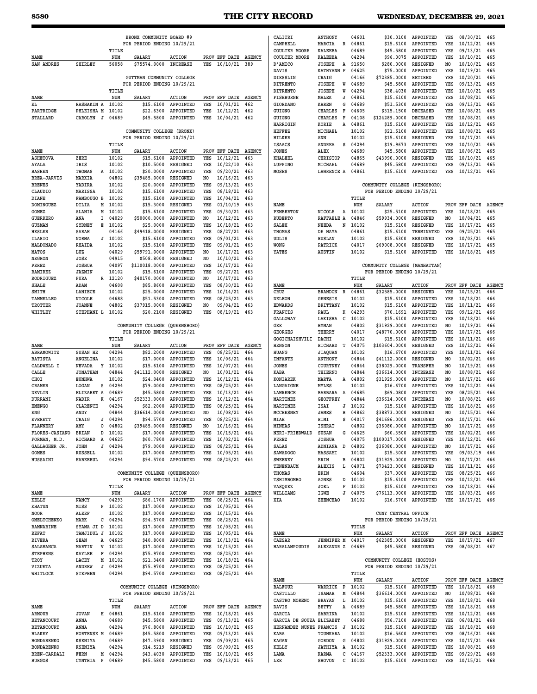# **8580 THE CITY RECORD WEDNESDAY, DECEMBER 29, 2021**

Ē.

|                                         |                                      |   |                    | BRONX COMMUNITY BOARD #9                                     |                                                             |            |                                          |                      | CALITRI                            |
|-----------------------------------------|--------------------------------------|---|--------------------|--------------------------------------------------------------|-------------------------------------------------------------|------------|------------------------------------------|----------------------|------------------------------------|
|                                         |                                      |   | TITLE              | FOR PERIOD ENDING 10/29/21                                   |                                                             |            |                                          |                      | CAMPBELL<br><b>COULTER MOORE</b>   |
| NAME                                    |                                      |   | NUM                | SALARY                                                       | <b>ACTION</b>                                               |            | PROV EFF DATE                            | <b>AGENCY</b>        | <b>COULTER MOORE</b>               |
| SAN ANDRES                              | <b>SHIRLEY</b>                       |   | 56058              | \$75574.0000                                                 | INCREASE                                                    | YES        | 10/10/21                                 | 389                  | D'AMICO<br>DAVIS                   |
|                                         |                                      |   |                    | GUTTMAN COMMUNITY COLLEGE                                    |                                                             |            |                                          |                      | DIESSLIN                           |
|                                         |                                      |   | TITLE              | FOR PERIOD ENDING 10/29/21                                   |                                                             |            |                                          |                      | <b>DITRENTO</b><br><b>DITRENTO</b> |
| NAME                                    |                                      |   | NUM                | SALARY                                                       | <b>ACTION</b>                                               |            | PROV EFF DATE                            | <b>AGENCY</b>        | FISHBURNE                          |
| ΕL                                      | <b>RASHAKIN A</b>                    |   | 10102              | \$15.6100                                                    | APPOINTED                                                   | YES        | 10/01/21                                 | 462                  | <b>GIORDANO</b>                    |
| PARTRIDGE<br>STALLARD                   | PHLEISHA M<br>CAROLYN J              |   | 10102<br>04689     | \$22.6300<br>\$45.5800                                       | APPOINTED<br>APPOINTED                                      | YES<br>YES | 10/12/21<br>10/04/21                     | 462<br>462           | GUIGNO<br>GUIGNO                   |
|                                         |                                      |   |                    |                                                              |                                                             |            |                                          |                      | HARRIGIN                           |
|                                         |                                      |   |                    | COMMUNITY COLLEGE (BRONX)<br>FOR PERIOD ENDING 10/29/21      |                                                             |            |                                          |                      | <b>HEFFEZ</b><br><b>HILKER</b>     |
|                                         |                                      |   | TITLE              |                                                              |                                                             |            |                                          |                      | <b>ISAACS</b>                      |
| NAME                                    |                                      |   | NUM                | SALARY                                                       | <b>ACTION</b>                                               |            | PROV EFF DATE                            | <b>AGENCY</b>        | JONES                              |
| <b>ASHETOVA</b><br>AYALA                | ZERE<br>IRIS                         |   | 10102<br>10102     | \$15,6100<br>\$10.5000                                       | APPOINTED<br><b>RESIGNED</b>                                | YES<br>YES | 10/12/21<br>10/22/10                     | 463<br>463           | KHALEEL<br>LUPPINO                 |
| <b>BASHEN</b>                           | THOMAS                               |   | A 10102            | \$20,0000                                                    | APPOINTED                                                   | YES        | 09/20/21                                 | 463                  | MOSES                              |
| BREA-JARVIS                             | MARXIA                               |   | 04802              | \$39485.0000                                                 | <b>RESIGNED</b>                                             | NO         | 10/16/21                                 | 463                  |                                    |
| <b>BRENES</b><br>CLAUDIO                | YADIRA<br>MARISSA                    |   | 10102<br>10102     | \$20.0000<br>\$15.6100                                       | APPOINTED<br><b>APPOINTED</b>                               | YES<br>YES | 09/13/21<br>08/18/21                     | 463<br>463           |                                    |
| DIANE                                   | FAMBOUGO B                           |   | 10102              | \$15.6100                                                    | APPOINTED                                                   | YES        | 10/04/21                                 | 463                  |                                    |
| DOMINGUEZ                               | DILIA                                | м | 10102              | \$15.3000                                                    | <b>RESIGNED</b>                                             | YES        | 01/10/19                                 | 463                  | NAME                               |
| GOMEZ<br><b>GUERRERO</b>                | ALANIA<br>ANA                        | I | M 10102<br>04029   | \$15.6100<br>\$50000.0000                                    | APPOINTED<br>APPOINTED                                      | YES<br>NO  | 09/30/21<br>10/12/21                     | 463<br>463           | PEMBERTON<br><b>RUBERTO</b>        |
| <b>GUZMAN</b>                           | SYDNEY                               | Е | 10102              | \$25.0000                                                    | APPOINTED                                                   | YES        | 10/18/21                                 | 463                  | SALEH                              |
| HESLER                                  | SARAH                                |   | 04166              | \$49418.0000                                                 | <b>RESIGNED</b>                                             | YES        | 08/27/21                                 | 463                  | THOMAS                             |
| ILARIO<br>MALDONADO                     | NORMA<br>RHAIDA                      |   | $J$ 10102<br>10102 | \$15.6100<br>\$15.6100                                       | APPOINTED<br>APPOINTED                                      | YES<br>YES | 09/01/21<br>09/01/21                     | 463<br>463           | UDLIS<br>WONG                      |
| MATOS                                   | LUZ                                  |   | 04029              | \$59791.0000                                                 | APPOINTED                                                   | NO.        | 10/17/21                                 | 463                  | YATES                              |
| NEGRON                                  | JOSE                                 |   | 04915              | \$508,8000                                                   | RESIGNED                                                    | NO.        | 10/10/21                                 | 463                  |                                    |
| PEREZ                                   | <b>JOSHUA</b><br>JAZMIN              |   | 04097<br>10102     | \$110018.0000<br>\$15.6100                                   | <b>APPOINTED</b><br>APPOINTED                               | YES<br>YES | 10/17/21<br>09/27/21                     | 463<br>463           |                                    |
| RAMIREZ<br>RODRIGUEZ                    | PURA                                 |   | R 12120            | \$40170.0000                                                 | APPOINTED                                                   | NO         | 10/17/21                                 | 463                  |                                    |
| SHALE                                   | ADAM                                 |   | 04608              | \$85.8600                                                    | APPOINTED                                                   | YES        | 08/30/21                                 | 463                  | NAME                               |
| SMITH<br>TAMMELLEO                      | LANIECE<br>NICOLE                    |   | 10102<br>04688     | \$25.0000                                                    | APPOINTED<br>APPOINTED                                      | YES<br>YES | 10/14/21                                 | 463<br>463           | CRUZ<br><b>DELEON</b>              |
| TROTTER                                 | <b>JOANNE</b>                        |   | 04802              | \$51.5300<br>\$37915.0000                                    | RESIGNED                                                    | NO         | 08/25/21<br>09/04/21                     | 463                  | <b>EDWARDS</b>                     |
| WHITLEY                                 | STEPHANI L 10102                     |   |                    | \$20.2100                                                    | <b>RESIGNED</b>                                             | YES        | 08/19/21                                 | 463                  | FRANCIS                            |
|                                         |                                      |   |                    | COMMUNITY COLLEGE (QUEENSBORO)                               |                                                             |            |                                          |                      | <b>GALLOWAY</b><br>GEE             |
|                                         |                                      |   |                    | FOR PERIOD ENDING 10/29/21                                   |                                                             |            |                                          |                      | GEORGES                            |
|                                         |                                      |   | TITLE              |                                                              |                                                             |            |                                          |                      | GOGICHAISHVILI                     |
| NAME<br><b>ABRAMOWITZ</b>               | SUSAN HE                             |   | NUM<br>04294       | SALARY<br>\$82,2000                                          | <b>ACTION</b><br>APPOINTED                                  | YES        | PROV EFF DATE<br>08/25/21                | <b>AGENCY</b><br>464 | <b>HENSON</b><br><b>HUANG</b>      |
| <b>BATISTA</b>                          | ANGELINA                             |   | 10102              | \$17,0000                                                    | APPOINTED                                                   | YES        | 10/06/21                                 | 464                  | <b>INFANTE</b>                     |
| CALDWELL I                              | <b>NEVADA</b>                        |   | Y 10102            | \$15.6100                                                    | APPOINTED                                                   | YES        | 10/07/21                                 | 464                  | JONES                              |
| CALLE<br>CHOI                           | <b>JONATHAN</b><br><b>EUNHWA</b>     |   | 04844<br>10102     | \$41112.0000<br>\$24.0400                                    | <b>RESIGNED</b><br>APPOINTED                                | NO<br>YES  | 10/01/21<br>10/12/21                     | 464<br>464           | KABA<br><b>KONIAREK</b>            |
| CRAMER                                  | LOGAN                                | s | 04294              | \$79.0000                                                    | APPOINTED                                                   | YES        | 08/25/21                                 | 464                  | LANGAIGNE                          |
| DEVLIN                                  | ELIZABET A                           |   | 04689              | \$45.5800                                                    | APPOINTED                                                   | YES        | 10/13/21                                 | 464                  | LAWRENCE                           |
| DURRANI<br><b>EMENGO</b>                | NADIR<br><b>CLARENCE</b>             | к | 04167<br>04294     | \$52333.0000<br>\$82.2000                                    | APPOINTED<br>APPOINTED                                      | YES<br>YES | 10/12/21<br>08/25/21                     | 464<br>464           | MARTINEZ<br>MARTINEZ               |
| ENG                                     | ANDY                                 |   | 04844              | \$36614.0000                                                 | APPOINTED                                                   | NO         | 10/08/21                                 | 464                  | MCCHESNEY                          |
| <b>EVERETT</b>                          | CRAIG                                |   | $J$ 04294          | \$94.5700                                                    | APPOINTED                                                   | YES        | 08/25/21                                 | 464                  | MIAH                               |
| <b>FLANNERY</b><br>FLORES-CASIANO BRIAN | AMY                                  |   | 0 04802<br>D 10102 | \$39485.0000 RESIGNED                                        | \$17.0000 APPOINTED                                         | NO         | 10/16/21 464<br>YES 10/15/21 464         |                      | <b>MINHAS</b><br>NERI-FRIEDWALD    |
| FORMAN, M.D.                            | RICHARD A 04625                      |   |                    |                                                              | \$60.7800 APPOINTED                                         |            | YES 10/02/21                             | 464                  | PEREZ                              |
| GALLAGHER JR.                           | <b>JOHN</b>                          |   | J 04294            |                                                              | \$79.0000 APPOINTED                                         |            | YES 08/25/21                             | 464                  | SALAS                              |
| GOMES<br><b>HUSSAINI</b>                | RUSSELL<br>HABEEBUL                  |   | 10102<br>04294     |                                                              | \$17.0000 APPOINTED<br>\$94.5700 APPOINTED                  |            | YES 10/05/21<br>YES 08/25/21 464         | 464                  | <b>SAWADOGO</b><br><b>SWEENEY</b>  |
|                                         |                                      |   |                    |                                                              |                                                             |            |                                          |                      | TENENBAUM                          |
|                                         |                                      |   |                    | COMMUNITY COLLEGE (QUEENSBORO)<br>FOR PERIOD ENDING 10/29/21 |                                                             |            |                                          |                      | THOMAS<br>TSHIMBOMBO               |
|                                         |                                      |   | TITLE              |                                                              |                                                             |            |                                          |                      | VASOUEZ                            |
| NAME                                    |                                      |   | NUM                | SALARY                                                       | ACTION                                                      |            | PROV EFF DATE AGENCY                     |                      | WILLIAMS                           |
| KELLY<br>KHATUN                         | NANCY<br>MISS                        |   | 04293<br>P 10102   |                                                              | \$86.1700 APPOINTED<br>\$17.0000 APPOINTED                  |            | YES 08/25/21<br>YES 10/05/21             | 464<br>464           | XIA                                |
| NOOR                                    | ALEEF                                |   | 10102              |                                                              | \$17.0000 APPOINTED                                         |            | YES 10/15/21                             | 464                  |                                    |
| OMELTCHENKO                             | MARK                                 |   | $C$ 04294          |                                                              | \$94.5700 APPOINTED                                         |            | YES 08/25/21                             | 464                  |                                    |
| RAMNARINE<br>REFAT                      | SYAMA JI D 10102<br>TAMJIDUL J 10102 |   |                    |                                                              | \$17.0000 APPOINTED<br>\$17.0000 APPOINTED                  |            | YES 10/05/21 464<br>YES 10/05/21 464     |                      | NAME                               |
| <b>RIVERA</b>                           | SEAN                                 |   | A 04625            |                                                              | \$40.8000 APPOINTED                                         |            | YES 10/13/21 464                         |                      | CAESAR                             |
| SALAMANCA                               | MARTIN V 10102                       |   |                    |                                                              | \$17.0000 APPOINTED                                         |            | YES 10/15/21 464                         |                      | HARALAMPOUDIS                      |
| STEPHENS<br>TROY                        | KAYLEE F 04294<br>LACEY              |   | M 10102            |                                                              | \$75.9700 APPOINTED<br>\$21.3400 APPOINTED                  |            | YES 08/25/21 464<br>YES 10/18/21 464     |                      |                                    |
| VIZUETA                                 | ANDREW                               |   | J 04294            |                                                              | \$75.9700 APPOINTED                                         |            | YES 08/25/21 464                         |                      |                                    |
| WHITLOCK                                | <b>STEPHEN</b>                       |   | 04294              |                                                              | \$94.5700 APPOINTED                                         |            | YES 08/25/21 464                         |                      |                                    |
|                                         |                                      |   |                    | COMMUNITY COLLEGE (KINGSBORO)                                |                                                             |            |                                          |                      | NAME<br><b>BALFOUR</b>             |
|                                         |                                      |   |                    | FOR PERIOD ENDING 10/29/21                                   |                                                             |            |                                          |                      | CASTILLO                           |
|                                         |                                      |   | TITLE              |                                                              |                                                             |            |                                          |                      | CASTRO MORENO                      |
| NAME<br>ARMOUR                          | <b>JOVAN</b>                         |   | NUM<br>H 04861     | SALARY                                                       | ACTION<br>\$15.6100 APPOINTED                               |            | PROV EFF DATE AGENCY<br>YES 10/18/21 465 |                      | DAVIS<br>GARCIA                    |
| <b>BETANCOURT</b>                       | ANNA                                 |   | 04689              |                                                              | \$45.5800 APPOINTED                                         |            | YES 09/13/21                             | 465                  | GARCIA DE SOUZA                    |
| <b>BETANCOURT</b>                       | ANNA                                 |   | 04294              |                                                              | \$76.8060 APPOINTED                                         |            | YES 10/10/21                             | 465                  | HERNANDEZ NUNEZ                    |
| <b>BLAKEY</b><br><b>BONDARENKO</b>      | HORTENSE M 04689<br>KSENIYA          |   | 04689              |                                                              | \$45.5800 APPOINTED<br>\$47.3900 RESIGNED                   |            | YES 09/13/21<br>YES 09/09/21 465         | 465                  | KABA<br>KAGAN                      |
| BONDARENKO                              | <b>KSENIYA</b>                       |   | 04294              |                                                              | $$14.5219$ RESIGNED                                         |            | YES 09/09/21 465                         |                      | KELLY                              |
| <b>BREN-CARDALI</b><br><b>BURGOS</b>    | FERN<br>CYNTHIA P 04689              |   | M 04294            |                                                              | \$43.4030 APPOINTED<br>\$45.5800 APPOINTED YES 09/13/21 465 |            | YES 10/10/21 465                         |                      | LAMA<br>LEE                        |
|                                         |                                      |   |                    |                                                              |                                                             |            |                                          |                      |                                    |

| CALITRI                   | <b>ANTHONY</b>    |   | 04601     | \$30.0100                     | <b>APPOINTED</b>                 | YES            | 08/30/21         | 465           |
|---------------------------|-------------------|---|-----------|-------------------------------|----------------------------------|----------------|------------------|---------------|
| CAMPBELL                  | MARCIA            | R | 04861     | \$15.6100                     | <b>APPOINTED</b>                 | YES            | 10/12/21         | 465           |
| COULTER MOORE             | <b>KALEEBA</b>    |   | 04689     | \$45.5800                     | APPOINTED                        | YES            | 09/13/21         | 465           |
|                           |                   |   |           |                               |                                  |                |                  |               |
| COULTER MOORE             | KALEEBA           |   | 04294     | \$96.0075                     | <b>APPOINTED</b>                 | YES            | 10/10/21         | 465           |
| <b>D'AMICO</b>            | <b>JOSEPH</b>     | Α | 91650     | \$280.0000                    | RESIGNED                         | NO             | 10/10/21         | 465           |
| DAVIS                     | <b>KATHYANN F</b> |   | 04625     | \$75.0000                     | APPOINTED                        | YES            | 10/19/21         | 465           |
| DIESSLIN                  | CRAIG             |   | 04166     | \$72385.0000                  | RETIRED                          | YES            | 10/20/21         | 465           |
| <b>DITRENTO</b>           | <b>JOSEPH</b>     | W | 04689     | \$45.5800                     | APPOINTED                        | YES            | 09/13/21         | 465           |
| <b>DITRENTO</b>           | <b>JOSEPH</b>     | W | 04294     | \$38.4030                     | APPOINTED                        | YES            | 10/10/21         | 465           |
| <b>FISHBURNE</b>          | MALEK             | J | 04861     | \$15.6100                     | APPOINTED                        | YES            | 10/08/21         | 465           |
|                           |                   |   |           |                               |                                  |                |                  |               |
| <b>GIORDANO</b>           | KAREN             | G | 04689     | \$51.5300                     | <b>APPOINTED</b>                 | YES            | 09/13/21         | 465           |
| <b>GUIGNO</b>             | CHARLES           | F | 04605     | \$315.1500                    | DECEASED                         | YES            | 10/08/21         | 465           |
| <b>GUIGNO</b>             | CHARLES           | F | 04108     | \$124289.0000                 | <b>DECEASED</b>                  | YES            | 10/08/21         | 465           |
| HARRIGIN                  | KORIE             | Α | 04861     | \$15.6100                     | <b>APPOINTED</b>                 | YES            | 10/12/21         | 465           |
| HEFFEZ                    | MICHAEL           |   | 10102     | \$21.5100                     | APPOINTED                        | YES            | 10/08/21         | 465           |
| <b>HILKER</b>             | ANN               |   | 10102     | \$15.6100                     | <b>RESIGNED</b>                  | YES            | 10/17/21         | 465           |
|                           |                   | S |           | \$19.9673                     |                                  | YES            |                  |               |
| ISAACS                    | ANDREA            |   | 04294     |                               | <b>APPOINTED</b>                 |                | 10/10/21         | 465           |
| JONES                     | ALEX              |   | 04689     | \$45.5800                     | APPOINTED                        | YES            | 10/06/21         | 465           |
| KHALEEL                   | CHRISTOP          |   | 04865     | \$43990.0000                  | RESIGNED                         | YES            | 10/10/21         | 465           |
| LUPPINO                   | MICHAEL           |   | 04689     | \$45.5800                     | <b>APPOINTED</b>                 | YES            | 09/13/21         | 465           |
| MOSES                     | LAWRENCE A        |   | 04861     | \$15.6100                     | <b>APPOINTED</b>                 | YES            | 10/12/21         | 465           |
|                           |                   |   |           |                               |                                  |                |                  |               |
|                           |                   |   |           | COMMUNITY COLLEGE (KINGSBORO) |                                  |                |                  |               |
|                           |                   |   |           |                               |                                  |                |                  |               |
|                           |                   |   |           | FOR PERIOD ENDING 10/29/21    |                                  |                |                  |               |
|                           |                   |   | TITLE     |                               |                                  |                |                  |               |
| NAME                      |                   |   | NUM       | <b>SALARY</b>                 | <b>ACTION</b>                    |                | PROV EFF DATE    | <b>AGENCY</b> |
| <b>PEMBERTON</b>          | NICOLE            | Α | 10102     | \$25.5100                     | APPOINTED                        | YES            | 10/18/21         | 465           |
| <b>RUBERTO</b>            | RAFFAELE A        |   | 04846     | \$59934.0000                  | RESIGNED                         | N <sub>O</sub> | 10/04/21         | 465           |
|                           |                   |   |           |                               |                                  |                |                  |               |
| SALEH                     | NEEDA             | N | 10102     | \$15.6100                     | RESIGNED                         | YES            | 10/17/21         | 465           |
| THOMAS                    | DE NAYA           |   | 04861     | \$15.6100                     | TERMINATED                       | YES            | 09/25/21         | 465           |
| UDLIS                     | <b>RUSLAN</b>     |   | 10102     | \$15.6300                     | RESIGNED                         | YES            | 10/03/21         | 465           |
| WONG                      | PATRICK           |   | 04017     | \$69008.0000                  | RESIGNED                         | YES            | 10/17/21         | 465           |
| YATES                     | AUSTIN            |   | 10102     | \$15,6100                     | APPOINTED                        | YES            | 10/18/21         | 465           |
|                           |                   |   |           |                               |                                  |                |                  |               |
|                           |                   |   |           |                               |                                  |                |                  |               |
|                           |                   |   |           | COMMUNITY COLLEGE (MANHATTAN) |                                  |                |                  |               |
|                           |                   |   |           | FOR PERIOD ENDING 10/29/21    |                                  |                |                  |               |
|                           |                   |   | TITLE     |                               |                                  |                |                  |               |
| NAME                      |                   |   | NUM       | <b>SALARY</b>                 | <b>ACTION</b>                    |                | PROV EFF DATE    | <b>AGENCY</b> |
| CRUZ                      | <b>BRANDON</b>    | R | 04861     | \$32585.0000                  | RESIGNED                         | YES            | 10/15/21         | 466           |
|                           |                   |   |           |                               |                                  |                |                  |               |
| <b>DELEON</b>             | GENESIS           |   | 10102     | \$15.6100                     | <b>APPOINTED</b>                 | YES            | 10/18/21         | 466           |
| EDWARDS                   | <b>BRITTANY</b>   |   | 10102     | \$15.6100                     | <b>APPOINTED</b>                 | YES            | 10/11/21         | 466           |
| <b>FRANCIS</b>            | PAUL              | K | 04293     | \$70.1691                     | <b>APPOINTED</b>                 | YES            | 09/12/21         | 466           |
| <b>GALLOWAY</b>           | LAKISHA           | C | 10102     | \$15.6100                     | APPOINTED                        | YES            | 10/18/21         | 466           |
| GEE                       | <b>HYMAN</b>      |   | 04802     | \$31929.0000                  | <b>APPOINTED</b>                 | NO             | 10/19/21         | 466           |
|                           |                   |   |           |                               |                                  |                |                  |               |
| GEORGES                   | THERRY            |   | 04017     | \$48770.0000                  | <b>APPOINTED</b>                 | YES            | 10/17/21         | 466           |
| GOGICHAISHVILI            | DACHI             |   | 10102     | \$15.6100                     | APPOINTED                        | YES            | 10/11/21         | 466           |
| <b>HENSON</b>             | RICHARD           | т | 04075     | \$103604.0000                 | RESIGNED                         | YES            | 10/12/21         | 466           |
| <b>HUANG</b>              | <b>JIAQUAN</b>    |   | 10102     | \$16.6700                     | <b>APPOINTED</b>                 | YES            | 10/11/21         | 466           |
| <b>INFANTE</b>            | <b>ANTHONY</b>    |   | 04844     | \$41112.0000                  | RESIGNED                         | NO             | 10/02/21         | 466           |
| JONES                     | COURTNEY          |   | 04844     | \$38029.0000                  | TRANSFER                         | NO             | 10/19/21         | 466           |
|                           |                   |   |           |                               |                                  |                |                  |               |
| KABA                      | THIERNO           |   | 04844     | \$36614.0000                  | <b>INCREASE</b>                  | NO             | 10/08/21         | 466           |
| <b>KONIAREK</b>           | MARTA             | Α | 04802     | \$31929.0000                  | <b>APPOINTED</b>                 | NO             | 10/17/21         | 466           |
| <b>LANGAIGNE</b>          | MYLES             |   | 10102     | \$16.6700                     | <b>APPOINTED</b>                 | YES            | 10/12/21         | 466           |
| <b>LAWRENCE</b>           | BARBARA           | Α | 04685     | \$69.0800                     | APPOINTED                        | YES            | 08/25/21         | 466           |
| MARTINEZ                  | GEOFFREY          |   | 04844     | \$36614.0000                  | <b>INCREASE</b>                  | NO             | 10/08/21         | 466           |
| MARTINEZ                  | ISAI              |   |           |                               | APPOINTED                        |                | 10/18/21         |               |
|                           |                   | J | 10102     | \$15.6100                     |                                  | YES            |                  | 466           |
| <b>MCCHESNEY</b>          | JAMES             | в | 04862     | \$38873.0000                  | RESIGNED                         | NO             | 10/15/21         | 466           |
| MIAH                      | RIMI              | S | 04017     | \$41686.0000                  | RESIGNED                         | YES            | 10/17/21         | 466           |
| MINHAS                    | <b>ISHRAT</b>     |   | 04802     | \$36080.0000                  | APPOINTED                        | N <sub>O</sub> | 10/17/21         | 466           |
| <b>NERI-FRIEDWALD</b>     | SUSAN             | G | 04625     | \$60.3500                     | APPOINTED                        | YES            | 10/02/21         | 466           |
|                           |                   |   |           |                               |                                  |                |                  |               |
| PEREZ                     | <b>JOSHUA</b>     |   | 04075     | \$100017.0000                 | RESIGNED                         | YES            | 10/12/21         | 466           |
| SALAS                     | ADNIANA D 04802   |   |           | \$36080.0000 APPOINTED        |                                  | NO             | 10/17/21         | 466           |
| <b>SAWADOGO</b>           | <b>HASSAMI</b>    |   | 10102     |                               | \$15.3000 APPOINTED              | YES            | 09/03/19         | 466           |
| <b>SWEENEY</b>            | ERIN              |   | B 04802   | \$31929.0000 APPOINTED        |                                  | NO             | 10/17/21         | 466           |
| TENENBAUM                 | ALEXIS            |   | L 04071   | \$73423.0000                  | <b>RESIGNED</b>                  | YES            | 10/11/21         | 466           |
| THOMAS                    | ERIN              |   | 04604     |                               | \$37.0000 APPOINTED              | YES            | 08/25/21         | 466           |
| <b>TSHIMBOMBO</b>         | AGNES             | D | 10102     |                               | \$15.6100 APPOINTED              | YES            | 10/12/21         | 466           |
|                           |                   |   |           |                               |                                  |                |                  |               |
| VASQUEZ                   | JOEL              | F | 10102     |                               | \$15.6100 APPOINTED              | YES            | 10/18/21         | 466           |
| WILLIAMS                  | IGWE              |   | $J$ 04075 | \$76113.0000 APPOINTED        |                                  | YES            | 10/03/21         | 466           |
| XIA                       | <b>ZHENCHAO</b>   |   | 10102     |                               | \$16.6700 APPOINTED              | YES            | $10/17/21$ 466   |               |
|                           |                   |   |           |                               |                                  |                |                  |               |
|                           |                   |   |           | CUNY CENTRAL OFFICE           |                                  |                |                  |               |
|                           |                   |   |           | FOR PERIOD ENDING 10/29/21    |                                  |                |                  |               |
|                           |                   |   |           |                               |                                  |                |                  |               |
|                           |                   |   | TITLE     |                               |                                  |                |                  |               |
| NAME                      |                   |   | NUM       | SALARY                        | <b>ACTION</b>                    |                | PROV EFF DATE    | <b>AGENCY</b> |
| <b>CAESAR</b>             | <b>JENNIFER M</b> |   | 04017     | \$62385.0000                  | RESIGNED                         | YES            | 10/17/21         | 467           |
| HARALAMPOUDIS             | ALEXANDR Z        |   | 04689     | \$45.5800                     | RESIGNED                         | YES            | 08/08/21         | 467           |
|                           |                   |   |           |                               |                                  |                |                  |               |
|                           |                   |   |           | COMMUNITY COLLEGE (HOSTOS)    |                                  |                |                  |               |
|                           |                   |   |           |                               |                                  |                |                  |               |
|                           |                   |   |           | FOR PERIOD ENDING 10/29/21    |                                  |                |                  |               |
|                           |                   |   | TITLE     |                               |                                  |                |                  |               |
| NAME                      |                   |   | NUM       | SALARY                        | ACTION                           |                | PROV EFF DATE    | <b>AGENCY</b> |
| <b>BALFOUR</b>            | WARRICK           | Р | 10102     | \$15.6100                     | APPOINTED                        | YES            | 10/18/21         | 468           |
| CASTILLO                  |                   |   | M 04844   |                               |                                  | NO             | 10/08/21         | 468           |
|                           | ISAMAR            |   |           | \$36614.0000                  | APPOINTED                        |                |                  |               |
| CASTRO MORENO             | BRAYAN            | L | 10102     | \$15.6100                     | APPOINTED                        | YES            | 10/18/21         | 468           |
| DAVIS                     | BETTY             | A | 04689     |                               | \$45.5800 APPOINTED              | YES            | 10/18/21         | 468           |
| <b>GARCIA</b>             | SABRINA           |   | 10102     |                               | \$15.6100 APPOINTED              | YES            | 10/12/21         | 468           |
| GARCIA DE SOUZA ELIZABET  |                   |   | 04688     |                               | \$56.7100 APPOINTED YES 06/01/21 |                |                  | 468           |
| HERNANDEZ NUNEZ FRANCIS J |                   |   | 10102     |                               | \$15.6100 APPOINTED              | YES            | 10/18/21         | 468           |
|                           |                   |   |           |                               |                                  |                |                  |               |
| KABA                      | TOUNKARA          |   | 10102     |                               | \$16.5600 APPOINTED              |                | YES 08/16/21     | 468           |
| <b>KAGAN</b>              | GORDON            |   | G 04802   | \$31929.0000 APPOINTED        |                                  | YES            | 10/17/21         | 468           |
| KELLY                     | JATHIYA A         |   | 10102     |                               | \$15.6100 APPOINTED              | YES            | 10/08/21         | 468           |
|                           | KARMA             | с | 04167     | \$52333.0000 APPOINTED        |                                  |                | YES 09/29/21     | 468           |
| LAMA                      |                   |   |           |                               |                                  |                |                  |               |
| LEE                       | SHOVON C 10102    |   |           |                               | \$15.6100 APPOINTED              |                | YES 10/15/21 468 |               |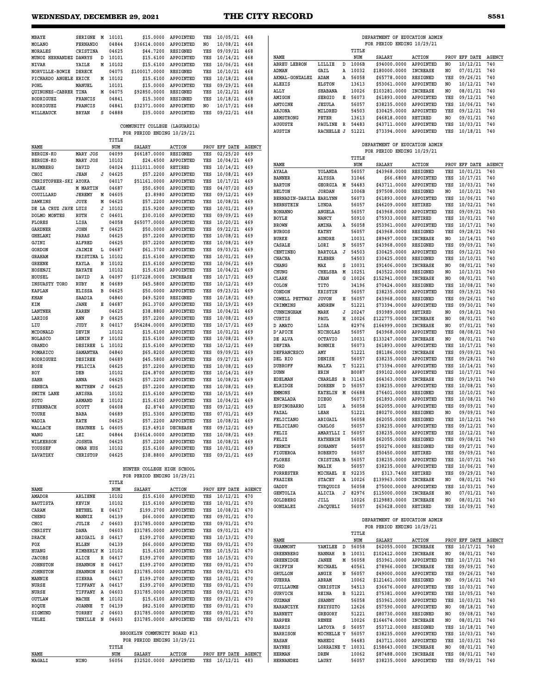### **WEDNESDAY, DECEMBER 29, 2021 THE CITY RECORD 8581**

| MBAYE                             | SERIGNE M                  | 10101            | \$15,0000                    | APPOINTED              | YES        | 10/05/21 468                 |               |                               |                                      |                | DEPARTMENT OF EDUCATION ADMIN |                              |                |                                  |            |
|-----------------------------------|----------------------------|------------------|------------------------------|------------------------|------------|------------------------------|---------------|-------------------------------|--------------------------------------|----------------|-------------------------------|------------------------------|----------------|----------------------------------|------------|
| MOLANO                            | <b>FERNANDO</b>            | 04844            | \$36614.0000                 | APPOINTED              | NO.        | 10/08/21                     | 468           |                               |                                      |                | FOR PERIOD ENDING 10/29/21    |                              |                |                                  |            |
| MORALES                           | CRISTINA                   | 04625            | \$44,7200                    | RESIGNED               | YES        | 09/09/21                     | 468           |                               |                                      | TITLE          |                               |                              |                |                                  |            |
| MUNOZ HERNANDEZ DAWRYS            | D                          | 10101            | \$15.6100                    | APPOINTED              | YES        | 10/14/21                     | 468           | NAME                          |                                      | NUM            | <b>SALARY</b>                 | <b>ACTION</b>                | PROV           | EFF DATE AGENCY                  |            |
| NIVAR                             | YAILE<br>м                 | 10102            | \$15.6100                    | APPOINTED              | YES        | 10/06/21                     | 468           | <b>ABREU LEBRON</b>           | D<br>LILLIE                          | 1006B<br>10032 | \$94000.0000                  | APPOINTED<br><b>INCREASE</b> | NO             | 10/12/21<br>07/01/21             | 740<br>740 |
| NORVILLE-BOWIE                    | <b>DERECK</b>              | 04075            | \$100017.0000                | RESIGNED               | YES        | 10/10/21                     | 468           | ADMAN<br>AKMAL-GONZALEZ       | GAIL<br>Α<br>ADAM<br>Α               | 56058          | \$180000.0000<br>\$65778.0000 | RESIGNED                     | NO<br>YES      | 09/26/21                         | 740        |
| PICHARDO ANGELE ERICK             | м                          | 10102            | \$15.6100                    | APPOINTED              | YES        | 10/18/21                     | 468           | <b>ALEXIS</b>                 | <b>ELSTON</b>                        | 13613          | \$53061.0000                  | APPOINTED                    | N <sub>O</sub> | 10/12/21                         | 740        |
| POHL                              | MANUEL                     | 10101            | \$15,0000                    | APPOINTED              | YES<br>YES | 09/29/21                     | 468           | ALLY                          | <b>SHABANA</b>                       | 10026          | \$103281.0000                 | <b>INCREASE</b>              | NO.            | 08/01/21                         | 740        |
| QUINONES-CABRER TINA<br>RODRIGUEZ | FRANCIS                    | M 04075<br>04841 | \$92850.0000<br>\$15.3000    | RESIGNED<br>RESIGNED   | YES        | 10/21/21<br>10/18/21         | 468<br>468    | AMIGON                        | SERGIO<br>Е                          | 56073          | \$61893.0000                  | APPOINTED                    | YES            | 09/12/21                         | 740        |
| RODRIGUEZ                         | <b>FRANCIS</b>             | 04841            | \$32371.0000                 | APPOINTED              | NO.        | 10/17/21                     | 468           | <b>ANTOINE</b>                | <b>JEZULA</b>                        | 56057          | \$38235.0000                  | APPOINTED                    | YES            | 10/06/21                         | 740        |
| WILLHAUCK                         | <b>BRYAN</b><br>s          | 04888            | \$35.0000                    | APPOINTED              | YES        | 09/22/21                     | 468           | ARJONA                        | MILDRED                              | 54503          | \$30425.0000                  | APPOINTED                    | YES            | 09/12/21                         | 740        |
|                                   |                            |                  |                              |                        |            |                              |               | ARMSTRONG                     | PETER                                | 13613          | \$46818.0000                  | <b>RETIRED</b>               | NO             | 09/01/21                         | 740        |
|                                   |                            |                  | COMMUNITY COLLEGE            | (LAGUARDIA)            |            |                              |               | <b>AUGUSTE</b>                | PAULINE<br>R                         | 54483          | \$43711.0000                  | APPOINTED                    | YES            | 10/03/21                         | 740        |
|                                   |                            |                  | FOR PERIOD ENDING 10/29/21   |                        |            |                              |               | <b>AUSTIN</b>                 | RACHELLE J                           | 51221          | \$73394.0000                  | APPOINTED                    | YES            | 10/18/21                         | 740        |
|                                   |                            | TITLE            |                              |                        |            |                              |               |                               |                                      |                |                               |                              |                |                                  |            |
| NAME                              |                            | NUM              | SALARY                       | <b>ACTION</b>          |            | PROV EFF DATE                | <b>AGENCY</b> |                               |                                      |                | DEPARTMENT OF EDUCATION ADMIN |                              |                |                                  |            |
| <b>BERGIN-KO</b>                  | MARY JOS                   | 04099            | \$66187.0000                 | RESIGNED               | YES        | 02/25/20                     | 469           |                               |                                      |                | FOR PERIOD ENDING 10/29/21    |                              |                |                                  |            |
| <b>BERGIN-KO</b>                  | MARY JOS                   | 10102            | \$24.4500                    | APPOINTED              | YES        | 10/04/21                     | 469           | NAME                          |                                      | TITLE<br>NUM   | <b>SALARY</b>                 | <b>ACTION</b>                |                | PROV EFF DATE AGENCY             |            |
| <b>BLUMBERG</b>                   | DAVID                      | 04024            | \$111011.0000                | <b>RETIRED</b>         | YES        | 10/14/21                     | 469           | AYALA                         | YOLANDA                              | 56057          | \$43968.0000                  | <b>RESIGNED</b>              | YES            | 10/01/21                         | 740        |
| CHOI                              | <b>JEAN</b><br>J           | 04625            | \$57.2200                    | APPOINTED              | YES        | 10/08/21                     | 469           | <b>BANNER</b>                 | ALYSSA                               | 31046          | \$66.6800                     | APPOINTED                    | YES            | 10/17/21                         | 740        |
| CHRISTOPHER-SKI AYOKA             |                            | 04017            | \$51161.0000                 | APPOINTED              | YES        | 10/17/21                     | 469           | <b>BARTON</b>                 | GEORGIA M                            | 54483          | \$43711.0000                  | APPOINTED                    | YES            | 10/03/21                         | 740        |
| CLARK                             | <b>M MARTIN</b>            | 04687            | \$50.6900                    | APPOINTED              | YES        | 04/07/20                     | 469           | <b>BELTON</b>                 | <b>JORDAN</b>                        | 1006B          | \$97508.0000                  | RESIGNED                     | NO             | 10/10/21                         | 740        |
| COUILLARD                         | <b>JEREMY</b><br>М         | 04605            | \$3.8980                     | APPOINTED              | YES        | 09/12/21                     | 469           | BERNADIN-DARILA               | <b>EARLYNN</b>                       | 56073          | \$61893.0000                  | APPOINTED                    | YES            | 10/06/21                         | 740        |
| <b>DAWKINS</b>                    | JOYE<br>М                  | 04625            | \$57.2200                    | APPOINTED              | YES        | 10/08/21                     | 469           | <b>BERNSTEIN</b>              | LYNDA                                | 56057          | \$46209.0000                  | RETIRED                      | YES            | 10/02/21                         | 740        |
| DE LA CRUZ JAVE                   | LUIS<br>J                  | 10102            | \$15.9200                    | APPOINTED              | YES        | 10/01/21                     | 469           | <b>BONANNO</b>                | <b>ANGELA</b>                        | 56057          | \$43968.0000                  | APPOINTED                    | YES            | 09/09/21                         | 740        |
| DOLMO MONTES<br><b>FLORES</b>     | RUTH<br>с<br>LISA          | 04601<br>04058   | \$30.0100<br>\$65077.0000    | APPOINTED<br>APPOINTED | YES<br>YES | 09/09/21<br>10/20/21         | 469<br>469    | <b>BOYLE</b>                  | NANCY                                | 50910          | \$75933.0000                  | <b>RETIRED</b>               | YES            | 10/01/21                         | 740        |
| GARDNER                           | <b>JOHN</b><br>т           | 04625            | \$50.0000                    | APPOINTED              | YES        | 09/22/21                     | 469           | <b>BROWN</b>                  | AMINA<br>Α                           | 56058          | \$53961.0000                  | APPOINTED                    | YES            | 10/17/21                         | 740        |
| <b>GHELANI</b>                    | PARAS                      | 04625            | \$57.2200                    | APPOINTED              | YES        | 10/08/21                     | 469           | <b>BURGOS</b>                 | KATHY                                | 56057          | \$43968.0000                  | RESIGNED                     | YES            | 09/28/21                         | 740        |
| GJINI                             | ALFRED                     | 04625            | \$57.2200                    | APPOINTED              | YES        | 10/08/21                     | 469           | <b>BURKE</b>                  | AUNDRE                               | 10031          | \$89497.0000                  | <b>INCREASE</b>              | NO.            | 10/14/21                         | 740        |
| <b>GORDON</b>                     | JAIMIE<br>L                | 04687            | \$61.3700                    | APPOINTED              | YES        | 09/03/21                     | 469           | CASALE                        | LORI<br>N                            | 56057          | \$43968.0000                  | RESIGNED                     | YES            | 09/09/21                         | 740        |
| <b>GRAHAM</b>                     | KRISTINA L                 | 10102            | \$15.6100                    | APPOINTED              | YES        | 10/01/21                     | 469           | CENTINEO<br>CHACHA            | <b>BARTOLA</b><br>J<br><b>KLEBER</b> | 54503<br>54503 | \$30425.0000<br>\$30425.0000  | APPOINTED<br>RESIGNED        | YES<br>YES     | 09/12/21<br>10/10/21             | 740<br>740 |
| <b>GREENE</b>                     | KAYLA<br>N                 | 10102            | \$15.6100                    | APPOINTED              | YES        | 10/06/21                     | 469           | CHANG                         | MAX<br>s                             | 10031          | \$91406.0000                  | <b>INCREASE</b>              | NO.            | 08/01/21                         | 740        |
| HOSENJI                           | <b>HAYATE</b>              | 10102            | \$15.6100                    | APPOINTED              | YES        | 10/04/21                     | 469           | CHUNG                         | CHELSEA<br>M                         | 10251          | \$43522.0000                  | RESIGNED                     | NO             | 10/13/21                         | 740        |
| HOUSEL                            | DAVID<br>Α                 | 04097            | \$107228.0000                | <b>INCREASE</b>        | YES        | 10/17/21                     | 469           | CLARK                         | <b>JEAN</b><br>G                     | 10026          | \$152941.0000                 | <b>INCREASE</b>              | NO             | 08/01/21                         | 740        |
| INSUASTY TORO                     | RUBY<br>М                  | 04689            | \$45.5800                    | APPOINTED              | YES        | 10/12/21                     | 469           | COLON                         | TITO                                 | 34196          | \$70424.0000                  | RESIGNED                     | YES            | 10/08/21                         | 740        |
| <b>KAPLAN</b>                     | <b>ELISSA</b><br>в         | 04625            | \$50.0000                    | APPOINTED              | YES        | 09/23/21                     | 469           | CONDON                        | <b>KRISTIN</b>                       | 56057          | \$38235.0000                  | APPOINTED                    | YES            | 09/19/21                         | 740        |
| KHAN                              | SAADIA                     | 04840            | \$49.5200                    | RESIGNED               | YES        | 10/18/21                     | 469           | COWELL PETTWAY                | <b>JOVON</b><br>Е                    | 56057          | \$43968.0000                  | RESIGNED                     | YES            | 09/26/21                         | 740        |
| KIM                               | JANE<br>Е                  | 04687            | \$61.3700                    | APPOINTED              | YES        | 10/19/21                     | 469           | CRIMMINS                      | <b>ANDREW</b>                        | 51221          | \$73394.0000                  | APPOINTED                    | YES            | 09/30/21                         | 740        |
| LANTNER                           | <b>KAREN</b>               | 04625            | \$38.8800                    | APPOINTED              | YES        | 10/04/21                     | 469           | CUNNINGHAM                    | MARK<br>J                            | 20247          | \$93989.0000                  | <b>RETIRED</b>               | N <sub>O</sub> | 09/18/21                         | 740        |
| LARIOS                            | ANN<br>P                   | 04625            | \$57.2200                    | APPOINTED              | YES        | 10/08/21                     | 469           | <b>CURTIS</b>                 | PAUL<br>н                            | 10026          | \$122775.0000                 | <b>INCREASE</b>              | NO.            | 08/01/21                         | 740        |
| LIU                               | JUDY<br>R                  | 04017            | \$54284.0000                 | APPOINTED              | YES        | 10/17/21                     | 469           | D AMATO                       | LISA                                 | 82976          | \$164999.0000                 | <b>INCREASE</b>              | NO.            | 07/01/21                         | 740        |
| MCDONALD                          | DEVIN                      | 10102            | \$15.6100                    | APPOINTED              | YES        | 10/01/21                     | 469           | D'APICE                       | NICHOLAS                             | 56057          | \$43968.0000                  | APPOINTED                    | YES            | 08/08/21                         | 740        |
| NOLASCO                           | LENIN<br>F                 | 10102            | \$15.6100                    | APPOINTED              | YES        | 10/08/21                     | 469           | DE ALVA                       | <b>OCTAVIO</b>                       | 10031          | \$133247.0000                 | <b>INCREASE</b>              | NO             | 08/01/21                         | 740        |
| <b>OBANDO</b>                     | DESIREE<br>L               | 10102            | \$15.6100                    | APPOINTED              | YES        | 10/12/21                     | 469           | DEFINA                        | <b>BONNIE</b>                        | 56073          | \$61893.0000                  | APPOINTED                    | YES            | 10/17/21                         | 740<br>740 |
| POMARICO<br><b>RODRIGUEZ</b>      | SAMANTHA<br><b>DESIREE</b> | 04840<br>04689   | \$65.8200<br>\$45.5800       | APPOINTED<br>APPOINTED | YES<br>YES | 09/09/21<br>09/27/21         | 469<br>469    | <b>DEFRANCESCO</b><br>DEL RIO | AMY<br>DENISE                        | 51221<br>56057 | \$81186.0000<br>\$38235.0000  | <b>INCREASE</b><br>APPOINTED | YES<br>YES     | 09/09/21<br>09/28/21             | 740        |
| ROSE                              | FELICIA                    | 04625            | \$57.2200                    | APPOINTED              | YES        | 10/08/21                     | 469           | <b>DUBROFF</b>                | MALKA<br>т                           | 51221          | \$73394.0000                  | APPOINTED                    | YES            | 10/14/21                         | 740        |
| ROY                               | DEB                        | 10102            | \$24.8700                    | APPOINTED              | YES        | 10/14/21                     | 469           | <b>DUNN</b>                   | <b>ERIN</b>                          | B0087          | \$99102.0000                  | APPOINTED                    | YES            | 10/17/21                         | 740        |
| SAHR                              | ANNA                       | 04625            | \$57.2200                    | APPOINTED              | YES        | 10/08/21                     | 469           | <b>EDELMAN</b>                | CHARLES<br>R                         | 31143          | \$64363.0000                  | <b>INCREASE</b>              | YES            | 09/19/21                         | 740        |
| <b>SENECA</b>                     | MATTHEW<br>J               | 04625            | \$57.2200                    | APPOINTED              | YES        | 10/08/21                     | 469           | <b>ELRIDGE</b>                | D<br><b>DOREEN</b>                   | 56057          | \$38235.0000                  | APPOINTED                    | YES            | 10/08/21                         | 740        |
| SMITH LANE                        | <b>ANISHA</b>              | 10102            | \$15.6100                    | APPOINTED              | YES        | 10/15/21                     | 469           | <b>EMMONS</b>                 | KATELIN<br>M                         | 06688          | \$76401.0000                  | RESIGNED                     | YES            | 10/10/21                         | 740        |
| SOTO                              | ARMAND<br>Е                | 10102            | \$15.6100                    | APPOINTED              | YES        | 10/04/21                     | 469           | <b>ENCALADA</b>               | <b>DIEGO</b>                         | 56073          | \$61893.0000                  | APPOINTED                    | YES            | 10/08/21                         | 740        |
| <b>STERNBACH</b>                  | SCOTT                      | 04608            | \$2.8740                     | APPOINTED              | YES        | 09/12/21                     | 469           | <b>ESPINOBARRO</b>            | LUZ                                  | A 56058        | \$62055.0000                  | APPOINTED                    | YES            | 09/09/21                         | 740        |
| TOURE                             | BABA                       | 04689            | \$51.5300                    | APPOINTED              | YES        | 07/01/21                     | 469           | FAZAL                         | LEAH                                 | 51221          | \$80270.0000                  | RESIGNED                     | NO             | 09/09/21                         | 740        |
| WADIA                             | KATE                       | 04625            | \$57.2200                    | APPOINTED              | YES        | 10/08/21                     | 469           | FELICIANO                     | <b>ABIGAIL</b>                       | 56058          | \$62055.0000                  | RESIGNED                     | YES            | 10/12/21                         | 740        |
| WALLACE                           | SHAUNEE L                  | 04605            | \$19.4910                    | DECREASE               | YES        | 09/12/21 469                 |               | FELICIANO<br>FELIZ            | CARLOS<br>AMARYLLI I                 | 56057<br>56057 | \$38235.0000<br>\$38235.0000  | APPOINTED<br>APPOINTED       | YES<br>YES     | 09/12/21 740<br>10/12/21 740     |            |
| WANG                              | LEI                        | 04844            | \$36614.0000                 | APPOINTED              | YES        | 10/08/21 469                 |               | FELIZ                         | <b>KATHERIN</b>                      | 56058          | \$62055.0000                  | RESIGNED                     | YES            | 09/08/21 740                     |            |
| WILKERSON                         | <b>JOSHUA</b>              | 04625            | \$57.2200                    | APPOINTED              | YES        | 10/08/21 469                 |               | FERMIN                        | SOHANNY                              | 56057          | \$50276.0000                  | RESIGNED                     | YES            | 09/27/21 740                     |            |
| YOUSSEF                           | OMAR HUS                   | 10102            | \$15.6100                    | APPOINTED              | YES        | 10/01/21 469                 |               | FIGUEROA                      | <b>ROBERTO</b>                       | 56057          | \$50450.0000                  | RETIRED                      | YES            | 09/09/21 740                     |            |
| ZAVATZKY                          | CHRISTOP                   | 04625            | \$38.8800                    | APPOINTED              | YES        | 09/21/21 469                 |               | FLORES                        | CRISTINA B                           | 56057          | \$38235.0000                  | APPOINTED                    | YES            | 10/07/21 740                     |            |
|                                   |                            |                  | HUNTER COLLEGE HIGH SCHOOL   |                        |            |                              |               | FORD                          | MALIK                                | 56057          | \$38235.0000                  | APPOINTED                    | YES            | 10/06/21 740                     |            |
|                                   |                            |                  | FOR PERIOD ENDING 10/29/21   |                        |            |                              |               | FORRESTER                     | MICHAEL H                            | 92235          | \$313.7400                    | RETIRED                      | YES            | 09/29/21 740                     |            |
|                                   |                            | TITLE            |                              |                        |            |                              |               | FRAZIER                       | <b>STACEY</b>                        | A 10026        | \$139963.0000                 | INCREASE                     | NO             | 08/01/21 740                     |            |
| NAME                              |                            | NUM              | SALARY                       | <b>ACTION</b>          |            | PROV EFF DATE AGENCY         |               | GADDY                         | TURQUOIS                             | 56058          | \$75000.0000                  | APPOINTED                    | YES            | 10/03/21 740                     |            |
| AMADOR                            | ARLIENE                    | 10102            | \$15.6100                    | APPOINTED              | YES        | $10/12/21$ 470               |               | GENTOLIA                      | ALICIA<br>J                          | 82976          | \$115000.0000                 | INCREASE<br><b>INCREASE</b>  | NO             | 07/01/21 740                     |            |
| <b>BAUTISTA</b>                   | KEVIN                      | 10102            | \$15.6100                    | APPOINTED              | YES        | 10/01/21 470                 |               | GOLDBERG<br><b>GONZALEZ</b>   | JILL                                 | 10026<br>56057 | \$129883.0000<br>\$63628.0000 | RETIRED                      | NO             | 08/01/21 740<br>YES 10/09/21 740 |            |
| CARAM                             | <b>BETHEL</b>              | E 04617          | \$199.2700                   | APPOINTED              | YES        | 10/08/21 470                 |               |                               | JACQUELI                             |                |                               |                              |                |                                  |            |
| CHENG                             | MANNIX                     | 04139            | \$66.0000                    | APPOINTED              | YES        | 09/01/21 470                 |               |                               |                                      |                | DEPARTMENT OF EDUCATION ADMIN |                              |                |                                  |            |
| CHOI                              | JULIE                      | $J$ 04603        | \$31785.0000                 | APPOINTED              | YES        | 09/01/21 470                 |               |                               |                                      |                | FOR PERIOD ENDING 10/29/21    |                              |                |                                  |            |
| CHRISTY                           | DANA                       | 04603            | \$31785.0000                 | APPOINTED              | YES        | 09/01/21 470                 |               |                               |                                      | TITLE          |                               |                              |                |                                  |            |
| DRACH                             | ABIGAIL S                  | 04617            | \$199.2700                   | APPOINTED              | YES        | 10/13/21 470                 |               | NAME                          |                                      | NUM            | SALARY                        | <b>ACTION</b>                |                | PROV EFF DATE AGENCY             |            |
| FOX                               | <b>ELLEN</b>               | 04139            | \$66.0000                    | APPOINTED              | YES        | 09/01/21 470                 |               | GRAMMONT                      | D<br>YAMILEE                         | 56058          | \$62055.0000                  | INCREASE                     | YES            | 10/17/21 740                     |            |
| HUANG                             | KIMBERLY M                 | 10102            | \$15.6100                    | APPOINTED              | YES        | 10/15/21 470                 |               | <b>GREENBERG</b>              | HANNAH<br>в                          | 10031          | \$102412.0000                 | <b>INCREASE</b>              | NO             | 08/01/21 740                     |            |
| <b>JACOBS</b><br><b>JOHNSTON</b>  | ALICE<br>R<br>SHANNON H    | 04617<br>04617   | \$199.2700<br>\$199.2700     | APPOINTED<br>APPOINTED | YES<br>YES | 10/15/21 470<br>09/01/21 470 |               | <b>GREENIDGE</b>              | JANEE<br>М                           | 56058          | \$53961.0000                  | APPOINTED                    | YES            | $10/17/21$ 740                   |            |
| <b>JOHNSTON</b>                   | <b>SHANNON</b><br>н        | 04603            | \$31785.0000                 | APPOINTED              | YES        | 09/01/21 470                 |               | GRIFFIN                       | MICHAEL                              | 40561          | \$78966.0000                  | INCREASE                     | YES            | 09/09/21 740                     |            |
| MANNIE                            | SIERRA                     | 04617            | \$199.2700                   | APPOINTED              | YES        | 10/01/21 470                 |               | <b>GRULLON</b>                | ANGIE                                | N 56057        | \$49000.0000                  | APPOINTED                    | YES            | 09/26/21 740                     |            |
| NURSE                             | TIFFANY A 04617            |                  | \$199.2700                   | APPOINTED              | YES        | 09/01/21 470                 |               | <b>GUERRA</b>                 | ABRAM                                | 10062          | \$121461.0000                 | RESIGNED                     | NO             | 09/16/21 740                     |            |
| NURSE                             | TIFFANY A                  | 04603            | \$31785.0000                 | APPOINTED              | YES        | 09/01/21 470                 |               | GUILLAUME<br><b>GURVICH</b>   | CHRISTIN<br>REINA<br>в               | 54513<br>51221 | \$36676.0000<br>\$75381.0000  | APPOINTED<br>APPOINTED       | YES<br>YES     | 10/03/21 740<br>10/05/21 740     |            |
| OUTLAW                            | MACHE<br>M                 | 10102            | \$15.6100                    | APPOINTED              | YES        | 09/23/21 470                 |               | GUZMAN                        | SHANNY                               | 56058          | \$53961.0000                  | APPOINTED                    | YES            | 10/03/21 740                     |            |
| ROQUE                             | <b>JOANNE</b><br>т         | 04139            | \$82.5100                    | APPOINTED              | YES        | 09/01/21 470                 |               | HARANCZYK                     | KRZYSZTO                             | 12626          | \$57590.0000                  | APPOINTED                    | NO             | 08/18/21 740                     |            |
| SIGMUND                           | TORREY<br>J                | 04603            | \$31785.0000                 | APPOINTED              | YES        | 09/01/21 470                 |               | <b>HARNETT</b>                | GREGORY                              | 51221          | \$80730.0000                  | RESIGNED                     | NO             | 09/08/21 740                     |            |
| VELEZ                             | TENILLE N                  | 04603            | \$31785.0000                 | APPOINTED              | YES        | 09/01/21 470                 |               | <b>HARPER</b>                 | RENEE                                | 10026          | \$164674.0000                 | <b>INCREASE</b>              | NO.            | 08/01/21 740                     |            |
|                                   |                            |                  |                              |                        |            |                              |               | HARRIS                        | LATOYA<br>s                          | 56057          | \$53712.0000                  | RESIGNED                     | YES            | 10/18/21 740                     |            |
|                                   |                            |                  | BROOKLYN COMMUNITY BOARD #13 |                        |            |                              |               | <b>HARRISON</b>               | MICHELLE V                           | 56057          | \$38235.0000                  | APPOINTED                    | YES            | 10/03/21 740                     |            |
|                                   |                            |                  | FOR PERIOD ENDING 10/29/21   |                        |            |                              |               | HASAN                         | MAHEDI                               | 54483          | \$43711.0000                  | APPOINTED                    | YES            | 10/03/21 740                     |            |
|                                   |                            | TITLE            |                              |                        |            |                              |               | <b>HAYNES</b>                 | LORRAINE T                           | 10031          | \$158643.0000                 | INCREASE                     | NO             | 08/01/21 740                     |            |
| NAME                              |                            | NUM              | SALARY                       | <b>ACTION</b>          |            | PROV EFF DATE AGENCY         |               | <b>HERMAN</b>                 | DREW                                 | 10062          | \$87488.0000                  | INCREASE                     | YES            | 08/01/21 740                     |            |
| MAGALI                            | NINO                       | 56056            | \$32520.0000                 | APPOINTED              |            | YES 10/12/21 483             |               | HERNANDEZ                     | LAURY                                | 56057          | \$38235.0000                  | APPOINTED                    | YES            | 09/09/21 740                     |            |